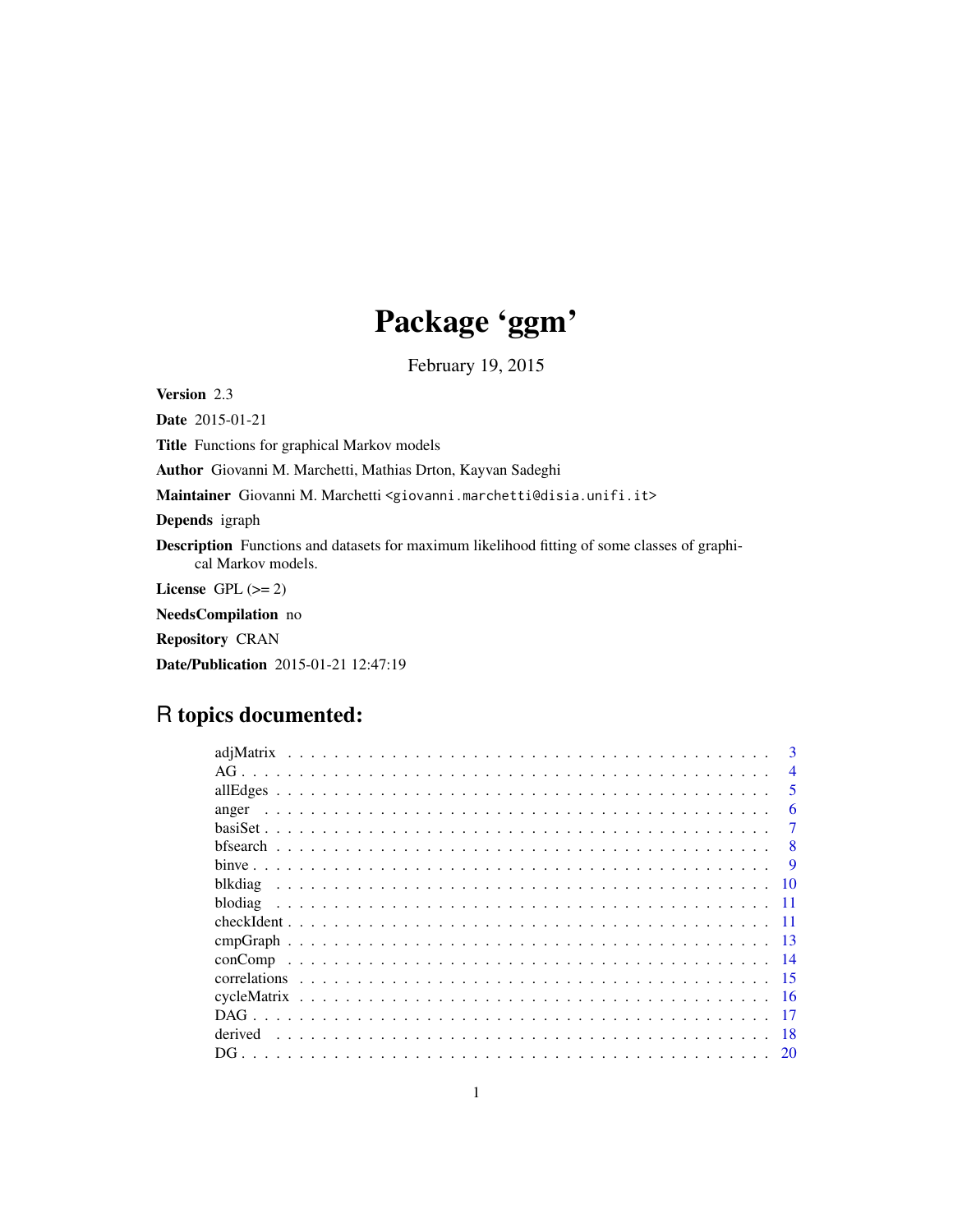# Package 'ggm'

February 19, 2015

<span id="page-0-0"></span>Version 2.3

Date 2015-01-21

Title Functions for graphical Markov models

Author Giovanni M. Marchetti, Mathias Drton, Kayvan Sadeghi

Maintainer Giovanni M. Marchetti <giovanni.marchetti@disia.unifi.it>

Depends igraph

Description Functions and datasets for maximum likelihood fitting of some classes of graphical Markov models.

License GPL  $(>= 2)$ 

NeedsCompilation no

Repository CRAN

Date/Publication 2015-01-21 12:47:19

# R topics documented:

| adiMatrix     | 3              |
|---------------|----------------|
|               | $\overline{4}$ |
|               | 5              |
| anger         | 6              |
|               |                |
|               | 8              |
|               | -9             |
| blkdiag<br>10 |                |
| blodiag       |                |
| -11           |                |
| -13           |                |
| conComp       |                |
|               |                |
| -16           |                |
|               |                |
| derived<br>18 |                |
|               |                |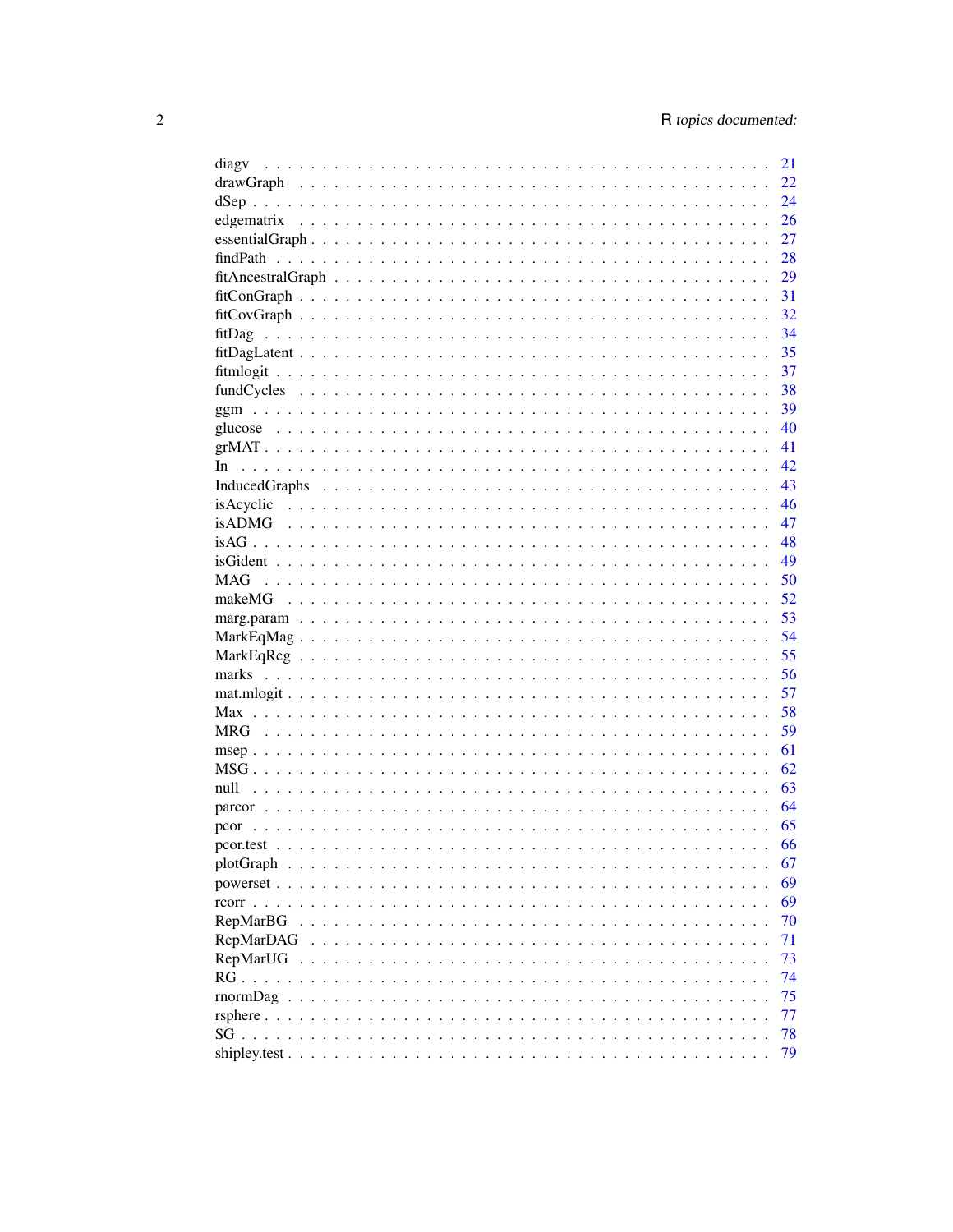| diagy                                                                                                                                                                                                                                                                            | 21 |
|----------------------------------------------------------------------------------------------------------------------------------------------------------------------------------------------------------------------------------------------------------------------------------|----|
|                                                                                                                                                                                                                                                                                  | 22 |
|                                                                                                                                                                                                                                                                                  | 24 |
|                                                                                                                                                                                                                                                                                  | 26 |
|                                                                                                                                                                                                                                                                                  | 27 |
|                                                                                                                                                                                                                                                                                  | 28 |
|                                                                                                                                                                                                                                                                                  | 29 |
|                                                                                                                                                                                                                                                                                  | 31 |
|                                                                                                                                                                                                                                                                                  | 32 |
|                                                                                                                                                                                                                                                                                  | 34 |
|                                                                                                                                                                                                                                                                                  | 35 |
|                                                                                                                                                                                                                                                                                  | 37 |
|                                                                                                                                                                                                                                                                                  | 38 |
|                                                                                                                                                                                                                                                                                  | 39 |
|                                                                                                                                                                                                                                                                                  | 40 |
|                                                                                                                                                                                                                                                                                  | 41 |
| In.                                                                                                                                                                                                                                                                              | 42 |
| InducedGraphs $\ldots \ldots \ldots \ldots \ldots \ldots \ldots \ldots \ldots \ldots \ldots \ldots \ldots$                                                                                                                                                                       | 43 |
|                                                                                                                                                                                                                                                                                  | 46 |
|                                                                                                                                                                                                                                                                                  | 47 |
|                                                                                                                                                                                                                                                                                  | 48 |
|                                                                                                                                                                                                                                                                                  | 49 |
| MAG                                                                                                                                                                                                                                                                              | 50 |
|                                                                                                                                                                                                                                                                                  | 52 |
|                                                                                                                                                                                                                                                                                  | 53 |
|                                                                                                                                                                                                                                                                                  | 54 |
|                                                                                                                                                                                                                                                                                  | 55 |
|                                                                                                                                                                                                                                                                                  | 56 |
|                                                                                                                                                                                                                                                                                  | 57 |
|                                                                                                                                                                                                                                                                                  | 58 |
| <b>MRG</b>                                                                                                                                                                                                                                                                       | 59 |
|                                                                                                                                                                                                                                                                                  | 61 |
|                                                                                                                                                                                                                                                                                  | 62 |
| null                                                                                                                                                                                                                                                                             | 63 |
|                                                                                                                                                                                                                                                                                  | 64 |
| pcor                                                                                                                                                                                                                                                                             | 65 |
|                                                                                                                                                                                                                                                                                  | 66 |
|                                                                                                                                                                                                                                                                                  | 67 |
| powerset                                                                                                                                                                                                                                                                         | 69 |
| $rcorr \cdot \cdot \cdot \cdot \cdot \cdot$<br>$\mathbf{r}$ . The set of the set of the set of the set of the set of the set of the set of the set of the set of the set of the set of the set of the set of the set of the set of the set of the set of the set of the set of t | 69 |
| RepMarBG                                                                                                                                                                                                                                                                         | 70 |
| RepMarDAG                                                                                                                                                                                                                                                                        | 71 |
| RepMarUG                                                                                                                                                                                                                                                                         | 73 |
| $RG \ldots \ldots$                                                                                                                                                                                                                                                               | 74 |
| rnormDag                                                                                                                                                                                                                                                                         | 75 |
|                                                                                                                                                                                                                                                                                  | 77 |
|                                                                                                                                                                                                                                                                                  | 78 |
|                                                                                                                                                                                                                                                                                  | 79 |
|                                                                                                                                                                                                                                                                                  |    |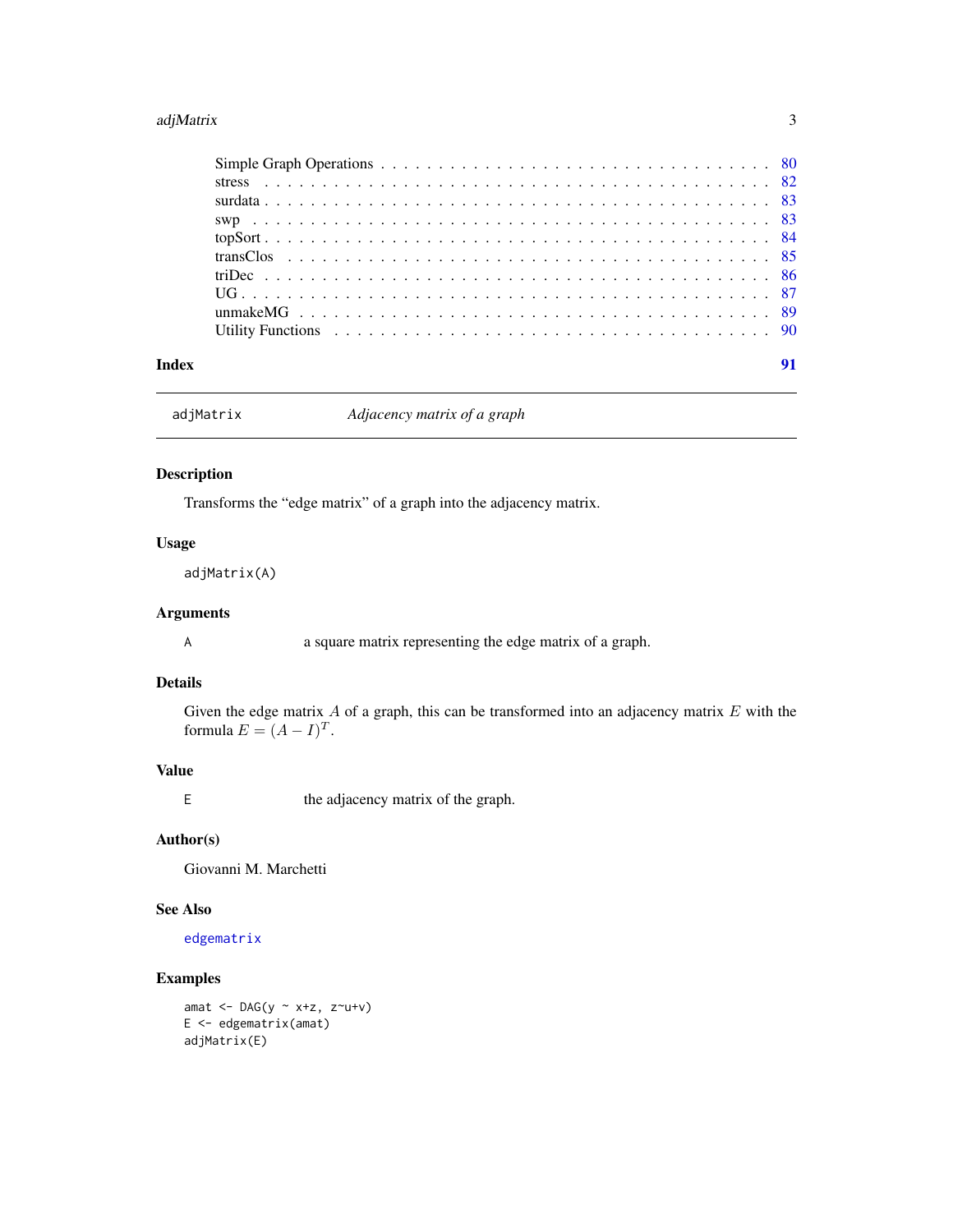#### <span id="page-2-0"></span>adjMatrix 3

| Index |  |
|-------|--|

```
adjMatrix Adjacency matrix of a graph
```
# Description

Transforms the "edge matrix" of a graph into the adjacency matrix.

# Usage

adjMatrix(A)

# Arguments

A a square matrix representing the edge matrix of a graph.

#### Details

Given the edge matrix  $A$  of a graph, this can be transformed into an adjacency matrix  $E$  with the formula  $E = (A - I)^T$ .

# Value

E the adjacency matrix of the graph.

# Author(s)

Giovanni M. Marchetti

# See Also

[edgematrix](#page-25-1)

# Examples

amat  $\leftarrow$  DAG(y  $\sim$  x+z, z $\sim$ u+v) E <- edgematrix(amat) adjMatrix(E)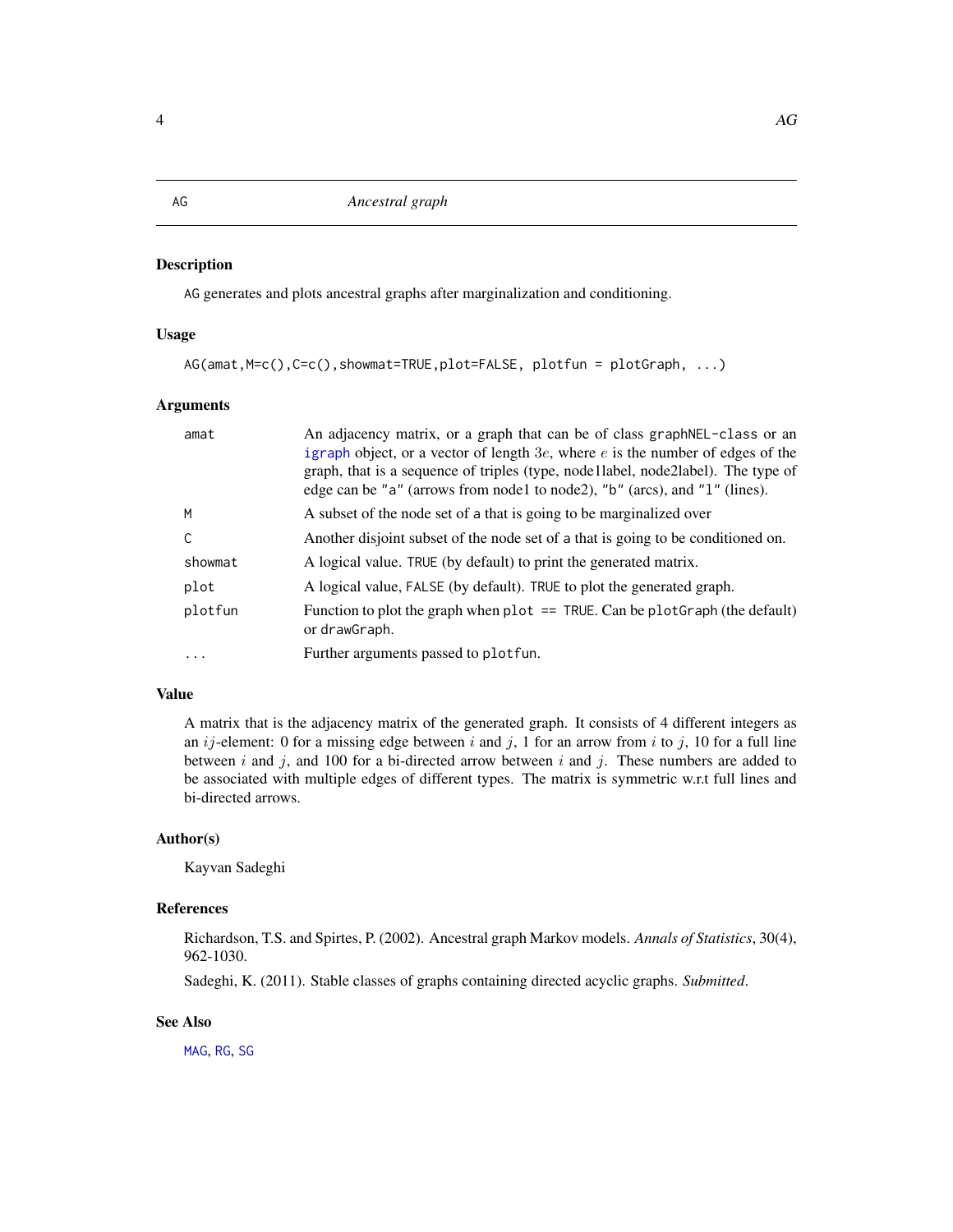AG generates and plots ancestral graphs after marginalization and conditioning.

# Usage

```
AG(amat,M=c(),C=c(),showmat=TRUE,plot=FALSE, plotfun = plotGraph, ...)
```
# Arguments

| An adjacency matrix, or a graph that can be of class graph NEL-class or an<br>igraph object, or a vector of length $3e$ , where $e$ is the number of edges of the<br>graph, that is a sequence of triples (type, node llabel, node 2 label). The type of<br>edge can be "a" (arrows from node1 to node2), "b" (arcs), and "1" (lines). |
|----------------------------------------------------------------------------------------------------------------------------------------------------------------------------------------------------------------------------------------------------------------------------------------------------------------------------------------|
| A subset of the node set of a that is going to be marginalized over                                                                                                                                                                                                                                                                    |
| Another disjoint subset of the node set of a that is going to be conditioned on.                                                                                                                                                                                                                                                       |
| A logical value. TRUE (by default) to print the generated matrix.                                                                                                                                                                                                                                                                      |
| A logical value, FALSE (by default). TRUE to plot the generated graph.                                                                                                                                                                                                                                                                 |
| Function to plot the graph when plot $==$ TRUE. Can be plot Graph (the default)<br>or drawGraph.                                                                                                                                                                                                                                       |
| Further arguments passed to plotfun.                                                                                                                                                                                                                                                                                                   |
|                                                                                                                                                                                                                                                                                                                                        |

# Value

A matrix that is the adjacency matrix of the generated graph. It consists of 4 different integers as an  $ij$ -element: 0 for a missing edge between i and j, 1 for an arrow from i to j, 10 for a full line between  $i$  and  $j$ , and 100 for a bi-directed arrow between  $i$  and  $j$ . These numbers are added to be associated with multiple edges of different types. The matrix is symmetric w.r.t full lines and bi-directed arrows.

# Author(s)

Kayvan Sadeghi

# References

Richardson, T.S. and Spirtes, P. (2002). Ancestral graph Markov models. *Annals of Statistics*, 30(4), 962-1030.

Sadeghi, K. (2011). Stable classes of graphs containing directed acyclic graphs. *Submitted*.

#### See Also

[MAG](#page-49-1), [RG](#page-73-1), [SG](#page-77-1)

# <span id="page-3-0"></span>AG *Ancestral graph*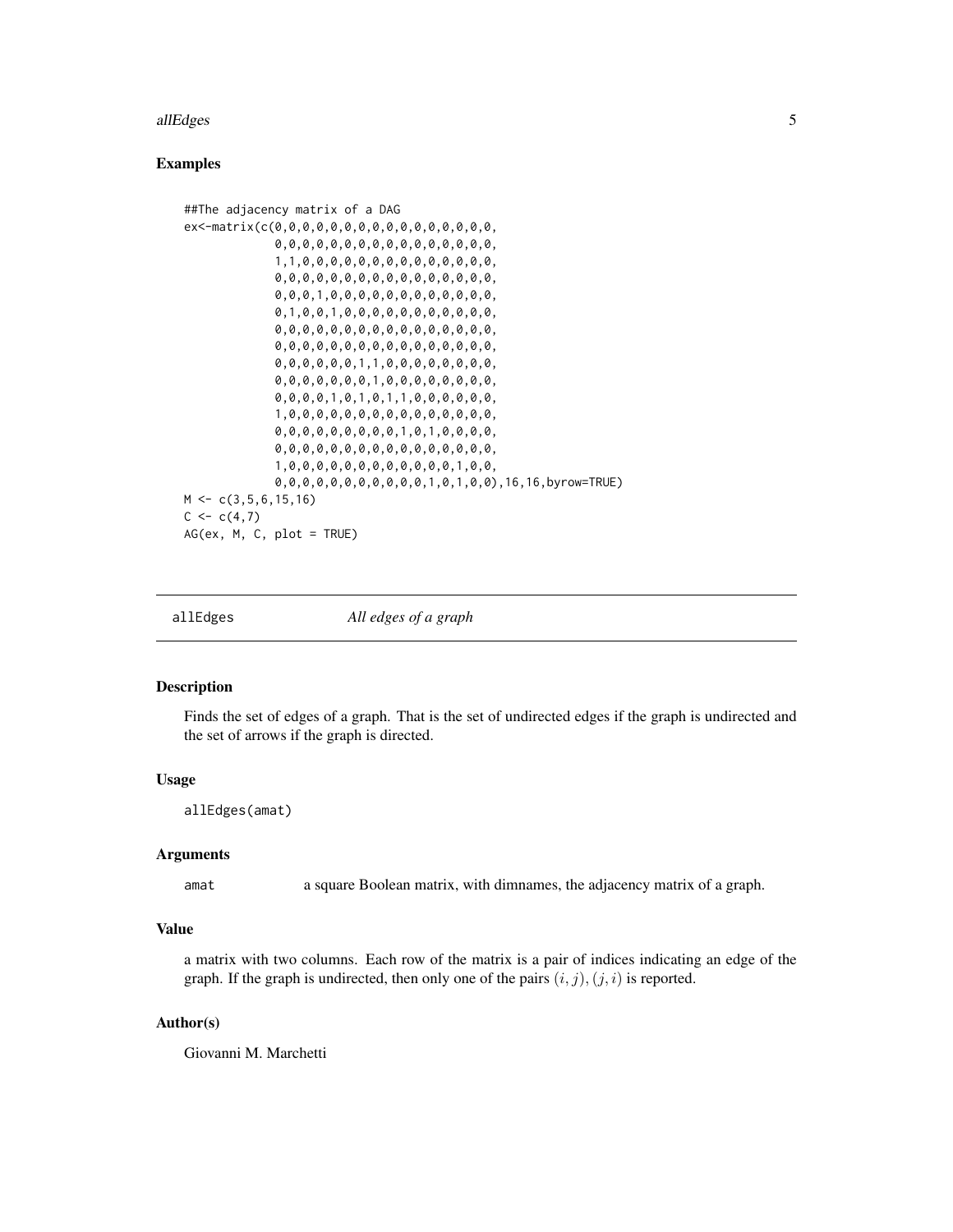#### <span id="page-4-0"></span>allEdges 5

# Examples

```
##The adjacency matrix of a DAG
ex<-matrix(c(0,0,0,0,0,0,0,0,0,0,0,0,0,0,0,0,
             0,0,0,0,0,0,0,0,0,0,0,0,0,0,0,0,
             1,1,0,0,0,0,0,0,0,0,0,0,0,0,0,0,
             0,0,0,0,0,0,0,0,0,0,0,0,0,0,0,0,
             0,0,0,1,0,0,0,0,0,0,0,0,0,0,0,0,
             0,1,0,0,1,0,0,0,0,0,0,0,0,0,0,0,
             0,0,0,0,0,0,0,0,0,0,0,0,0,0,0,0,
             0,0,0,0,0,0,0,0,0,0,0,0,0,0,0,0,
             0,0,0,0,0,0,1,1,0,0,0,0,0,0,0,0,
             0,0,0,0,0,0,0,1,0,0,0,0,0,0,0,0,
             0,0,0,0,1,0,1,0,1,1,0,0,0,0,0,0,
             1,0,0,0,0,0,0,0,0,0,0,0,0,0,0,0,
             0,0,0,0,0,0,0,0,0,1,0,1,0,0,0,0,
             0,0,0,0,0,0,0,0,0,0,0,0,0,0,0,0,
             1,0,0,0,0,0,0,0,0,0,0,0,0,1,0,0,
             0,0,0,0,0,0,0,0,0,0,0,1,0,1,0,0),16,16,byrow=TRUE)
M \leftarrow c(3, 5, 6, 15, 16)C \leq -c(4,7)AG(ex, M, C, plot = TRUE)
```
allEdges *All edges of a graph*

# Description

Finds the set of edges of a graph. That is the set of undirected edges if the graph is undirected and the set of arrows if the graph is directed.

#### Usage

allEdges(amat)

# Arguments

amat a square Boolean matrix, with dimnames, the adjacency matrix of a graph.

#### Value

a matrix with two columns. Each row of the matrix is a pair of indices indicating an edge of the graph. If the graph is undirected, then only one of the pairs  $(i, j), (j, i)$  is reported.

#### Author(s)

Giovanni M. Marchetti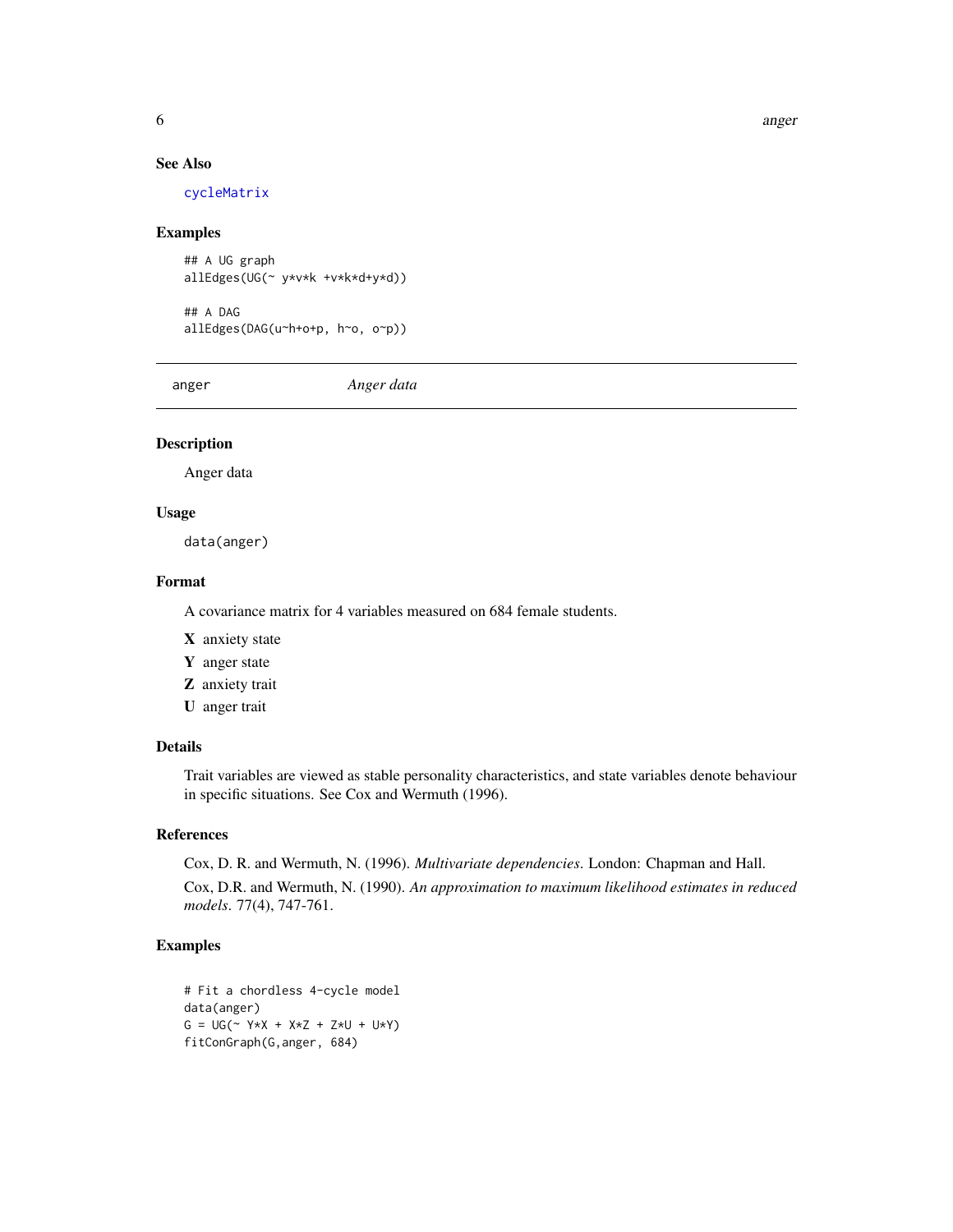6 anger and the contract of the contract of the contract of the contract of the contract of the contract of the contract of the contract of the contract of the contract of the contract of the contract of the contract of th

# See Also

[cycleMatrix](#page-15-1)

#### Examples

```
## A UG graph
allEdges(UG(~ y*v*k +v*k*d+y*d))
## A DAG
allEdges(DAG(u~h+o+p, h~o, o~p))
```
anger *Anger data*

# Description

Anger data

# Usage

data(anger)

# Format

A covariance matrix for 4 variables measured on 684 female students.

- X anxiety state
- Y anger state
- Z anxiety trait
- U anger trait

# Details

Trait variables are viewed as stable personality characteristics, and state variables denote behaviour in specific situations. See Cox and Wermuth (1996).

# References

Cox, D. R. and Wermuth, N. (1996). *Multivariate dependencies*. London: Chapman and Hall.

Cox, D.R. and Wermuth, N. (1990). *An approximation to maximum likelihood estimates in reduced models*. 77(4), 747-761.

```
# Fit a chordless 4-cycle model
data(anger)
G = UG( ~ Y * X + X * Z + Z * U + U * Y)fitConGraph(G,anger, 684)
```
<span id="page-5-0"></span>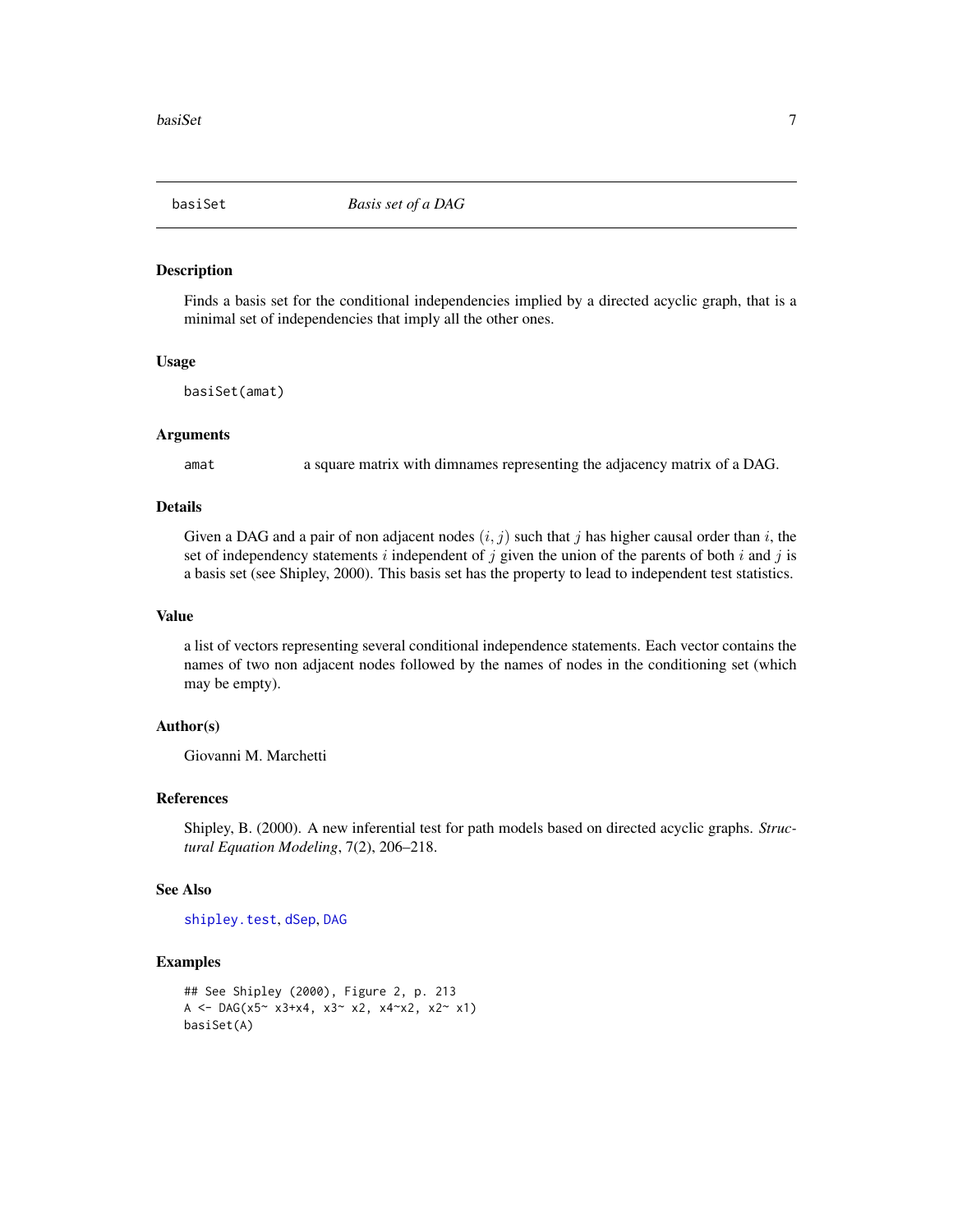<span id="page-6-0"></span>

Finds a basis set for the conditional independencies implied by a directed acyclic graph, that is a minimal set of independencies that imply all the other ones.

#### Usage

basiSet(amat)

#### Arguments

amat a square matrix with dimnames representing the adjacency matrix of a DAG.

# Details

Given a DAG and a pair of non adjacent nodes  $(i, j)$  such that j has higher causal order than i, the set of independency statements  $i$  independent of  $j$  given the union of the parents of both  $i$  and  $j$  is a basis set (see Shipley, 2000). This basis set has the property to lead to independent test statistics.

#### Value

a list of vectors representing several conditional independence statements. Each vector contains the names of two non adjacent nodes followed by the names of nodes in the conditioning set (which may be empty).

#### Author(s)

Giovanni M. Marchetti

#### References

Shipley, B. (2000). A new inferential test for path models based on directed acyclic graphs. *Structural Equation Modeling*, 7(2), 206–218.

#### See Also

[shipley.test](#page-78-1), [dSep](#page-23-1), [DAG](#page-16-1)

```
## See Shipley (2000), Figure 2, p. 213
A <- DAG(x5~ x3+x4, x3~ x2, x4~x2, x2~ x1)
basiSet(A)
```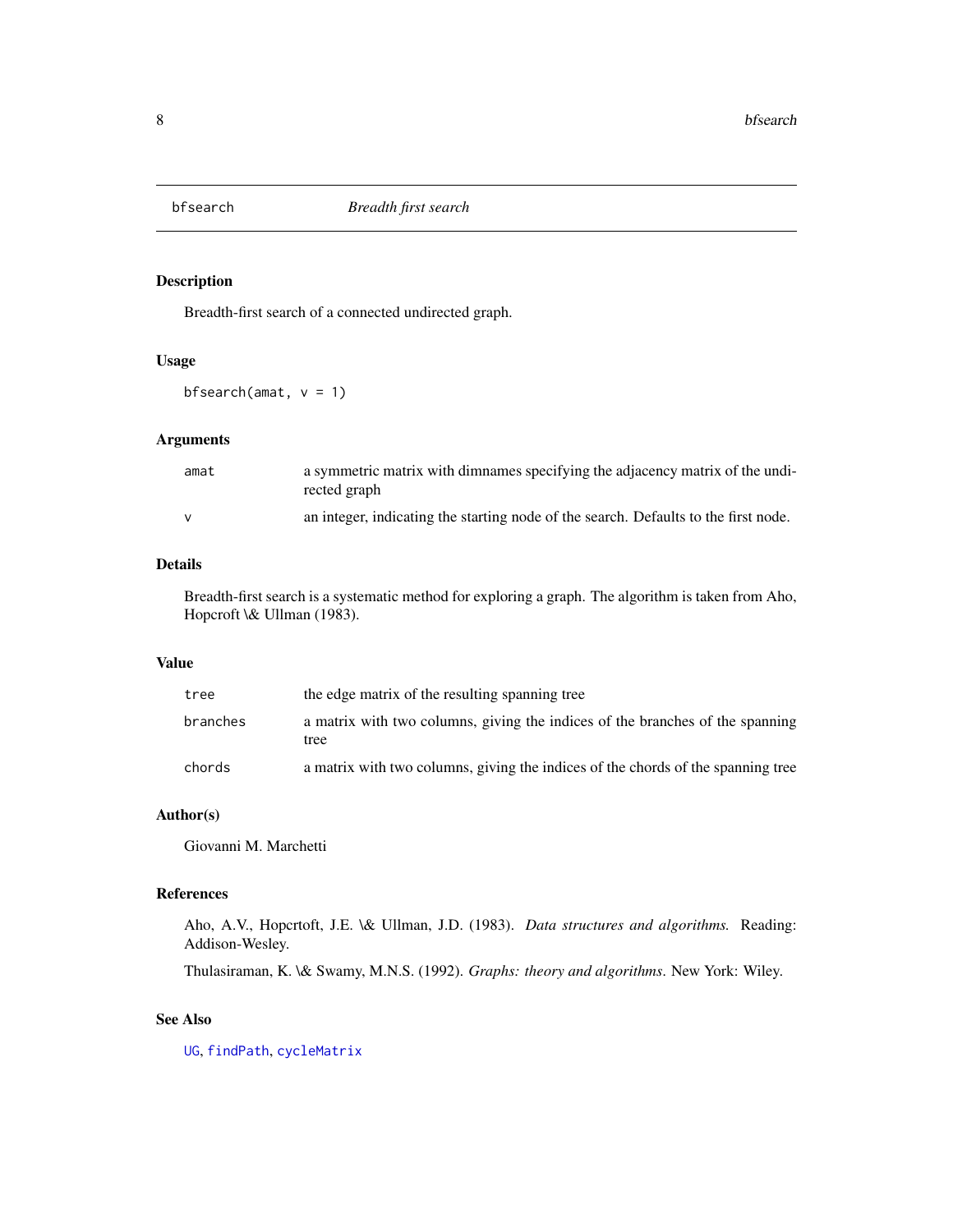<span id="page-7-1"></span><span id="page-7-0"></span>

Breadth-first search of a connected undirected graph.

# Usage

bfsearch(amat,  $v = 1$ )

# Arguments

| amat | a symmetric matrix with dimnames specifying the adjacency matrix of the undi-<br>rected graph |
|------|-----------------------------------------------------------------------------------------------|
|      | an integer, indicating the starting node of the search. Defaults to the first node.           |

# Details

Breadth-first search is a systematic method for exploring a graph. The algorithm is taken from Aho, Hopcroft \& Ullman (1983).

#### Value

| tree     | the edge matrix of the resulting spanning tree                                        |
|----------|---------------------------------------------------------------------------------------|
| branches | a matrix with two columns, giving the indices of the branches of the spanning<br>tree |
| chords   | a matrix with two columns, giving the indices of the chords of the spanning tree      |

# Author(s)

Giovanni M. Marchetti

### References

Aho, A.V., Hopcrtoft, J.E. \& Ullman, J.D. (1983). *Data structures and algorithms.* Reading: Addison-Wesley.

Thulasiraman, K. \& Swamy, M.N.S. (1992). *Graphs: theory and algorithms*. New York: Wiley.

# See Also

[UG](#page-86-1), [findPath](#page-27-1), [cycleMatrix](#page-15-1)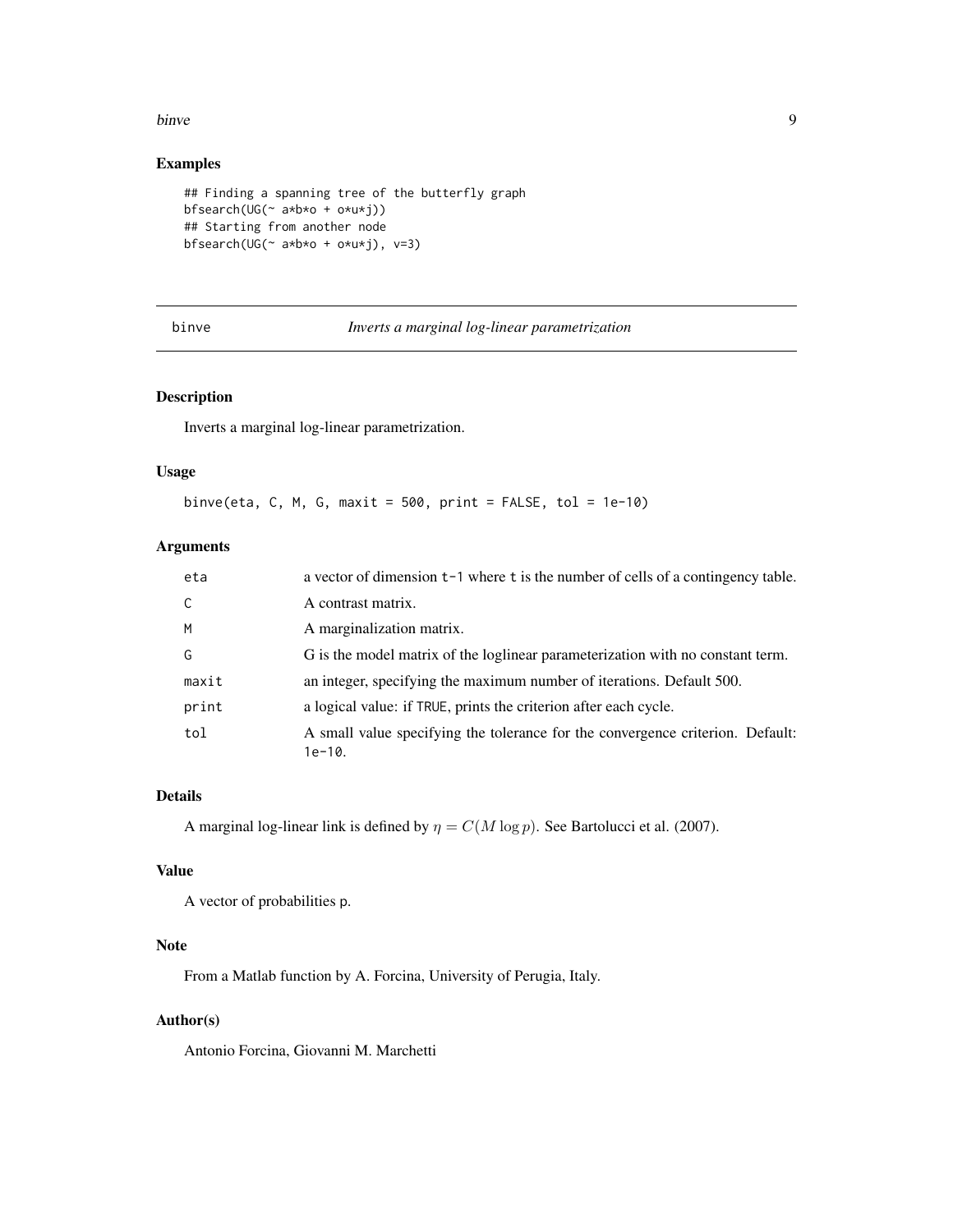#### <span id="page-8-0"></span>binve **9**

# Examples

```
## Finding a spanning tree of the butterfly graph
bfsearch(UG(~ a*b*o + o*u*j))
## Starting from another node
bfsearch(UG(~ a*b*o + o*u*j), v=3)
```
binve *Inverts a marginal log-linear parametrization*

# Description

Inverts a marginal log-linear parametrization.

# Usage

binve(eta, C, M, G, maxit =  $500$ , print =  $FALSE$ , tol =  $1e-10$ )

# Arguments

| eta   | a vector of dimension t-1 where t is the number of cells of a contingency table.           |
|-------|--------------------------------------------------------------------------------------------|
| C     | A contrast matrix.                                                                         |
| M     | A marginalization matrix.                                                                  |
| G     | G is the model matrix of the loglinear parameterization with no constant term.             |
| maxit | an integer, specifying the maximum number of iterations. Default 500.                      |
| print | a logical value: if TRUE, prints the criterion after each cycle.                           |
| tol   | A small value specifying the tolerance for the convergence criterion. Default:<br>$1e-10.$ |

# Details

A marginal log-linear link is defined by  $\eta = C(M \log p)$ . See Bartolucci et al. (2007).

#### Value

A vector of probabilities p.

# Note

From a Matlab function by A. Forcina, University of Perugia, Italy.

# Author(s)

Antonio Forcina, Giovanni M. Marchetti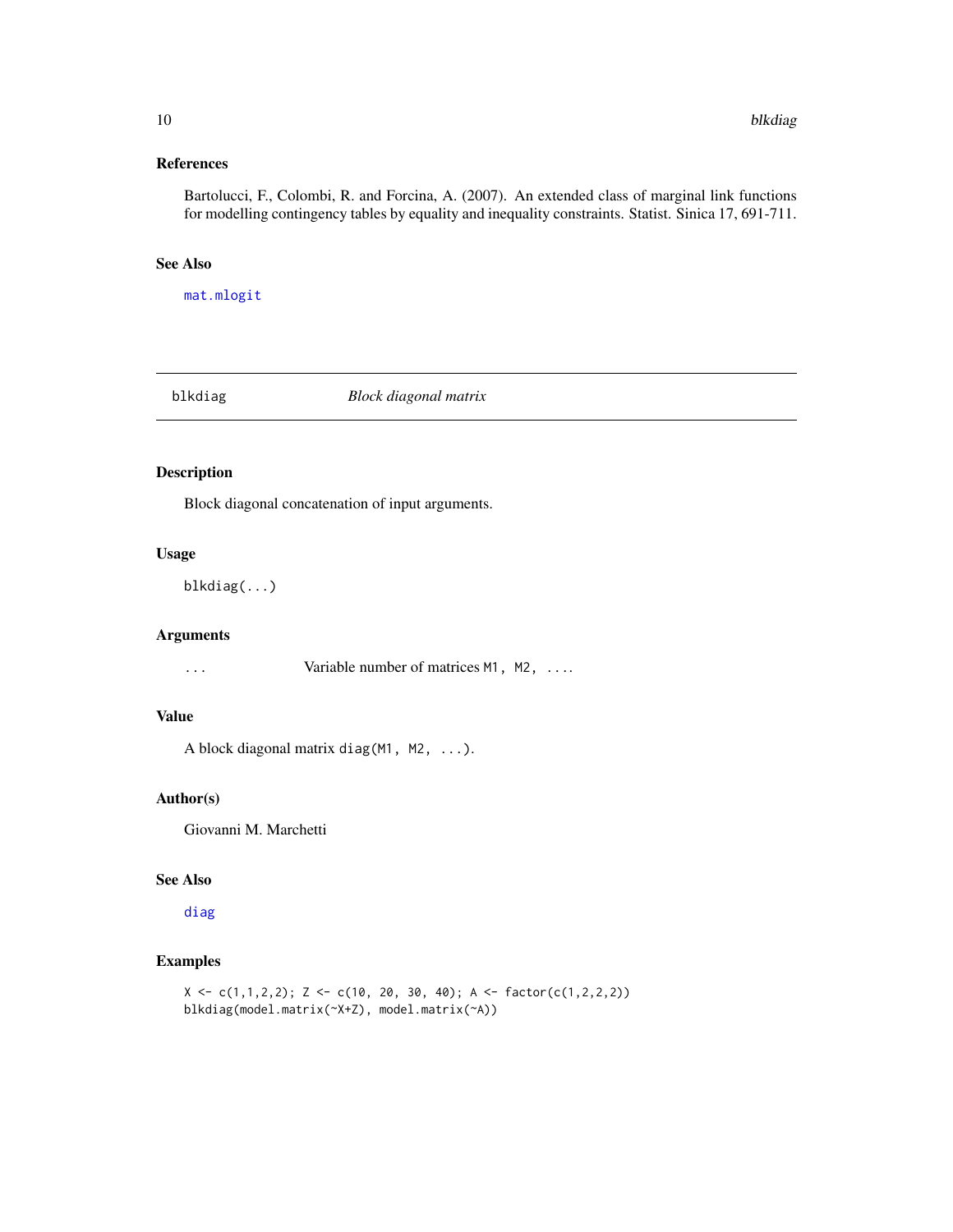# <span id="page-9-0"></span>References

Bartolucci, F., Colombi, R. and Forcina, A. (2007). An extended class of marginal link functions for modelling contingency tables by equality and inequality constraints. Statist. Sinica 17, 691-711.

#### See Also

[mat.mlogit](#page-56-1)

<span id="page-9-1"></span>blkdiag *Block diagonal matrix*

# Description

Block diagonal concatenation of input arguments.

#### Usage

blkdiag(...)

# Arguments

... Variable number of matrices M1, M2, ....

# Value

A block diagonal matrix diag(M1, M2, ...).

# Author(s)

Giovanni M. Marchetti

#### See Also

[diag](#page-0-0)

```
X \leftarrow c(1,1,2,2); Z \leftarrow c(10, 20, 30, 40); A \leftarrow factor(c(1,2,2,2))blkdiag(model.matrix(~X+Z), model.matrix(~A))
```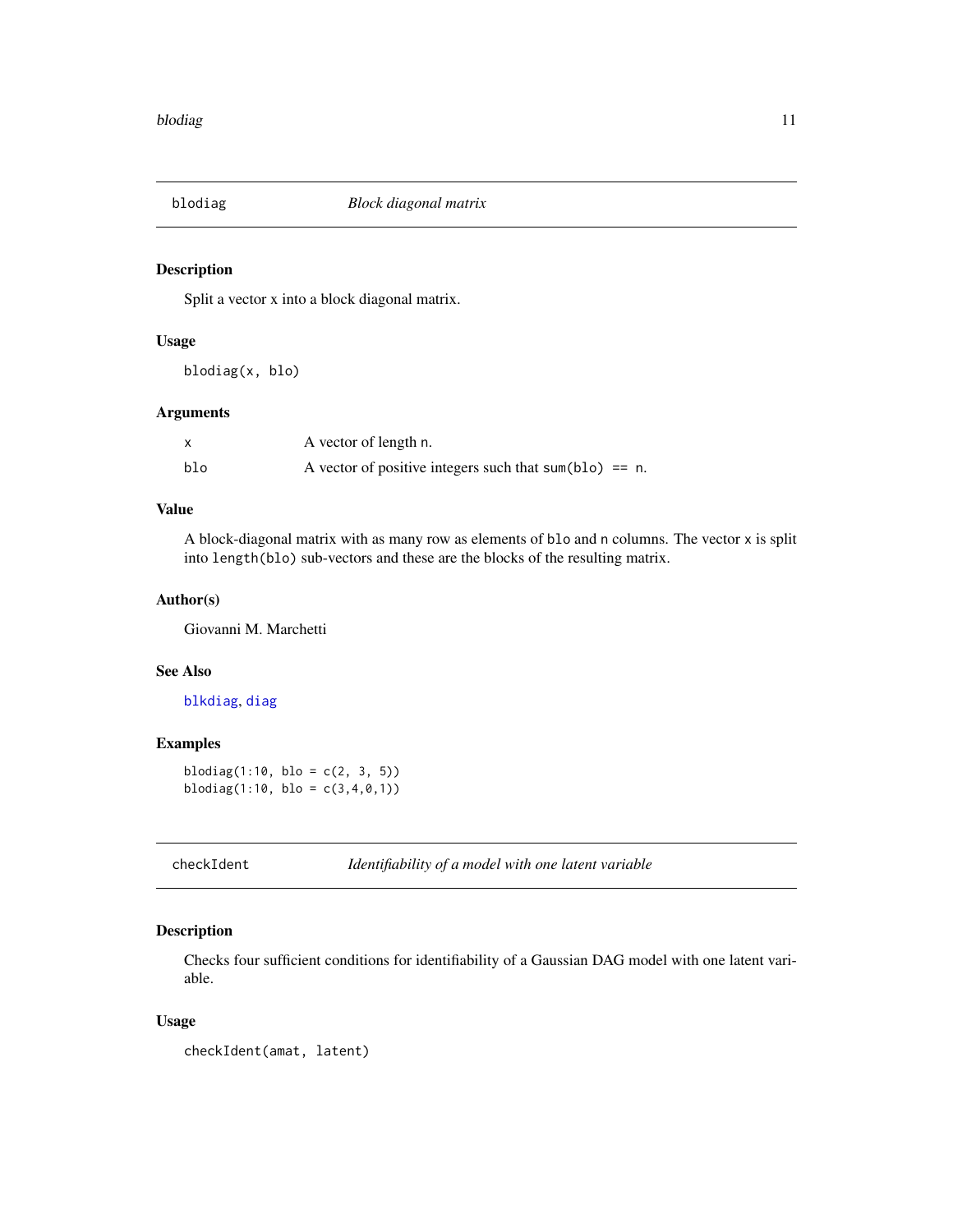<span id="page-10-0"></span>

Split a vector x into a block diagonal matrix.

# Usage

blodiag(x, blo)

### Arguments

|     | A vector of length n.                                     |
|-----|-----------------------------------------------------------|
| blo | A vector of positive integers such that sum(blo) $== n$ . |

### Value

A block-diagonal matrix with as many row as elements of blo and n columns. The vector x is split into length(blo) sub-vectors and these are the blocks of the resulting matrix.

# Author(s)

Giovanni M. Marchetti

#### See Also

[blkdiag](#page-9-1), [diag](#page-0-0)

# Examples

blodiag $(1:10, \text{ blo} = c(2, 3, 5))$ blodiag $(1:10, \text{ blo} = c(3,4,0,1))$ 

<span id="page-10-1"></span>checkIdent *Identifiability of a model with one latent variable*

# Description

Checks four sufficient conditions for identifiability of a Gaussian DAG model with one latent variable.

#### Usage

checkIdent(amat, latent)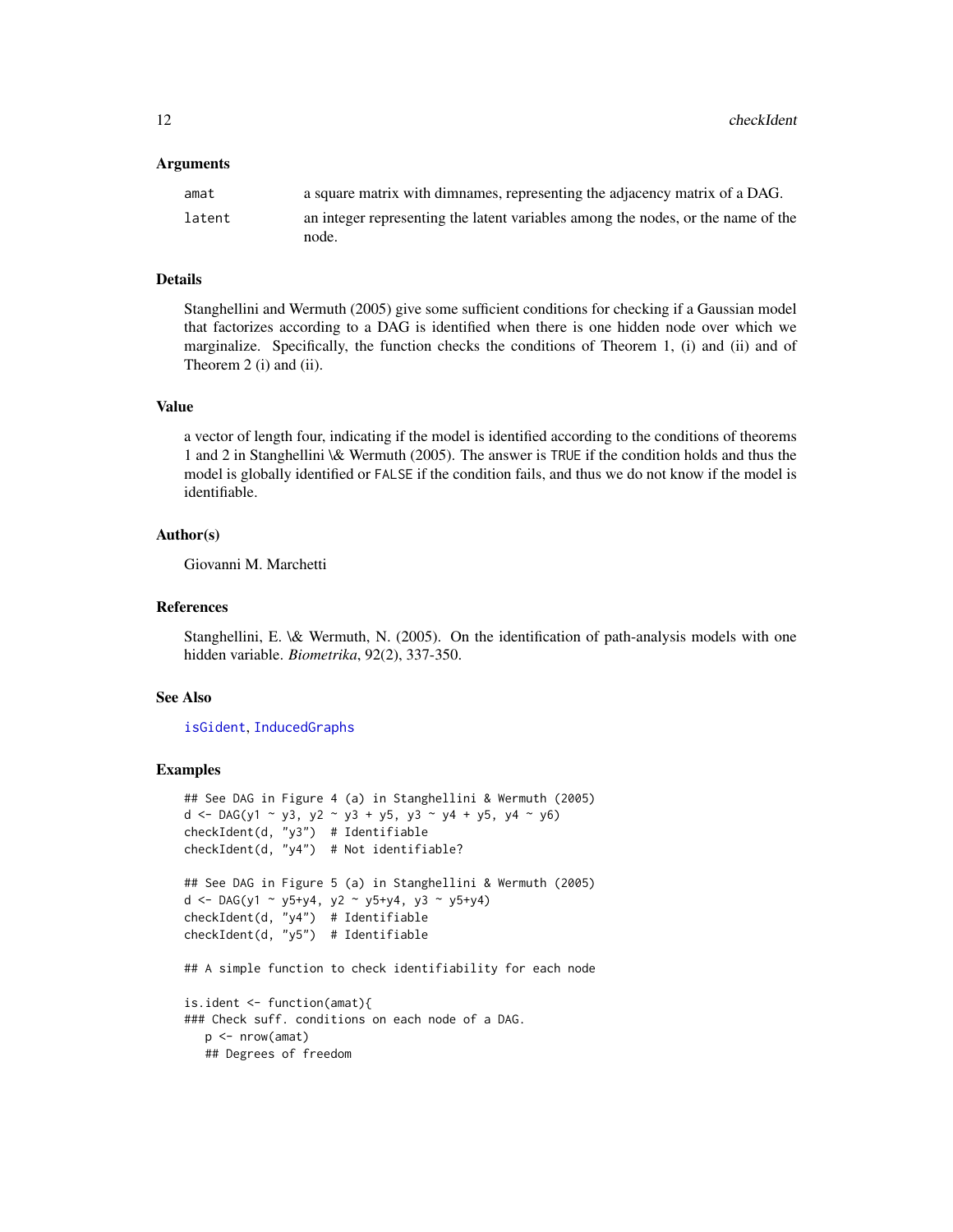#### **Arguments**

| amat   | a square matrix with dimnames, representing the adjacency matrix of a DAG.       |
|--------|----------------------------------------------------------------------------------|
| latent | an integer representing the latent variables among the nodes, or the name of the |
|        | node.                                                                            |

#### Details

Stanghellini and Wermuth (2005) give some sufficient conditions for checking if a Gaussian model that factorizes according to a DAG is identified when there is one hidden node over which we marginalize. Specifically, the function checks the conditions of Theorem 1, (i) and (ii) and of Theorem 2 (i) and (ii).

#### Value

a vector of length four, indicating if the model is identified according to the conditions of theorems 1 and 2 in Stanghellini \& Wermuth (2005). The answer is TRUE if the condition holds and thus the model is globally identified or FALSE if the condition fails, and thus we do not know if the model is identifiable.

#### Author(s)

Giovanni M. Marchetti

#### References

Stanghellini, E. \& Wermuth, N. (2005). On the identification of path-analysis models with one hidden variable. *Biometrika*, 92(2), 337-350.

#### See Also

[isGident](#page-48-1), [InducedGraphs](#page-42-1)

```
## See DAG in Figure 4 (a) in Stanghellini & Wermuth (2005)
d <- DAG(y1 ~ y3, y2 ~ y3 + y5, y3 ~ y4 + y5, y4 ~ y6)
checkIdent(d, "y3") # Identifiable
checkIdent(d, "y4") # Not identifiable?
## See DAG in Figure 5 (a) in Stanghellini & Wermuth (2005)
d <- DAG(y1 ~ y5+y4, y2 ~ y5+y4, y3 ~ y5+y4)
checkIdent(d, "y4") # Identifiable
checkIdent(d, "y5") # Identifiable
## A simple function to check identifiability for each node
is.ident <- function(amat){
### Check suff. conditions on each node of a DAG.
  p <- nrow(amat)
  ## Degrees of freedom
```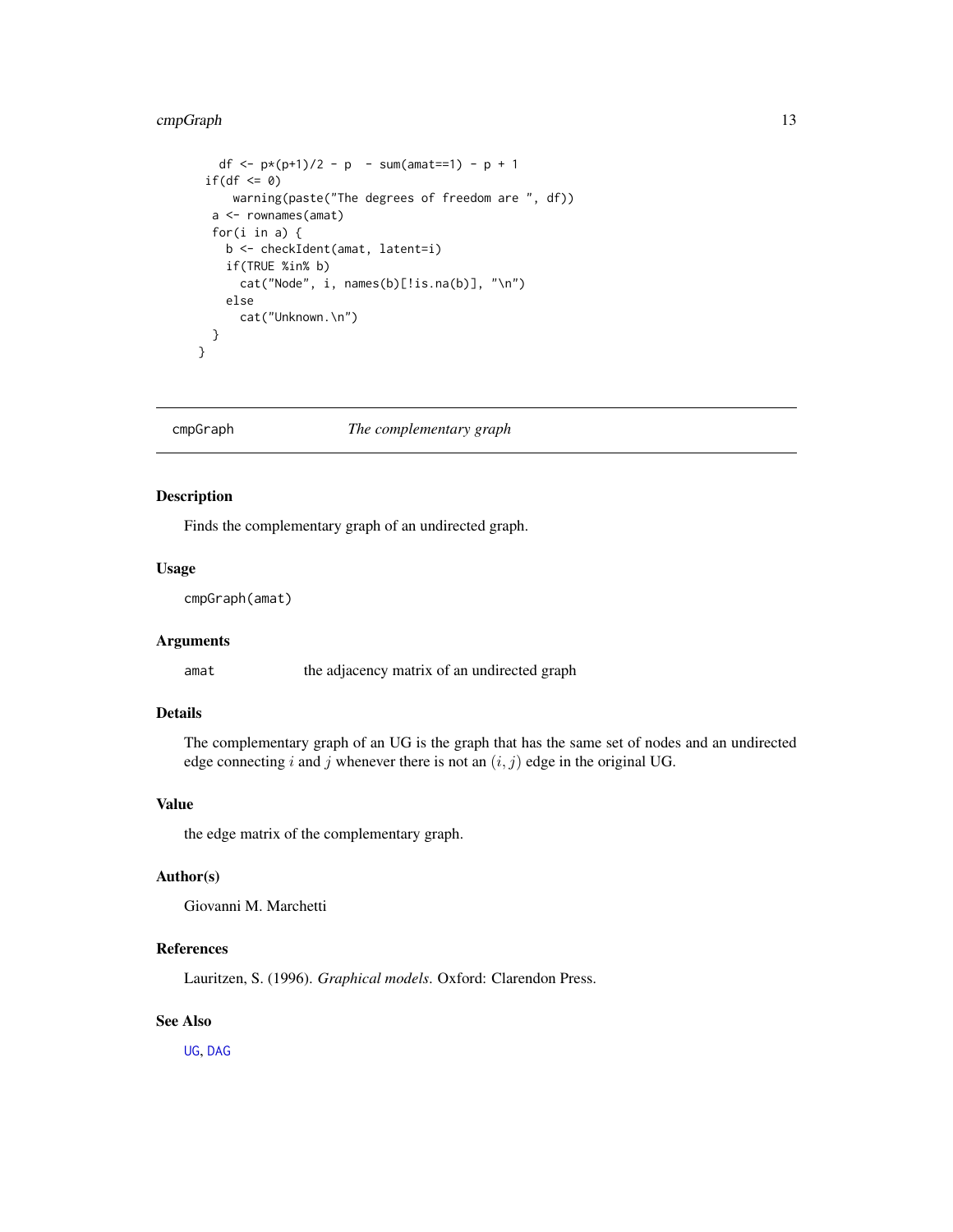# <span id="page-12-0"></span>cmpGraph 13

```
df <- p*(p+1)/2 - p - sum(amat==1) - p + 1if(df \le 0)warning(paste("The degrees of freedom are ", df))
  a <- rownames(amat)
  for(i in a) {
    b <- checkIdent(amat, latent=i)
    if(TRUE %in% b)
     cat("Node", i, names(b)[!is.na(b)], "\n")
    else
      cat("Unknown.\n")
 }
}
```
# cmpGraph *The complementary graph*

# Description

Finds the complementary graph of an undirected graph.

#### Usage

cmpGraph(amat)

# Arguments

amat the adjacency matrix of an undirected graph

# Details

The complementary graph of an UG is the graph that has the same set of nodes and an undirected edge connecting i and j whenever there is not an  $(i, j)$  edge in the original UG.

#### Value

the edge matrix of the complementary graph.

#### Author(s)

Giovanni M. Marchetti

# References

Lauritzen, S. (1996). *Graphical models*. Oxford: Clarendon Press.

#### See Also

[UG](#page-86-1), [DAG](#page-16-1)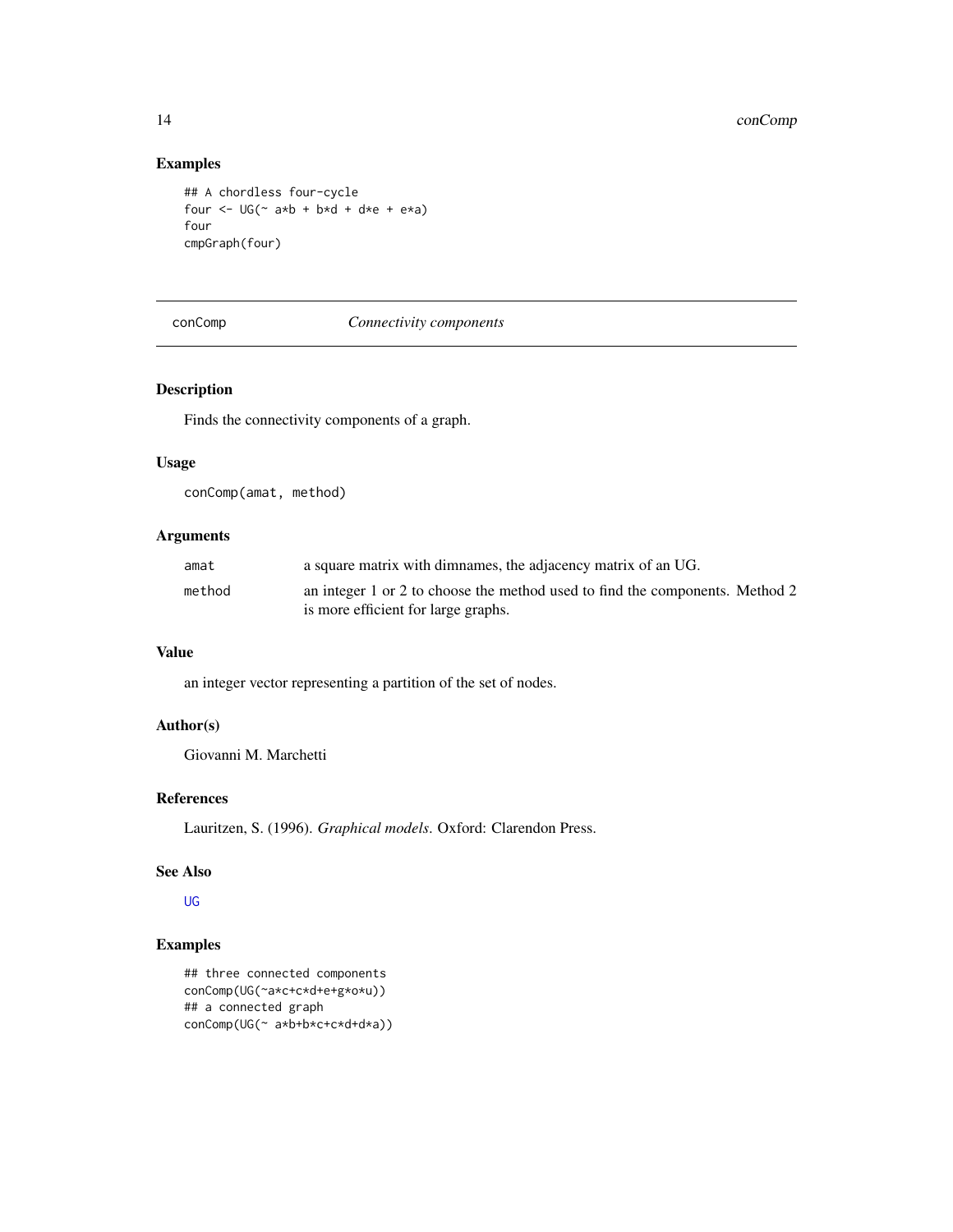# Examples

```
## A chordless four-cycle
four \leq -\text{UG}(\sim a*b + bxd + d*e + e*a)four
cmpGraph(four)
```
#### conComp *Connectivity components*

# Description

Finds the connectivity components of a graph.

#### Usage

conComp(amat, method)

# Arguments

| amat   | a square matrix with dimnames, the adjacency matrix of an UG.                |
|--------|------------------------------------------------------------------------------|
| method | an integer 1 or 2 to choose the method used to find the components. Method 2 |
|        | is more efficient for large graphs.                                          |

# Value

an integer vector representing a partition of the set of nodes.

# Author(s)

Giovanni M. Marchetti

# References

Lauritzen, S. (1996). *Graphical models*. Oxford: Clarendon Press.

# See Also

[UG](#page-86-1)

```
## three connected components
conComp(UG(~a*c+c*d+e+g*o*u))
## a connected graph
conComp(UG(~ a*b+b*c+c*d+d*a))
```
<span id="page-13-0"></span>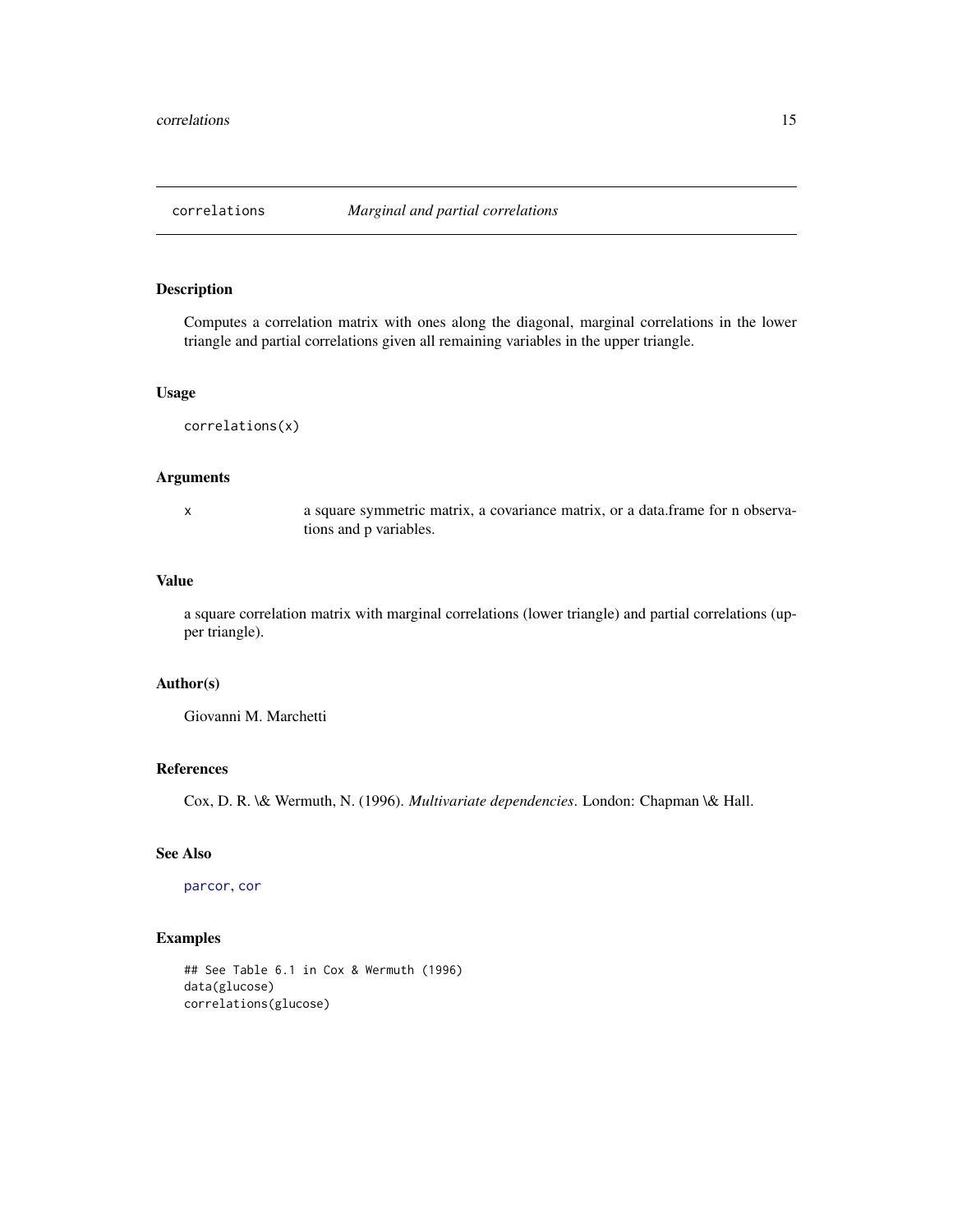<span id="page-14-0"></span>

Computes a correlation matrix with ones along the diagonal, marginal correlations in the lower triangle and partial correlations given all remaining variables in the upper triangle.

#### Usage

correlations(x)

# Arguments

x a square symmetric matrix, a covariance matrix, or a data.frame for n observations and p variables.

#### Value

a square correlation matrix with marginal correlations (lower triangle) and partial correlations (upper triangle).

# Author(s)

Giovanni M. Marchetti

#### References

Cox, D. R. \& Wermuth, N. (1996). *Multivariate dependencies*. London: Chapman \& Hall.

#### See Also

[parcor](#page-63-1), [cor](#page-0-0)

```
## See Table 6.1 in Cox & Wermuth (1996)
data(glucose)
correlations(glucose)
```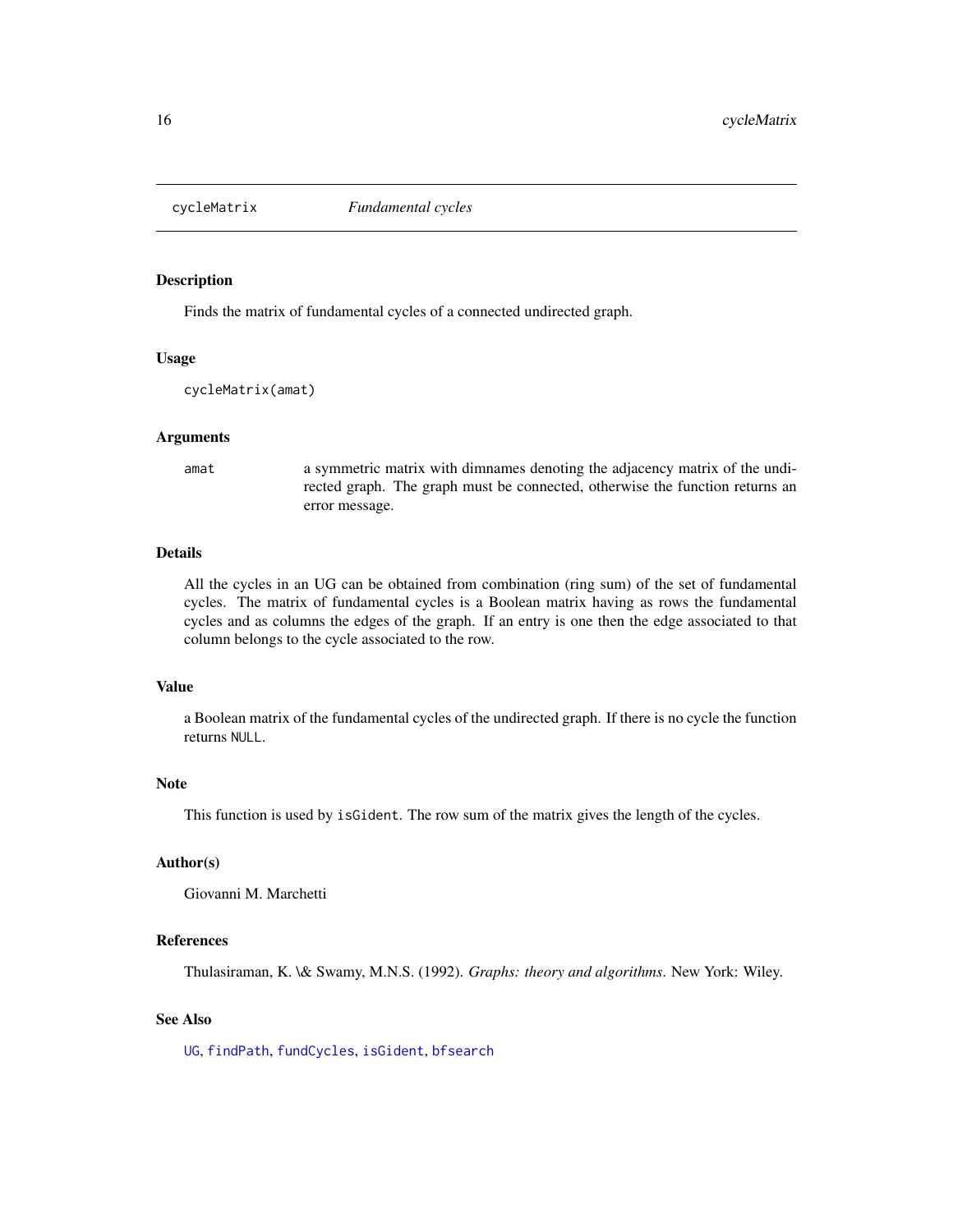<span id="page-15-1"></span><span id="page-15-0"></span>

Finds the matrix of fundamental cycles of a connected undirected graph.

#### Usage

cycleMatrix(amat)

#### Arguments

amat a symmetric matrix with dimnames denoting the adjacency matrix of the undirected graph. The graph must be connected, otherwise the function returns an error message.

#### Details

All the cycles in an UG can be obtained from combination (ring sum) of the set of fundamental cycles. The matrix of fundamental cycles is a Boolean matrix having as rows the fundamental cycles and as columns the edges of the graph. If an entry is one then the edge associated to that column belongs to the cycle associated to the row.

#### Value

a Boolean matrix of the fundamental cycles of the undirected graph. If there is no cycle the function returns NULL.

#### Note

This function is used by isGident. The row sum of the matrix gives the length of the cycles.

# Author(s)

Giovanni M. Marchetti

# References

Thulasiraman, K. \& Swamy, M.N.S. (1992). *Graphs: theory and algorithms*. New York: Wiley.

# See Also

[UG](#page-86-1), [findPath](#page-27-1), [fundCycles](#page-37-1), [isGident](#page-48-1), [bfsearch](#page-7-1)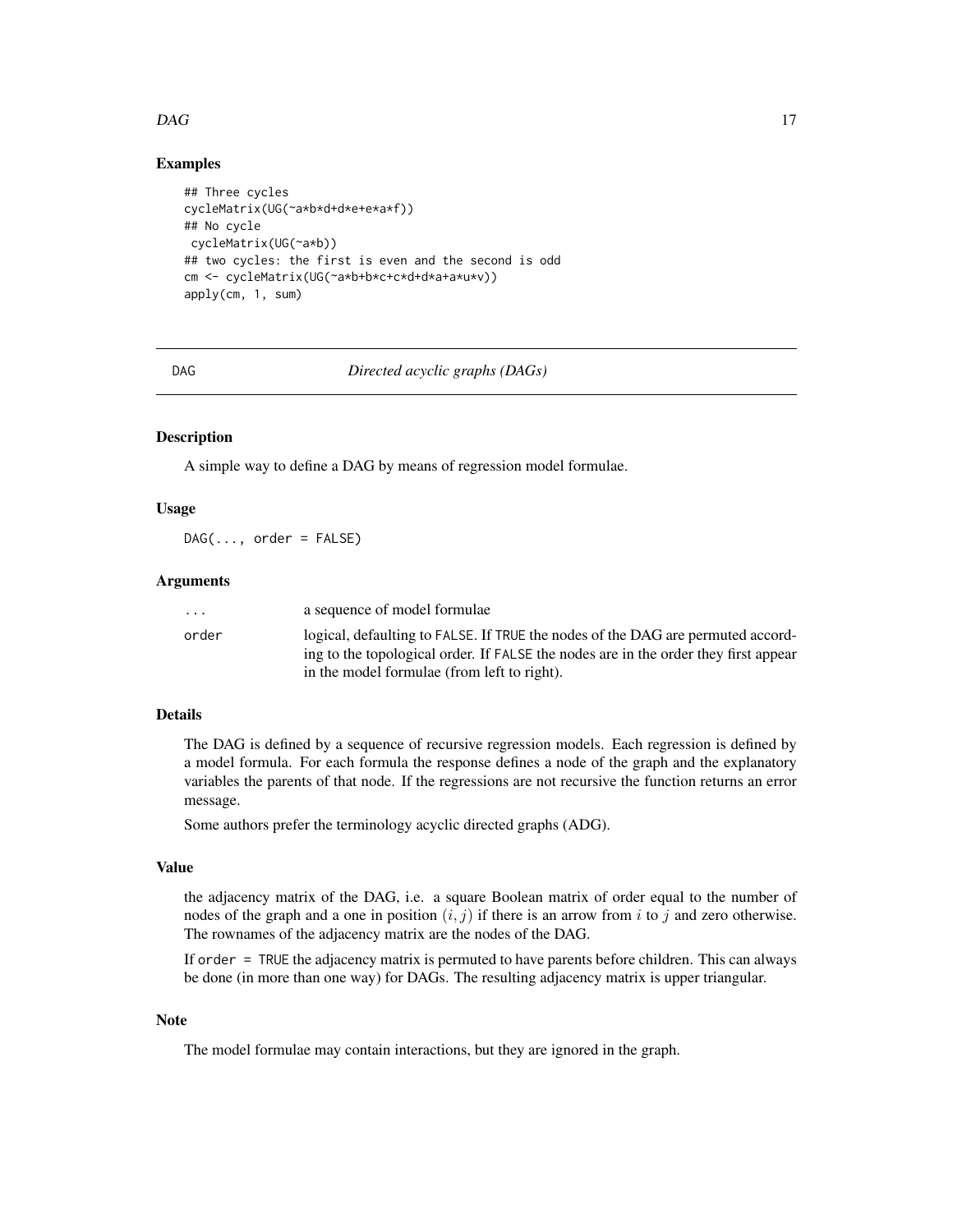#### <span id="page-16-0"></span> $DAG$  and the contract of the contract of the contract of the contract of the contract of the contract of the contract of the contract of the contract of the contract of the contract of the contract of the contract of the

# Examples

```
## Three cycles
cycleMatrix(UG(~a*b*d+d*e+e*a*f))
## No cycle
cycleMatrix(UG(~a*b))
## two cycles: the first is even and the second is odd
cm <- cycleMatrix(UG(~a*b+b*c+c*d+d*a+a*u*v))
apply(cm, 1, sum)
```
<span id="page-16-1"></span>

DAG *Directed acyclic graphs (DAGs)*

# **Description**

A simple way to define a DAG by means of regression model formulae.

### Usage

 $DAG(\ldots, order = FALSE)$ 

# Arguments

| $\cdot$ $\cdot$ $\cdot$ | a sequence of model formulae                                                        |
|-------------------------|-------------------------------------------------------------------------------------|
| order                   | logical, defaulting to FALSE. If TRUE the nodes of the DAG are permuted accord-     |
|                         | ing to the topological order. If FALSE the nodes are in the order they first appear |
|                         | in the model formulae (from left to right).                                         |

#### Details

The DAG is defined by a sequence of recursive regression models. Each regression is defined by a model formula. For each formula the response defines a node of the graph and the explanatory variables the parents of that node. If the regressions are not recursive the function returns an error message.

Some authors prefer the terminology acyclic directed graphs (ADG).

#### Value

the adjacency matrix of the DAG, i.e. a square Boolean matrix of order equal to the number of nodes of the graph and a one in position  $(i, j)$  if there is an arrow from i to j and zero otherwise. The rownames of the adjacency matrix are the nodes of the DAG.

If order = TRUE the adjacency matrix is permuted to have parents before children. This can always be done (in more than one way) for DAGs. The resulting adjacency matrix is upper triangular.

#### Note

The model formulae may contain interactions, but they are ignored in the graph.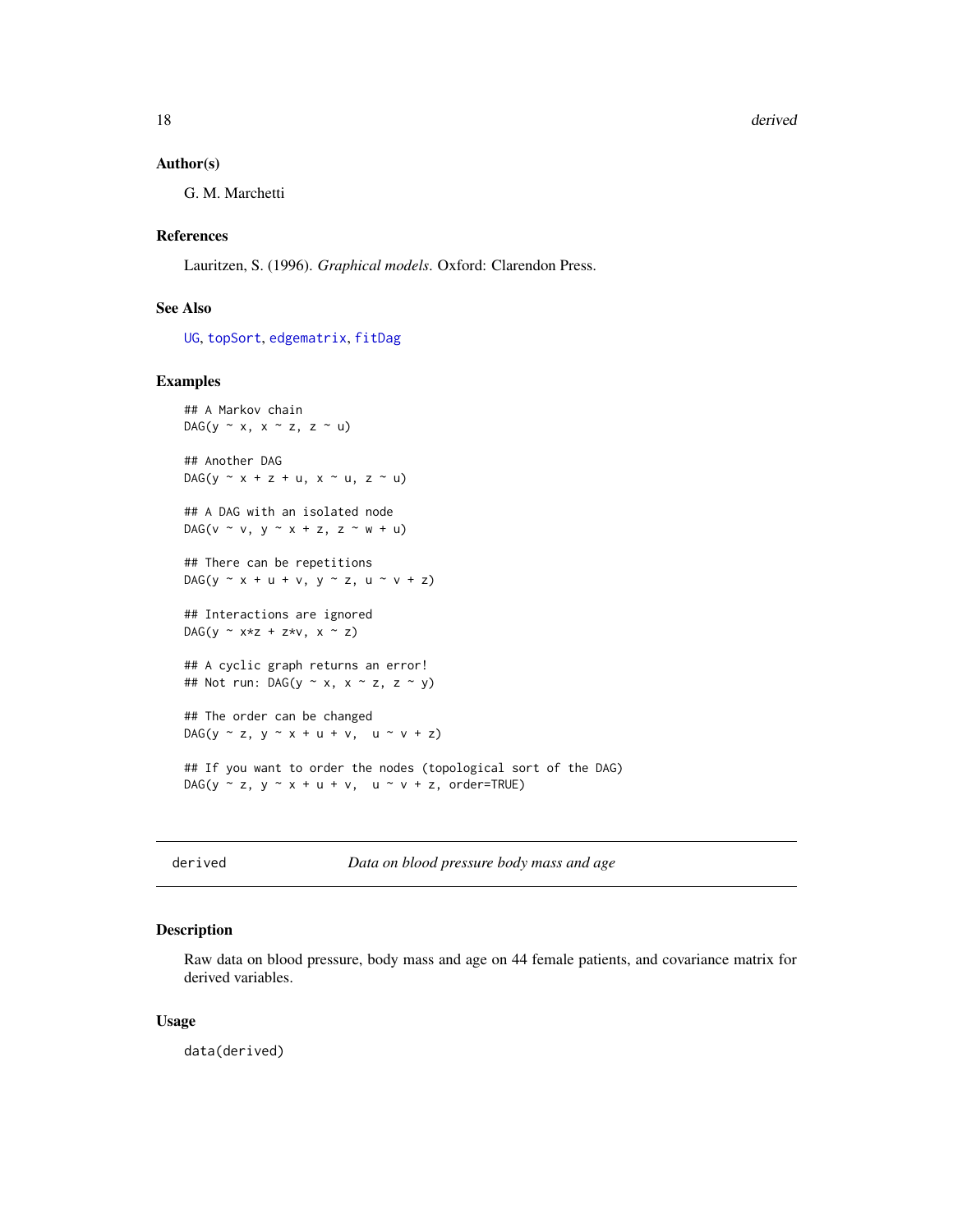<span id="page-17-0"></span>18 derived a set of the set of the set of the set of the set of the set of the set of the set of the set of the set of the set of the set of the set of the set of the set of the set of the set of the set of the set of the

#### Author(s)

G. M. Marchetti

# References

Lauritzen, S. (1996). *Graphical models*. Oxford: Clarendon Press.

# See Also

[UG](#page-86-1), [topSort](#page-83-1), [edgematrix](#page-25-1), [fitDag](#page-33-1)

#### Examples

```
## A Markov chain
DAG(y \sim x, x \sim z, z \sim u)
## Another DAG
DAG(y \sim x + z + u, x \sim u, z \sim u)
## A DAG with an isolated node
DAG(v \sim v, y \sim x + z, z \sim w + u)
## There can be repetitions
DAG(y \sim x + u + v, y \sim z, u \sim v + z)
## Interactions are ignored
DAG(y \sim x*z + z*v, x \sim z)
## A cyclic graph returns an error!
## Not run: DAG(y \sim x, x \sim z, z \sim y)
## The order can be changed
DAG(y \sim z, y \sim x + u + v, u \sim v + z)
## If you want to order the nodes (topological sort of the DAG)
DAG(y \sim z, y \sim x + u + v, u \sim v + z, order=TRUE)
```
derived *Data on blood pressure body mass and age*

# Description

Raw data on blood pressure, body mass and age on 44 female patients, and covariance matrix for derived variables.

#### Usage

data(derived)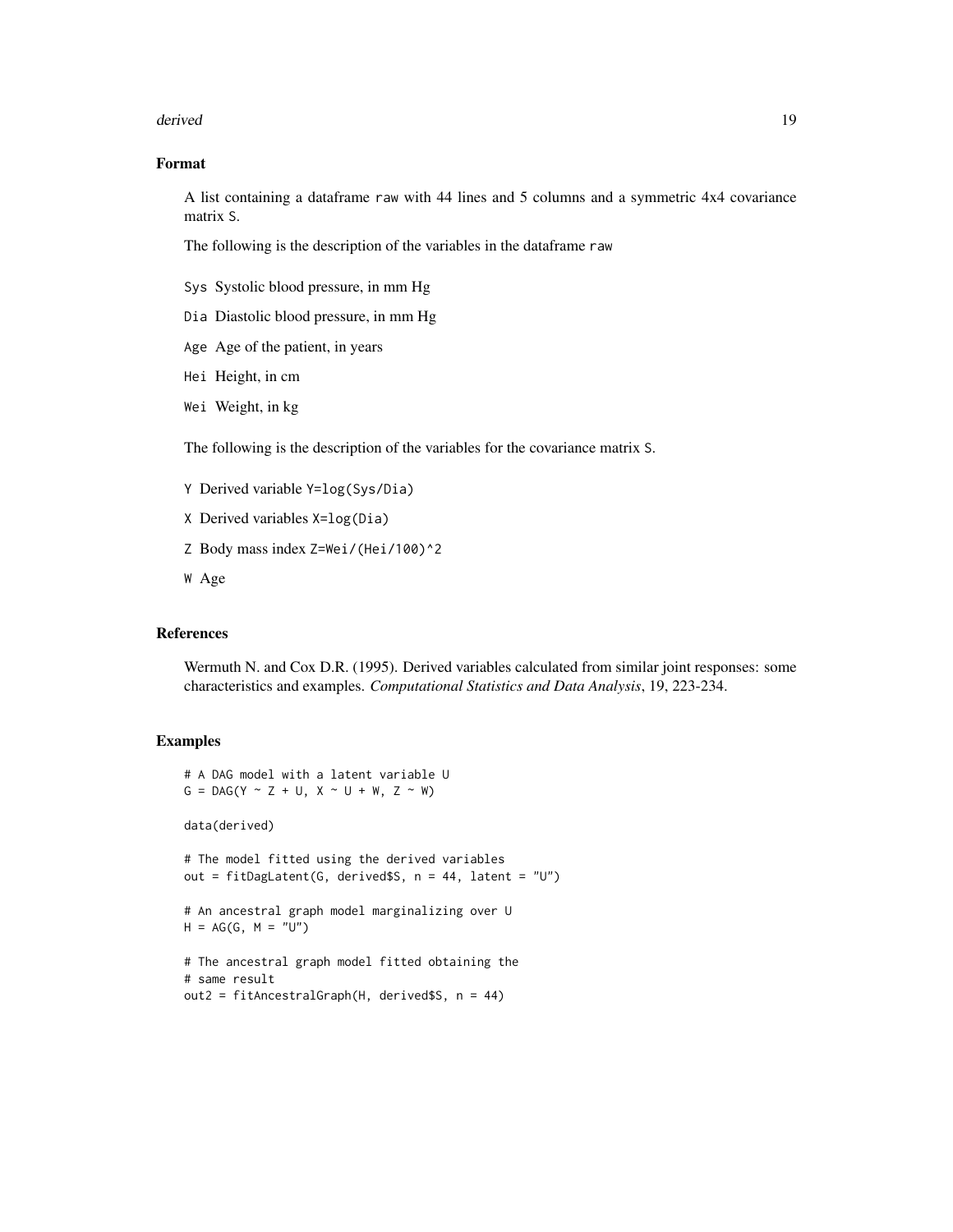#### derived the contract of the contract of the contract of the contract of the contract of the contract of the contract of the contract of the contract of the contract of the contract of the contract of the contract of the co

# Format

A list containing a dataframe raw with 44 lines and 5 columns and a symmetric 4x4 covariance matrix S.

The following is the description of the variables in the dataframe raw

- Sys Systolic blood pressure, in mm Hg
- Dia Diastolic blood pressure, in mm Hg
- Age Age of the patient, in years
- Hei Height, in cm
- Wei Weight, in kg

The following is the description of the variables for the covariance matrix S.

- Y Derived variable Y=log(Sys/Dia)
- X Derived variables X=log(Dia)
- Z Body mass index Z=Wei/(Hei/100)^2
- W Age

# References

Wermuth N. and Cox D.R. (1995). Derived variables calculated from similar joint responses: some characteristics and examples. *Computational Statistics and Data Analysis*, 19, 223-234.

```
# A DAG model with a latent variable U
G = DAG(Y \sim Z + U, X \sim U + W, Z \sim W)data(derived)
# The model fitted using the derived variables
out = fitDagLatent(G, derived$S, n = 44, latent = "U")
# An ancestral graph model marginalizing over U
H = AG(G, M = "U")# The ancestral graph model fitted obtaining the
# same result
out2 = fitAncestralGraph(H, derived$S, n = 44)
```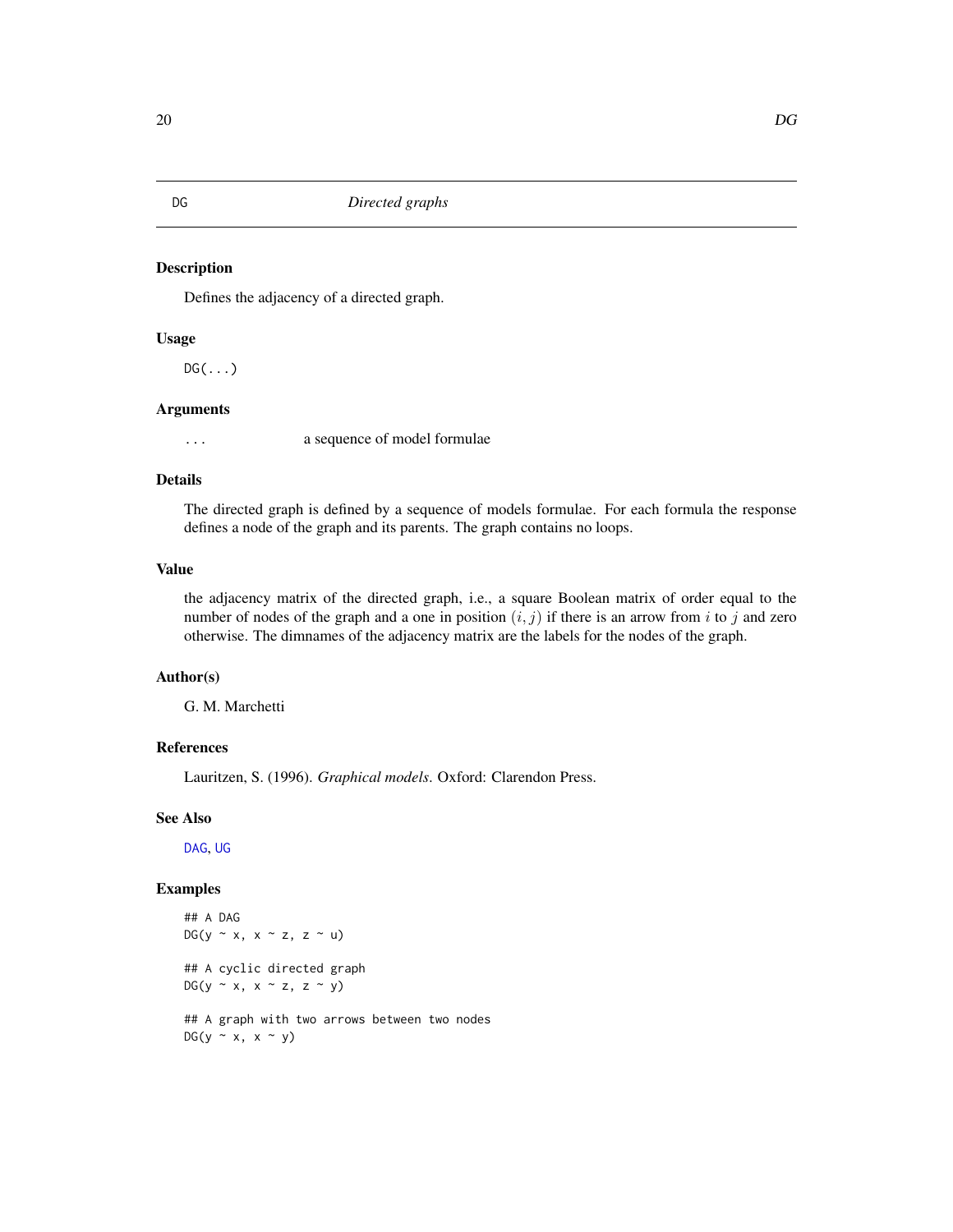<span id="page-19-0"></span>DG *Directed graphs*

# Description

Defines the adjacency of a directed graph.

#### Usage

 $DG(\ldots)$ 

# Arguments

... a sequence of model formulae

#### Details

The directed graph is defined by a sequence of models formulae. For each formula the response defines a node of the graph and its parents. The graph contains no loops.

# Value

the adjacency matrix of the directed graph, i.e., a square Boolean matrix of order equal to the number of nodes of the graph and a one in position  $(i, j)$  if there is an arrow from i to j and zero otherwise. The dimnames of the adjacency matrix are the labels for the nodes of the graph.

#### Author(s)

G. M. Marchetti

#### References

Lauritzen, S. (1996). *Graphical models*. Oxford: Clarendon Press.

# See Also

[DAG](#page-16-1), [UG](#page-86-1)

# Examples

## A DAG  $DG(y \sim x, x \sim z, z \sim u)$ ## A cyclic directed graph DG(y  $\sim$  x, x  $\sim$  z, z  $\sim$  y) ## A graph with two arrows between two nodes  $DG(y \sim x, x \sim y)$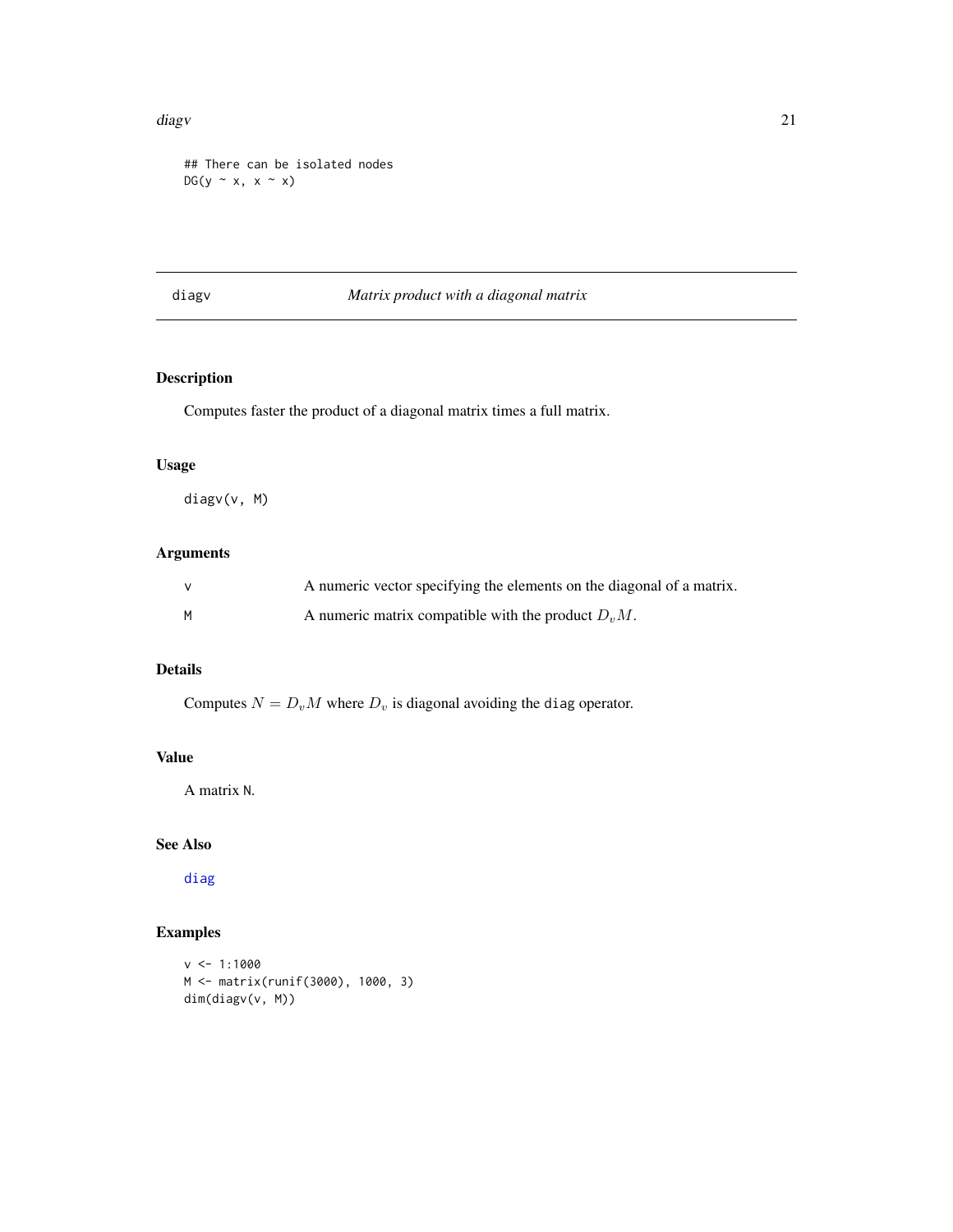#### <span id="page-20-0"></span>diagv 21 **a** 22 and 22 and 22 and 22 and 22 and 22 and 22 and 22 and 22 and 22 and 22 and 22 and 22 and 22 and 22 and 22 and 22 and 22 and 22 and 22 and 22 and 22 and 22 and 22 and 22 and 22 and 22 and 22 and 22 and 22 and

## There can be isolated nodes  $DG(y \sim x, x \sim x)$ 

# diagv *Matrix product with a diagonal matrix*

# Description

Computes faster the product of a diagonal matrix times a full matrix.

# Usage

diagv(v, M)

# Arguments

|   | A numeric vector specifying the elements on the diagonal of a matrix. |
|---|-----------------------------------------------------------------------|
| M | A numeric matrix compatible with the product $DvM$ .                  |

# Details

Computes  $N = D_v M$  where  $D_v$  is diagonal avoiding the diag operator.

# Value

A matrix N.

# See Also

[diag](#page-0-0)

```
v <- 1:1000
M <- matrix(runif(3000), 1000, 3)
dim(diagv(v, M))
```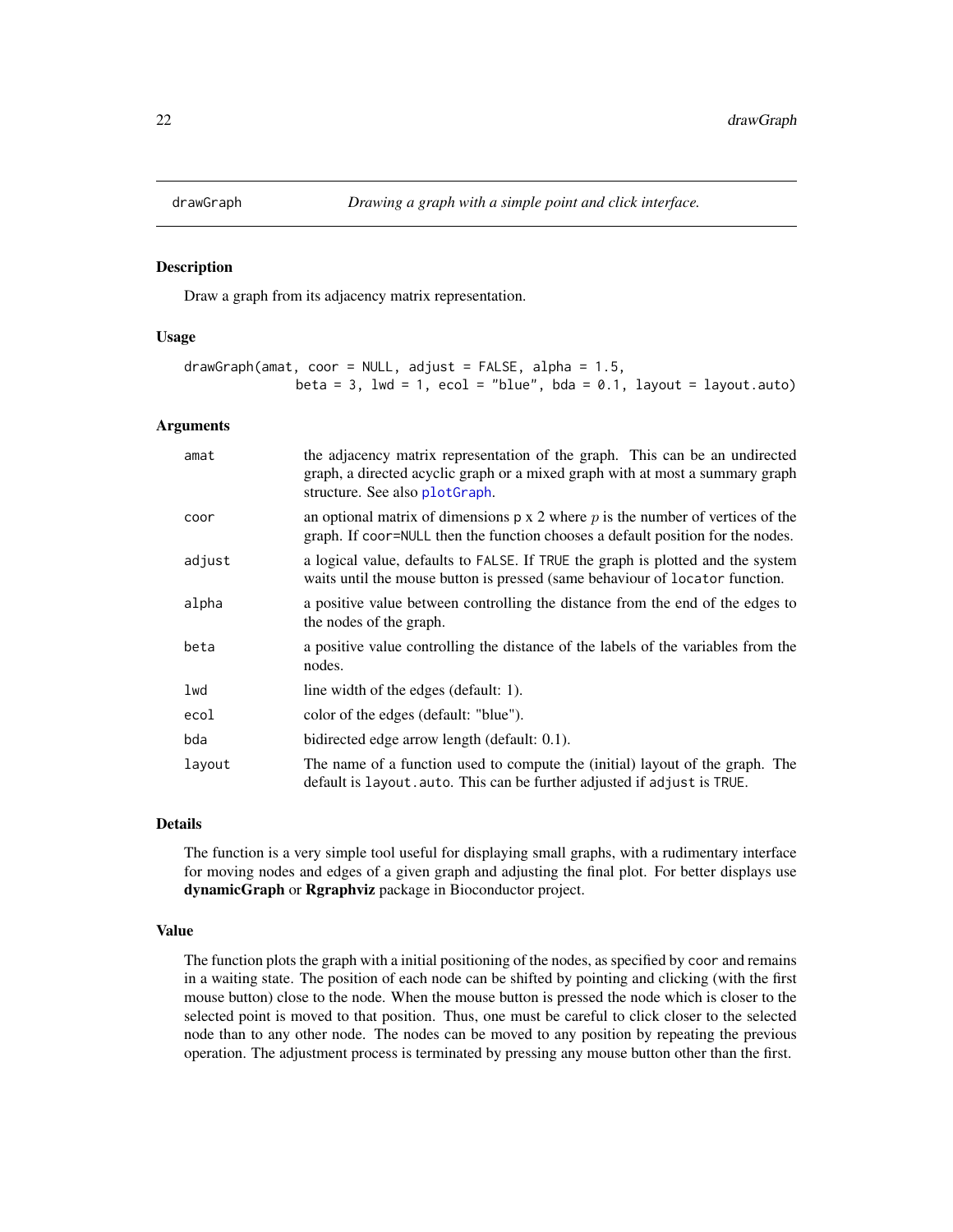<span id="page-21-0"></span>

Draw a graph from its adjacency matrix representation.

#### Usage

```
drawGraph(amat, coor = NULL, adjust = FALSE, alpha = 1.5,
              beta = 3, lwd = 1, ecol = "blue", bda = 0.1, layout = layout.auto)
```
#### Arguments

| amat   | the adjacency matrix representation of the graph. This can be an undirected<br>graph, a directed acyclic graph or a mixed graph with at most a summary graph<br>structure. See also plotGraph. |
|--------|------------------------------------------------------------------------------------------------------------------------------------------------------------------------------------------------|
| coor   | an optional matrix of dimensions $p \times 2$ where p is the number of vertices of the<br>graph. If coor=NULL then the function chooses a default position for the nodes.                      |
| adjust | a logical value, defaults to FALSE. If TRUE the graph is plotted and the system<br>waits until the mouse button is pressed (same behaviour of locator function.                                |
| alpha  | a positive value between controlling the distance from the end of the edges to<br>the nodes of the graph.                                                                                      |
| beta   | a positive value controlling the distance of the labels of the variables from the<br>nodes.                                                                                                    |
| lwd    | line width of the edges (default: 1).                                                                                                                                                          |
| ecol   | color of the edges (default: "blue").                                                                                                                                                          |
| bda    | bidirected edge arrow length (default: 0.1).                                                                                                                                                   |
| layout | The name of a function used to compute the (initial) layout of the graph. The<br>default is layout. auto. This can be further adjusted if adjust is TRUE.                                      |

# Details

The function is a very simple tool useful for displaying small graphs, with a rudimentary interface for moving nodes and edges of a given graph and adjusting the final plot. For better displays use dynamicGraph or Rgraphviz package in Bioconductor project.

#### Value

The function plots the graph with a initial positioning of the nodes, as specified by coor and remains in a waiting state. The position of each node can be shifted by pointing and clicking (with the first mouse button) close to the node. When the mouse button is pressed the node which is closer to the selected point is moved to that position. Thus, one must be careful to click closer to the selected node than to any other node. The nodes can be moved to any position by repeating the previous operation. The adjustment process is terminated by pressing any mouse button other than the first.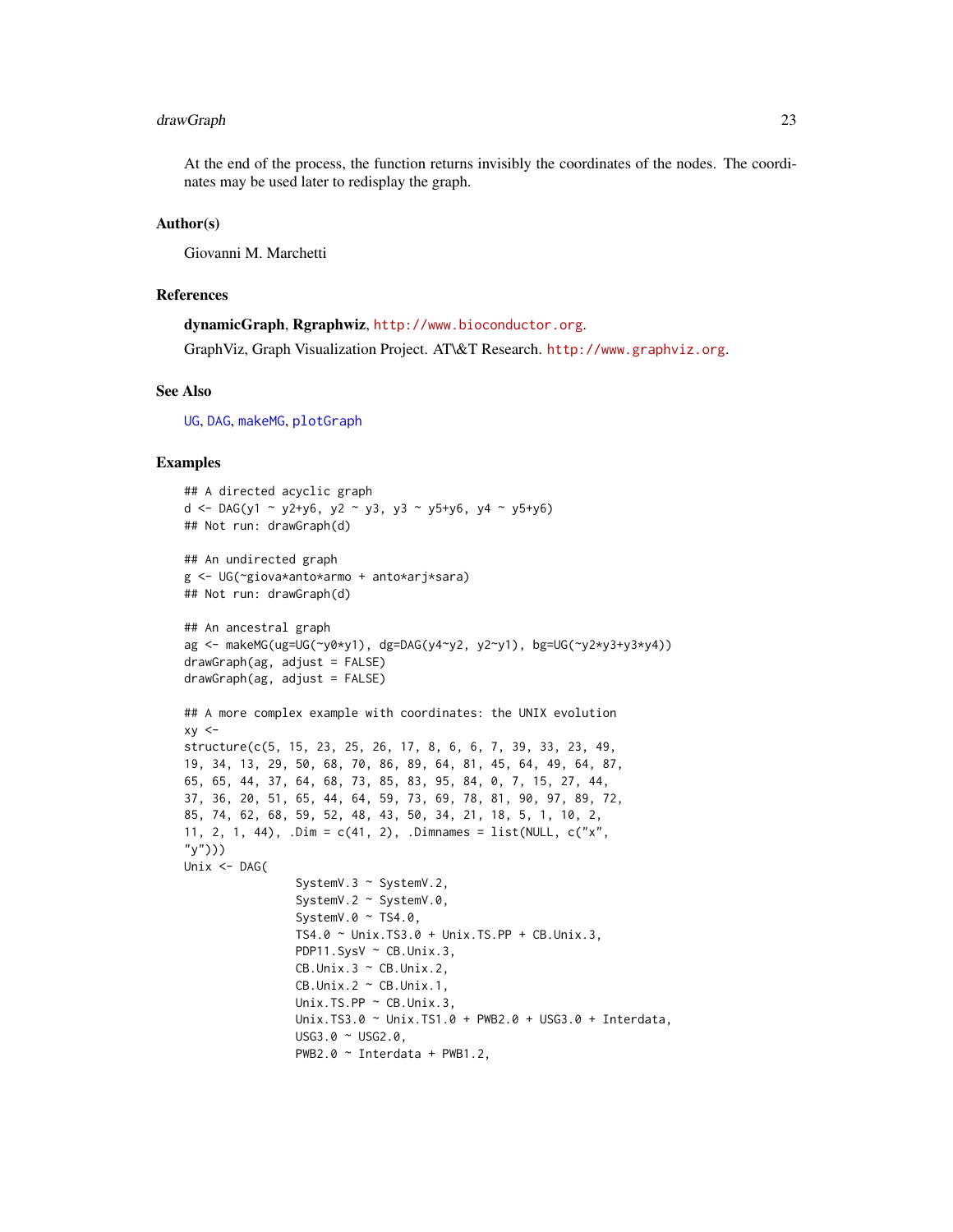# drawGraph 23

At the end of the process, the function returns invisibly the coordinates of the nodes. The coordinates may be used later to redisplay the graph.

#### Author(s)

Giovanni M. Marchetti

#### References

dynamicGraph, Rgraphwiz, <http://www.bioconductor.org>.

GraphViz, Graph Visualization Project. AT\&T Research. <http://www.graphviz.org>.

#### See Also

[UG](#page-86-1), [DAG](#page-16-1), [makeMG](#page-51-1), [plotGraph](#page-66-1)

```
## A directed acyclic graph
d <- DAG(y1 ~ y2+y6, y2 ~ y3, y3 ~ y5+y6, y4 ~ y5+y6)
## Not run: drawGraph(d)
## An undirected graph
g <- UG(~giova*anto*armo + anto*arj*sara)
## Not run: drawGraph(d)
## An ancestral graph
ag <- makeMG(ug=UG(~y0*y1), dg=DAG(y4~y2, y2~y1), bg=UG(~y2*y3+y3*y4))
drawGraph(ag, adjust = FALSE)
drawGraph(ag, adjust = FALSE)
## A more complex example with coordinates: the UNIX evolution
xy < -structure(c(5, 15, 23, 25, 26, 17, 8, 6, 6, 7, 39, 33, 23, 49,
19, 34, 13, 29, 50, 68, 70, 86, 89, 64, 81, 45, 64, 49, 64, 87,
65, 65, 44, 37, 64, 68, 73, 85, 83, 95, 84, 0, 7, 15, 27, 44,
37, 36, 20, 51, 65, 44, 64, 59, 73, 69, 78, 81, 90, 97, 89, 72,
85, 74, 62, 68, 59, 52, 48, 43, 50, 34, 21, 18, 5, 1, 10, 2,
11, 2, 1, 44), .Dim = c(41, 2), .Dimnames = list(NULL, c("x",
"y")))
Unix <- DAG(
                SystemV.3 ~ SystemV.2,
                SystemV.2 ~ SystemV.0,
                SystemV.0 ~ TS4.0,
                TS4.0 ~ Unix.TS3.0 + Unix.TS.PP + CB.Unix.3,
                PDP11.SysV ~ CB.Unix.3,
                CB.Unik.3 ~ C.B.Unik.2,CB.Unik.2 \sim CB.Umix.1,
                Unix.TS.PP ~ CB.Unix.3,
                Unix.TS3.0 ~ Unix.TS1.0 + PWB2.0 + USG3.0 + Interdata,
                USG3.0 ~ USG2.0,
                PWB2.0 ~ Interdata + PWB1.2,
```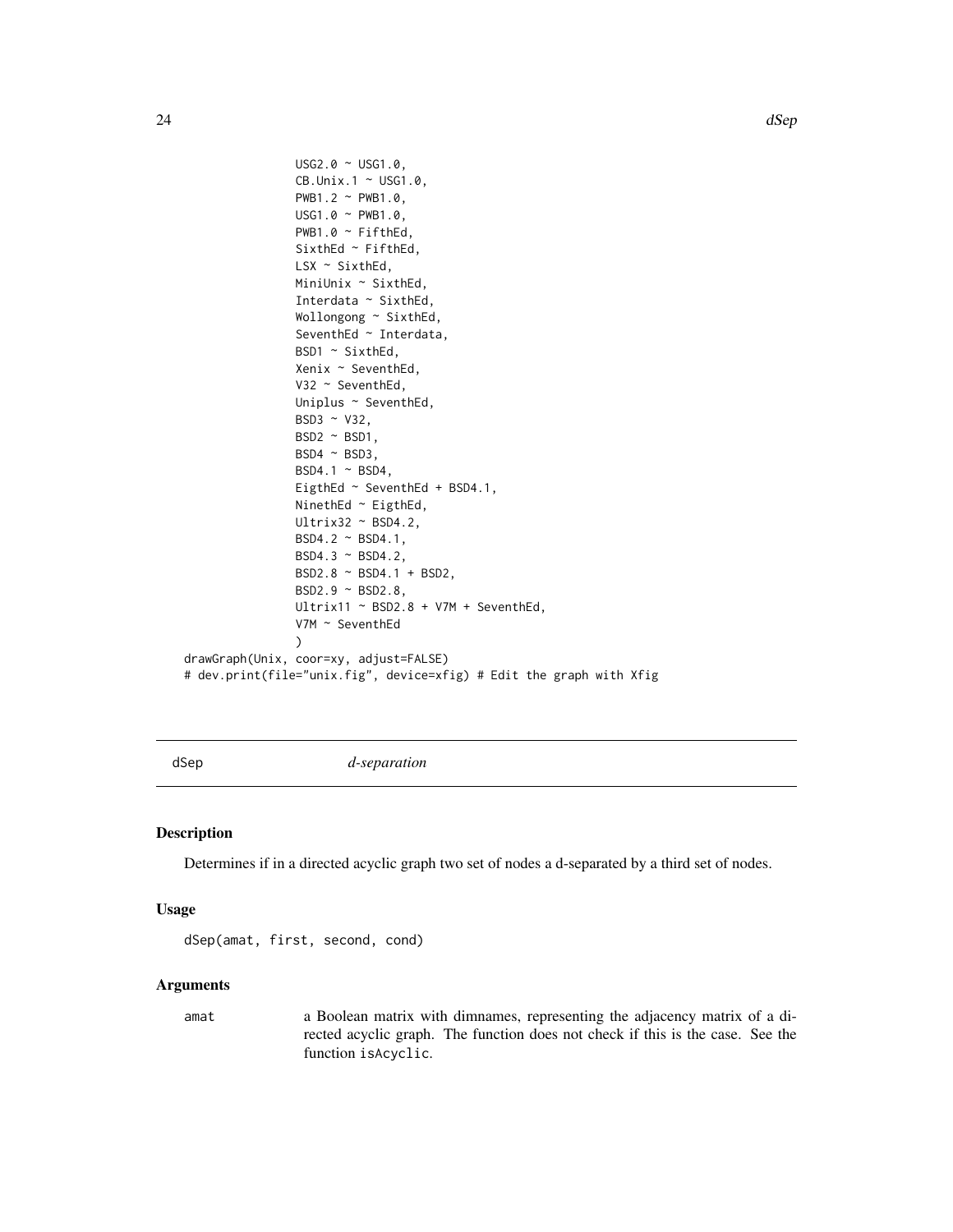```
USG2.0 ~ USG1.0,
                CB.Unix.1 ~ USG1.0,
                PWB1.2 ~ PWB1.0,
                USG1.0 ~ PWB1.0,
                PWB1.0 ~ FifthEd,
                SixthEd ~ FifthEd,
                LSX ~ ~ SixthEd,MiniUnix ~ SixthEd,
                Interdata ~ SixthEd,
                Wollongong ~ SixthEd,
                SeventhEd ~ Interdata,
                BSD1 ~ SixthEd,
                Xenix ~ SeventhEd,
                V32 ~ SeventhEd,
                Uniplus ~ SeventhEd,
                BSD3 ~ V32,
                BSD^{\sim} BSD1,
                BSD4 \sim BSD3,
                BSD4.1 \sim BSD4,
                EigthEd ~ SeventhEd + BSD4.1,
                NinethEd ~ EigthEd,
                Ultrix32 ~ BSD4.2,
                BSD4.2 ~ BSD4.1,
                BSD4.3 ~ BSD4.2,
                BSD2.8 ~ BSD4.1 + BSD2,
                BSD2.9 ~ BSD2.8,
                Ultrix11 \sim BSD2.8 + V7M + SeventhEd,
                V7M ~ SeventhEd
                )
drawGraph(Unix, coor=xy, adjust=FALSE)
# dev.print(file="unix.fig", device=xfig) # Edit the graph with Xfig
```
<span id="page-23-1"></span>

dSep *d-separation*

#### Description

Determines if in a directed acyclic graph two set of nodes a d-separated by a third set of nodes.

#### Usage

dSep(amat, first, second, cond)

#### Arguments

amat a Boolean matrix with dimnames, representing the adjacency matrix of a directed acyclic graph. The function does not check if this is the case. See the function isAcyclic.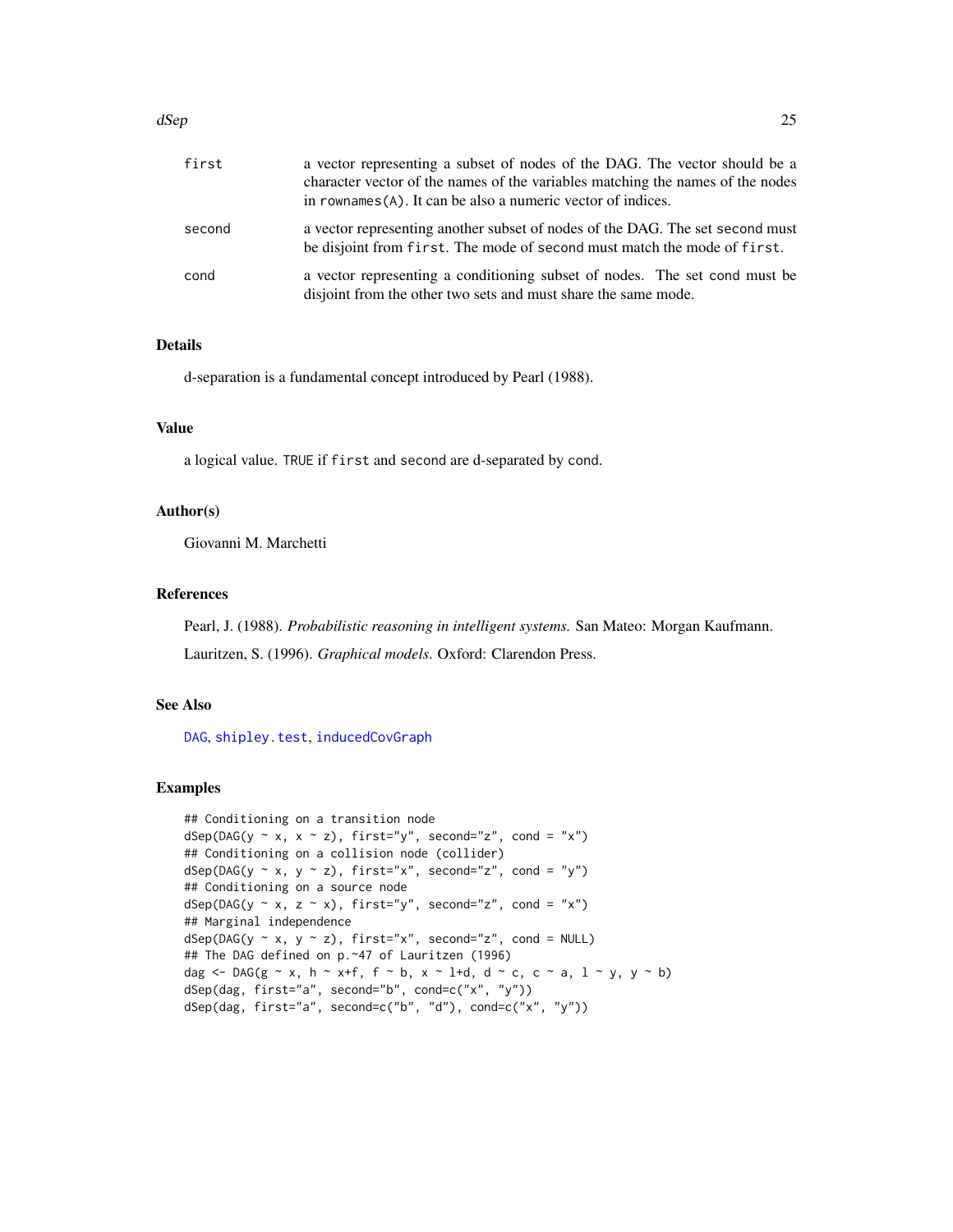#### dSep 25

| first  | a vector representing a subset of nodes of the DAG. The vector should be a<br>character vector of the names of the variables matching the names of the nodes<br>in rownames (A). It can be also a numeric vector of indices. |
|--------|------------------------------------------------------------------------------------------------------------------------------------------------------------------------------------------------------------------------------|
| second | a vector representing another subset of nodes of the DAG. The set second must<br>be disjoint from first. The mode of second must match the mode of first.                                                                    |
| cond   | a vector representing a conditioning subset of nodes. The set cond must be<br>disjoint from the other two sets and must share the same mode.                                                                                 |

#### Details

d-separation is a fundamental concept introduced by Pearl (1988).

# Value

a logical value. TRUE if first and second are d-separated by cond.

#### Author(s)

Giovanni M. Marchetti

# References

Pearl, J. (1988). *Probabilistic reasoning in intelligent systems.* San Mateo: Morgan Kaufmann. Lauritzen, S. (1996). *Graphical models*. Oxford: Clarendon Press.

# See Also

[DAG](#page-16-1), [shipley.test](#page-78-1), [inducedCovGraph](#page-42-2)

```
## Conditioning on a transition node
dSep(DAG(y \sim x, x \sim z), first='y", second='z", cond = "x")## Conditioning on a collision node (collider)
dSep(DAG(y \sim x, y \sim z), first="x", second="z", cond = "y")## Conditioning on a source node
dSep(DAG(y \sim x, z \sim x), first='y", second='z", cond = "x")## Marginal independence
dSep(DAG(y \sim x, y \sim z), first='x", second='z", cond = NULL)## The DAG defined on p.~47 of Lauritzen (1996)
dag \leq DAG(g \sim x, h \sim x+f, f \sim b, x \sim 1+d, d \sim c, c \sim a, 1 \sim y, y \sim b)
dSep(dag, first="a", second="b", cond=c("x", "y"))
dSep(dag, first="a", second=c("b", "d"), cond=c("x", "y"))
```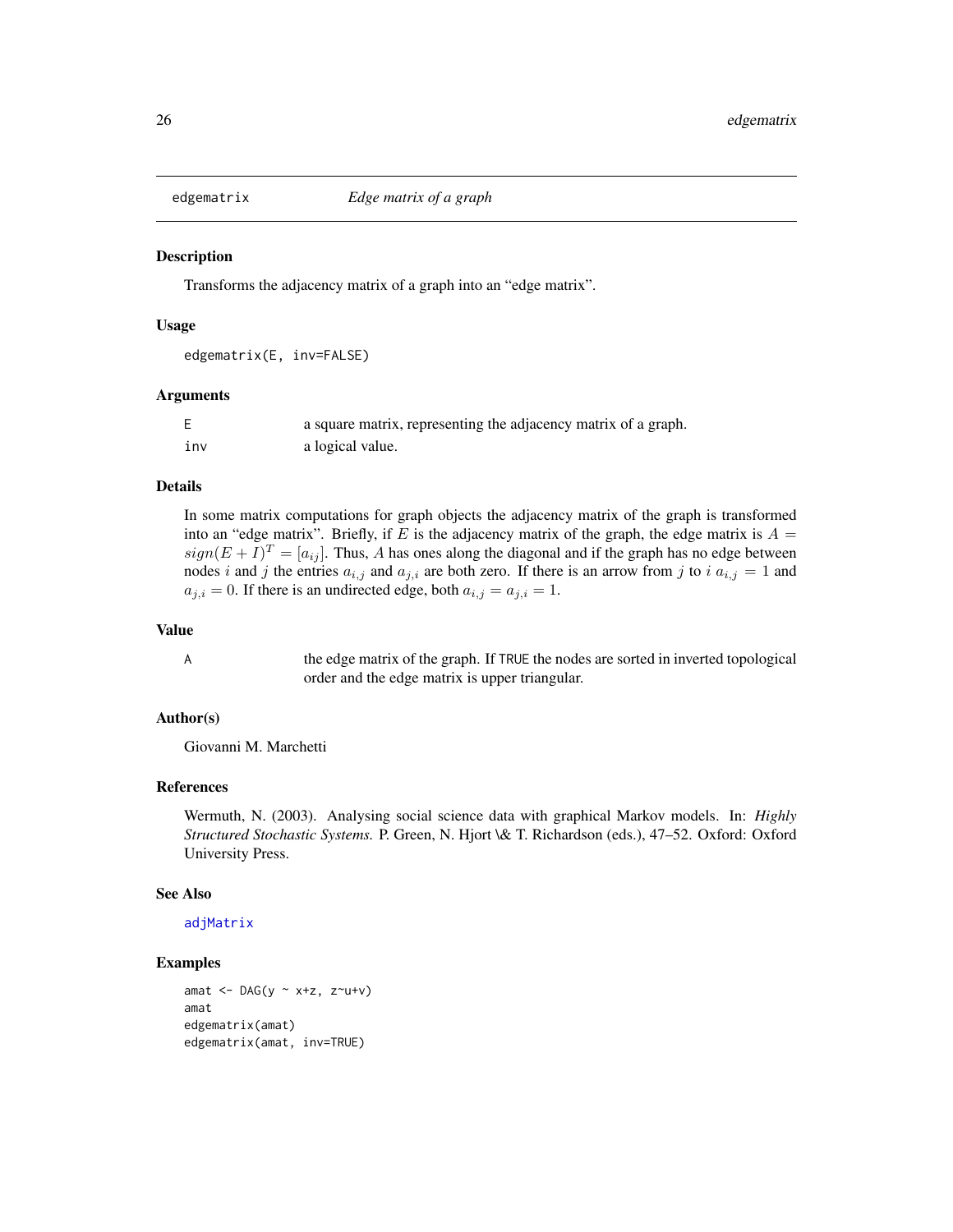<span id="page-25-1"></span><span id="page-25-0"></span>

Transforms the adjacency matrix of a graph into an "edge matrix".

#### Usage

edgematrix(E, inv=FALSE)

#### Arguments

|     | a square matrix, representing the adjacency matrix of a graph. |
|-----|----------------------------------------------------------------|
| ınv | a logical value.                                               |

# Details

In some matrix computations for graph objects the adjacency matrix of the graph is transformed into an "edge matrix". Briefly, if E is the adjacency matrix of the graph, the edge matrix is  $A =$  $sign(E+I)^{T}=[a_{ij}]$ . Thus, A has ones along the diagonal and if the graph has no edge between nodes i and j the entries  $a_{i,j}$  and  $a_{j,i}$  are both zero. If there is an arrow from j to i  $a_{i,j} = 1$  and  $a_{j,i} = 0$ . If there is an undirected edge, both  $a_{i,j} = a_{j,i} = 1$ .

#### Value

A the edge matrix of the graph. If TRUE the nodes are sorted in inverted topological order and the edge matrix is upper triangular.

#### Author(s)

Giovanni M. Marchetti

#### References

Wermuth, N. (2003). Analysing social science data with graphical Markov models. In: *Highly Structured Stochastic Systems.* P. Green, N. Hjort \& T. Richardson (eds.), 47–52. Oxford: Oxford University Press.

### See Also

[adjMatrix](#page-2-1)

```
amat <- DAG(y \sim x+z, z \sim u+v)amat
edgematrix(amat)
edgematrix(amat, inv=TRUE)
```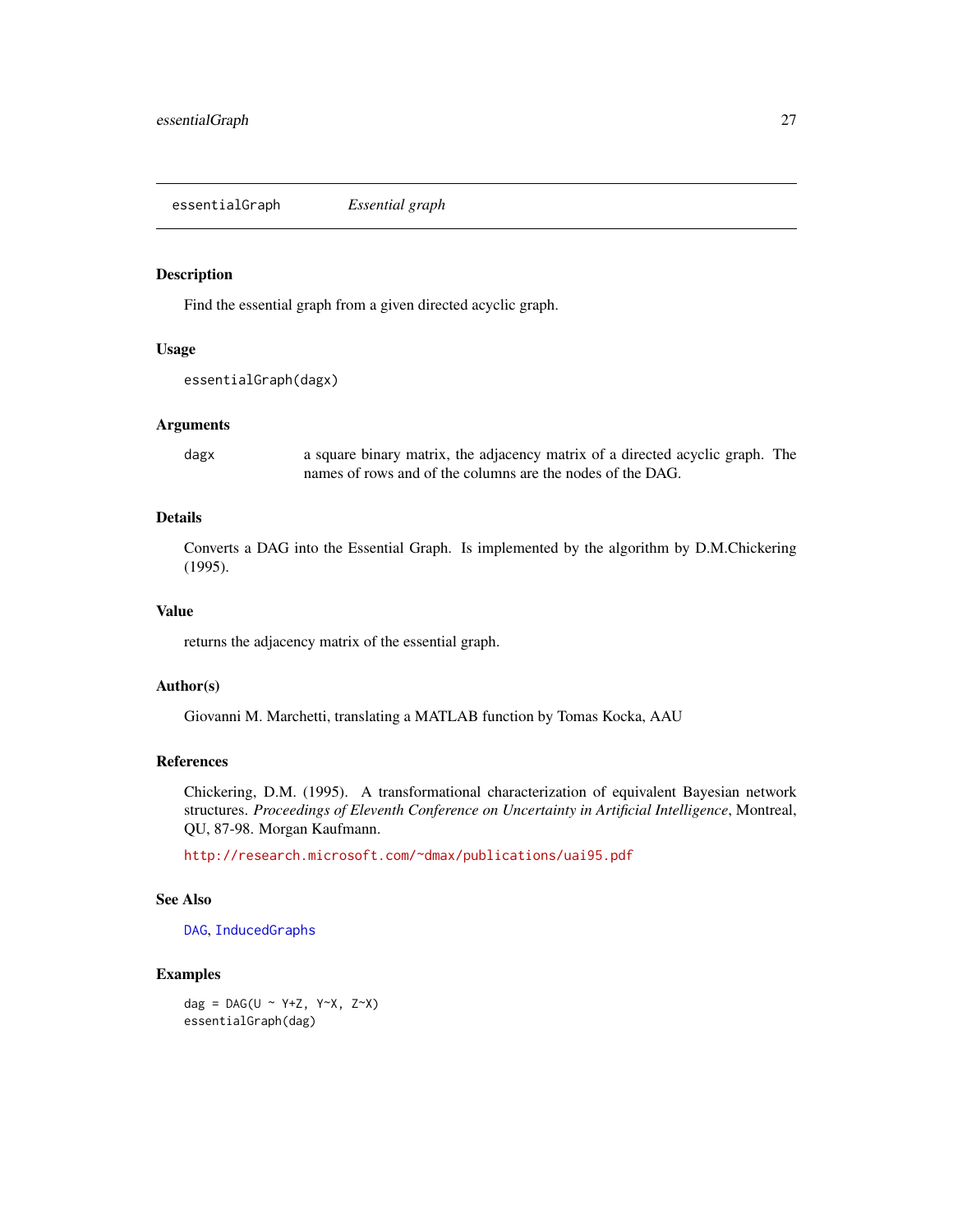<span id="page-26-0"></span>essentialGraph *Essential graph*

#### Description

Find the essential graph from a given directed acyclic graph.

# Usage

```
essentialGraph(dagx)
```
#### Arguments

dagx a square binary matrix, the adjacency matrix of a directed acyclic graph. The names of rows and of the columns are the nodes of the DAG.

#### Details

Converts a DAG into the Essential Graph. Is implemented by the algorithm by D.M.Chickering (1995).

#### Value

returns the adjacency matrix of the essential graph.

#### Author(s)

Giovanni M. Marchetti, translating a MATLAB function by Tomas Kocka, AAU

# References

Chickering, D.M. (1995). A transformational characterization of equivalent Bayesian network structures. *Proceedings of Eleventh Conference on Uncertainty in Artificial Intelligence*, Montreal, QU, 87-98. Morgan Kaufmann.

<http://research.microsoft.com/~dmax/publications/uai95.pdf>

# See Also

[DAG](#page-16-1), [InducedGraphs](#page-42-1)

# Examples

dag =  $DAG(U \sim Y+Z, Y\sim X, Z\sim X)$ essentialGraph(dag)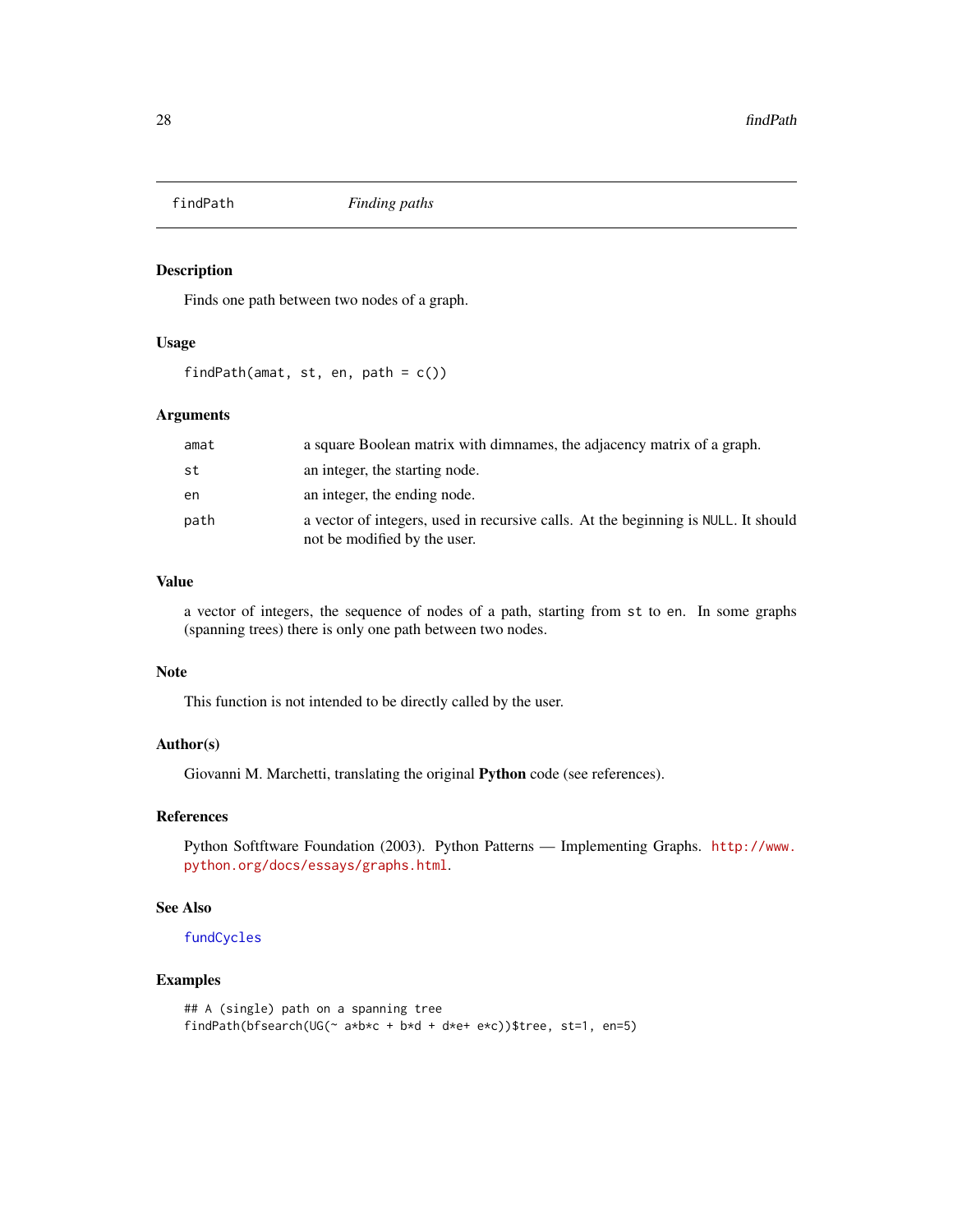<span id="page-27-1"></span><span id="page-27-0"></span>

Finds one path between two nodes of a graph.

# Usage

findPath(amat, st, en, path =  $c()$ )

#### Arguments

| amat | a square Boolean matrix with dimnames, the adjacency matrix of a graph.                                            |
|------|--------------------------------------------------------------------------------------------------------------------|
| st   | an integer, the starting node.                                                                                     |
| en   | an integer, the ending node.                                                                                       |
| path | a vector of integers, used in recursive calls. At the beginning is NULL. It should<br>not be modified by the user. |

#### Value

a vector of integers, the sequence of nodes of a path, starting from st to en. In some graphs (spanning trees) there is only one path between two nodes.

#### Note

This function is not intended to be directly called by the user.

# Author(s)

Giovanni M. Marchetti, translating the original Python code (see references).

#### References

Python Softftware Foundation (2003). Python Patterns — Implementing Graphs. [http://www.](http://www.python.org/docs/essays/graphs.html) [python.org/docs/essays/graphs.html](http://www.python.org/docs/essays/graphs.html).

#### See Also

[fundCycles](#page-37-1)

```
## A (single) path on a spanning tree
findPath(bfsearch(UG(\sim a*b*c + b*d + d*e+ e*c))$tree, st=1, en=5)
```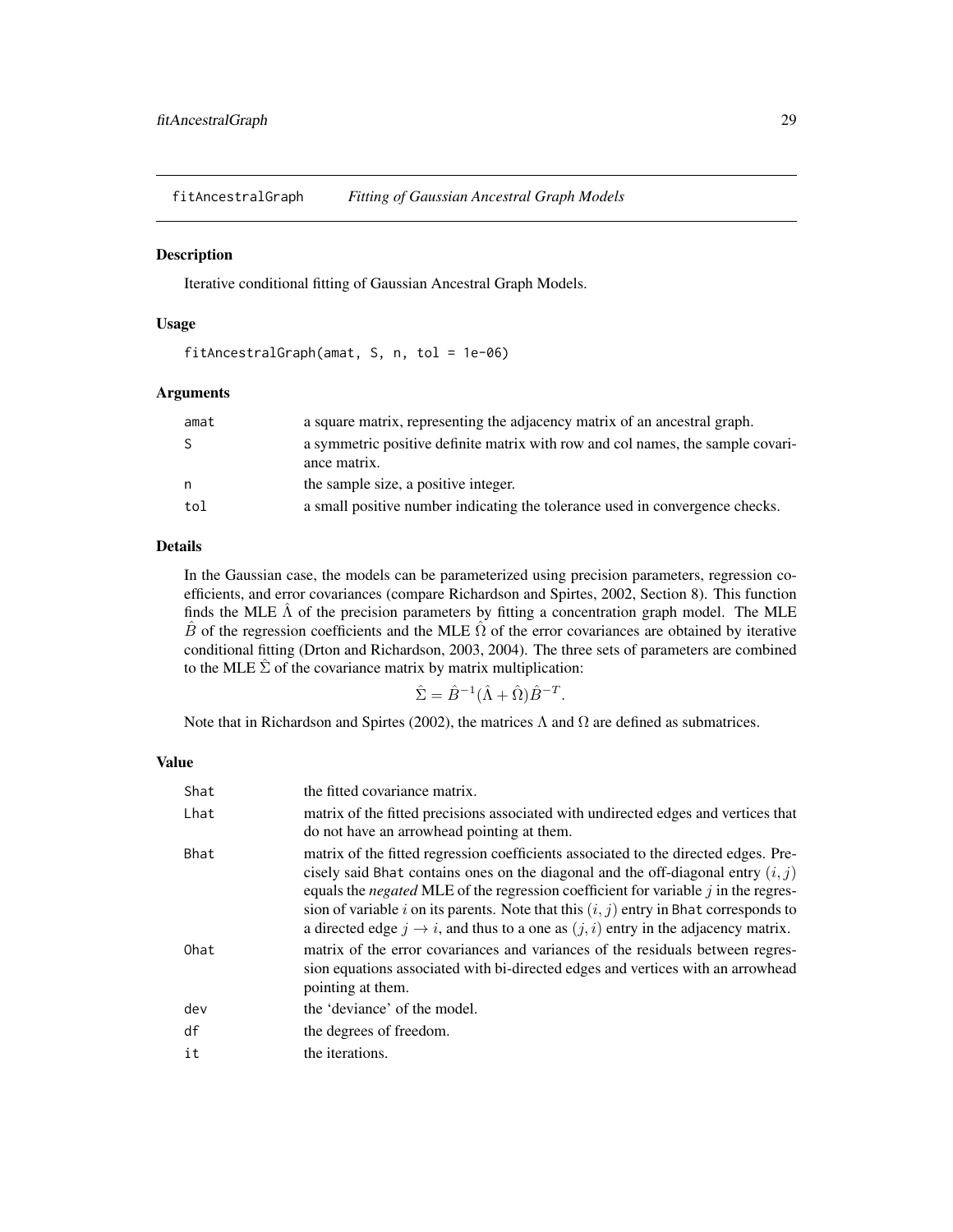<span id="page-28-0"></span>fitAncestralGraph *Fitting of Gaussian Ancestral Graph Models*

#### Description

Iterative conditional fitting of Gaussian Ancestral Graph Models.

#### Usage

```
fitAncestralGraph(amat, S, n, tol = 1e-06)
```
#### Arguments

| amat         | a square matrix, representing the adjacency matrix of an ancestral graph.                       |
|--------------|-------------------------------------------------------------------------------------------------|
| <sub>S</sub> | a symmetric positive definite matrix with row and col names, the sample covari-<br>ance matrix. |
| n            | the sample size, a positive integer.                                                            |
| tol          | a small positive number indicating the tolerance used in convergence checks.                    |

# Details

In the Gaussian case, the models can be parameterized using precision parameters, regression coefficients, and error covariances (compare Richardson and Spirtes, 2002, Section 8). This function finds the MLE  $\hat{\Lambda}$  of the precision parameters by fitting a concentration graph model. The MLE  $\hat{B}$  of the regression coefficients and the MLE  $\hat{\Omega}$  of the error covariances are obtained by iterative conditional fitting (Drton and Richardson, 2003, 2004). The three sets of parameters are combined to the MLE  $\hat{\Sigma}$  of the covariance matrix by matrix multiplication:

$$
\hat{\Sigma} = \hat{B}^{-1} (\hat{\Lambda} + \hat{\Omega}) \hat{B}^{-T}.
$$

Note that in Richardson and Spirtes (2002), the matrices  $\Lambda$  and  $\Omega$  are defined as submatrices.

# Value

| Shat | the fitted covariance matrix.                                                                                                                                                                                                                                                                                                                                                                                                                                           |
|------|-------------------------------------------------------------------------------------------------------------------------------------------------------------------------------------------------------------------------------------------------------------------------------------------------------------------------------------------------------------------------------------------------------------------------------------------------------------------------|
| Lhat | matrix of the fitted precisions associated with undirected edges and vertices that<br>do not have an arrowhead pointing at them.                                                                                                                                                                                                                                                                                                                                        |
| Bhat | matrix of the fitted regression coefficients associated to the directed edges. Pre-<br>cisely said Bhat contains ones on the diagonal and the off-diagonal entry $(i, j)$<br>equals the <i>negated</i> MLE of the regression coefficient for variable $j$ in the regres-<br>sion of variable i on its parents. Note that this $(i, j)$ entry in Bhat corresponds to<br>a directed edge $j \rightarrow i$ , and thus to a one as $(j, i)$ entry in the adjacency matrix. |
| Ohat | matrix of the error covariances and variances of the residuals between regres-<br>sion equations associated with bi-directed edges and vertices with an arrowhead<br>pointing at them.                                                                                                                                                                                                                                                                                  |
| dev  | the 'deviance' of the model.                                                                                                                                                                                                                                                                                                                                                                                                                                            |
| df   | the degrees of freedom.                                                                                                                                                                                                                                                                                                                                                                                                                                                 |
| it   | the iterations.                                                                                                                                                                                                                                                                                                                                                                                                                                                         |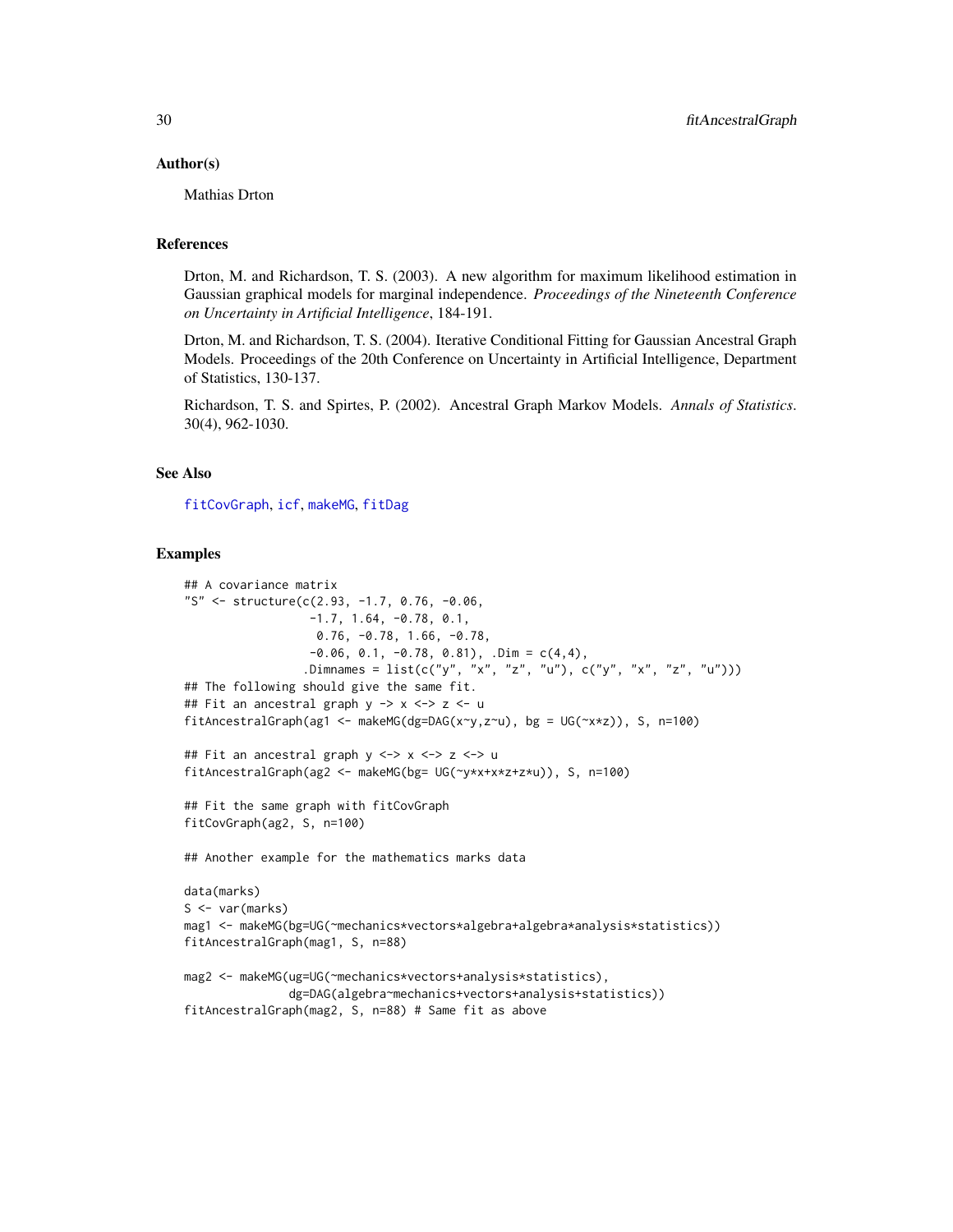#### Author(s)

Mathias Drton

#### References

Drton, M. and Richardson, T. S. (2003). A new algorithm for maximum likelihood estimation in Gaussian graphical models for marginal independence. *Proceedings of the Nineteenth Conference on Uncertainty in Artificial Intelligence*, 184-191.

Drton, M. and Richardson, T. S. (2004). Iterative Conditional Fitting for Gaussian Ancestral Graph Models. Proceedings of the 20th Conference on Uncertainty in Artificial Intelligence, Department of Statistics, 130-137.

Richardson, T. S. and Spirtes, P. (2002). Ancestral Graph Markov Models. *Annals of Statistics*. 30(4), 962-1030.

# See Also

[fitCovGraph](#page-31-1), [icf](#page-0-0), [makeMG](#page-51-1), [fitDag](#page-33-1)

```
## A covariance matrix
"S" <- structure(c(2.93, -1.7, 0.76, -0.06,
                  -1.7, 1.64, -0.78, 0.1,
                  0.76, -0.78, 1.66, -0.78,-0.06, 0.1, -0.78, 0.81), .Dim = C(4, 4),
                 .Dimnames = list(c("y", "x", "z", "u"), c("y", "x", "z", "u")))
## The following should give the same fit.
## Fit an ancestral graph y -> x <-> z <- u
fitAncestralGraph(ag1 <- makeMG(dg=DAG(x~y,z~u), bg = UG(~x*z)), S, n=100)
## Fit an ancestral graph y <-> x <-> z <-> u
fitAncestralGraph(ag2 <- makeMG(bg= UG(~y*x+x*z+z*u)), S, n=100)
## Fit the same graph with fitCovGraph
fitCovGraph(ag2, S, n=100)
## Another example for the mathematics marks data
data(marks)
S <- var(marks)
mag1 <- makeMG(bg=UG(~mechanics*vectors*algebra+algebra*analysis*statistics))
fitAncestralGraph(mag1, S, n=88)
mag2 <- makeMG(ug=UG(~mechanics*vectors+analysis*statistics),
               dg=DAG(algebra~mechanics+vectors+analysis+statistics))
fitAncestralGraph(mag2, S, n=88) # Same fit as above
```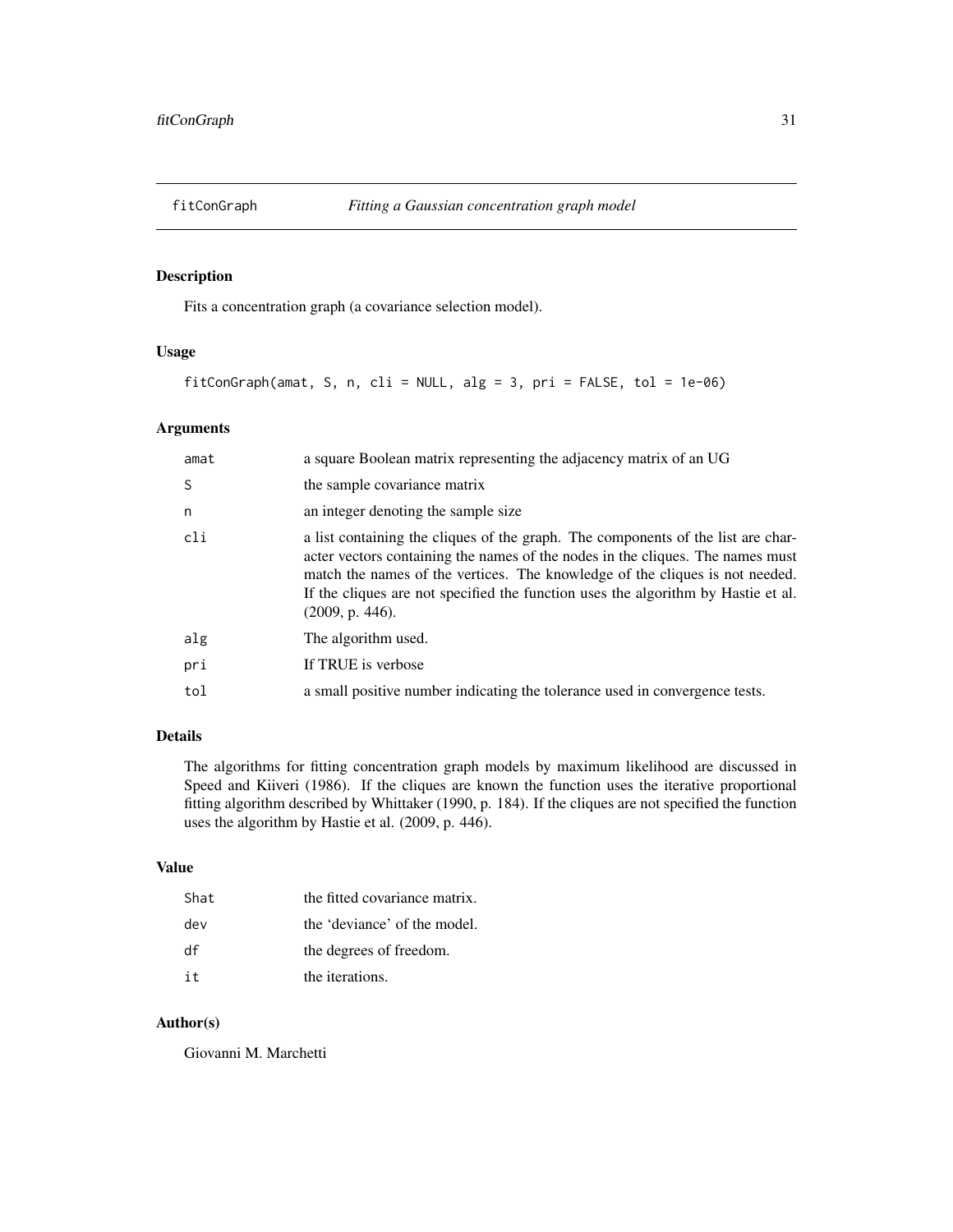<span id="page-30-1"></span><span id="page-30-0"></span>

Fits a concentration graph (a covariance selection model).

# Usage

fitConGraph(amat, S, n, cli = NULL, alg = 3, pri = FALSE, tol = 1e-06)

# Arguments

| amat | a square Boolean matrix representing the adjacency matrix of an UG                                                                                                                                                                                                                                                                                         |
|------|------------------------------------------------------------------------------------------------------------------------------------------------------------------------------------------------------------------------------------------------------------------------------------------------------------------------------------------------------------|
| S    | the sample covariance matrix                                                                                                                                                                                                                                                                                                                               |
| n    | an integer denoting the sample size                                                                                                                                                                                                                                                                                                                        |
| cli  | a list containing the cliques of the graph. The components of the list are char-<br>acter vectors containing the names of the nodes in the cliques. The names must<br>match the names of the vertices. The knowledge of the cliques is not needed.<br>If the cliques are not specified the function uses the algorithm by Hastie et al.<br>(2009, p. 446). |
| alg  | The algorithm used.                                                                                                                                                                                                                                                                                                                                        |
| pri  | If TRUE is verbose                                                                                                                                                                                                                                                                                                                                         |
| tol  | a small positive number indicating the tolerance used in convergence tests.                                                                                                                                                                                                                                                                                |

# Details

The algorithms for fitting concentration graph models by maximum likelihood are discussed in Speed and Kiiveri (1986). If the cliques are known the function uses the iterative proportional fitting algorithm described by Whittaker (1990, p. 184). If the cliques are not specified the function uses the algorithm by Hastie et al. (2009, p. 446).

#### Value

| Shat | the fitted covariance matrix. |
|------|-------------------------------|
| dev  | the 'deviance' of the model.  |
| df   | the degrees of freedom.       |
| i t  | the iterations.               |

#### Author(s)

Giovanni M. Marchetti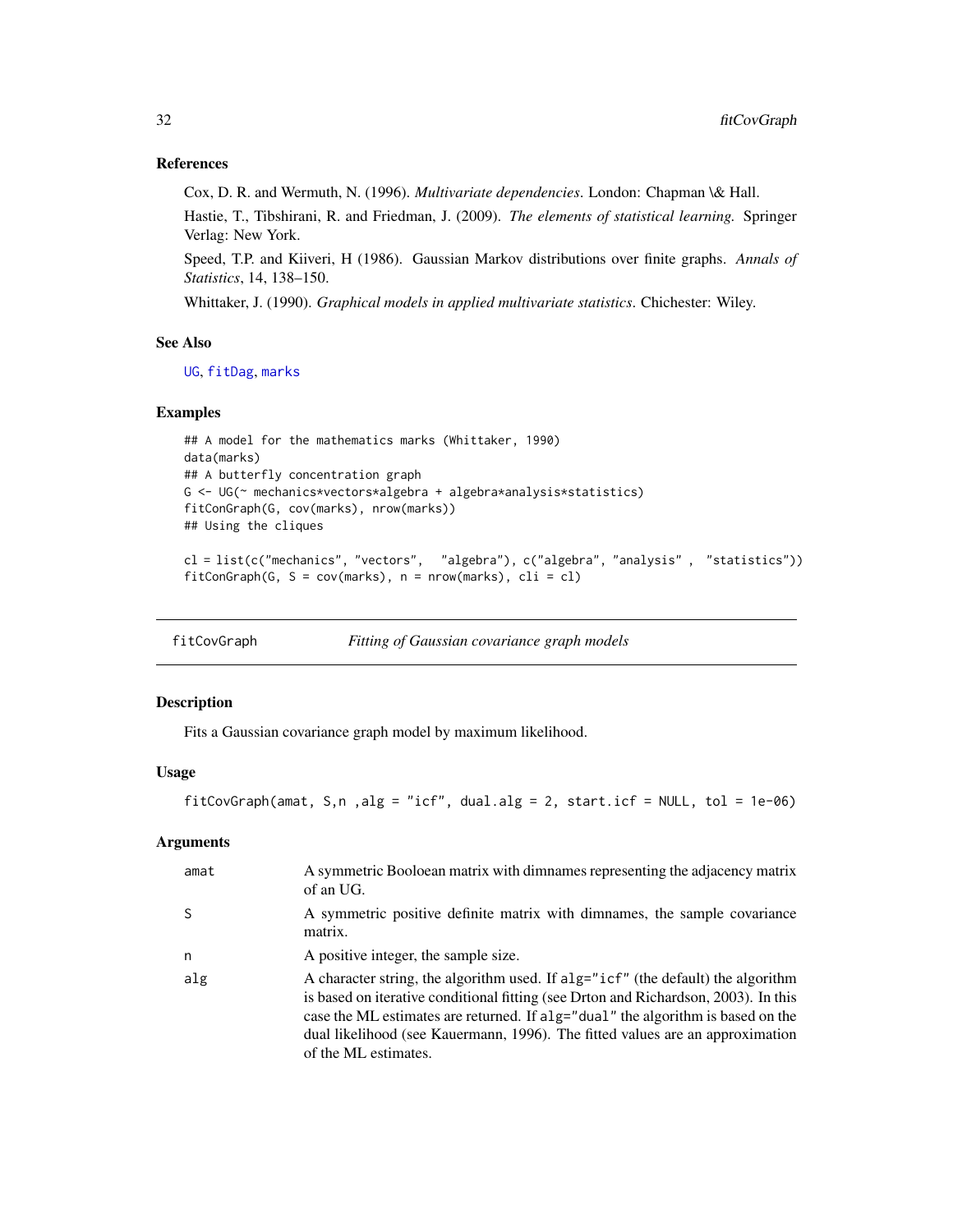# <span id="page-31-0"></span>References

Cox, D. R. and Wermuth, N. (1996). *Multivariate dependencies*. London: Chapman \& Hall.

Hastie, T., Tibshirani, R. and Friedman, J. (2009). *The elements of statistical learning.* Springer Verlag: New York.

Speed, T.P. and Kiiveri, H (1986). Gaussian Markov distributions over finite graphs. *Annals of Statistics*, 14, 138–150.

Whittaker, J. (1990). *Graphical models in applied multivariate statistics*. Chichester: Wiley.

# See Also

[UG](#page-86-1), [fitDag](#page-33-1), [marks](#page-55-1)

#### Examples

```
## A model for the mathematics marks (Whittaker, 1990)
data(marks)
## A butterfly concentration graph
G <- UG(~ mechanics*vectors*algebra + algebra*analysis*statistics)
fitConGraph(G, cov(marks), nrow(marks))
## Using the cliques
cl = list(c("mechanics", "vectors", "algebra"), c("algebra", "analysis" , "statistics"))
fitConGraph(G, S = cov(maxks), n = nrow(maxks), cli = cl)
```

<span id="page-31-1"></span>

| fitCovGraph | Fitting of Gaussian covariance graph models |
|-------------|---------------------------------------------|
|             |                                             |

# Description

Fits a Gaussian covariance graph model by maximum likelihood.

#### Usage

fitCovGraph(amat, S,n, alg = "icf", dual.alg = 2, start.icf = NULL, tol =  $1e-06$ )

#### Arguments

| amat | A symmetric Booloean matrix with dimnames representing the adjacency matrix<br>of an UG.                                                                                                                                                                                                                                                                                              |
|------|---------------------------------------------------------------------------------------------------------------------------------------------------------------------------------------------------------------------------------------------------------------------------------------------------------------------------------------------------------------------------------------|
| -S   | A symmetric positive definite matrix with dimnames, the sample covariance<br>matrix.                                                                                                                                                                                                                                                                                                  |
| n    | A positive integer, the sample size.                                                                                                                                                                                                                                                                                                                                                  |
| alg  | A character string, the algorithm used. If $\text{alg} = \text{"icf"}$ (the default) the algorithm<br>is based on iterative conditional fitting (see Drton and Richardson, 2003). In this<br>case the ML estimates are returned. If alg="dual" the algorithm is based on the<br>dual likelihood (see Kauermann, 1996). The fitted values are an approximation<br>of the ML estimates. |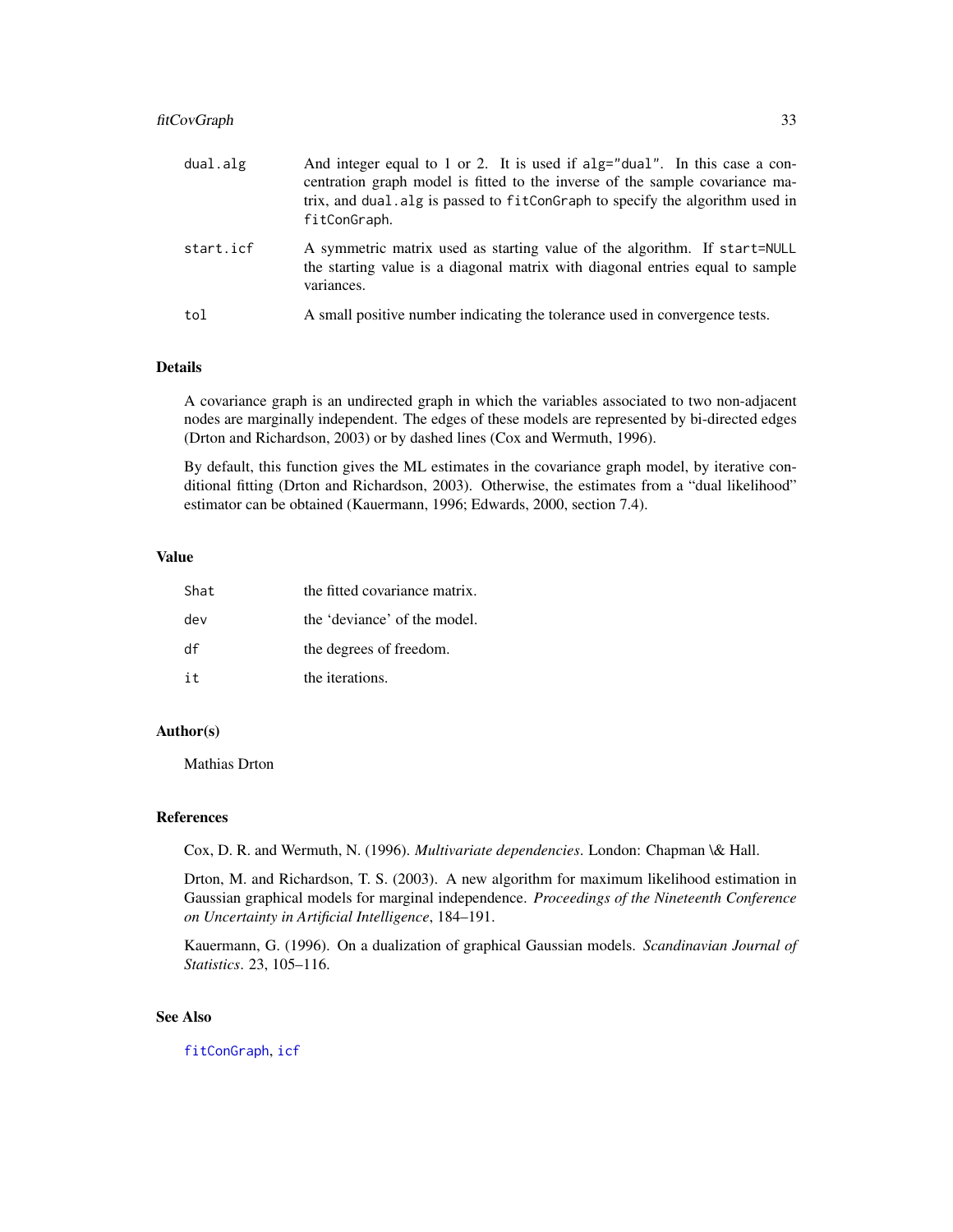# fitCovGraph 33

| dual.alg  | And integer equal to 1 or 2. It is used if alg="dual". In this case a con-<br>centration graph model is fitted to the inverse of the sample covariance ma-<br>trix, and dual. alg is passed to fitConGraph to specify the algorithm used in<br>fitConGraph. |
|-----------|-------------------------------------------------------------------------------------------------------------------------------------------------------------------------------------------------------------------------------------------------------------|
| start.icf | A symmetric matrix used as starting value of the algorithm. If start=NULL<br>the starting value is a diagonal matrix with diagonal entries equal to sample<br>variances.                                                                                    |
| tol       | A small positive number indicating the tolerance used in convergence tests.                                                                                                                                                                                 |

# Details

A covariance graph is an undirected graph in which the variables associated to two non-adjacent nodes are marginally independent. The edges of these models are represented by bi-directed edges (Drton and Richardson, 2003) or by dashed lines (Cox and Wermuth, 1996).

By default, this function gives the ML estimates in the covariance graph model, by iterative conditional fitting (Drton and Richardson, 2003). Otherwise, the estimates from a "dual likelihood" estimator can be obtained (Kauermann, 1996; Edwards, 2000, section 7.4).

#### Value

| Shat. | the fitted covariance matrix. |
|-------|-------------------------------|
| dev   | the 'deviance' of the model.  |
| df    | the degrees of freedom.       |
| it    | the iterations.               |

#### Author(s)

Mathias Drton

#### References

Cox, D. R. and Wermuth, N. (1996). *Multivariate dependencies*. London: Chapman \& Hall.

Drton, M. and Richardson, T. S. (2003). A new algorithm for maximum likelihood estimation in Gaussian graphical models for marginal independence. *Proceedings of the Nineteenth Conference on Uncertainty in Artificial Intelligence*, 184–191.

Kauermann, G. (1996). On a dualization of graphical Gaussian models. *Scandinavian Journal of Statistics*. 23, 105–116.

# See Also

[fitConGraph](#page-30-1), [icf](#page-0-0)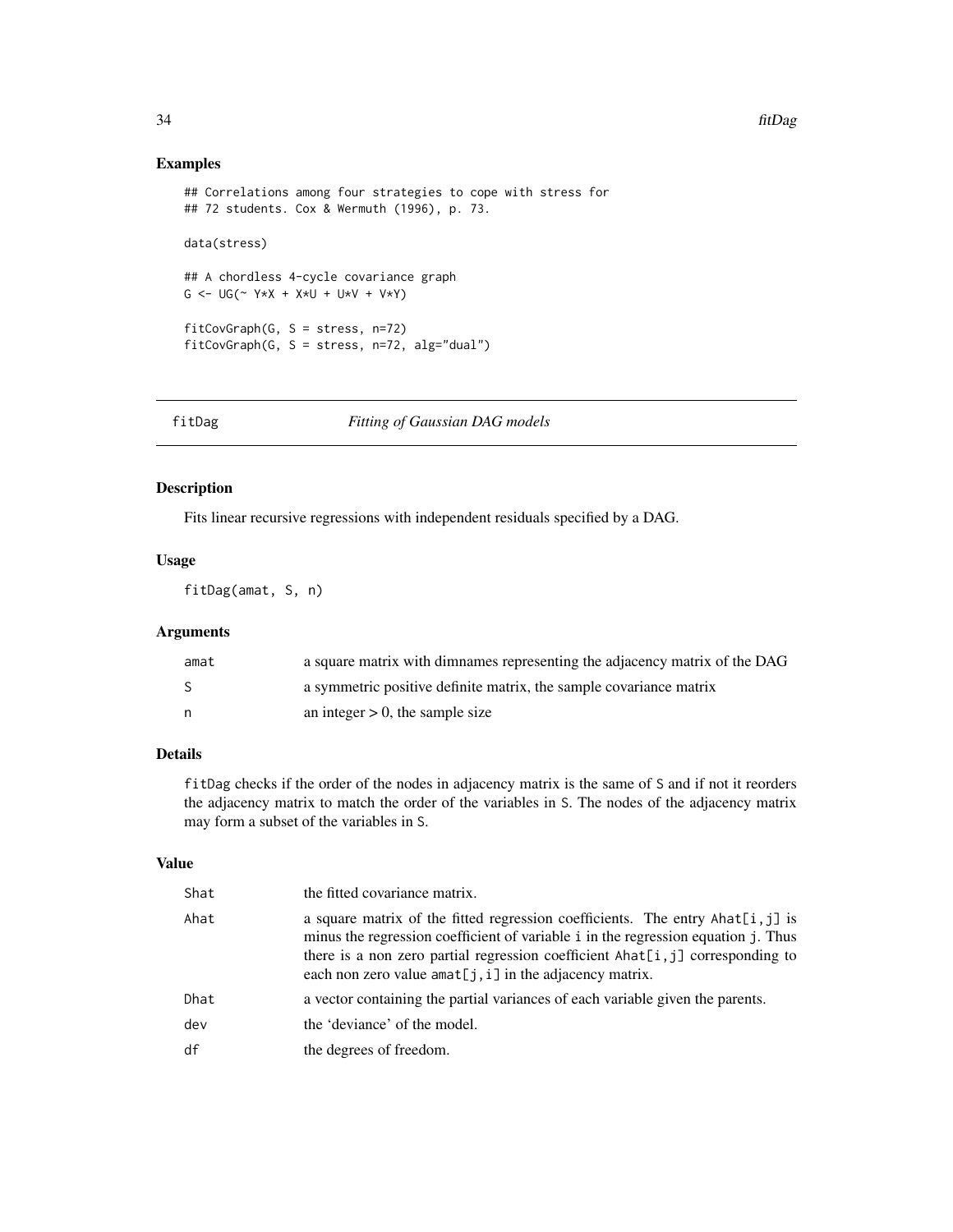# Examples

```
## Correlations among four strategies to cope with stress for
## 72 students. Cox & Wermuth (1996), p. 73.
data(stress)
## A chordless 4-cycle covariance graph
G \le - \text{UG}(\sim Y \star X + X \star U + U \star V + V \star Y)fitCovGraph(G, S = stress, n=72)
fitCovGraph(G, S = stress, n=72, alg="dual")
```
#### <span id="page-33-1"></span>fitDag *Fitting of Gaussian DAG models*

# Description

Fits linear recursive regressions with independent residuals specified by a DAG.

#### Usage

fitDag(amat, S, n)

# Arguments

| amat | a square matrix with dimnames representing the adjacency matrix of the DAG |
|------|----------------------------------------------------------------------------|
| -S   | a symmetric positive definite matrix, the sample covariance matrix         |
| n,   | an integer $> 0$ , the sample size                                         |

# Details

fitDag checks if the order of the nodes in adjacency matrix is the same of S and if not it reorders the adjacency matrix to match the order of the variables in S. The nodes of the adjacency matrix may form a subset of the variables in S.

# Value

| Shat | the fitted covariance matrix.                                                                                                                                                                                                                                                                                       |
|------|---------------------------------------------------------------------------------------------------------------------------------------------------------------------------------------------------------------------------------------------------------------------------------------------------------------------|
| Ahat | a square matrix of the fitted regression coefficients. The entry Ahat $[i, j]$ is<br>minus the regression coefficient of variable i in the regression equation j. Thus<br>there is a non zero partial regression coefficient Ahat[i, j] corresponding to<br>each non zero value amat[j, i] in the adjacency matrix. |
| Dhat | a vector containing the partial variances of each variable given the parents.                                                                                                                                                                                                                                       |
| dev  | the 'deviance' of the model.                                                                                                                                                                                                                                                                                        |
| df   | the degrees of freedom.                                                                                                                                                                                                                                                                                             |

<span id="page-33-0"></span>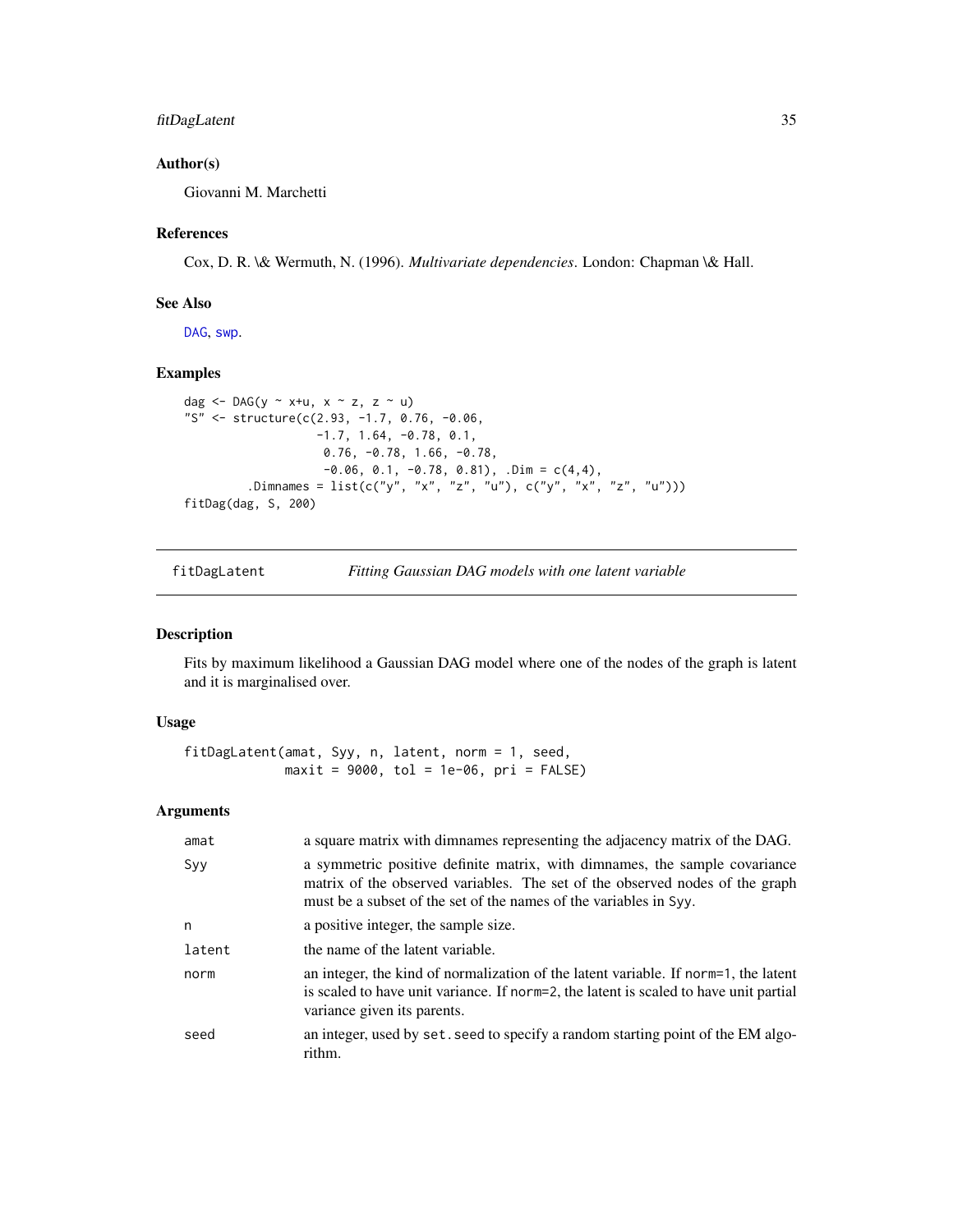# <span id="page-34-0"></span>fitDagLatent 35

# Author(s)

Giovanni M. Marchetti

#### References

Cox, D. R. \& Wermuth, N. (1996). *Multivariate dependencies*. London: Chapman \& Hall.

#### See Also

[DAG](#page-16-1), [swp](#page-82-1).

#### Examples

```
dag <- DAG(y ~ x+u, x ~ z, z ~ u)
"S" <- structure(c(2.93, -1.7, 0.76, -0.06,
                   -1.7, 1.64, -0.78, 0.1,
                    0.76, -0.78, 1.66, -0.78,
                    -0.06, 0.1, -0.78, 0.81), .Dim = c(4,4),
         .Dimnames = list(c("y", "x", "z", "u"), c("y", "x", "z", "u")))
fitDag(dag, S, 200)
```
# Description

Fits by maximum likelihood a Gaussian DAG model where one of the nodes of the graph is latent and it is marginalised over.

#### Usage

```
fitDagLatent(amat, Syy, n, latent, norm = 1, seed,
            maxit = 9000, tol = 1e-06, pri = FALSE)
```
#### Arguments

| amat   | a square matrix with dimnames representing the adjacency matrix of the DAG.                                                                                                                                                     |
|--------|---------------------------------------------------------------------------------------------------------------------------------------------------------------------------------------------------------------------------------|
| Syy    | a symmetric positive definite matrix, with dimnames, the sample covariance<br>matrix of the observed variables. The set of the observed nodes of the graph<br>must be a subset of the set of the names of the variables in Syy. |
| n      | a positive integer, the sample size.                                                                                                                                                                                            |
| latent | the name of the latent variable.                                                                                                                                                                                                |
| norm   | an integer, the kind of normalization of the latent variable. If norm=1, the latent<br>is scaled to have unit variance. If norm=2, the latent is scaled to have unit partial<br>variance given its parents.                     |
| seed   | an integer, used by set. seed to specify a random starting point of the EM algo-<br>rithm.                                                                                                                                      |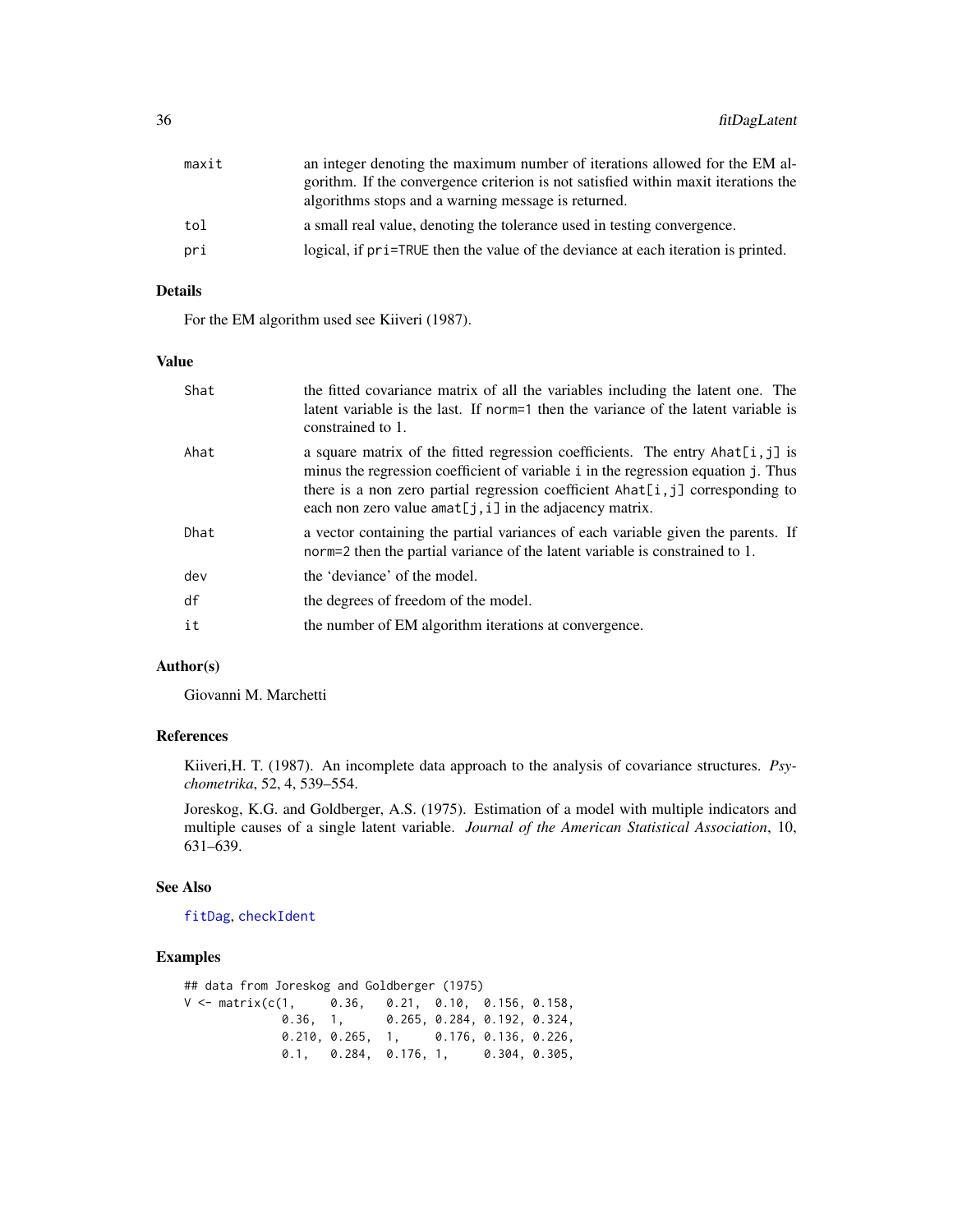| maxit | an integer denoting the maximum number of iterations allowed for the EM al-        |
|-------|------------------------------------------------------------------------------------|
|       | gorithm. If the convergence criterion is not satisfied within maxit iterations the |
|       | algorithms stops and a warning message is returned.                                |
| tol   | a small real value, denoting the tolerance used in testing convergence.            |
| pri   | logical, if pri=TRUE then the value of the deviance at each iteration is printed.  |
|       |                                                                                    |

# Details

For the EM algorithm used see Kiiveri (1987).

# Value

| Shat | the fitted covariance matrix of all the variables including the latent one. The<br>latent variable is the last. If norm=1 then the variance of the latent variable is<br>constrained to 1.                                                                                                                                   |
|------|------------------------------------------------------------------------------------------------------------------------------------------------------------------------------------------------------------------------------------------------------------------------------------------------------------------------------|
| Ahat | a square matrix of the fitted regression coefficients. The entry Ahat $[i, j]$ is<br>minus the regression coefficient of variable i in the regression equation j. Thus<br>there is a non zero partial regression coefficient $\text{Ahat}[i, j]$ corresponding to<br>each non zero value amat[j, i] in the adjacency matrix. |
| Dhat | a vector containing the partial variances of each variable given the parents. If<br>norm=2 then the partial variance of the latent variable is constrained to 1.                                                                                                                                                             |
| dev  | the 'deviance' of the model.                                                                                                                                                                                                                                                                                                 |
| df   | the degrees of freedom of the model.                                                                                                                                                                                                                                                                                         |
| it   | the number of EM algorithm iterations at convergence.                                                                                                                                                                                                                                                                        |

# Author(s)

Giovanni M. Marchetti

# References

Kiiveri,H. T. (1987). An incomplete data approach to the analysis of covariance structures. *Psychometrika*, 52, 4, 539–554.

Joreskog, K.G. and Goldberger, A.S. (1975). Estimation of a model with multiple indicators and multiple causes of a single latent variable. *Journal of the American Statistical Association*, 10, 631–639.

#### See Also

[fitDag](#page-33-1), [checkIdent](#page-10-1)

# Examples

## data from Joreskog and Goldberger (1975) V <- matrix(c(1, 0.36, 0.21, 0.10, 0.156, 0.158, 0.36, 1, 0.265, 0.284, 0.192, 0.324, 0.210, 0.265, 1, 0.176, 0.136, 0.226, 0.1, 0.284, 0.176, 1, 0.304, 0.305,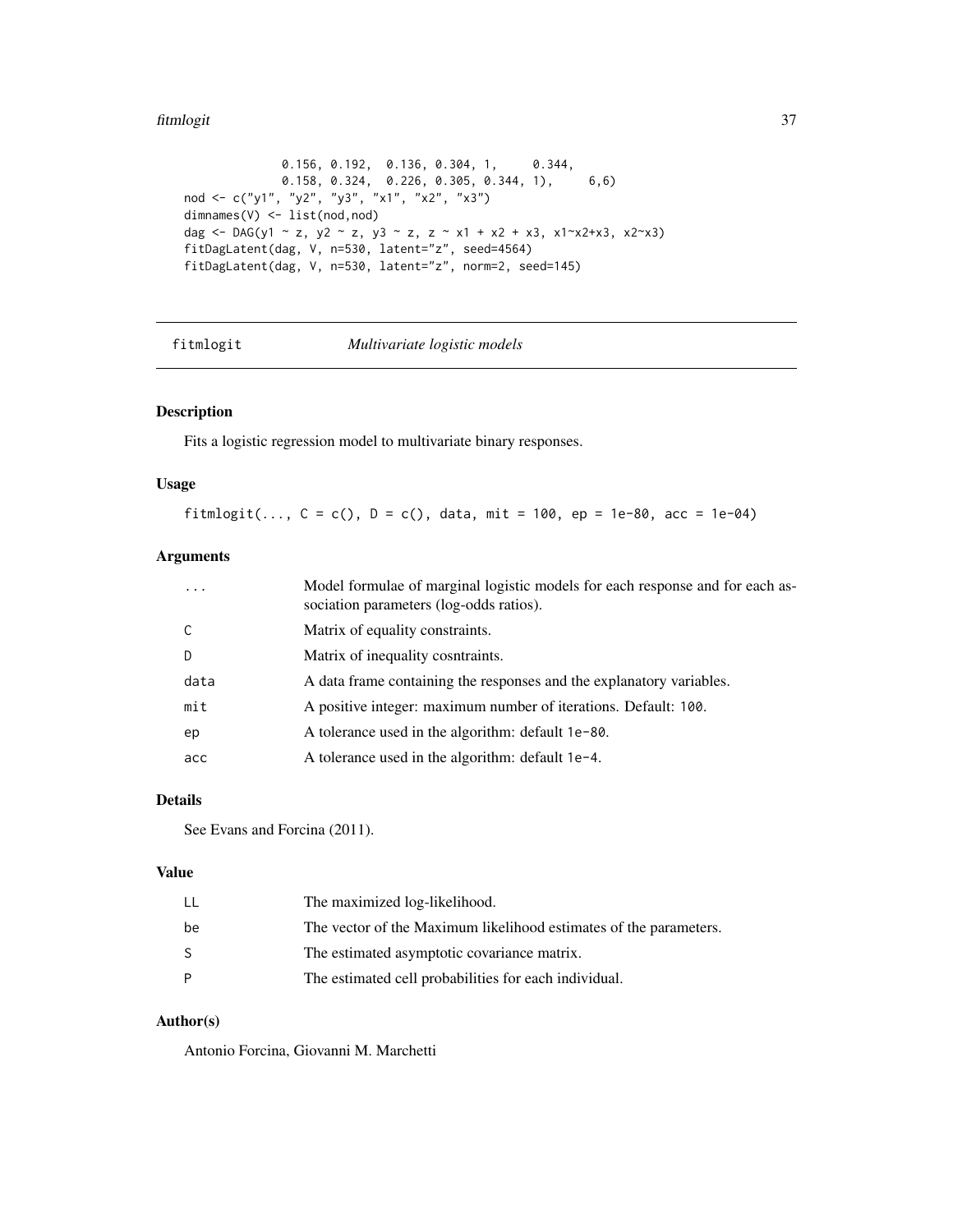#### fitmlogit 37

```
0.156, 0.192, 0.136, 0.304, 1, 0.344,
             0.158, 0.324, 0.226, 0.305, 0.344, 1), 6,6)
nod <- c("y1", "y2", "y3", "x1", "x2", "x3")
dimnames(V) <- list(nod,nod)
dag <- DAG(y1 ~ z, y2 ~ z, y3 ~ z, z ~ x1 + x2 + x3, x1~x2+x3, x2~x3)
fitDagLatent(dag, V, n=530, latent="z", seed=4564)
fitDagLatent(dag, V, n=530, latent="z", norm=2, seed=145)
```
fitmlogit *Multivariate logistic models*

# Description

Fits a logistic regression model to multivariate binary responses.

### Usage

fitmlogit(...,  $C = c()$ ,  $D = c()$ , data, mit = 100, ep = 1e-80, acc = 1e-04)

# Arguments

| $\cdot$ $\cdot$ $\cdot$ | Model formulae of marginal logistic models for each response and for each as-<br>sociation parameters (log-odds ratios). |
|-------------------------|--------------------------------------------------------------------------------------------------------------------------|
| C                       | Matrix of equality constraints.                                                                                          |
| D                       | Matrix of inequality cosntraints.                                                                                        |
| data                    | A data frame containing the responses and the explanatory variables.                                                     |
| mit                     | A positive integer: maximum number of iterations. Default: 100.                                                          |
| ep                      | A tolerance used in the algorithm: default 1e-80.                                                                        |
| acc                     | A tolerance used in the algorithm: default 1e-4.                                                                         |

# Details

See Evans and Forcina (2011).

# Value

| LL | The maximized log-likelihood.                                     |
|----|-------------------------------------------------------------------|
| be | The vector of the Maximum likelihood estimates of the parameters. |
| S  | The estimated asymptotic covariance matrix.                       |
| P  | The estimated cell probabilities for each individual.             |

### Author(s)

Antonio Forcina, Giovanni M. Marchetti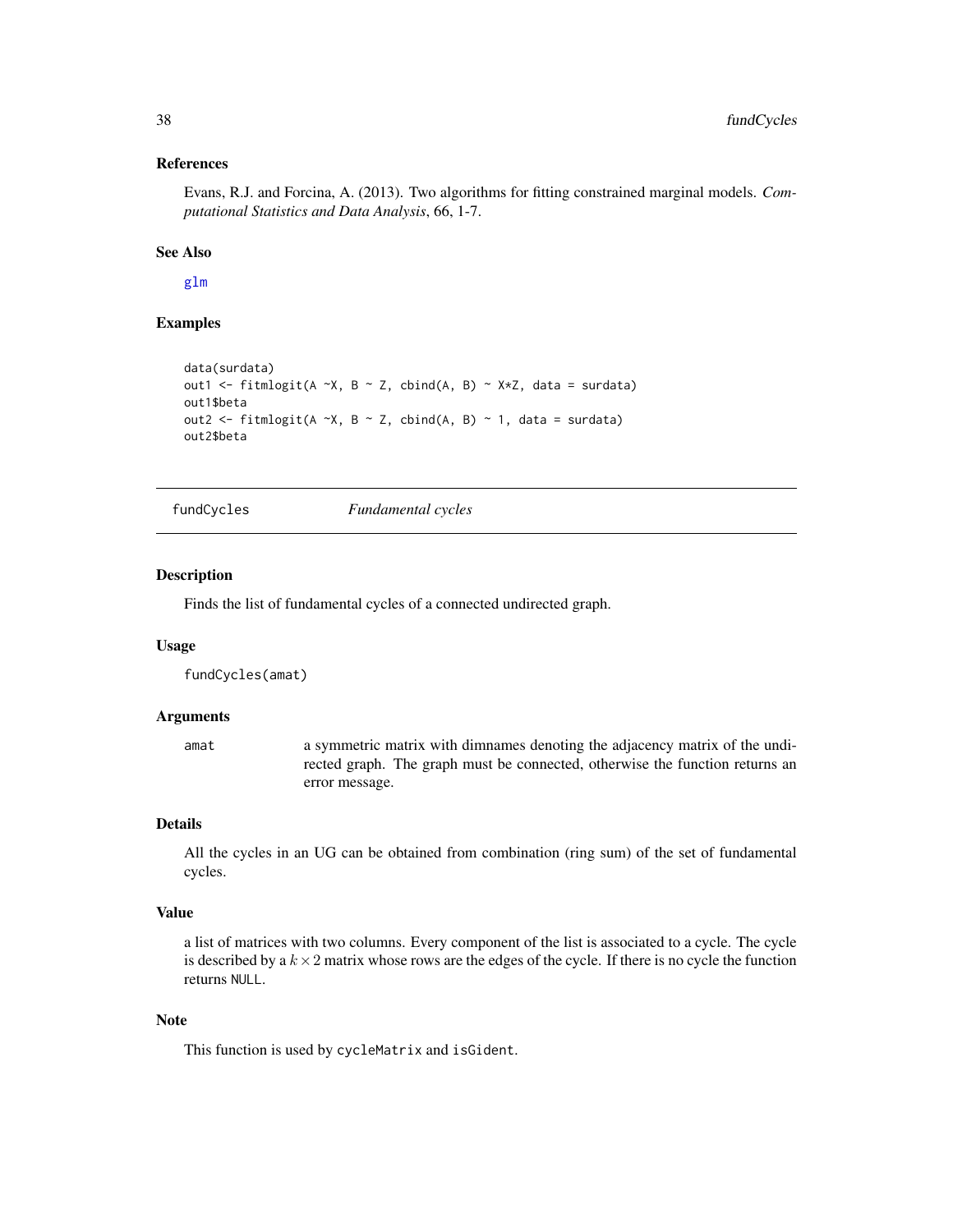### References

Evans, R.J. and Forcina, A. (2013). Two algorithms for fitting constrained marginal models. *Computational Statistics and Data Analysis*, 66, 1-7.

## See Also

[glm](#page-0-0)

# Examples

```
data(surdata)
out1 <- fitmlogit(A ~X, B ~ Z, cbind(A, B) ~ X*Z, data = surdata)
out1$beta
out2 <- fitmlogit(A ~X, B ~ Z, cbind(A, B) ~ 1, data = surdata)
out2$beta
```
<span id="page-37-0"></span>fundCycles *Fundamental cycles*

#### Description

Finds the list of fundamental cycles of a connected undirected graph.

#### Usage

fundCycles(amat)

#### Arguments

amat a symmetric matrix with dimnames denoting the adjacency matrix of the undirected graph. The graph must be connected, otherwise the function returns an error message.

### Details

All the cycles in an UG can be obtained from combination (ring sum) of the set of fundamental cycles.

#### Value

a list of matrices with two columns. Every component of the list is associated to a cycle. The cycle is described by a  $k \times 2$  matrix whose rows are the edges of the cycle. If there is no cycle the function returns NULL.

## Note

This function is used by cycleMatrix and isGident.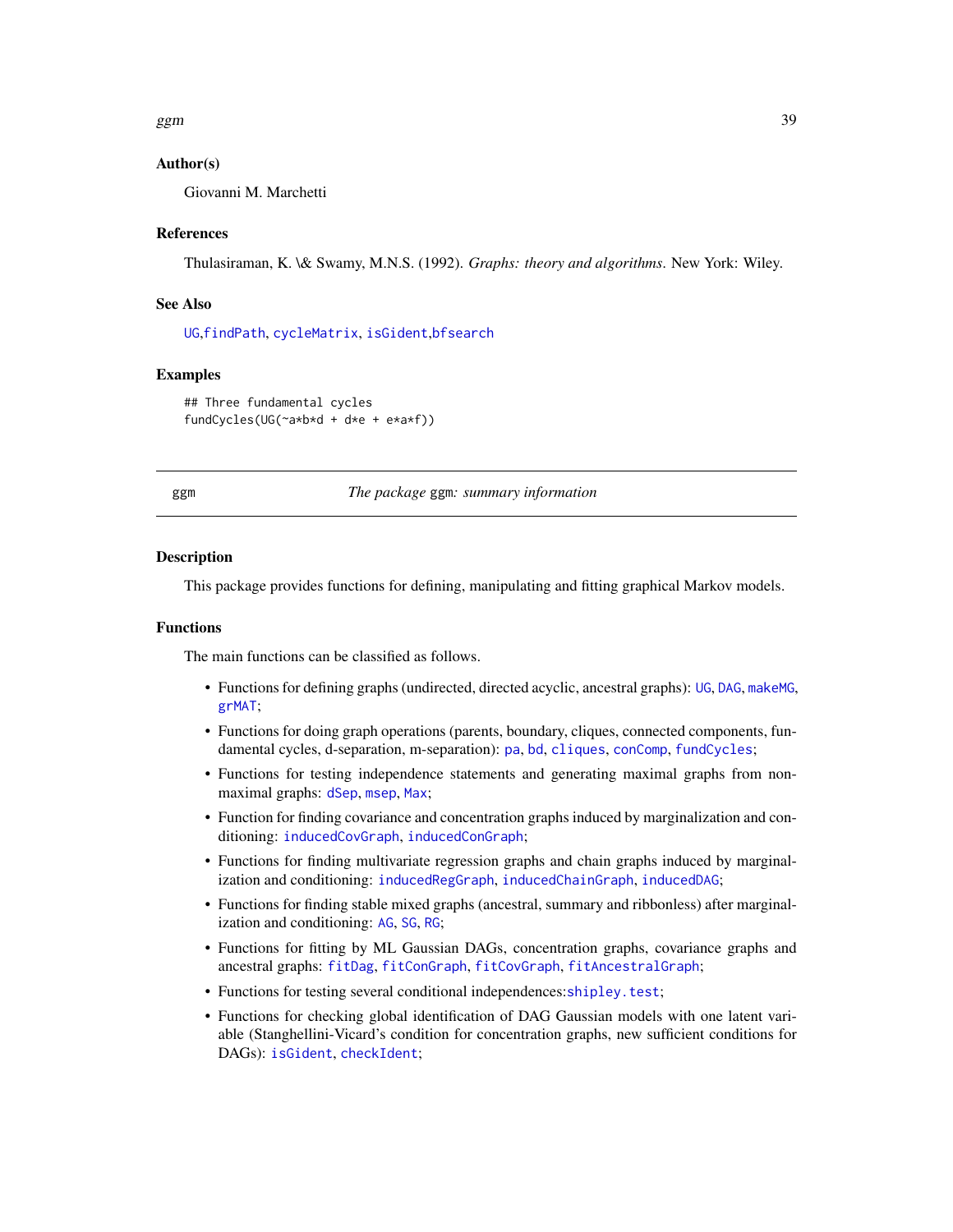$ggm$  39

## Author(s)

Giovanni M. Marchetti

### References

Thulasiraman, K. \& Swamy, M.N.S. (1992). *Graphs: theory and algorithms*. New York: Wiley.

### See Also

[UG](#page-86-0),[findPath](#page-27-0), [cycleMatrix](#page-15-0), [isGident](#page-48-0),[bfsearch](#page-7-0)

### Examples

```
## Three fundamental cycles
fundCycles(UG(~a*b*d + d*e + e*a*f))
```
ggm *The package* ggm*: summary information*

#### Description

This package provides functions for defining, manipulating and fitting graphical Markov models.

#### Functions

The main functions can be classified as follows.

- Functions for defining graphs (undirected, directed acyclic, ancestral graphs): [UG](#page-86-0), [DAG](#page-16-0), [makeMG](#page-51-0), [grMAT](#page-40-0);
- Functions for doing graph operations (parents, boundary, cliques, connected components, fundamental cycles, d-separation, m-separation): [pa](#page-79-0), [bd](#page-79-0), [cliques](#page-0-0), [conComp](#page-13-0), [fundCycles](#page-37-0);
- Functions for testing independence statements and generating maximal graphs from nonmaximal graphs: [dSep](#page-23-0), [msep](#page-60-0), [Max](#page-57-0);
- Function for finding covariance and concentration graphs induced by marginalization and conditioning: [inducedCovGraph](#page-42-0), [inducedConGraph](#page-42-0);
- Functions for finding multivariate regression graphs and chain graphs induced by marginalization and conditioning: [inducedRegGraph](#page-42-0), [inducedChainGraph](#page-42-0), [inducedDAG](#page-42-0);
- Functions for finding stable mixed graphs (ancestral, summary and ribbonless) after marginalization and conditioning: [AG](#page-3-0), [SG](#page-77-0), [RG](#page-73-0);
- Functions for fitting by ML Gaussian DAGs, concentration graphs, covariance graphs and ancestral graphs: [fitDag](#page-33-0), [fitConGraph](#page-30-0), [fitCovGraph](#page-31-0), [fitAncestralGraph](#page-28-0);
- Functions for testing several conditional independences:[shipley.test](#page-78-0);
- Functions for checking global identification of DAG Gaussian models with one latent variable (Stanghellini-Vicard's condition for concentration graphs, new sufficient conditions for DAGs): [isGident](#page-48-0), [checkIdent](#page-10-0);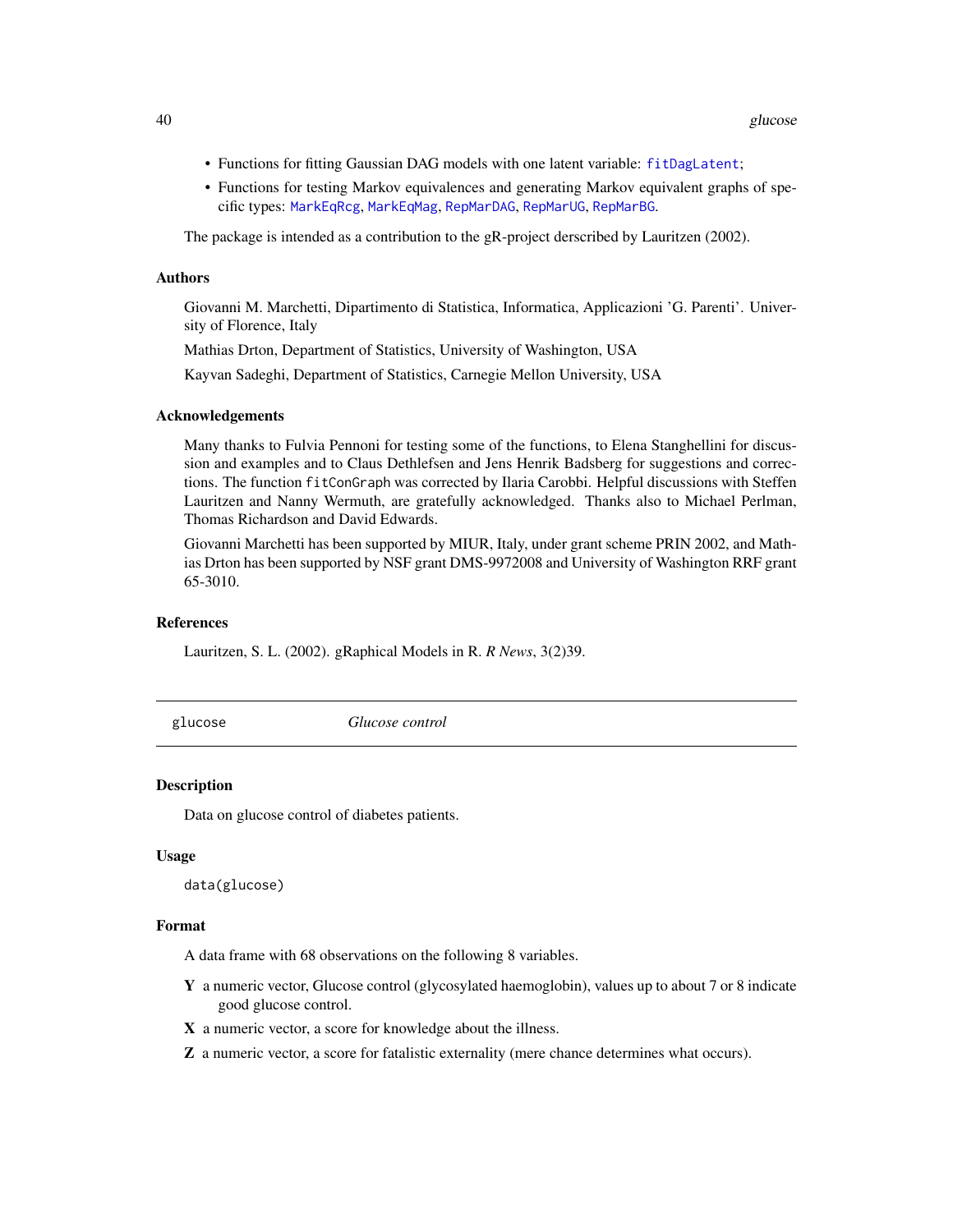- Functions for fitting Gaussian DAG models with one latent variable: [fitDagLatent](#page-34-0);
- Functions for testing Markov equivalences and generating Markov equivalent graphs of specific types: [MarkEqRcg](#page-54-0), [MarkEqMag](#page-53-0), [RepMarDAG](#page-70-0), [RepMarUG](#page-72-0), [RepMarBG](#page-69-0).

The package is intended as a contribution to the gR-project derscribed by Lauritzen (2002).

### Authors

Giovanni M. Marchetti, Dipartimento di Statistica, Informatica, Applicazioni 'G. Parenti'. University of Florence, Italy

Mathias Drton, Department of Statistics, University of Washington, USA

Kayvan Sadeghi, Department of Statistics, Carnegie Mellon University, USA

#### Acknowledgements

Many thanks to Fulvia Pennoni for testing some of the functions, to Elena Stanghellini for discussion and examples and to Claus Dethlefsen and Jens Henrik Badsberg for suggestions and corrections. The function fitConGraph was corrected by Ilaria Carobbi. Helpful discussions with Steffen Lauritzen and Nanny Wermuth, are gratefully acknowledged. Thanks also to Michael Perlman, Thomas Richardson and David Edwards.

Giovanni Marchetti has been supported by MIUR, Italy, under grant scheme PRIN 2002, and Mathias Drton has been supported by NSF grant DMS-9972008 and University of Washington RRF grant 65-3010.

#### References

Lauritzen, S. L. (2002). gRaphical Models in R. *R News*, 3(2)39.

glucose *Glucose control*

#### Description

Data on glucose control of diabetes patients.

#### Usage

data(glucose)

## Format

A data frame with 68 observations on the following 8 variables.

- Y a numeric vector, Glucose control (glycosylated haemoglobin), values up to about 7 or 8 indicate good glucose control.
- X a numeric vector, a score for knowledge about the illness.
- Z a numeric vector, a score for fatalistic externality (mere chance determines what occurs).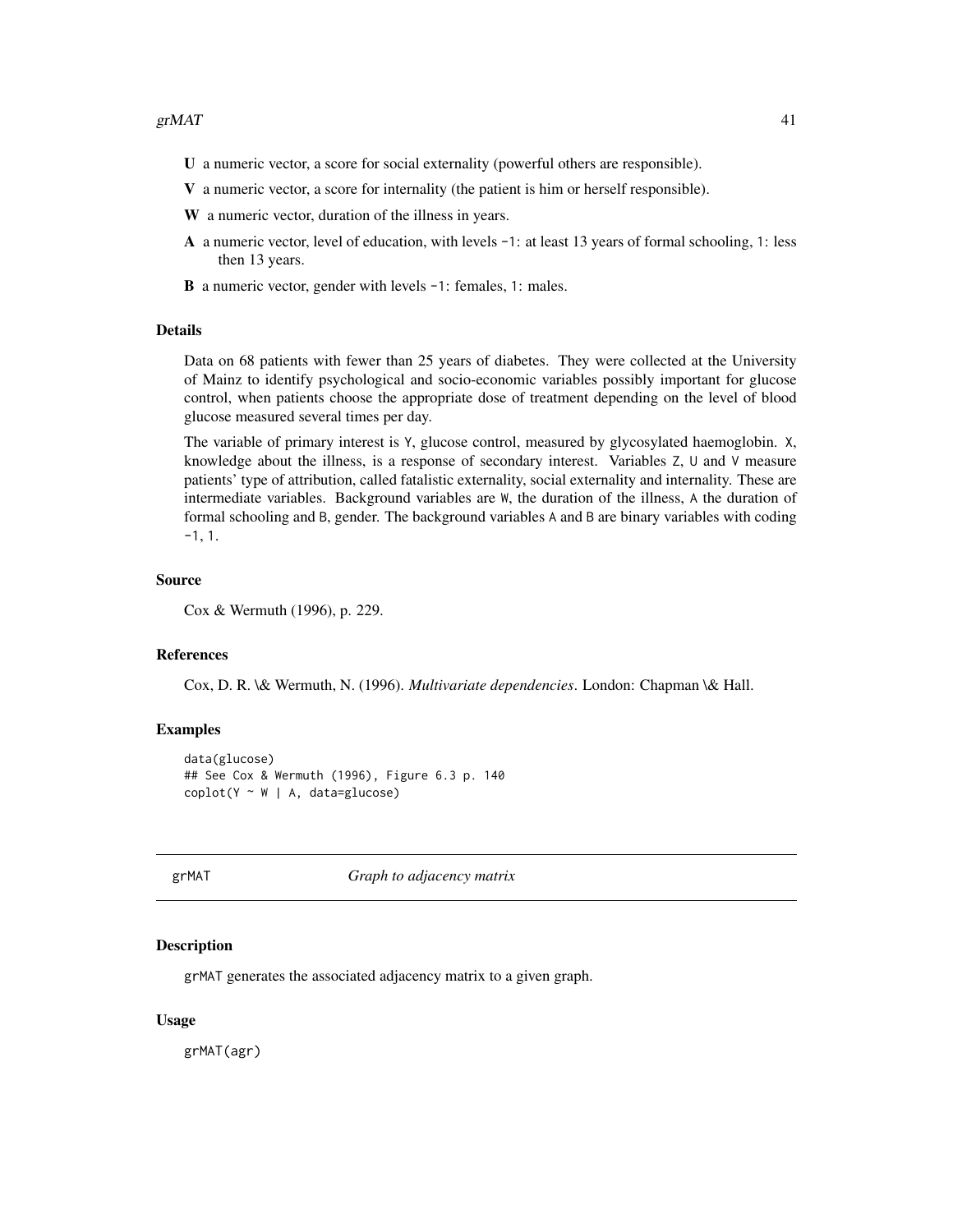- U a numeric vector, a score for social externality (powerful others are responsible).
- V a numeric vector, a score for internality (the patient is him or herself responsible).
- W a numeric vector, duration of the illness in years.
- A a numeric vector, level of education, with levels -1: at least 13 years of formal schooling, 1: less then 13 years.
- B a numeric vector, gender with levels -1: females, 1: males.

#### Details

Data on 68 patients with fewer than 25 years of diabetes. They were collected at the University of Mainz to identify psychological and socio-economic variables possibly important for glucose control, when patients choose the appropriate dose of treatment depending on the level of blood glucose measured several times per day.

The variable of primary interest is Y, glucose control, measured by glycosylated haemoglobin. X, knowledge about the illness, is a response of secondary interest. Variables Z, U and V measure patients' type of attribution, called fatalistic externality, social externality and internality. These are intermediate variables. Background variables are W, the duration of the illness, A the duration of formal schooling and B, gender. The background variables A and B are binary variables with coding -1, 1.

## Source

Cox & Wermuth (1996), p. 229.

#### References

Cox, D. R. \& Wermuth, N. (1996). *Multivariate dependencies*. London: Chapman \& Hall.

### Examples

```
data(glucose)
## See Cox & Wermuth (1996), Figure 6.3 p. 140
\text{coplot}(Y \sim W \mid A, \text{ data=glucose})
```
<span id="page-40-0"></span>

grMAT *Graph to adjacency matrix*

#### Description

grMAT generates the associated adjacency matrix to a given graph.

#### Usage

grMAT(agr)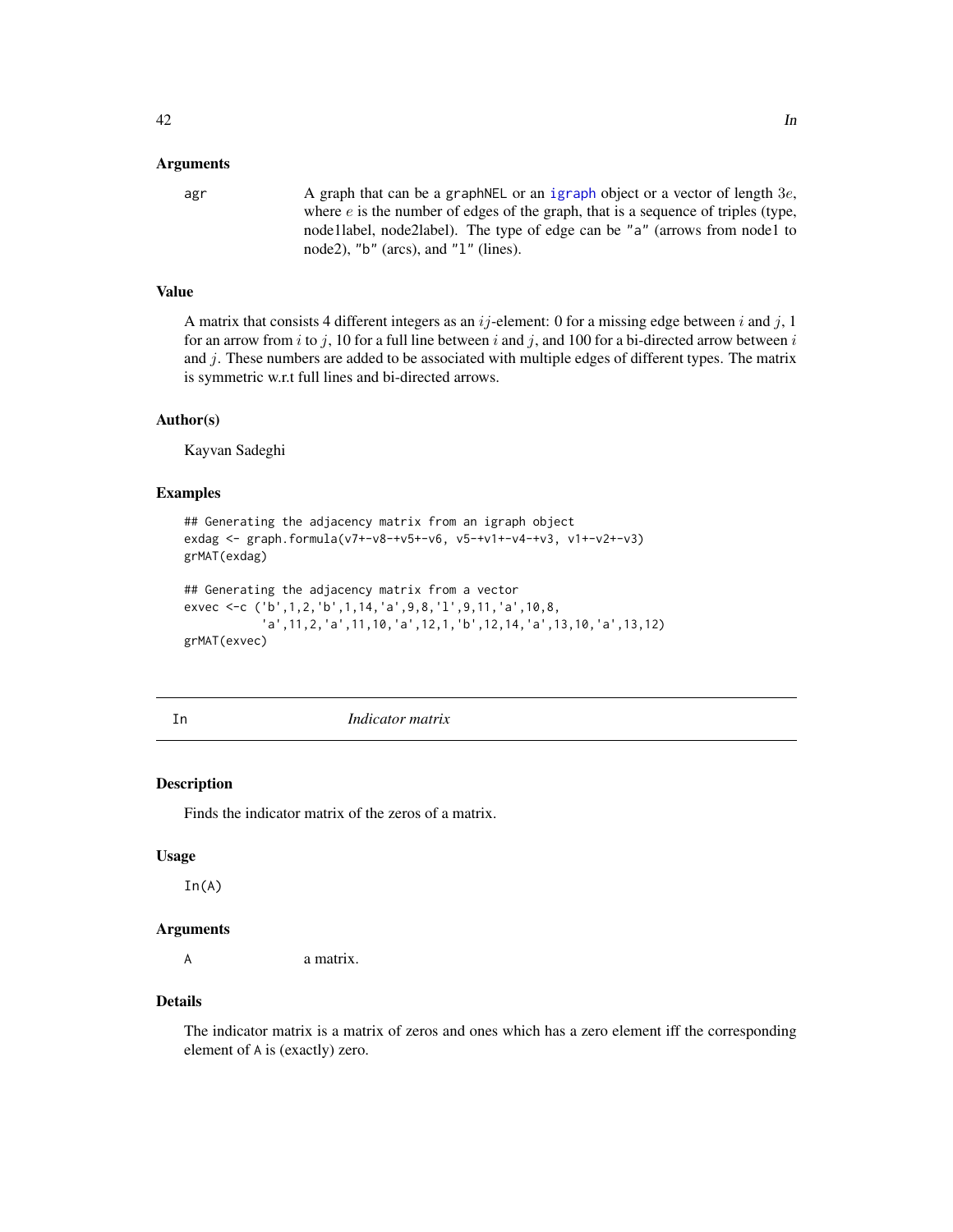## Arguments

agr  $\alpha$  A graph that can be a graphNEL or an [igraph](#page-0-0) object or a vector of length 3e, where  $e$  is the number of edges of the graph, that is a sequence of triples (type, node1label, node2label). The type of edge can be "a" (arrows from node1 to node2), "b" (arcs), and "l" (lines).

# Value

A matrix that consists 4 different integers as an  $ij$ -element: 0 for a missing edge between i and j, 1 for an arrow from i to j, 10 for a full line between i and j, and 100 for a bi-directed arrow between i and  $j$ . These numbers are added to be associated with multiple edges of different types. The matrix is symmetric w.r.t full lines and bi-directed arrows.

### Author(s)

Kayvan Sadeghi

## Examples

```
## Generating the adjacency matrix from an igraph object
exdag <- graph.formula(v7+-v8-+v5+-v6, v5-+v1+-v4-+v3, v1+-v2+-v3)
grMAT(exdag)
## Generating the adjacency matrix from a vector
exvec <-c ('b',1,2,'b',1,14,'a',9,8,'l',9,11,'a',10,8,
           'a',11,2,'a',11,10,'a',12,1,'b',12,14,'a',13,10,'a',13,12)
```
grMAT(exvec)

In *Indicator matrix*

#### Description

Finds the indicator matrix of the zeros of a matrix.

### Usage

 $In(A)$ 

#### Arguments

A a matrix.

### Details

The indicator matrix is a matrix of zeros and ones which has a zero element iff the corresponding element of A is (exactly) zero.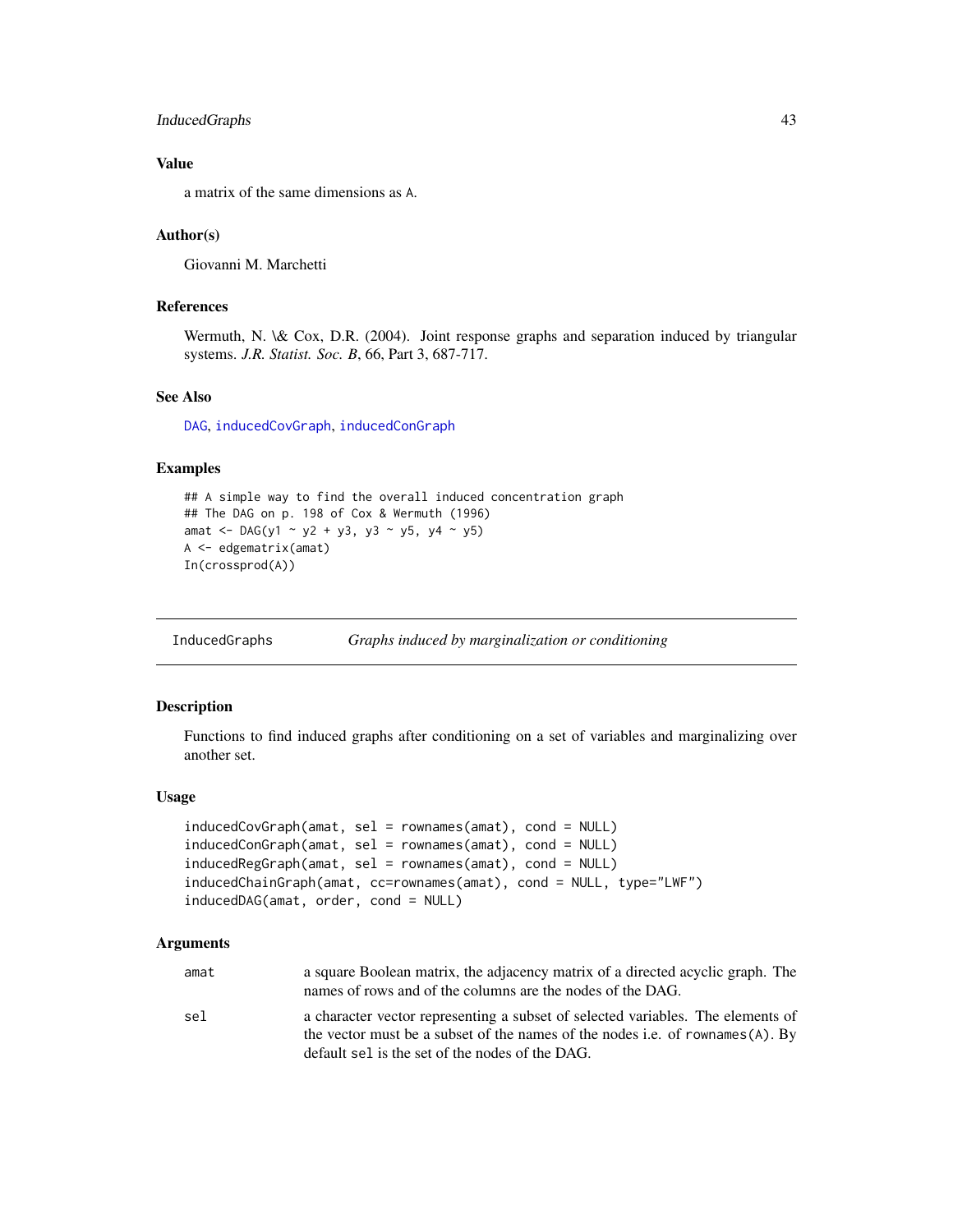## InducedGraphs 43

## Value

a matrix of the same dimensions as A.

### Author(s)

Giovanni M. Marchetti

# References

Wermuth, N. \& Cox, D.R. (2004). Joint response graphs and separation induced by triangular systems. *J.R. Statist. Soc. B*, 66, Part 3, 687-717.

### See Also

[DAG](#page-16-0), [inducedCovGraph](#page-42-0), [inducedConGraph](#page-42-0)

#### Examples

```
## A simple way to find the overall induced concentration graph
## The DAG on p. 198 of Cox & Wermuth (1996)
amat <- DAG(y1 ~ y2 + y3, y3 ~ y5, y4 ~ y5)
A <- edgematrix(amat)
In(crossprod(A))
```
InducedGraphs *Graphs induced by marginalization or conditioning*

### <span id="page-42-0"></span>Description

Functions to find induced graphs after conditioning on a set of variables and marginalizing over another set.

#### Usage

```
inducedCovGraph(amat, sel = rownames(amat), cond = NULL)
inducedConGraph(amat, sel = rownames(amat), cond = NULL)
inducedRegGraph(amat, sel = rownames(amat), cond = NULL)
inducedChainGraph(amat, cc=rownames(amat), cond = NULL, type="LWF")
inducedDAG(amat, order, cond = NULL)
```
#### Arguments

| amat                        | a square Boolean matrix, the adjacency matrix of a directed acyclic graph. The  |
|-----------------------------|---------------------------------------------------------------------------------|
|                             | names of rows and of the columns are the nodes of the DAG.                      |
| $\sim$ $\sim$ $\sim$ $\sim$ | a ghereater vector representing a subset of selected verichles. The elements of |

sel a character vector representing a subset of selected variables. The elements of the vector must be a subset of the names of the nodes i.e. of rownames(A). By default sel is the set of the nodes of the DAG.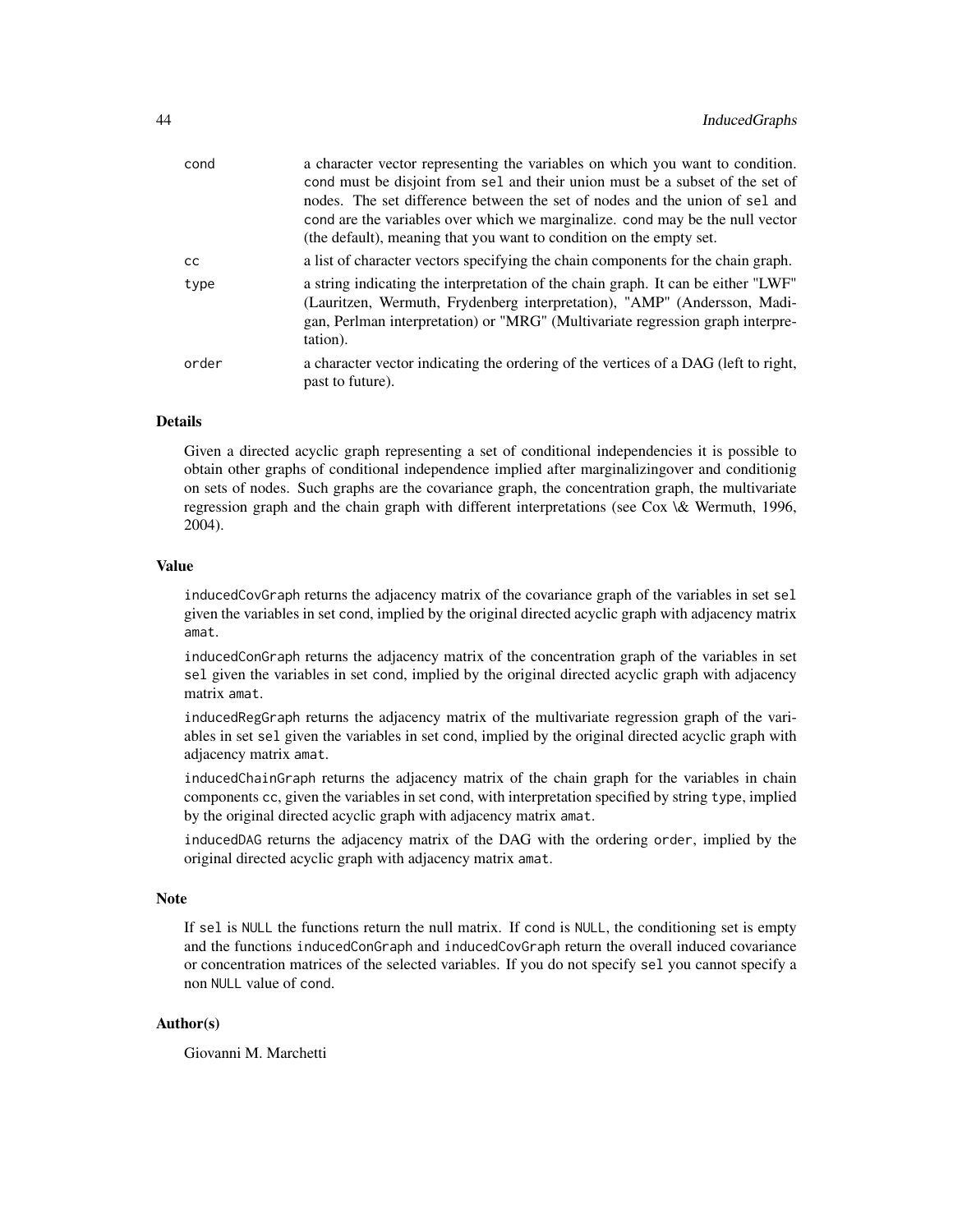| cond  | a character vector representing the variables on which you want to condition.                                                                                                                                                                               |
|-------|-------------------------------------------------------------------------------------------------------------------------------------------------------------------------------------------------------------------------------------------------------------|
|       | cond must be disjoint from sel and their union must be a subset of the set of                                                                                                                                                                               |
|       | nodes. The set difference between the set of nodes and the union of sel and                                                                                                                                                                                 |
|       | cond are the variables over which we marginalize, cond may be the null vector                                                                                                                                                                               |
|       | (the default), meaning that you want to condition on the empty set.                                                                                                                                                                                         |
| CC    | a list of character vectors specifying the chain components for the chain graph.                                                                                                                                                                            |
| type  | a string indicating the interpretation of the chain graph. It can be either "LWF"<br>(Lauritzen, Wermuth, Frydenberg interpretation), "AMP" (Andersson, Madi-<br>gan, Perlman interpretation) or "MRG" (Multivariate regression graph interpre-<br>tation). |
| order | a character vector indicating the ordering of the vertices of a DAG (left to right,<br>past to future).                                                                                                                                                     |
|       |                                                                                                                                                                                                                                                             |

## Details

Given a directed acyclic graph representing a set of conditional independencies it is possible to obtain other graphs of conditional independence implied after marginalizingover and conditionig on sets of nodes. Such graphs are the covariance graph, the concentration graph, the multivariate regression graph and the chain graph with different interpretations (see Cox \& Wermuth, 1996, 2004).

#### Value

inducedCovGraph returns the adjacency matrix of the covariance graph of the variables in set sel given the variables in set cond, implied by the original directed acyclic graph with adjacency matrix amat.

inducedConGraph returns the adjacency matrix of the concentration graph of the variables in set sel given the variables in set cond, implied by the original directed acyclic graph with adjacency matrix amat.

inducedRegGraph returns the adjacency matrix of the multivariate regression graph of the variables in set sel given the variables in set cond, implied by the original directed acyclic graph with adjacency matrix amat.

inducedChainGraph returns the adjacency matrix of the chain graph for the variables in chain components cc, given the variables in set cond, with interpretation specified by string type, implied by the original directed acyclic graph with adjacency matrix amat.

inducedDAG returns the adjacency matrix of the DAG with the ordering order, implied by the original directed acyclic graph with adjacency matrix amat.

# **Note**

If sel is NULL the functions return the null matrix. If cond is NULL, the conditioning set is empty and the functions inducedConGraph and inducedCovGraph return the overall induced covariance or concentration matrices of the selected variables. If you do not specify sel you cannot specify a non NULL value of cond.

## Author(s)

Giovanni M. Marchetti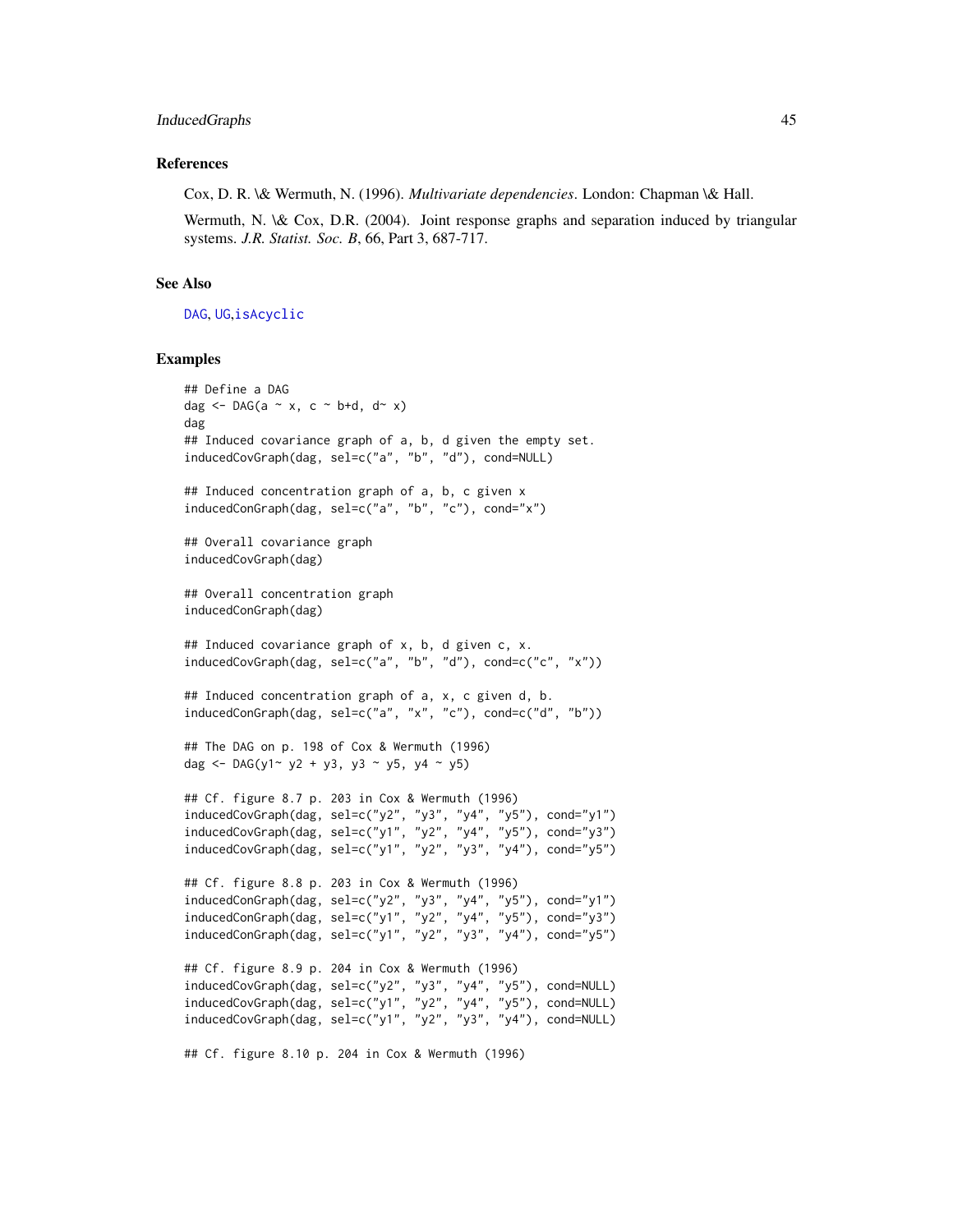#### InducedGraphs 45

#### References

Cox, D. R. \& Wermuth, N. (1996). *Multivariate dependencies*. London: Chapman \& Hall.

Wermuth, N. \& Cox, D.R. (2004). Joint response graphs and separation induced by triangular systems. *J.R. Statist. Soc. B*, 66, Part 3, 687-717.

### See Also

[DAG](#page-16-0), [UG](#page-86-0),[isAcyclic](#page-45-0)

### Examples

```
## Define a DAG
dag \leq DAG(a \sim x, c \sim b+d, d\sim x)
dag
## Induced covariance graph of a, b, d given the empty set.
inducedCovGraph(dag, sel=c("a", "b", "d"), cond=NULL)
## Induced concentration graph of a, b, c given x
inducedConGraph(dag, sel=c("a", "b", "c"), cond="x")
## Overall covariance graph
inducedCovGraph(dag)
## Overall concentration graph
inducedConGraph(dag)
## Induced covariance graph of x, b, d given c, x.
inducedCovGraph(dag, sel=c("a", "b", "d"), cond=c("c", "x"))
## Induced concentration graph of a, x, c given d, b.
inducedConGraph(dag, sel=c("a", "x", "c"), cond=c("d", "b"))
## The DAG on p. 198 of Cox & Wermuth (1996)
dag <- DAG(y1~ y2 + y3, y3 ~ y5, y4 ~ y5)
## Cf. figure 8.7 p. 203 in Cox & Wermuth (1996)
inducedCovGraph(dag, sel=c("y2", "y3", "y4", "y5"), cond="y1")
inducedCovGraph(dag, sel=c("y1", "y2", "y4", "y5"), cond="y3")
inducedCovGraph(dag, sel=c("y1", "y2", "y3", "y4"), cond="y5")
## Cf. figure 8.8 p. 203 in Cox & Wermuth (1996)
inducedConGraph(dag, sel=c("y2", "y3", "y4", "y5"), cond="y1")
inducedConGraph(dag, sel=c("y1", "y2", "y4", "y5"), cond="y3")
inducedConGraph(dag, sel=c("y1", "y2", "y3", "y4"), cond="y5")
## Cf. figure 8.9 p. 204 in Cox & Wermuth (1996)
inducedCovGraph(dag, sel=c("y2", "y3", "y4", "y5"), cond=NULL)
inducedCovGraph(dag, sel=c("y1", "y2", "y4", "y5"), cond=NULL)
inducedCovGraph(dag, sel=c("y1", "y2", "y3", "y4"), cond=NULL)
```
## Cf. figure 8.10 p. 204 in Cox & Wermuth (1996)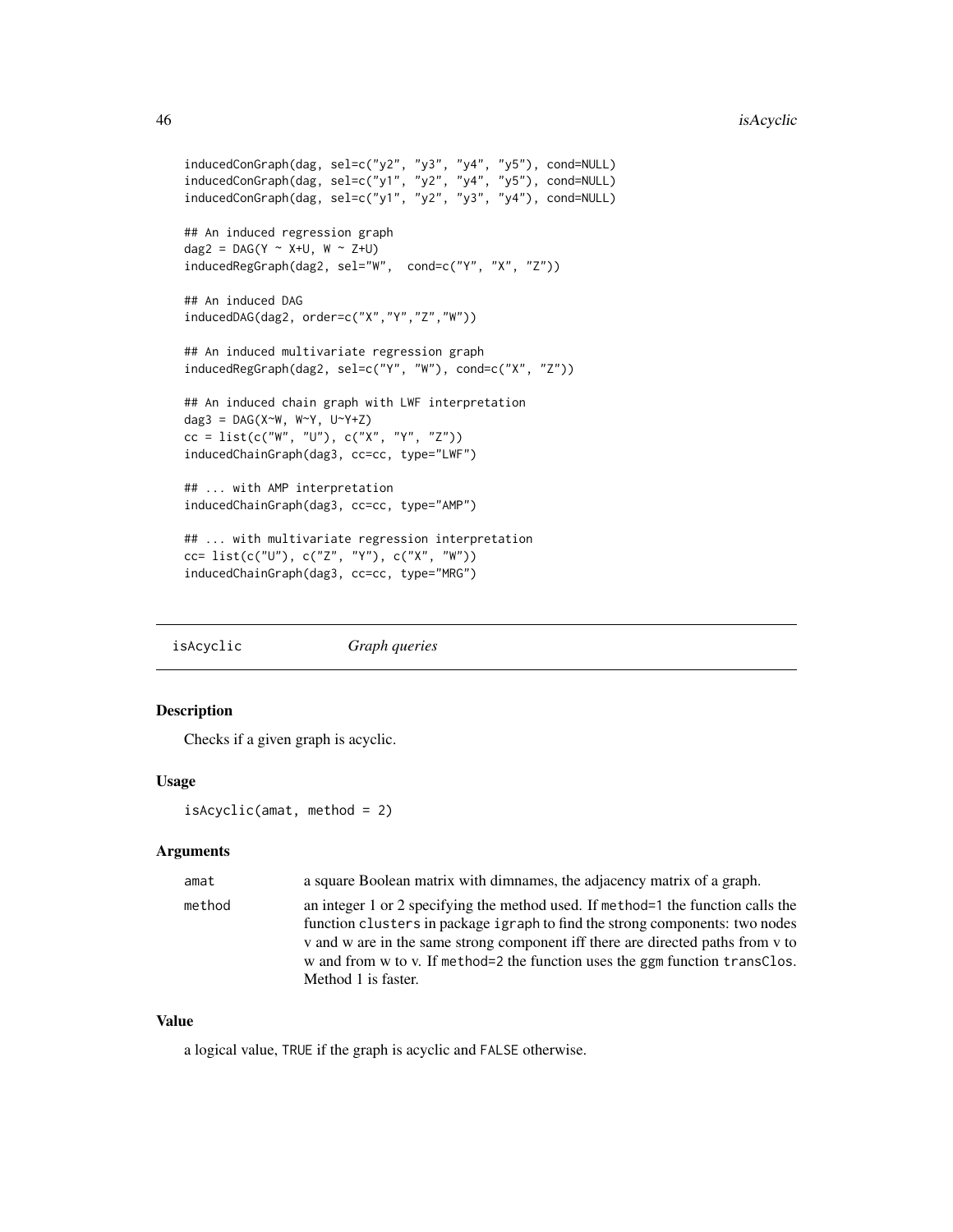```
inducedConGraph(dag, sel=c("y2", "y3", "y4", "y5"), cond=NULL)
inducedConGraph(dag, sel=c("y1", "y2", "y4", "y5"), cond=NULL)
inducedConGraph(dag, sel=c("y1", "y2", "y3", "y4"), cond=NULL)
## An induced regression graph
dag2 = DAG(Y \sim X+U, W \sim Z+U)inducedRegGraph(dag2, sel="W", cond=c("Y", "X", "Z"))
## An induced DAG
inducedDAG(dag2, order=c("X","Y","Z","W"))
## An induced multivariate regression graph
inducedRegGraph(dag2, sel=c("Y", "W"), cond=c("X", "Z"))
## An induced chain graph with LWF interpretation
dag3 = DAG(X^W, W^Y, U^Y+Z)cc = list(c("W", "U"), c("X", "Y", "Z"))
inducedChainGraph(dag3, cc=cc, type="LWF")
## ... with AMP interpretation
inducedChainGraph(dag3, cc=cc, type="AMP")
## ... with multivariate regression interpretation
cc= list(c("U"), c("Z", "Y"), c("X", "W"))
inducedChainGraph(dag3, cc=cc, type="MRG")
```
<span id="page-45-0"></span>isAcyclic *Graph queries*

### Description

Checks if a given graph is acyclic.

#### Usage

```
isAcyclic(amat, method = 2)
```
#### Arguments

| amat   | a square Boolean matrix with dimnames, the adjacency matrix of a graph.                                                                                          |
|--------|------------------------------------------------------------------------------------------------------------------------------------------------------------------|
| method | an integer 1 or 2 specifying the method used. If method=1 the function calls the<br>function clusters in package igraph to find the strong components: two nodes |
|        | v and w are in the same strong component iff there are directed paths from y to                                                                                  |
|        | w and from w to v. If method=2 the function uses the ggm function transClos.<br>Method 1 is faster.                                                              |

## Value

a logical value, TRUE if the graph is acyclic and FALSE otherwise.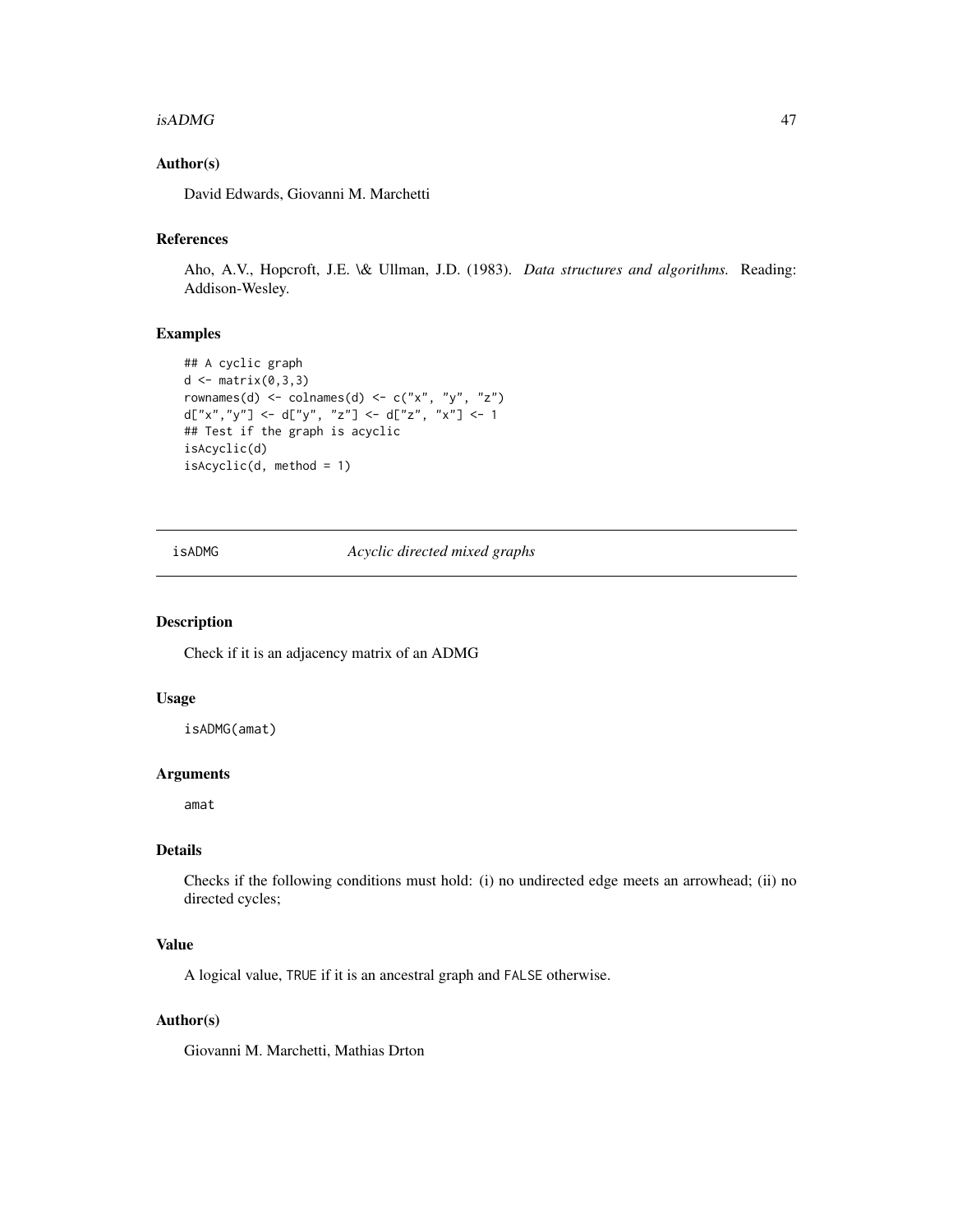#### $isADMG$  and  $47$

## Author(s)

David Edwards, Giovanni M. Marchetti

# References

Aho, A.V., Hopcroft, J.E. \& Ullman, J.D. (1983). *Data structures and algorithms.* Reading: Addison-Wesley.

# Examples

```
## A cyclic graph
d \leftarrow matrix(0,3,3)rownames(d) <- colnames(d) <- c("x", "y", "z")
d["x","y"] <- d["y", "z"] <- d["z", "x"] <- 1
## Test if the graph is acyclic
isAcyclic(d)
isAcyclic(d, method = 1)
```
<span id="page-46-0"></span>isADMG *Acyclic directed mixed graphs*

#### Description

Check if it is an adjacency matrix of an ADMG

## Usage

isADMG(amat)

#### Arguments

amat

## Details

Checks if the following conditions must hold: (i) no undirected edge meets an arrowhead; (ii) no directed cycles;

### Value

A logical value, TRUE if it is an ancestral graph and FALSE otherwise.

## Author(s)

Giovanni M. Marchetti, Mathias Drton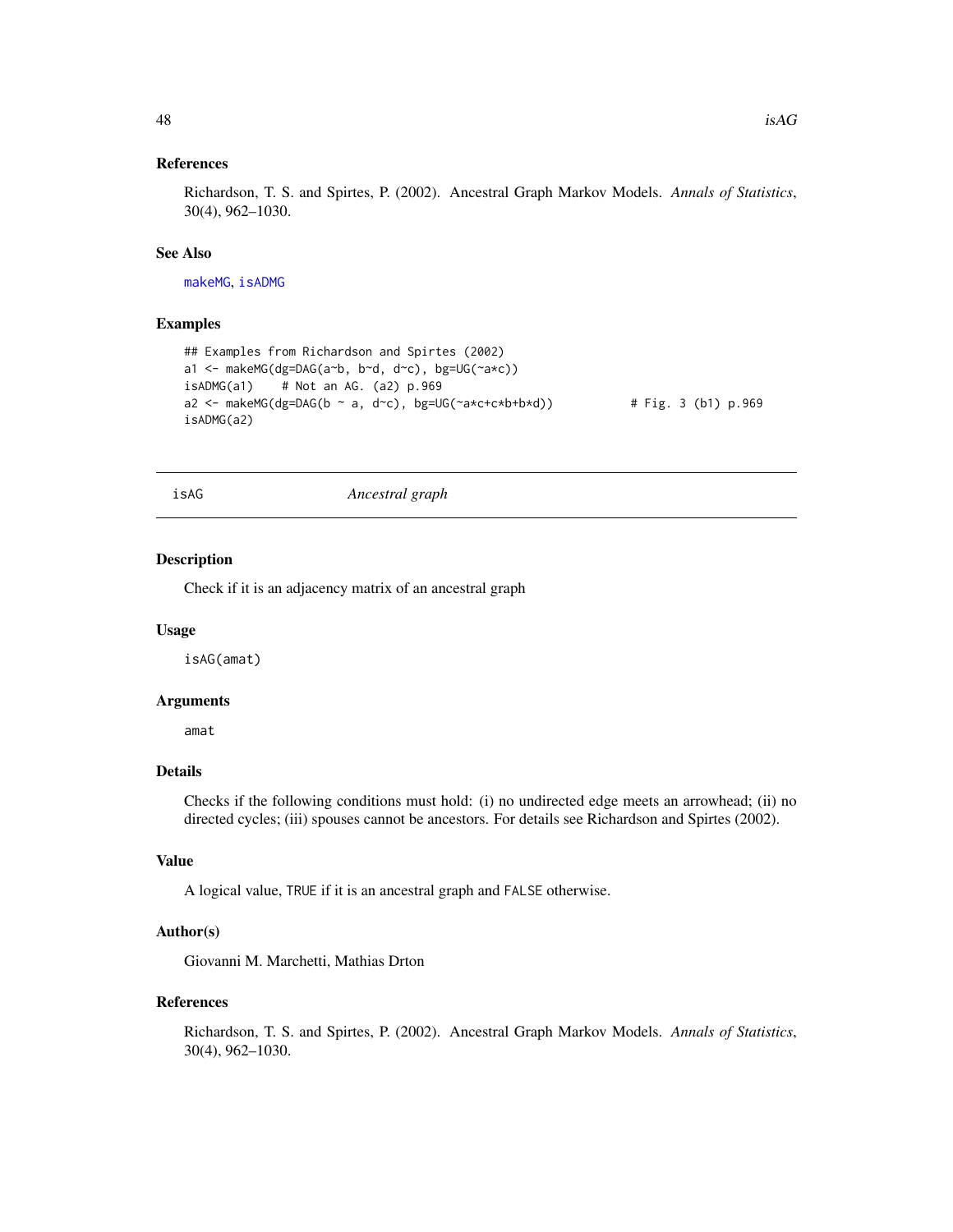### References

Richardson, T. S. and Spirtes, P. (2002). Ancestral Graph Markov Models. *Annals of Statistics*, 30(4), 962–1030.

### See Also

[makeMG](#page-51-0), [isADMG](#page-46-0)

#### Examples

```
## Examples from Richardson and Spirtes (2002)
a1 <- makeMG(dg=DAG(a~b, b~d, d~c), bg=UG(~a*c))
isADMG(a1) # Not an AG. (a2) p.969a2 <- makeMG(dg=DAG(b ~ a, d~c), bg=UG(~a*c+c*b+b*d)) \qquad # Fig. 3 (b1) p.969
isADMG(a2)
```
isAG *Ancestral graph*

#### Description

Check if it is an adjacency matrix of an ancestral graph

#### Usage

isAG(amat)

#### Arguments

amat

## Details

Checks if the following conditions must hold: (i) no undirected edge meets an arrowhead; (ii) no directed cycles; (iii) spouses cannot be ancestors. For details see Richardson and Spirtes (2002).

# Value

A logical value, TRUE if it is an ancestral graph and FALSE otherwise.

### Author(s)

Giovanni M. Marchetti, Mathias Drton

## References

Richardson, T. S. and Spirtes, P. (2002). Ancestral Graph Markov Models. *Annals of Statistics*, 30(4), 962–1030.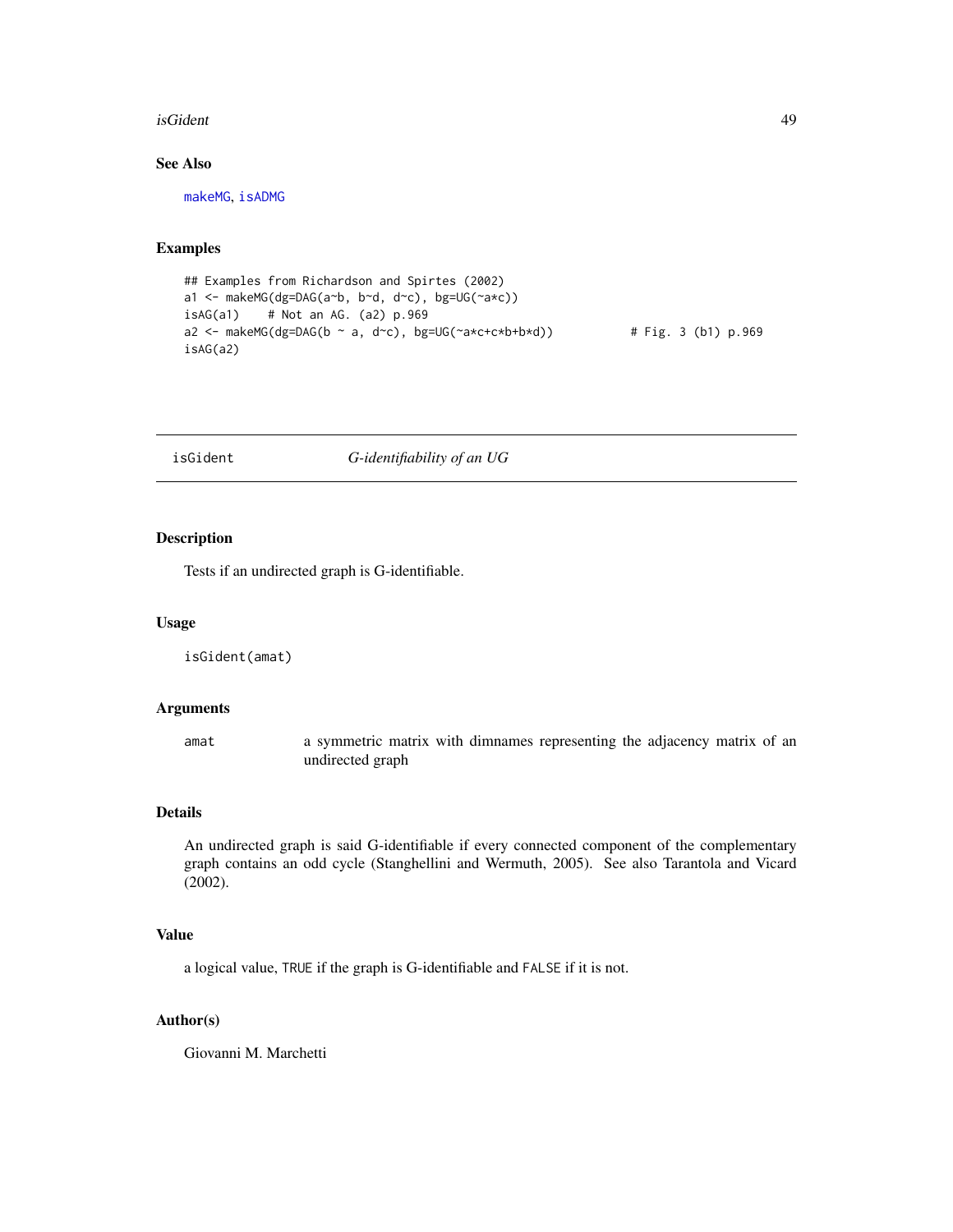#### isGident **49**

## See Also

[makeMG](#page-51-0), [isADMG](#page-46-0)

## Examples

```
## Examples from Richardson and Spirtes (2002)
a1 <- makeMG(dg=DAG(a~b, b~d, d~c), bg=UG(~a*c))
isAG(a1) # Not an AG. (a2) p.969
a2 <- makeMG(dg=DAG(b ~ a, d~c), bg=UG(~a*c+c*b+b*d)) # Fig. 3 (b1) p.969
isAG(a2)
```
# <span id="page-48-0"></span>isGident *G-identifiability of an UG*

### Description

Tests if an undirected graph is G-identifiable.

### Usage

isGident(amat)

### Arguments

amat a symmetric matrix with dimnames representing the adjacency matrix of an undirected graph

## Details

An undirected graph is said G-identifiable if every connected component of the complementary graph contains an odd cycle (Stanghellini and Wermuth, 2005). See also Tarantola and Vicard (2002).

### Value

a logical value, TRUE if the graph is G-identifiable and FALSE if it is not.

## Author(s)

Giovanni M. Marchetti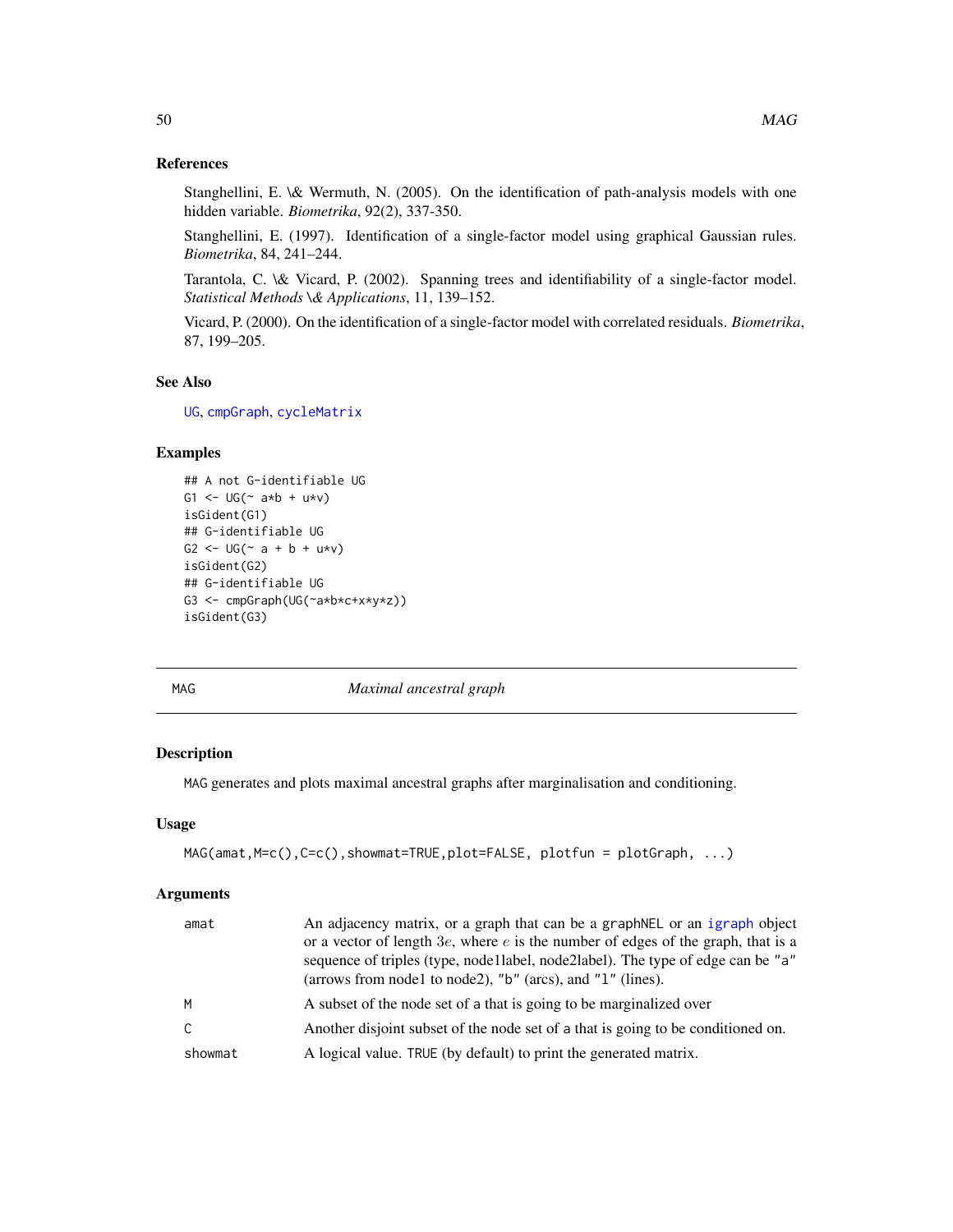### References

Stanghellini, E. \& Wermuth, N. (2005). On the identification of path-analysis models with one hidden variable. *Biometrika*, 92(2), 337-350.

Stanghellini, E. (1997). Identification of a single-factor model using graphical Gaussian rules. *Biometrika*, 84, 241–244.

Tarantola, C. \& Vicard, P. (2002). Spanning trees and identifiability of a single-factor model. *Statistical Methods \& Applications*, 11, 139–152.

Vicard, P. (2000). On the identification of a single-factor model with correlated residuals. *Biometrika*, 87, 199–205.

### See Also

[UG](#page-86-0), [cmpGraph](#page-12-0), [cycleMatrix](#page-15-0)

# Examples

```
## A not G-identifiable UG
G1 <- UG( ~ a *b + u * v)isGident(G1)
## G-identifiable UG
G2 \le - \text{UG}(\sim a + b + u \star v)isGident(G2)
## G-identifiable UG
G3 <- cmpGraph(UG(~a*b*c+x*y*z))
isGident(G3)
```
MAG *Maximal ancestral graph*

### Description

MAG generates and plots maximal ancestral graphs after marginalisation and conditioning.

#### Usage

```
MAG(amat,M=c(),C=c(),showmat=TRUE,plot=FALSE, plotfun = plotGraph, ...)
```
#### Arguments

| amat    | An adjacency matrix, or a graph that can be a graph NEL or an igraph object<br>or a vector of length $3e$ , where e is the number of edges of the graph, that is a<br>sequence of triples (type, nodellabel, node2label). The type of edge can be "a"<br>(arrows from node1 to node2), "b" (arcs), and "1" (lines). |
|---------|---------------------------------------------------------------------------------------------------------------------------------------------------------------------------------------------------------------------------------------------------------------------------------------------------------------------|
| м       | A subset of the node set of a that is going to be marginalized over                                                                                                                                                                                                                                                 |
| C.      | Another disjoint subset of the node set of a that is going to be conditioned on.                                                                                                                                                                                                                                    |
| showmat | A logical value. TRUE (by default) to print the generated matrix.                                                                                                                                                                                                                                                   |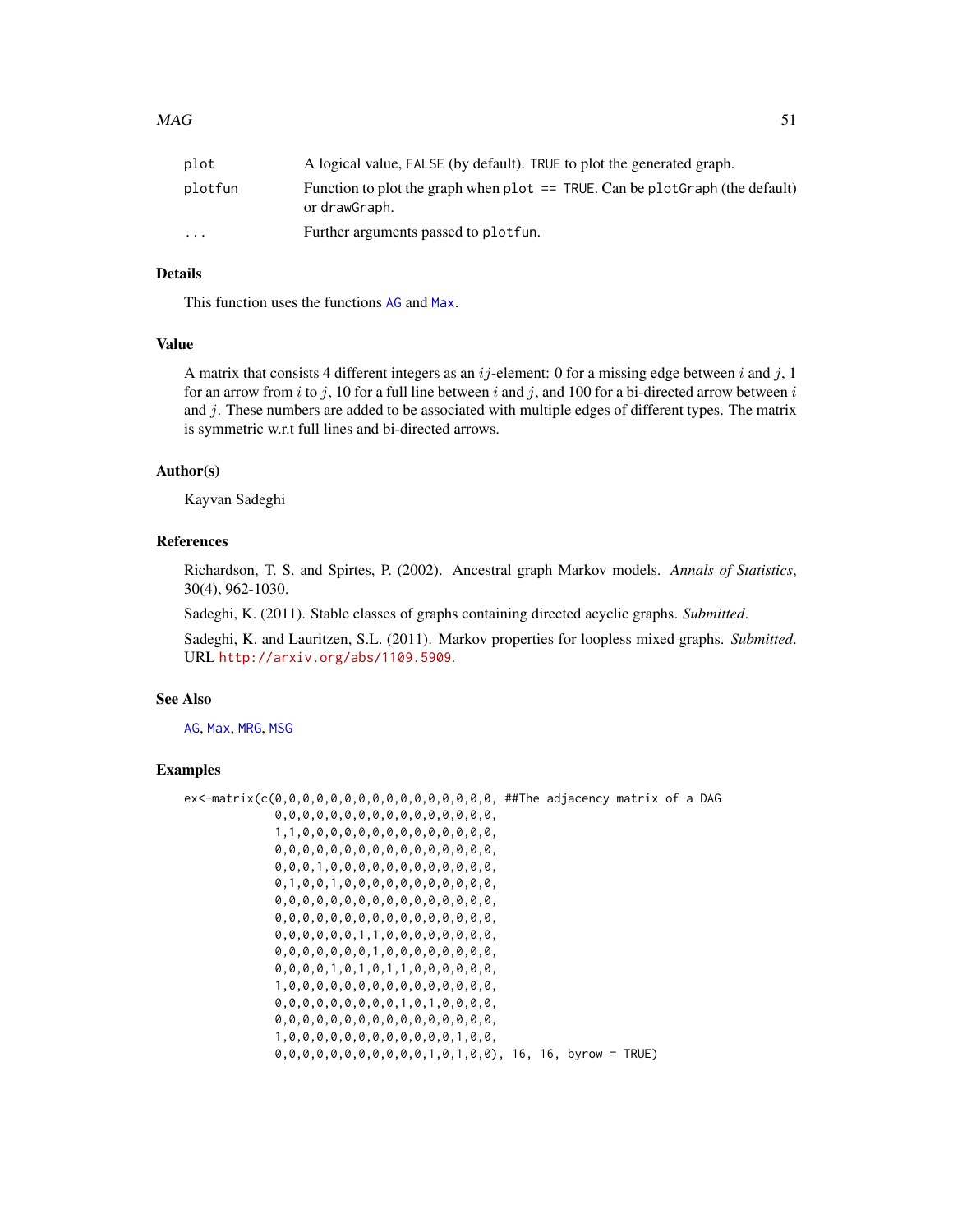| plot                    | A logical value, FALSE (by default). TRUE to plot the generated graph.                           |
|-------------------------|--------------------------------------------------------------------------------------------------|
| plotfun                 | Function to plot the graph when plot $==$ TRUE. Can be plot Graph (the default)<br>or drawGraph. |
| $\cdot$ $\cdot$ $\cdot$ | Further arguments passed to plot fun.                                                            |

## Details

This function uses the functions [AG](#page-3-0) and [Max](#page-57-0).

#### Value

A matrix that consists 4 different integers as an  $ij$ -element: 0 for a missing edge between i and j, 1 for an arrow from i to j, 10 for a full line between i and j, and 100 for a bi-directed arrow between i and  $j$ . These numbers are added to be associated with multiple edges of different types. The matrix is symmetric w.r.t full lines and bi-directed arrows.

### Author(s)

Kayvan Sadeghi

### References

Richardson, T. S. and Spirtes, P. (2002). Ancestral graph Markov models. *Annals of Statistics*, 30(4), 962-1030.

Sadeghi, K. (2011). Stable classes of graphs containing directed acyclic graphs. *Submitted*.

Sadeghi, K. and Lauritzen, S.L. (2011). Markov properties for loopless mixed graphs. *Submitted*. URL <http://arxiv.org/abs/1109.5909>.

### See Also

[AG](#page-3-0), [Max](#page-57-0), [MRG](#page-58-0), [MSG](#page-61-0)

## Examples

```
ex<-matrix(c(0,0,0,0,0,0,0,0,0,0,0,0,0,0,0,0, ##The adjacency matrix of a DAG
             0,0,0,0,0,0,0,0,0,0,0,0,0,0,0,0,
             1,1,0,0,0,0,0,0,0,0,0,0,0,0,0,0,
             0,0,0,0,0,0,0,0,0,0,0,0,0,0,0,0,
             0,0,0,1,0,0,0,0,0,0,0,0,0,0,0,0,
             0,1,0,0,1,0,0,0,0,0,0,0,0,0,0,0,
             0,0,0,0,0,0,0,0,0,0,0,0,0,0,0,0,
             0,0,0,0,0,0,0,0,0,0,0,0,0,0,0,0,
             0,0,0,0,0,0,1,1,0,0,0,0,0,0,0,0,
             0,0,0,0,0,0,0,1,0,0,0,0,0,0,0,0,
             0,0,0,0,1,0,1,0,1,1,0,0,0,0,0,0,
             1,0,0,0,0,0,0,0,0,0,0,0,0,0,0,0,
             0,0,0,0,0,0,0,0,0,1,0,1,0,0,0,0,
             0,0,0,0,0,0,0,0,0,0,0,0,0,0,0,0,
             1,0,0,0,0,0,0,0,0,0,0,0,0,1,0,0,
             0,0,0,0,0,0,0,0,0,0,0,1,0,1,0,0), 16, 16, byrow = TRUE)
```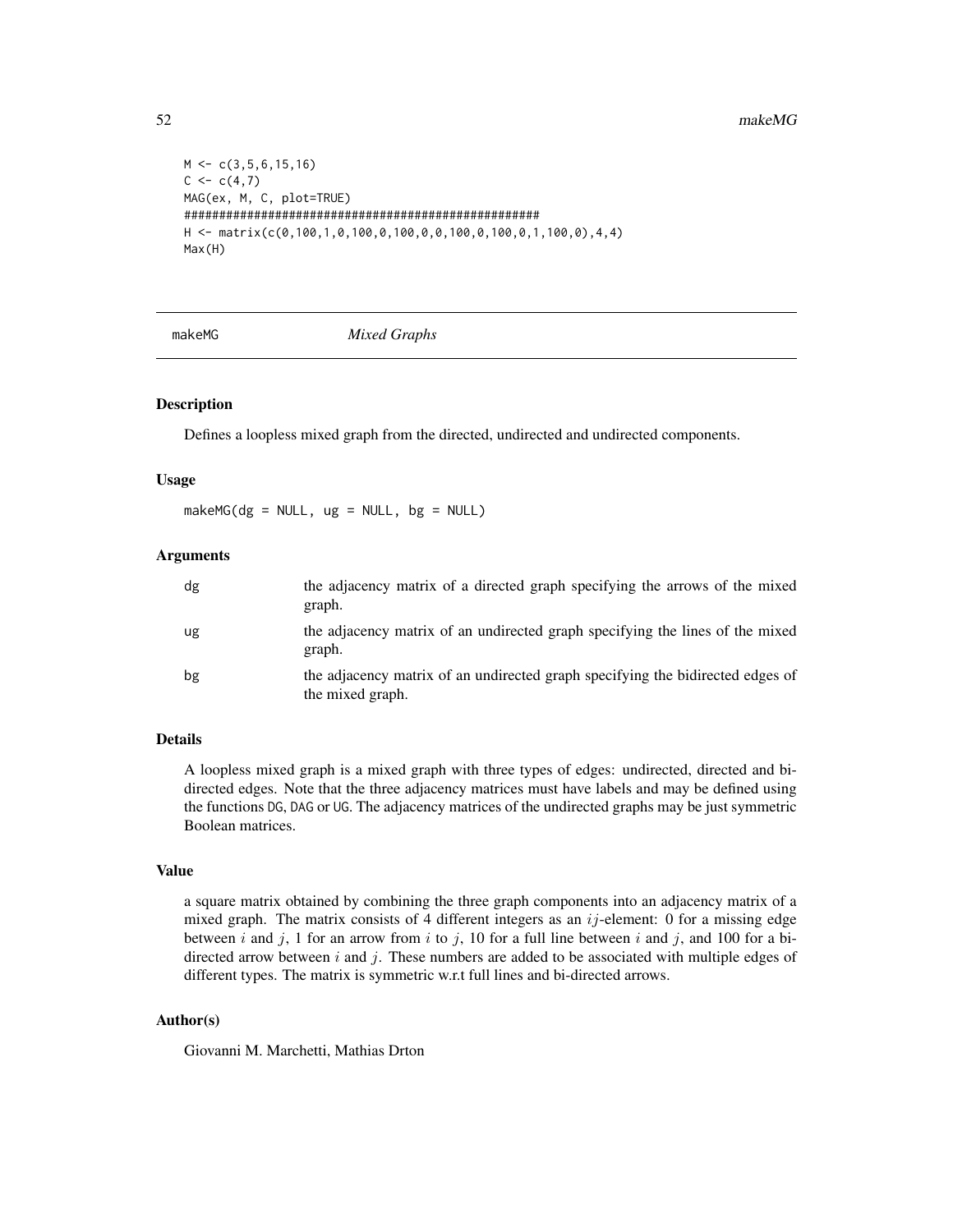```
M \leftarrow c(3, 5, 6, 15, 16)C \leq -c(4,7)MAG(ex, M, C, plot=TRUE)
###################################################
H <- matrix(c(0,100,1,0,100,0,100,0,0,100,0,100,0,1,100,0),4,4)
Max(H)
```
<span id="page-51-0"></span>

makeMG *Mixed Graphs*

## **Description**

Defines a loopless mixed graph from the directed, undirected and undirected components.

#### Usage

 $makeMG(dg = NULL, ug = NULL, bg = NULL)$ 

# Arguments

| dg | the adjacency matrix of a directed graph specifying the arrows of the mixed<br>graph.              |
|----|----------------------------------------------------------------------------------------------------|
| ug | the adjacency matrix of an undirected graph specifying the lines of the mixed<br>graph.            |
| bg | the adjacency matrix of an undirected graph specifying the bidirected edges of<br>the mixed graph. |

#### Details

A loopless mixed graph is a mixed graph with three types of edges: undirected, directed and bidirected edges. Note that the three adjacency matrices must have labels and may be defined using the functions DG, DAG or UG. The adjacency matrices of the undirected graphs may be just symmetric Boolean matrices.

## Value

a square matrix obtained by combining the three graph components into an adjacency matrix of a mixed graph. The matrix consists of 4 different integers as an  $ij$ -element: 0 for a missing edge between i and j, 1 for an arrow from i to j, 10 for a full line between i and j, and 100 for a bidirected arrow between  $i$  and  $j$ . These numbers are added to be associated with multiple edges of different types. The matrix is symmetric w.r.t full lines and bi-directed arrows.

## Author(s)

Giovanni M. Marchetti, Mathias Drton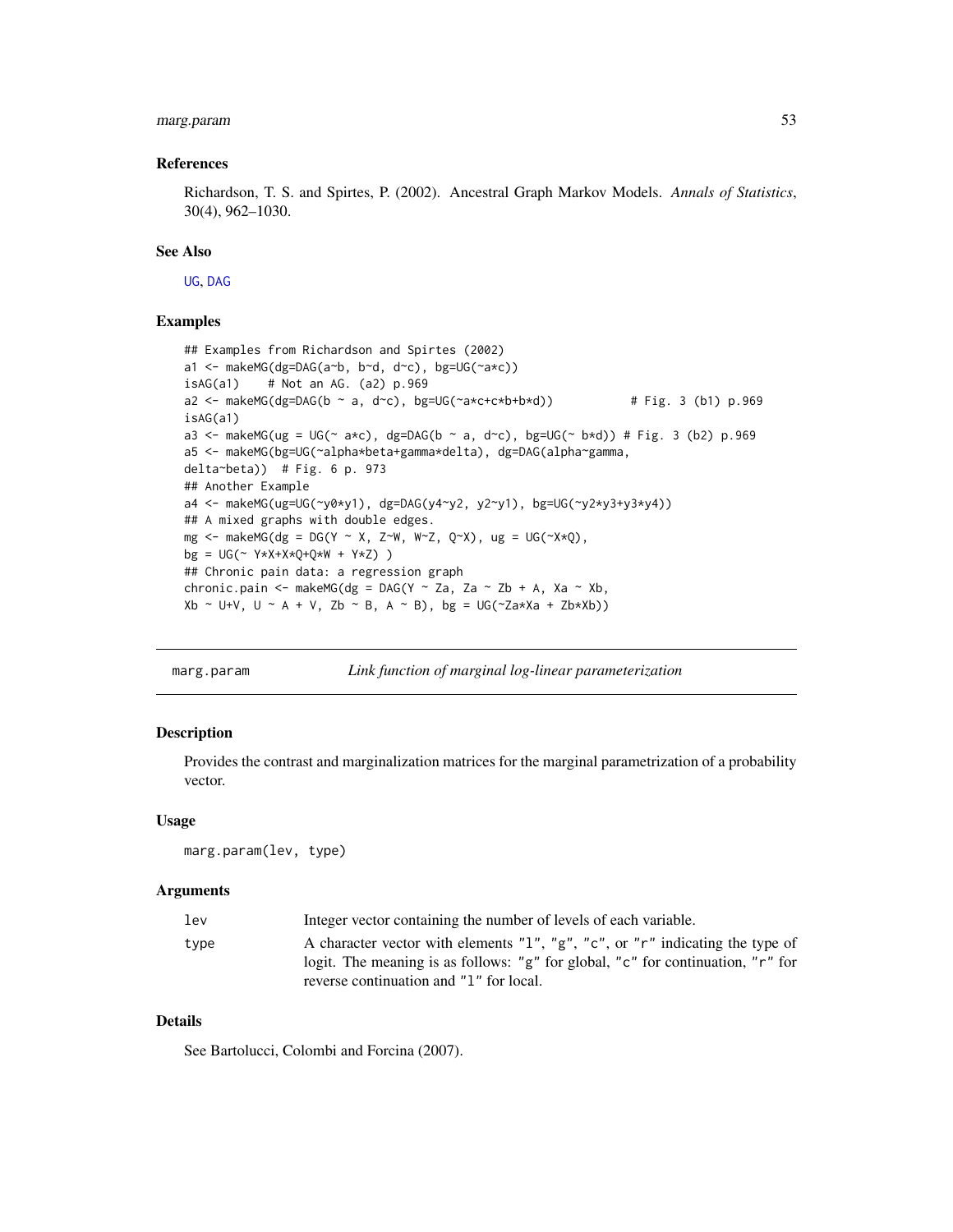# marg.param 53

#### References

Richardson, T. S. and Spirtes, P. (2002). Ancestral Graph Markov Models. *Annals of Statistics*, 30(4), 962–1030.

### See Also

[UG](#page-86-0), [DAG](#page-16-0)

### Examples

```
## Examples from Richardson and Spirtes (2002)
a1 <- makeMG(dg=DAG(a~b, b~d, d~c), bg=UG(~a*c))
isAG(a1) # Not an AG. (a2) p.969
a2 <- makeMG(dg=DAG(b ~ a, d~c), bg=UG(~a*c+c*b+b*d)) \qquad # Fig. 3 (b1) p.969
isAG(a1)
a3 <- makeMG(ug = UG(\sim a*c), dg=DAG(b \sim a, d\simc), bg=UG(\sim b*d)) # Fig. 3 (b2) p.969
a5 <- makeMG(bg=UG(~alpha*beta+gamma*delta), dg=DAG(alpha~gamma,
delta~beta)) # Fig. 6 p. 973
## Another Example
a4 <- makeMG(ug=UG(~y0*y1), dg=DAG(y4~y2, y2~y1), bg=UG(~y2*y3+y3*y4))
## A mixed graphs with double edges.
mg \le makeMG(dg = DG(Y \sim X, Z\simW, W\simZ, Q\simX), ug = UG(\simX\starQ),
bg = UG(~ Y*X+X*Q+Q*W + Y*Z) )
## Chronic pain data: a regression graph
chronic.pain <- makeMG(dg = DAG(Y \sim Za, Za \sim Zb + A, Xa \sim Xb,
Xb \sim U+V, U \sim A + V, Zb \sim B, A \sim B), bg = UG(\sim Za+Xa + Zb+Xb)
```
<span id="page-52-0"></span>marg.param *Link function of marginal log-linear parameterization*

### Description

Provides the contrast and marginalization matrices for the marginal parametrization of a probability vector.

#### Usage

marg.param(lev, type)

#### Arguments

| lev  | Integer vector containing the number of levels of each variable.                                                                                                                                            |
|------|-------------------------------------------------------------------------------------------------------------------------------------------------------------------------------------------------------------|
| type | A character vector with elements "1", "g", "c", or "r" indicating the type of<br>logit. The meaning is as follows: "g" for global, "c" for continuation, "r" for<br>reverse continuation and "1" for local. |
|      |                                                                                                                                                                                                             |

#### Details

See Bartolucci, Colombi and Forcina (2007).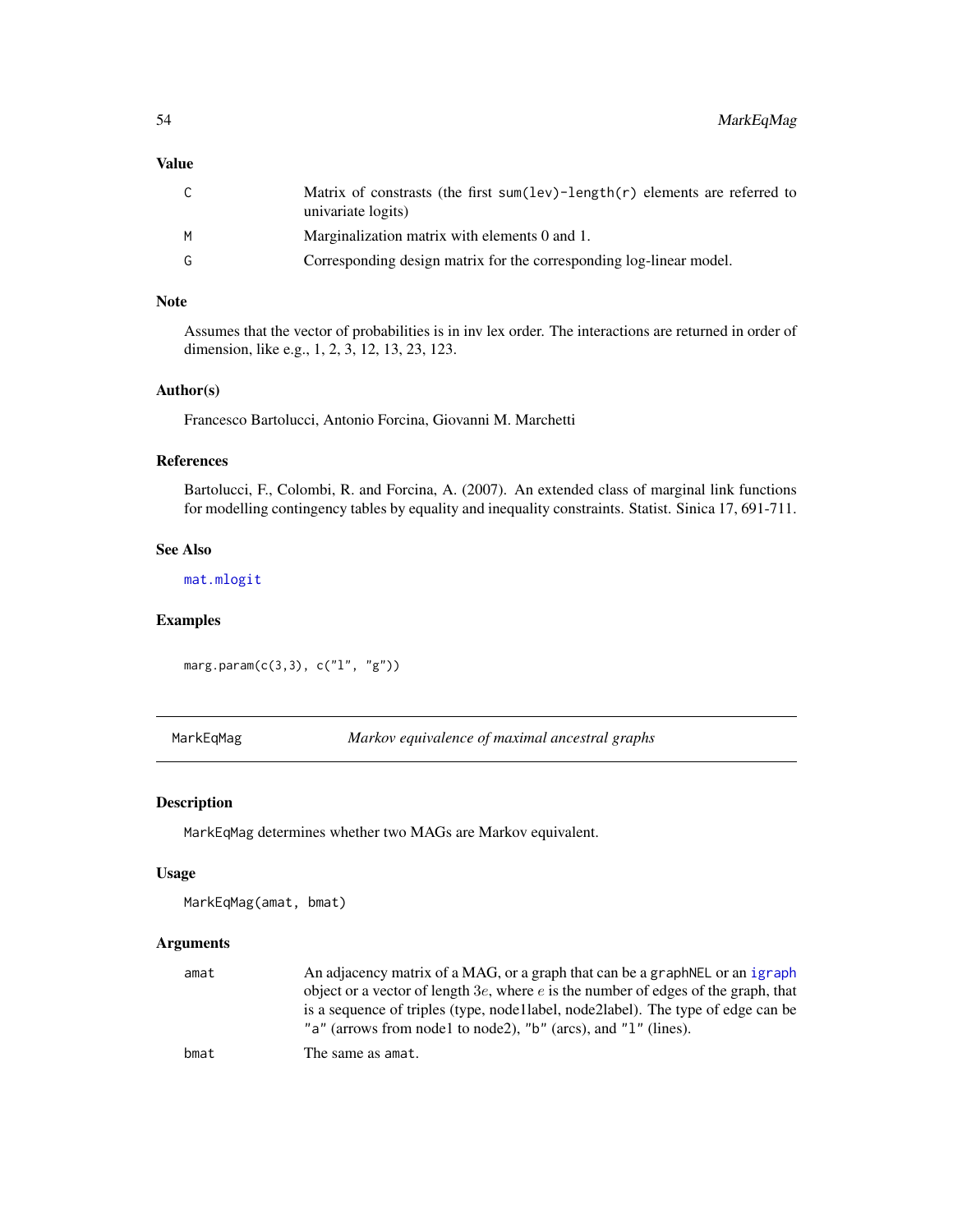# Value

| ⌒<br>J | Matrix of constrasts (the first sum(lev)-length(r) elements are referred to<br>univariate logits) |
|--------|---------------------------------------------------------------------------------------------------|
|        | Marginalization matrix with elements 0 and 1.                                                     |
|        | Corresponding design matrix for the corresponding log-linear model.                               |

# Note

Assumes that the vector of probabilities is in inv lex order. The interactions are returned in order of dimension, like e.g., 1, 2, 3, 12, 13, 23, 123.

### Author(s)

Francesco Bartolucci, Antonio Forcina, Giovanni M. Marchetti

# References

Bartolucci, F., Colombi, R. and Forcina, A. (2007). An extended class of marginal link functions for modelling contingency tables by equality and inequality constraints. Statist. Sinica 17, 691-711.

### See Also

[mat.mlogit](#page-56-0)

## Examples

marg.param(c(3,3), c("l", "g"))

<span id="page-53-0"></span>MarkEqMag *Markov equivalence of maximal ancestral graphs*

# Description

MarkEqMag determines whether two MAGs are Markov equivalent.

#### Usage

```
MarkEqMag(amat, bmat)
```
#### Arguments

| amat | An adjacency matrix of a MAG, or a graph that can be a graph NEL or an igraph         |
|------|---------------------------------------------------------------------------------------|
|      | object or a vector of length $3e$ , where e is the number of edges of the graph, that |
|      | is a sequence of triples (type, node llabel, node 2 label). The type of edge can be   |
|      | "a" (arrows from node1 to node2), "b" (arcs), and "1" (lines).                        |
| bmat | The same as amat.                                                                     |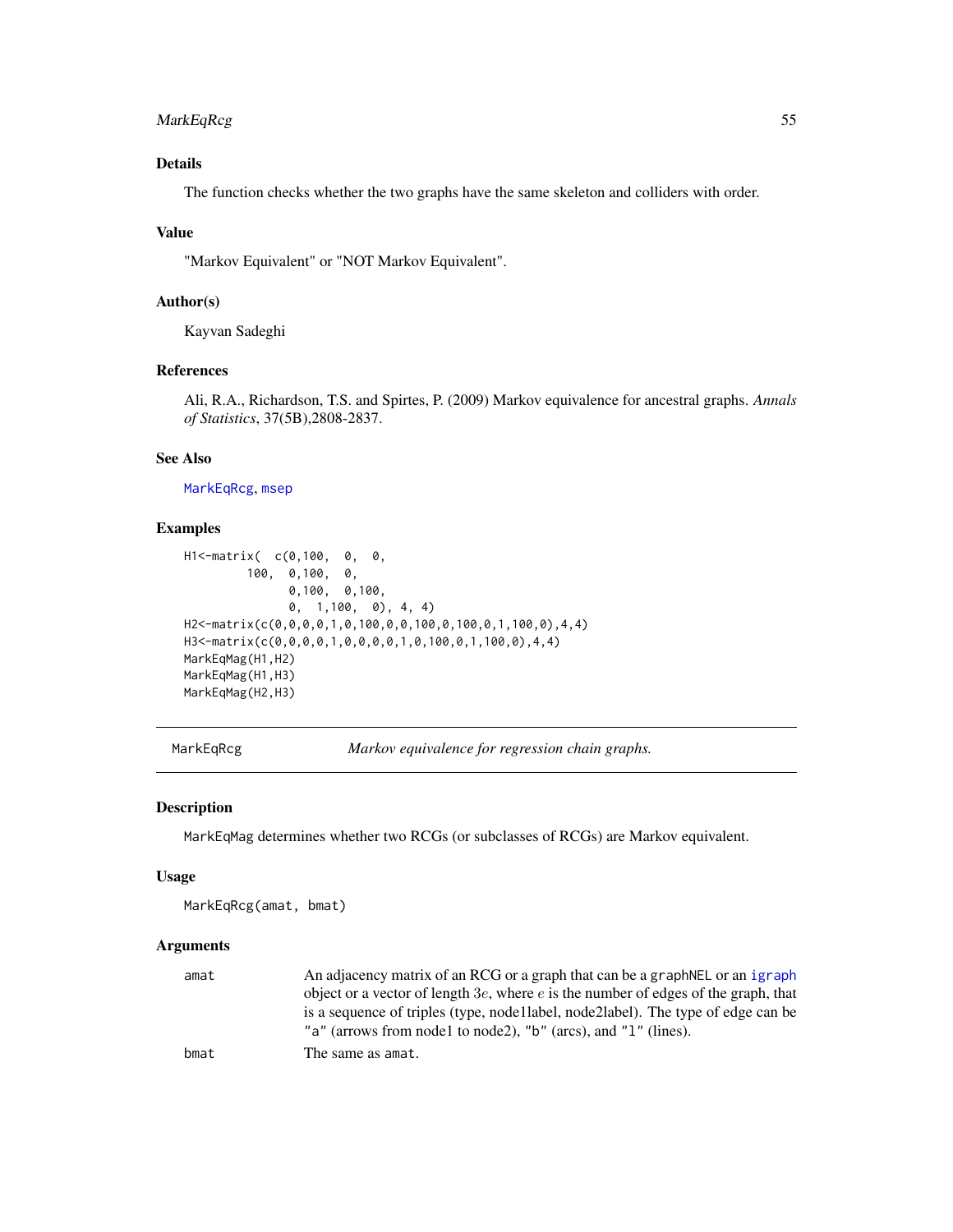# MarkEqRcg 55

# Details

The function checks whether the two graphs have the same skeleton and colliders with order.

### Value

"Markov Equivalent" or "NOT Markov Equivalent".

# Author(s)

Kayvan Sadeghi

# References

Ali, R.A., Richardson, T.S. and Spirtes, P. (2009) Markov equivalence for ancestral graphs. *Annals of Statistics*, 37(5B),2808-2837.

#### See Also

[MarkEqRcg](#page-54-0), [msep](#page-60-0)

### Examples

```
H1<-matrix( c(0,100, 0, 0,
        100, 0,100, 0,
              0,100, 0,100,
              0, 1,100, 0), 4, 4)
H2<-matrix(c(0,0,0,0,1,0,100,0,0,100,0,100,0,1,100,0),4,4)
H3<-matrix(c(0,0,0,0,1,0,0,0,0,1,0,100,0,1,100,0),4,4)
MarkEqMag(H1,H2)
MarkEqMag(H1,H3)
MarkEqMag(H2,H3)
```
<span id="page-54-0"></span>MarkEqRcg *Markov equivalence for regression chain graphs.*

### Description

MarkEqMag determines whether two RCGs (or subclasses of RCGs) are Markov equivalent.

#### Usage

```
MarkEqRcg(amat, bmat)
```
### Arguments

| amat | An adjacency matrix of an RCG or a graph that can be a graph NEL or an igraph         |
|------|---------------------------------------------------------------------------------------|
|      | object or a vector of length $3e$ , where e is the number of edges of the graph, that |
|      | is a sequence of triples (type, node llabel, node 2 label). The type of edge can be   |
|      | "a" (arrows from node1 to node2), "b" (arcs), and " $1$ " (lines).                    |
| bmat | The same as amat.                                                                     |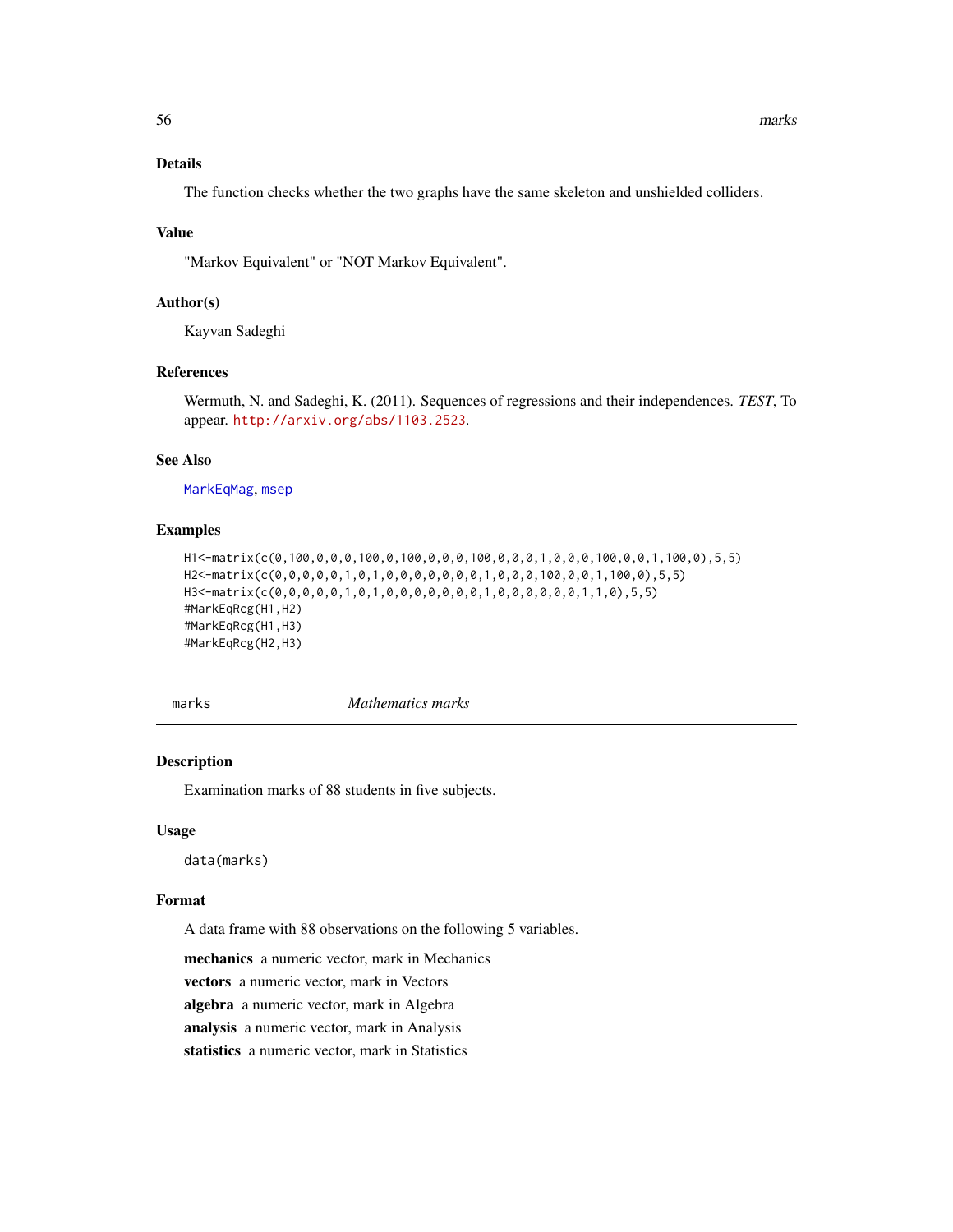# Details

The function checks whether the two graphs have the same skeleton and unshielded colliders.

### Value

"Markov Equivalent" or "NOT Markov Equivalent".

## Author(s)

Kayvan Sadeghi

# References

Wermuth, N. and Sadeghi, K. (2011). Sequences of regressions and their independences. *TEST*, To appear. <http://arxiv.org/abs/1103.2523>.

## See Also

[MarkEqMag](#page-53-0), [msep](#page-60-0)

### Examples

```
H1<-matrix(c(0,100,0,0,0,100,0,100,0,0,0,100,0,0,0,1,0,0,0,100,0,0,1,100,0),5,5)
H2<-matrix(c(0,0,0,0,0,1,0,1,0,0,0,0,0,0,0,1,0,0,0,100,0,0,1,100,0),5,5)
H3<-matrix(c(0,0,0,0,0,1,0,1,0,0,0,0,0,0,0,1,0,0,0,0,0,0,1,1,0),5,5)
#MarkEqRcg(H1,H2)
#MarkEqRcg(H1,H3)
#MarkEqRcg(H2,H3)
```
marks *Mathematics marks*

# Description

Examination marks of 88 students in five subjects.

## Usage

data(marks)

## Format

A data frame with 88 observations on the following 5 variables.

mechanics a numeric vector, mark in Mechanics

vectors a numeric vector, mark in Vectors

algebra a numeric vector, mark in Algebra

analysis a numeric vector, mark in Analysis

statistics a numeric vector, mark in Statistics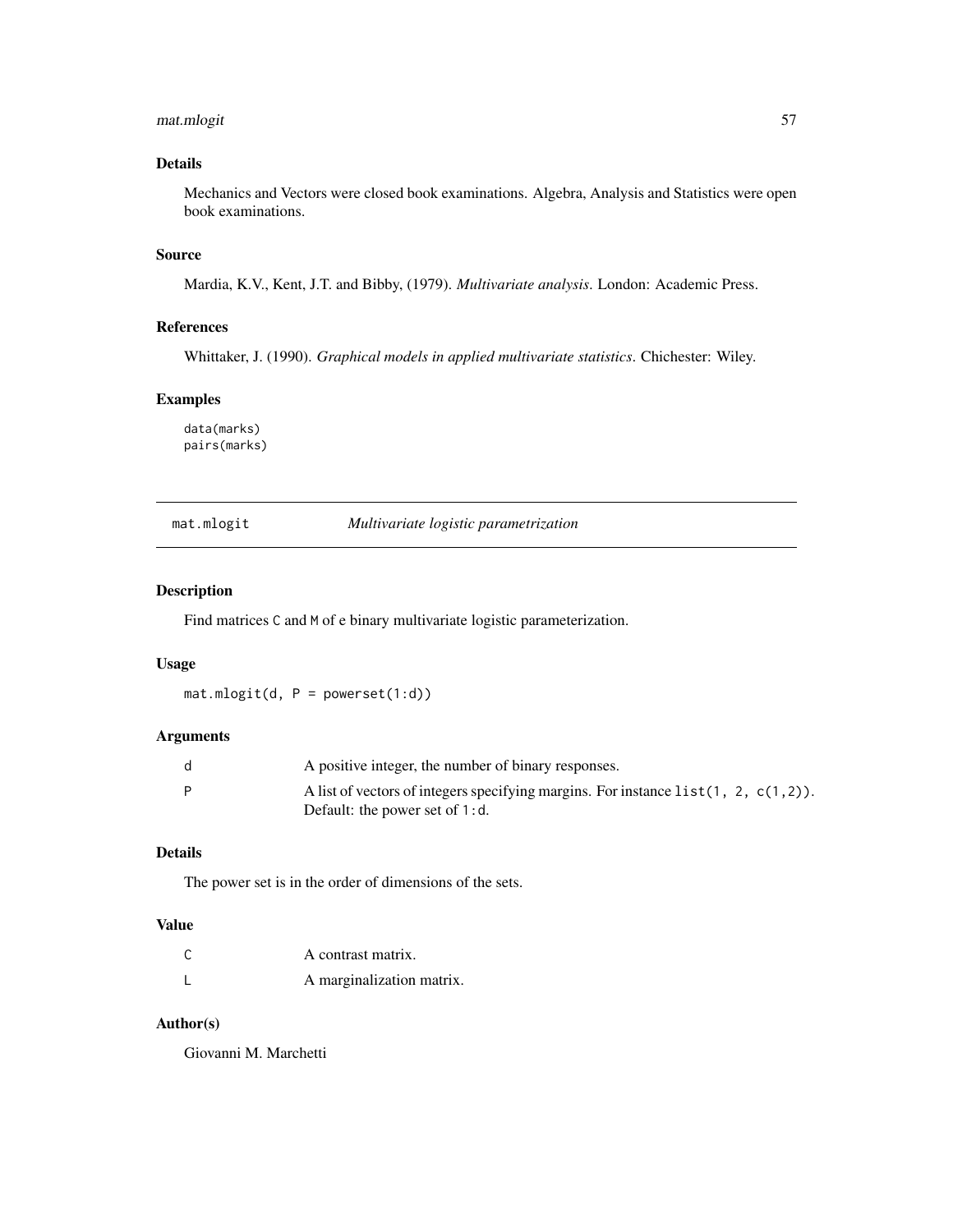# mat.mlogit 57

# Details

Mechanics and Vectors were closed book examinations. Algebra, Analysis and Statistics were open book examinations.

## Source

Mardia, K.V., Kent, J.T. and Bibby, (1979). *Multivariate analysis*. London: Academic Press.

## References

Whittaker, J. (1990). *Graphical models in applied multivariate statistics*. Chichester: Wiley.

# Examples

data(marks) pairs(marks)

## <span id="page-56-0"></span>mat.mlogit *Multivariate logistic parametrization*

## Description

Find matrices C and M of e binary multivariate logistic parameterization.

# Usage

 $mat.mlogit(d, P = powerset(1:d))$ 

# Arguments

| A positive integer, the number of binary responses.                                    |
|----------------------------------------------------------------------------------------|
| A list of vectors of integers specifying margins. For instance $list(1, 2, c(1, 2))$ . |
| Default: the power set of $1: d$ .                                                     |

# Details

The power set is in the order of dimensions of the sets.

### Value

| С | A contrast matrix.        |
|---|---------------------------|
|   | A marginalization matrix. |

# Author(s)

Giovanni M. Marchetti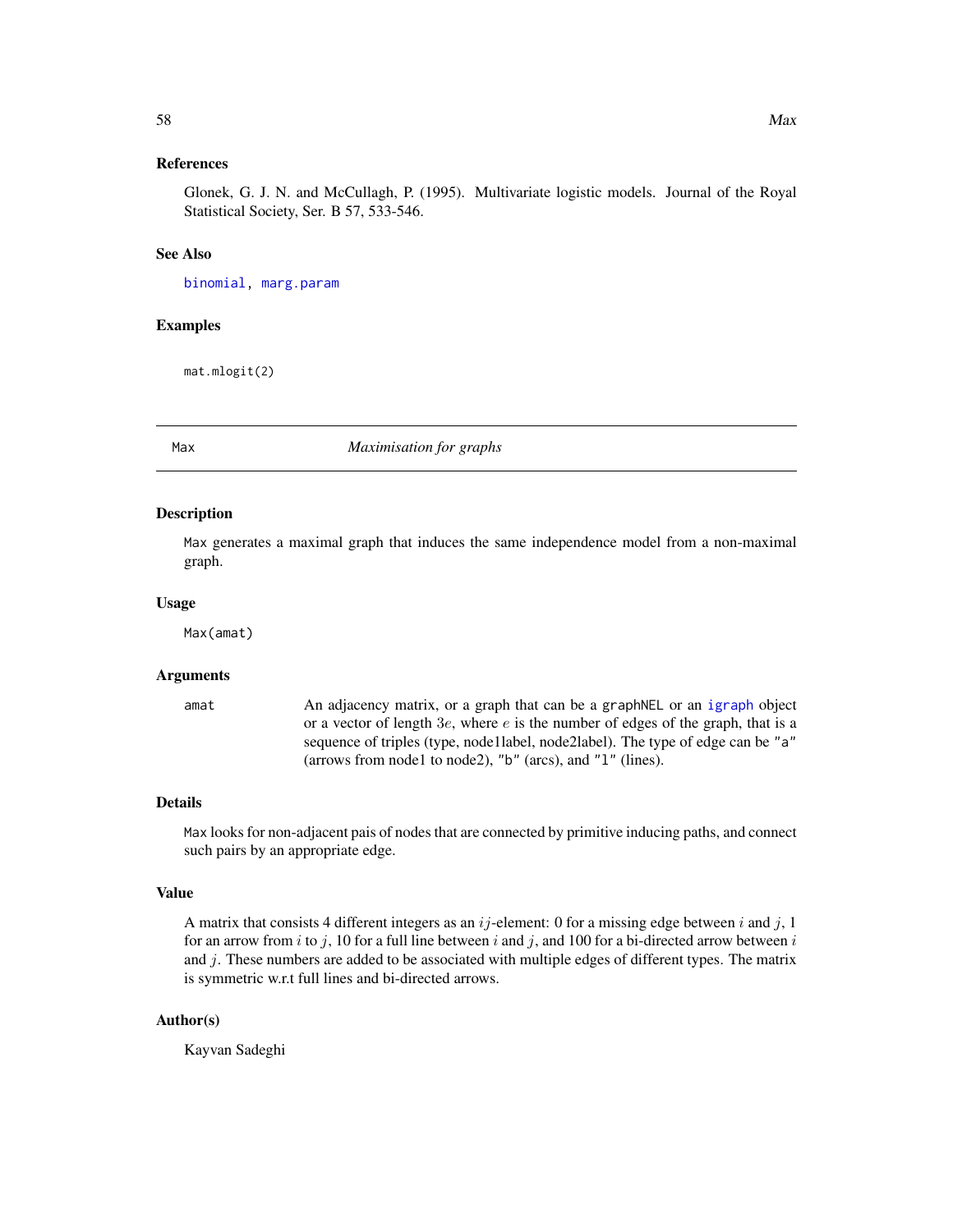## References

Glonek, G. J. N. and McCullagh, P. (1995). Multivariate logistic models. Journal of the Royal Statistical Society, Ser. B 57, 533-546.

### See Also

[binomial,](#page-0-0) [marg.param](#page-52-0)

## Examples

mat.mlogit(2)

<span id="page-57-0"></span>Max *Maximisation for graphs*

#### Description

Max generates a maximal graph that induces the same independence model from a non-maximal graph.

### Usage

Max(amat)

### Arguments

amat An adjacency matrix, or a graph that can be a graphNEL or an [igraph](#page-0-0) object or a vector of length  $3e$ , where  $e$  is the number of edges of the graph, that is a sequence of triples (type, node1label, node2label). The type of edge can be "a" (arrows from node1 to node2), "b" (arcs), and "l" (lines).

## Details

Max looks for non-adjacent pais of nodes that are connected by primitive inducing paths, and connect such pairs by an appropriate edge.

### Value

A matrix that consists 4 different integers as an  $ij$ -element: 0 for a missing edge between i and j, 1 for an arrow from i to j, 10 for a full line between i and j, and 100 for a bi-directed arrow between i and j. These numbers are added to be associated with multiple edges of different types. The matrix is symmetric w.r.t full lines and bi-directed arrows.

## Author(s)

Kayvan Sadeghi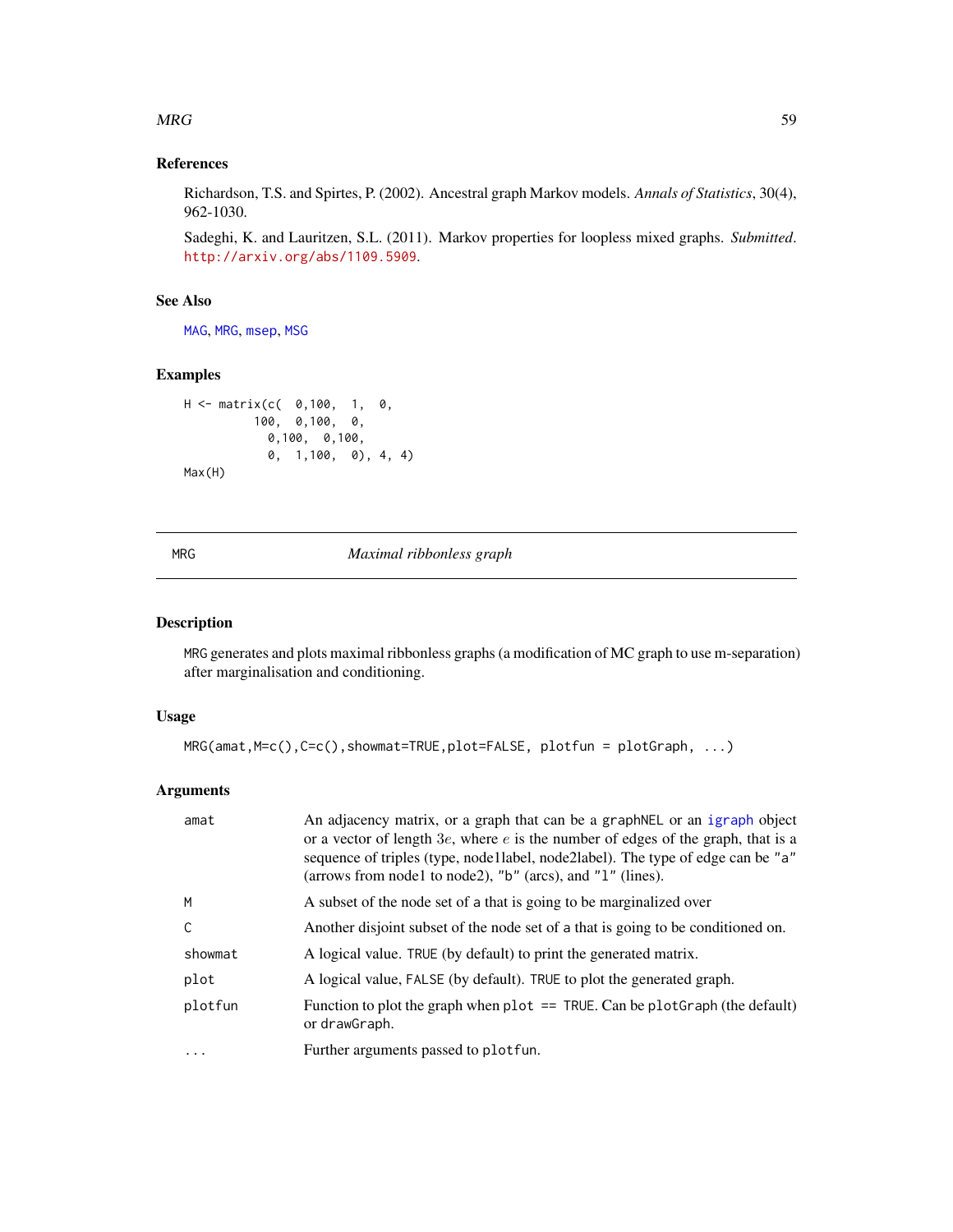### $MRG$  59

# References

Richardson, T.S. and Spirtes, P. (2002). Ancestral graph Markov models. *Annals of Statistics*, 30(4), 962-1030.

Sadeghi, K. and Lauritzen, S.L. (2011). Markov properties for loopless mixed graphs. *Submitted*. <http://arxiv.org/abs/1109.5909>.

# See Also

[MAG](#page-49-0), [MRG](#page-58-0), [msep](#page-60-0), [MSG](#page-61-0)

## Examples

```
H <- matrix(c( 0,100, 1, 0,
         100, 0,100, 0,
          0,100, 0,100,
           0, 1,100, 0), 4, 4)
Max(H)
```
<span id="page-58-0"></span>MRG *Maximal ribbonless graph*

# Description

MRG generates and plots maximal ribbonless graphs (a modification of MC graph to use m-separation) after marginalisation and conditioning.

### Usage

```
MRG(amat,M=c(),C=c(),showmat=TRUE,plot=FALSE, plotfun = plotGraph, ...)
```
## Arguments

| amat    | An adjacency matrix, or a graph that can be a graphNEL or an igraph object<br>or a vector of length $3e$ , where $e$ is the number of edges of the graph, that is a<br>sequence of triples (type, node llabel, node 2 label). The type of edge can be "a"<br>(arrows from node1 to node2), "b" (arcs), and "1" (lines). |
|---------|-------------------------------------------------------------------------------------------------------------------------------------------------------------------------------------------------------------------------------------------------------------------------------------------------------------------------|
| M       | A subset of the node set of a that is going to be marginalized over                                                                                                                                                                                                                                                     |
| C       | Another disjoint subset of the node set of a that is going to be conditioned on.                                                                                                                                                                                                                                        |
| showmat | A logical value. TRUE (by default) to print the generated matrix.                                                                                                                                                                                                                                                       |
| plot    | A logical value, FALSE (by default). TRUE to plot the generated graph.                                                                                                                                                                                                                                                  |
| plotfun | Function to plot the graph when $plot = = TRUE$ . Can be $plotGraph$ (the default)<br>or drawGraph.                                                                                                                                                                                                                     |
| .       | Further arguments passed to plotfun.                                                                                                                                                                                                                                                                                    |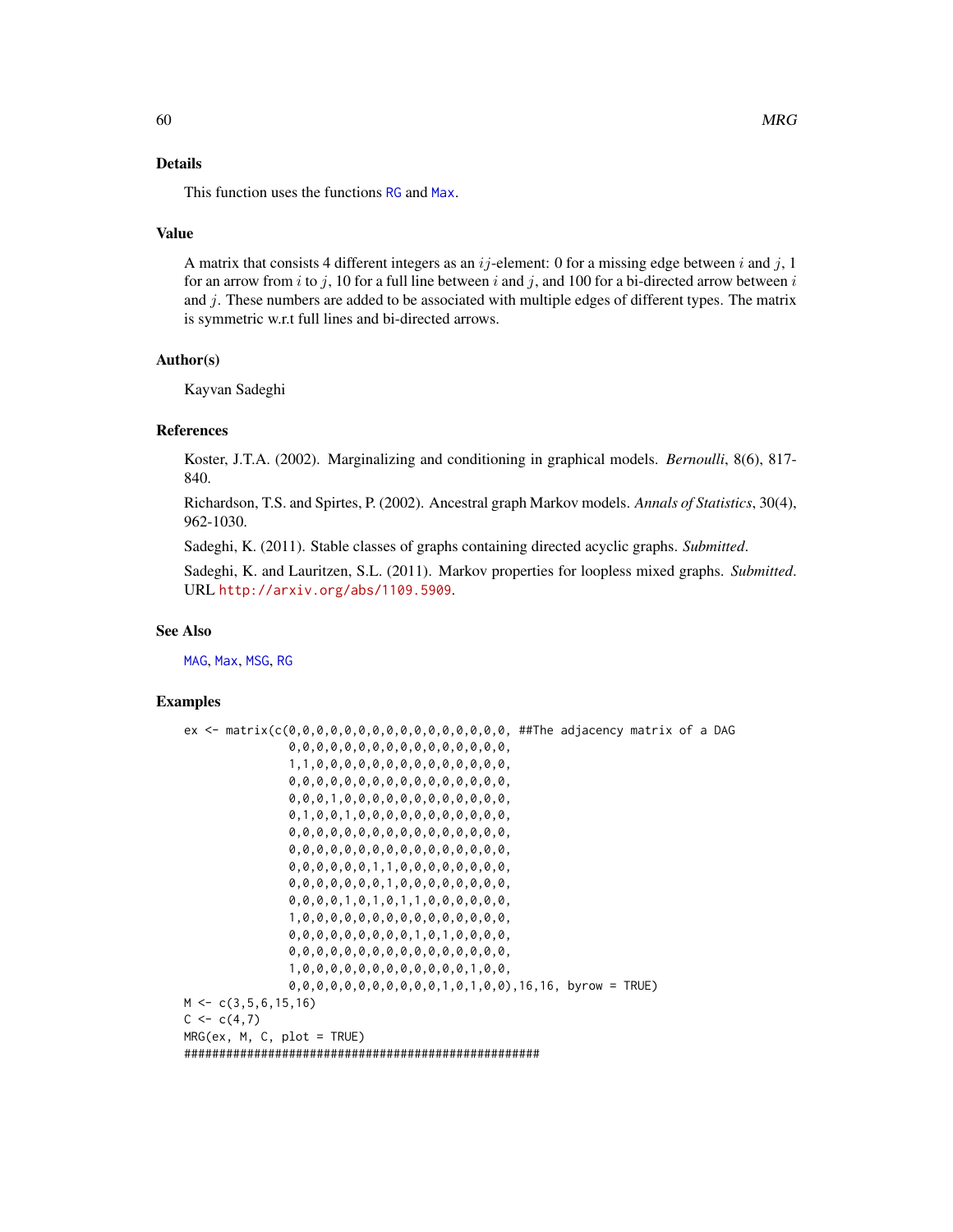This function uses the functions [RG](#page-73-0) and [Max](#page-57-0).

#### Value

A matrix that consists 4 different integers as an  $ij$ -element: 0 for a missing edge between i and j, 1 for an arrow from i to j, 10 for a full line between i and j, and 100 for a bi-directed arrow between i and  $j$ . These numbers are added to be associated with multiple edges of different types. The matrix is symmetric w.r.t full lines and bi-directed arrows.

### Author(s)

Kayvan Sadeghi

#### References

Koster, J.T.A. (2002). Marginalizing and conditioning in graphical models. *Bernoulli*, 8(6), 817- 840.

Richardson, T.S. and Spirtes, P. (2002). Ancestral graph Markov models. *Annals of Statistics*, 30(4), 962-1030.

Sadeghi, K. (2011). Stable classes of graphs containing directed acyclic graphs. *Submitted*.

Sadeghi, K. and Lauritzen, S.L. (2011). Markov properties for loopless mixed graphs. *Submitted*. URL <http://arxiv.org/abs/1109.5909>.

### See Also

[MAG](#page-49-0), [Max](#page-57-0), [MSG](#page-61-0), [RG](#page-73-0)

### Examples

```
ex <- matrix(c(0,0,0,0,0,0,0,0,0,0,0,0,0,0,0,0, ##The adjacency matrix of a DAG
               0,0,0,0,0,0,0,0,0,0,0,0,0,0,0,0,
               1,1,0,0,0,0,0,0,0,0,0,0,0,0,0,0,
               0,0,0,0,0,0,0,0,0,0,0,0,0,0,0,0,
               0,0,0,1,0,0,0,0,0,0,0,0,0,0,0,0,
               0,1,0,0,1,0,0,0,0,0,0,0,0,0,0,0,
               0,0,0,0,0,0,0,0,0,0,0,0,0,0,0,0,
               0,0,0,0,0,0,0,0,0,0,0,0,0,0,0,0,
               0,0,0,0,0,0,1,1,0,0,0,0,0,0,0,0,
               0,0,0,0,0,0,0,1,0,0,0,0,0,0,0,0,
               0,0,0,0,1,0,1,0,1,1,0,0,0,0,0,0,
               1,0,0,0,0,0,0,0,0,0,0,0,0,0,0,0,
               0,0,0,0,0,0,0,0,0,1,0,1,0,0,0,0,
               0,0,0,0,0,0,0,0,0,0,0,0,0,0,0,0,
               1,0,0,0,0,0,0,0,0,0,0,0,0,1,0,0,
               0,0,0,0,0,0,0,0,0,0,0,1,0,1,0,0),16,16, byrow = TRUE)
M \leftarrow c(3, 5, 6, 15, 16)C \leq -c(4,7)MRG(ex, M, C, plot = TRUE)
###################################################
```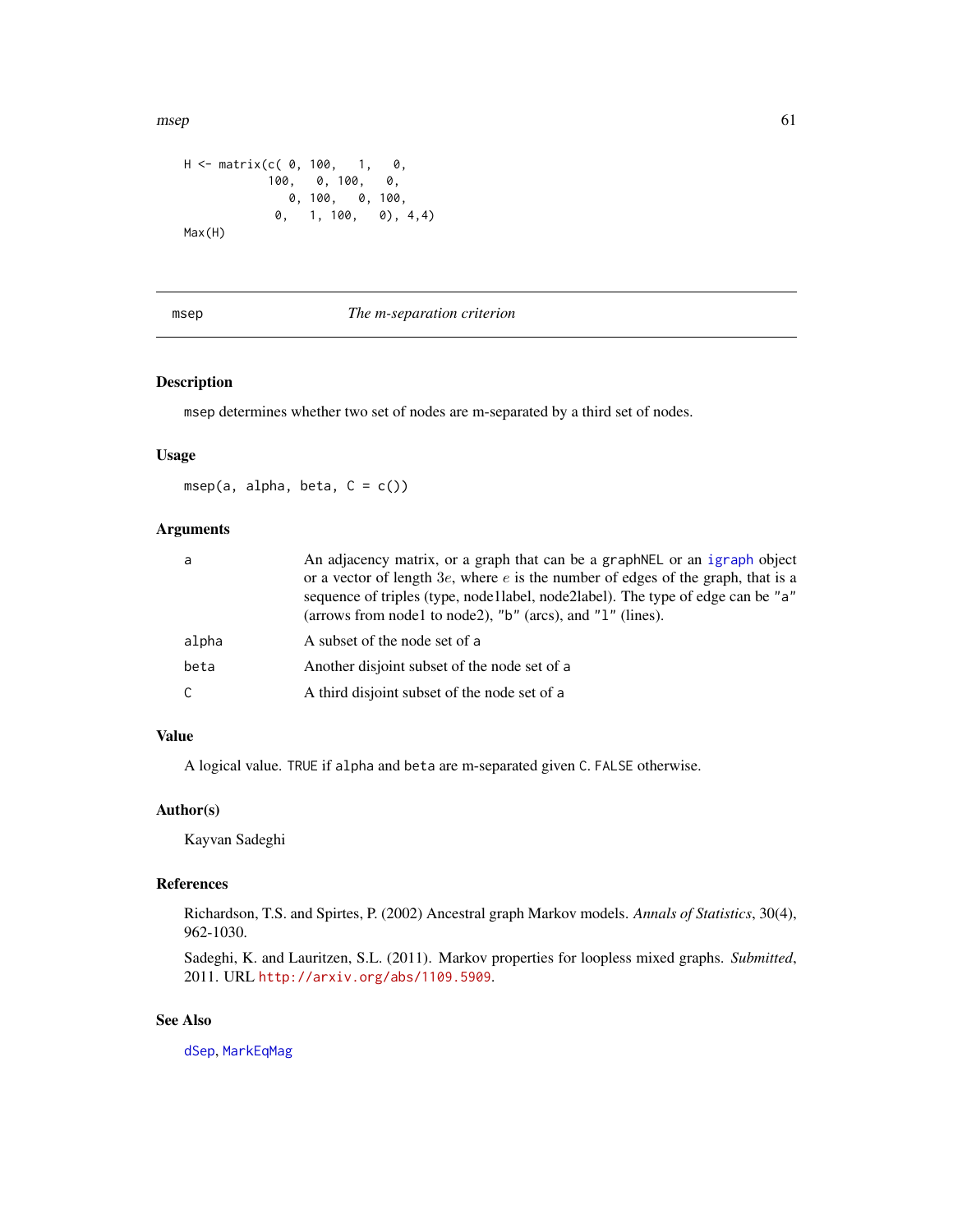$\blacksquare$  msep 61

```
H <- matrix(c( 0, 100, 1, 0,
          100, 0, 100, 0,
            0, 100, 0, 100,
           0, 1, 100, 0), 4,4)
Max(H)
```
### <span id="page-60-0"></span>msep *The m-separation criterion*

### Description

msep determines whether two set of nodes are m-separated by a third set of nodes.

### Usage

msep(a, alpha, beta,  $C = c()$ )

## Arguments

| a     | An adjacency matrix, or a graph that can be a graph NEL or an igraph object<br>or a vector of length $3e$ , where e is the number of edges of the graph, that is a<br>sequence of triples (type, node1label, node2label). The type of edge can be "a"<br>(arrows from node1 to node2), " $b$ " (arcs), and " $1$ " (lines). |
|-------|-----------------------------------------------------------------------------------------------------------------------------------------------------------------------------------------------------------------------------------------------------------------------------------------------------------------------------|
| alpha | A subset of the node set of a                                                                                                                                                                                                                                                                                               |
| beta  | Another disjoint subset of the node set of a                                                                                                                                                                                                                                                                                |
| C.    | A third disjoint subset of the node set of a                                                                                                                                                                                                                                                                                |

## Value

A logical value. TRUE if alpha and beta are m-separated given C. FALSE otherwise.

### Author(s)

Kayvan Sadeghi

### References

Richardson, T.S. and Spirtes, P. (2002) Ancestral graph Markov models. *Annals of Statistics*, 30(4), 962-1030.

Sadeghi, K. and Lauritzen, S.L. (2011). Markov properties for loopless mixed graphs. *Submitted*, 2011. URL <http://arxiv.org/abs/1109.5909>.

# See Also

[dSep](#page-23-0), [MarkEqMag](#page-53-0)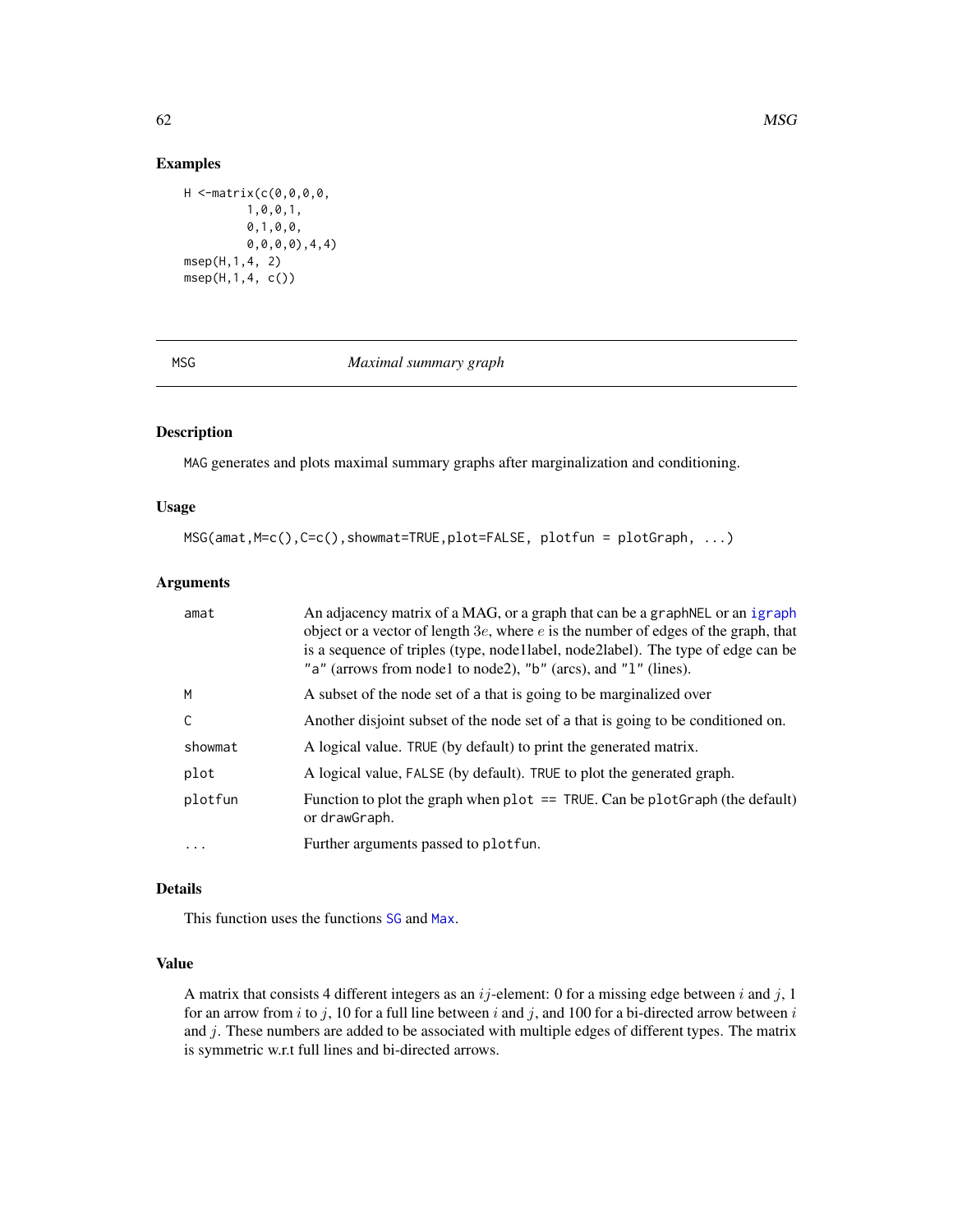## Examples

```
H <-matrix(c(0,0,0,0,
         1,0,0,1,
         0,1,0,0,
         0,0,0,0),4,4)
msep(H,1,4, 2)
msep(H,1,4, c())
```
<span id="page-61-0"></span>

# MSG *Maximal summary graph*

# Description

MAG generates and plots maximal summary graphs after marginalization and conditioning.

# Usage

```
MSG(amat,M=c(),C=c(),showmat=TRUE,plot=FALSE, plotfun = plotGraph, ...)
```
## Arguments

| amat         | An adjacency matrix of a MAG, or a graph that can be a graph NEL or an igraph<br>object or a vector of length $3e$ , where e is the number of edges of the graph, that<br>is a sequence of triples (type, node 1 label, node 2 label). The type of edge can be<br>"a" (arrows from node1 to node2), "b" (arcs), and "1" (lines). |
|--------------|----------------------------------------------------------------------------------------------------------------------------------------------------------------------------------------------------------------------------------------------------------------------------------------------------------------------------------|
| M            | A subset of the node set of a that is going to be marginalized over                                                                                                                                                                                                                                                              |
| $\mathsf{C}$ | Another disjoint subset of the node set of a that is going to be conditioned on.                                                                                                                                                                                                                                                 |
| showmat      | A logical value. TRUE (by default) to print the generated matrix.                                                                                                                                                                                                                                                                |
| plot         | A logical value, FALSE (by default). TRUE to plot the generated graph.                                                                                                                                                                                                                                                           |
| plotfun      | Function to plot the graph when $plot = = TRUE$ . Can be $plotGraph$ (the default)<br>or drawGraph.                                                                                                                                                                                                                              |
| $\ddotsc$    | Further arguments passed to plotfun.                                                                                                                                                                                                                                                                                             |

## Details

This function uses the functions [SG](#page-77-0) and [Max](#page-57-0).

## Value

A matrix that consists 4 different integers as an  $ij$ -element: 0 for a missing edge between i and j, 1 for an arrow from i to j, 10 for a full line between i and j, and 100 for a bi-directed arrow between i and j. These numbers are added to be associated with multiple edges of different types. The matrix is symmetric w.r.t full lines and bi-directed arrows.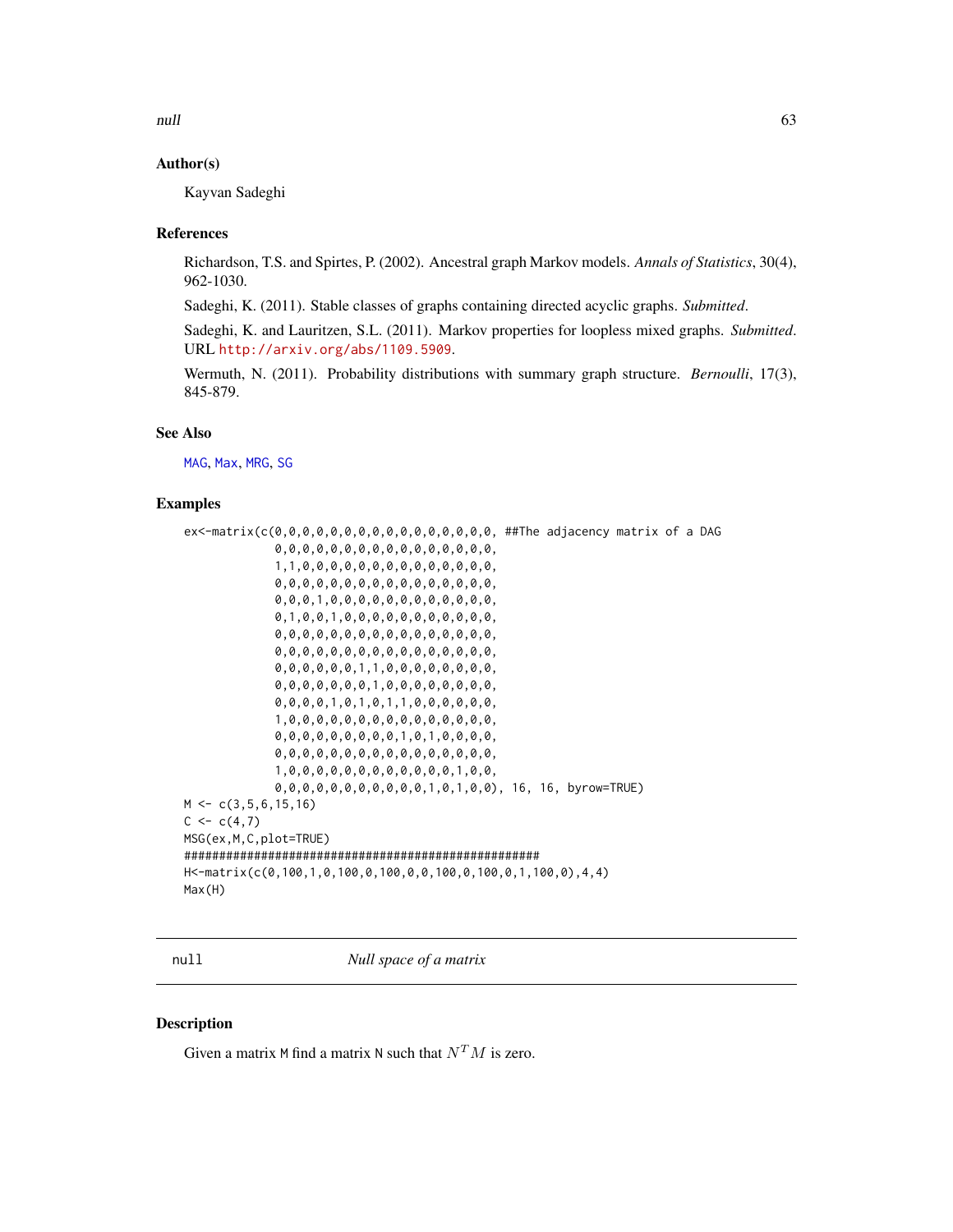null the contract of the contract of the contract of the contract of the contract of the contract of the contract of the contract of the contract of the contract of the contract of the contract of the contract of the contr

## Author(s)

Kayvan Sadeghi

## References

Richardson, T.S. and Spirtes, P. (2002). Ancestral graph Markov models. *Annals of Statistics*, 30(4), 962-1030.

Sadeghi, K. (2011). Stable classes of graphs containing directed acyclic graphs. *Submitted*.

Sadeghi, K. and Lauritzen, S.L. (2011). Markov properties for loopless mixed graphs. *Submitted*. URL <http://arxiv.org/abs/1109.5909>.

Wermuth, N. (2011). Probability distributions with summary graph structure. *Bernoulli*, 17(3), 845-879.

## See Also

[MAG](#page-49-0), [Max](#page-57-0), [MRG](#page-58-0), [SG](#page-77-0)

## Examples

```
ex<-matrix(c(0,0,0,0,0,0,0,0,0,0,0,0,0,0,0,0, ##The adjacency matrix of a DAG
             0,0,0,0,0,0,0,0,0,0,0,0,0,0,0,0,
             1,1,0,0,0,0,0,0,0,0,0,0,0,0,0,0,
             0,0,0,0,0,0,0,0,0,0,0,0,0,0,0,0,
             0,0,0,1,0,0,0,0,0,0,0,0,0,0,0,0,
             0,1,0,0,1,0,0,0,0,0,0,0,0,0,0,0,
             0,0,0,0,0,0,0,0,0,0,0,0,0,0,0,0,
             0,0,0,0,0,0,0,0,0,0,0,0,0,0,0,0,
             0,0,0,0,0,0,1,1,0,0,0,0,0,0,0,0,
             0,0,0,0,0,0,0,1,0,0,0,0,0,0,0,0,
             0,0,0,0,1,0,1,0,1,1,0,0,0,0,0,0,
             1,0,0,0,0,0,0,0,0,0,0,0,0,0,0,0,
             0,0,0,0,0,0,0,0,0,1,0,1,0,0,0,0,
             0,0,0,0,0,0,0,0,0,0,0,0,0,0,0,0,
             1,0,0,0,0,0,0,0,0,0,0,0,0,1,0,0,
             0,0,0,0,0,0,0,0,0,0,0,1,0,1,0,0), 16, 16, byrow=TRUE)
M < -c(3, 5, 6, 15, 16)C < -c(4,7)MSG(ex,M,C,plot=TRUE)
###################################################
H<-matrix(c(0,100,1,0,100,0,100,0,0,100,0,100,0,1,100,0),4,4)
Max(H)
```
null *Null space of a matrix*

#### Description

Given a matrix M find a matrix N such that  $N^T M$  is zero.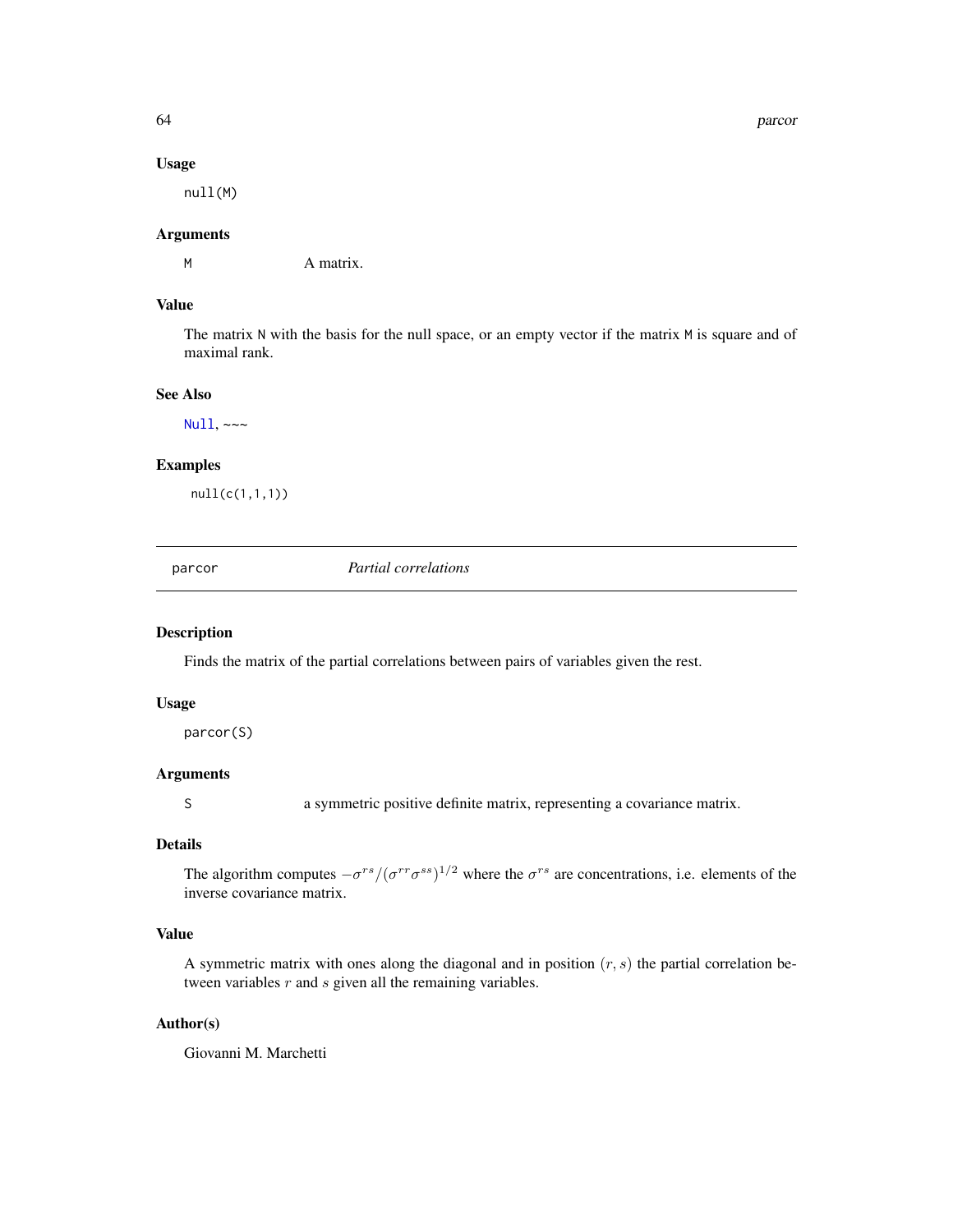#### 64 parcor

#### Usage

null(M)

# Arguments

M A matrix.

## Value

The matrix N with the basis for the null space, or an empty vector if the matrix M is square and of maximal rank.

## See Also

[Null](#page-0-0), ~~~

## Examples

null(c(1,1,1))

<span id="page-63-0"></span>parcor *Partial correlations*

### Description

Finds the matrix of the partial correlations between pairs of variables given the rest.

## Usage

parcor(S)

# Arguments

S a symmetric positive definite matrix, representing a covariance matrix.

## Details

The algorithm computes  $-\sigma^{rs}/(\sigma^{rr}\sigma^{ss})^{1/2}$  where the  $\sigma^{rs}$  are concentrations, i.e. elements of the inverse covariance matrix.

# Value

A symmetric matrix with ones along the diagonal and in position  $(r, s)$  the partial correlation between variables  $r$  and  $s$  given all the remaining variables.

# Author(s)

Giovanni M. Marchetti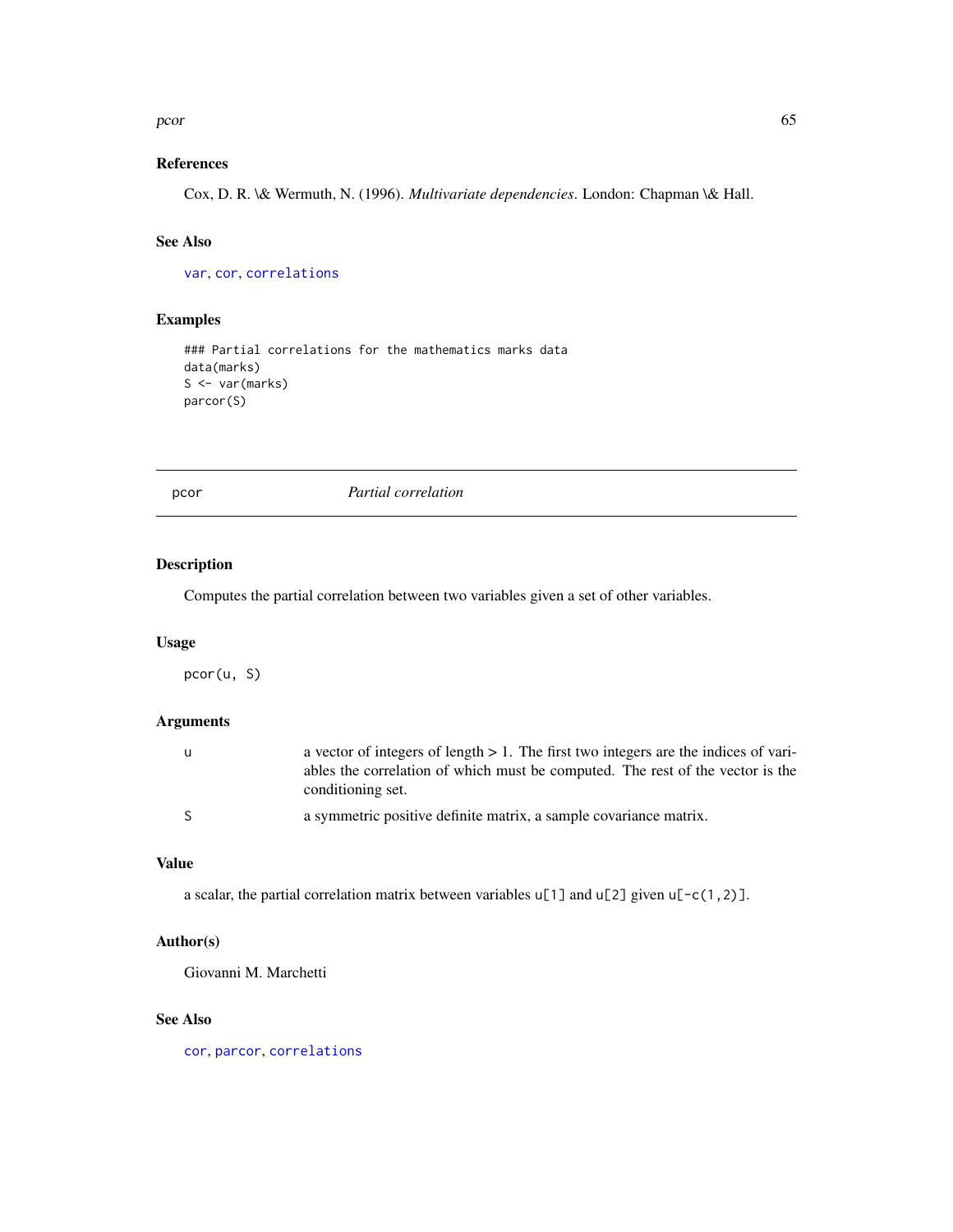#### $\sim$  65

# References

Cox, D. R. \& Wermuth, N. (1996). *Multivariate dependencies*. London: Chapman \& Hall.

# See Also

[var](#page-0-0), [cor](#page-0-0), [correlations](#page-14-0)

## Examples

```
### Partial correlations for the mathematics marks data
data(marks)
S <- var(marks)
parcor(S)
```
<span id="page-64-0"></span>pcor *Partial correlation*

# Description

Computes the partial correlation between two variables given a set of other variables.

### Usage

pcor(u, S)

## Arguments

| u            | a vector of integers of length $> 1$ . The first two integers are the indices of vari-              |
|--------------|-----------------------------------------------------------------------------------------------------|
|              | ables the correlation of which must be computed. The rest of the vector is the<br>conditioning set. |
|              |                                                                                                     |
| <sup>S</sup> | a symmetric positive definite matrix, a sample covariance matrix.                                   |

### Value

a scalar, the partial correlation matrix between variables  $u[1]$  and  $u[2]$  given  $u[-c(1,2)]$ .

## Author(s)

Giovanni M. Marchetti

### See Also

[cor](#page-0-0), [parcor](#page-63-0), [correlations](#page-14-0)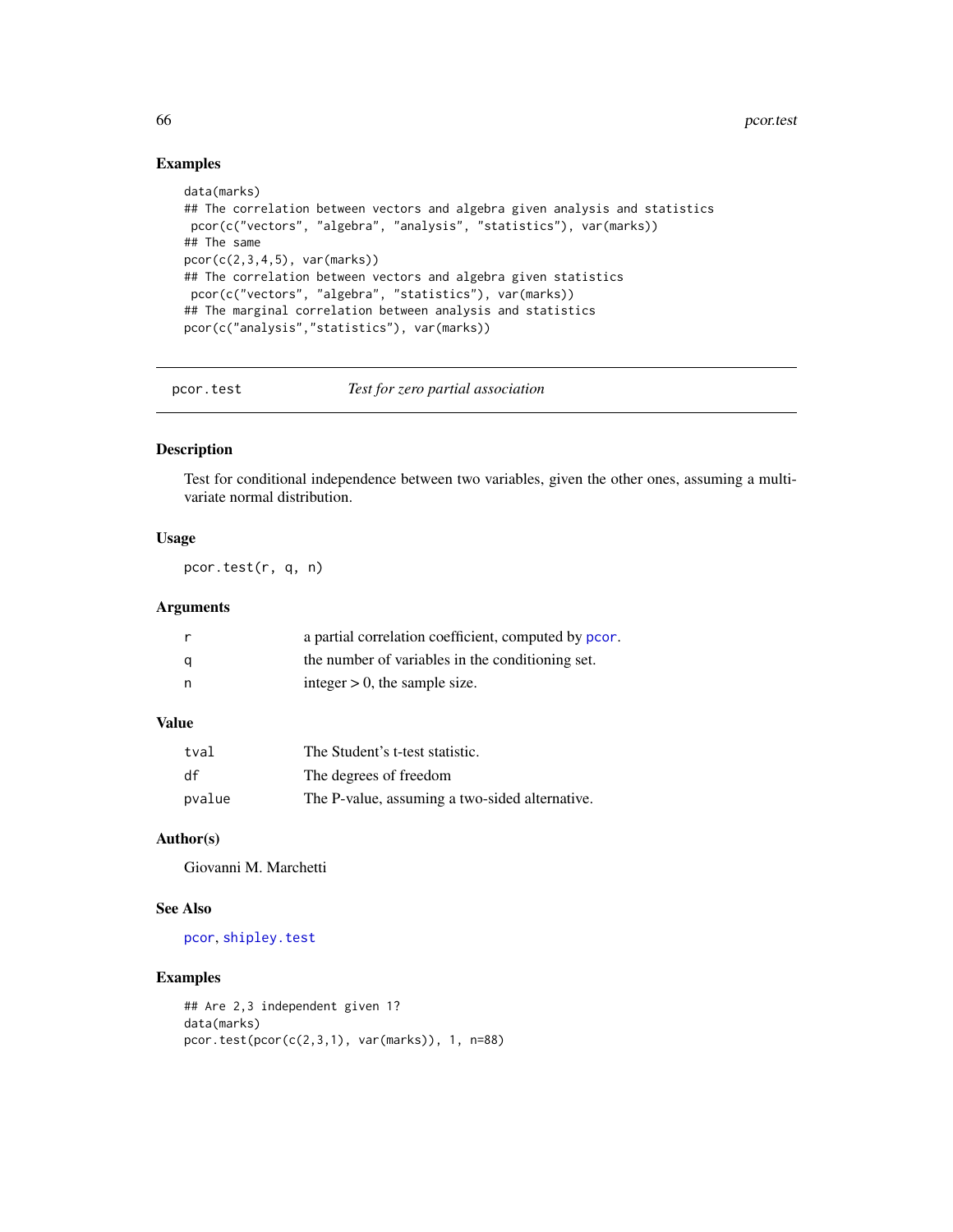# Examples

```
data(marks)
## The correlation between vectors and algebra given analysis and statistics
pcor(c("vectors", "algebra", "analysis", "statistics"), var(marks))
## The same
pcor(c(2,3,4,5), var(maxks))## The correlation between vectors and algebra given statistics
pcor(c("vectors", "algebra", "statistics"), var(marks))
## The marginal correlation between analysis and statistics
pcor(c("analysis","statistics"), var(marks))
```
pcor.test *Test for zero partial association*

## Description

Test for conditional independence between two variables, given the other ones, assuming a multivariate normal distribution.

# Usage

pcor.test(r, q, n)

## Arguments

|   | a partial correlation coefficient, computed by pcor. |
|---|------------------------------------------------------|
| a | the number of variables in the conditioning set.     |
| n | integer $> 0$ , the sample size.                     |

## Value

| tval   | The Student's t-test statistic.                |
|--------|------------------------------------------------|
| df     | The degrees of freedom                         |
| pvalue | The P-value, assuming a two-sided alternative. |

# Author(s)

Giovanni M. Marchetti

# See Also

[pcor](#page-64-0), [shipley.test](#page-78-0)

### Examples

```
## Are 2,3 independent given 1?
data(marks)
pcor.test(pcor(c(2,3,1), var(marks)), 1, n=88)
```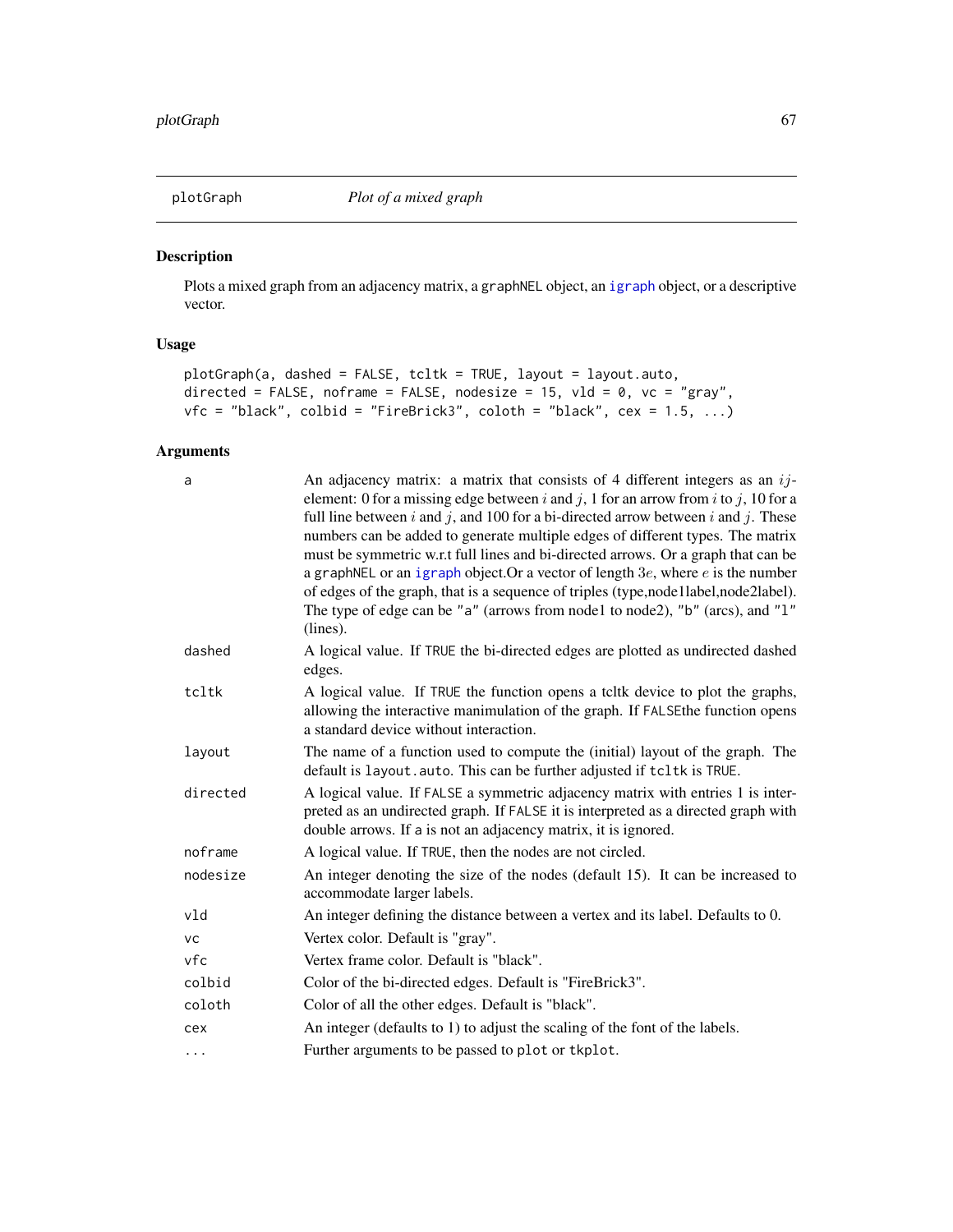# Description

Plots a mixed graph from an adjacency matrix, a graphNEL object, an [igraph](#page-0-0) object, or a descriptive vector.

# Usage

```
plotGraph(a, dashed = FALSE, tcltk = TRUE, layout = layout.auto,
directed = FALSE, noframe = FALSE, nodesize = 15, vld = 0, vc = "gray",
vfc = "black", colbid = "FireBrick3", coloth = "black", cex = 1.5, ...)
```
### Arguments

| a        | An adjacency matrix: a matrix that consists of 4 different integers as an $ij$ -<br>element: 0 for a missing edge between i and j, 1 for an arrow from i to j, 10 for a<br>full line between $i$ and $j$ , and 100 for a bi-directed arrow between $i$ and $j$ . These<br>numbers can be added to generate multiple edges of different types. The matrix<br>must be symmetric w.r.t full lines and bi-directed arrows. Or a graph that can be<br>a graphNEL or an igraph object. Or a vector of length $3e$ , where e is the number<br>of edges of the graph, that is a sequence of triples (type,node1label,node2label).<br>The type of edge can be "a" (arrows from node1 to node2), "b" (arcs), and "1"<br>(lines). |
|----------|------------------------------------------------------------------------------------------------------------------------------------------------------------------------------------------------------------------------------------------------------------------------------------------------------------------------------------------------------------------------------------------------------------------------------------------------------------------------------------------------------------------------------------------------------------------------------------------------------------------------------------------------------------------------------------------------------------------------|
| dashed   | A logical value. If TRUE the bi-directed edges are plotted as undirected dashed<br>edges.                                                                                                                                                                                                                                                                                                                                                                                                                                                                                                                                                                                                                              |
| tcltk    | A logical value. If TRUE the function opens a teltk device to plot the graphs,<br>allowing the interactive manimulation of the graph. If FALSE the function opens<br>a standard device without interaction.                                                                                                                                                                                                                                                                                                                                                                                                                                                                                                            |
| layout   | The name of a function used to compute the (initial) layout of the graph. The<br>default is layout. auto. This can be further adjusted if tcltk is TRUE.                                                                                                                                                                                                                                                                                                                                                                                                                                                                                                                                                               |
| directed | A logical value. If FALSE a symmetric adjacency matrix with entries 1 is inter-<br>preted as an undirected graph. If FALSE it is interpreted as a directed graph with<br>double arrows. If a is not an adjacency matrix, it is ignored.                                                                                                                                                                                                                                                                                                                                                                                                                                                                                |
| noframe  | A logical value. If TRUE, then the nodes are not circled.                                                                                                                                                                                                                                                                                                                                                                                                                                                                                                                                                                                                                                                              |
| nodesize | An integer denoting the size of the nodes (default 15). It can be increased to<br>accommodate larger labels.                                                                                                                                                                                                                                                                                                                                                                                                                                                                                                                                                                                                           |
| vld      | An integer defining the distance between a vertex and its label. Defaults to 0.                                                                                                                                                                                                                                                                                                                                                                                                                                                                                                                                                                                                                                        |
| vс       | Vertex color. Default is "gray".                                                                                                                                                                                                                                                                                                                                                                                                                                                                                                                                                                                                                                                                                       |
| vfc      | Vertex frame color. Default is "black".                                                                                                                                                                                                                                                                                                                                                                                                                                                                                                                                                                                                                                                                                |
| colbid   | Color of the bi-directed edges. Default is "FireBrick3".                                                                                                                                                                                                                                                                                                                                                                                                                                                                                                                                                                                                                                                               |
| coloth   | Color of all the other edges. Default is "black".                                                                                                                                                                                                                                                                                                                                                                                                                                                                                                                                                                                                                                                                      |
| cex      | An integer (defaults to 1) to adjust the scaling of the font of the labels.                                                                                                                                                                                                                                                                                                                                                                                                                                                                                                                                                                                                                                            |
| .        | Further arguments to be passed to plot or tkplot.                                                                                                                                                                                                                                                                                                                                                                                                                                                                                                                                                                                                                                                                      |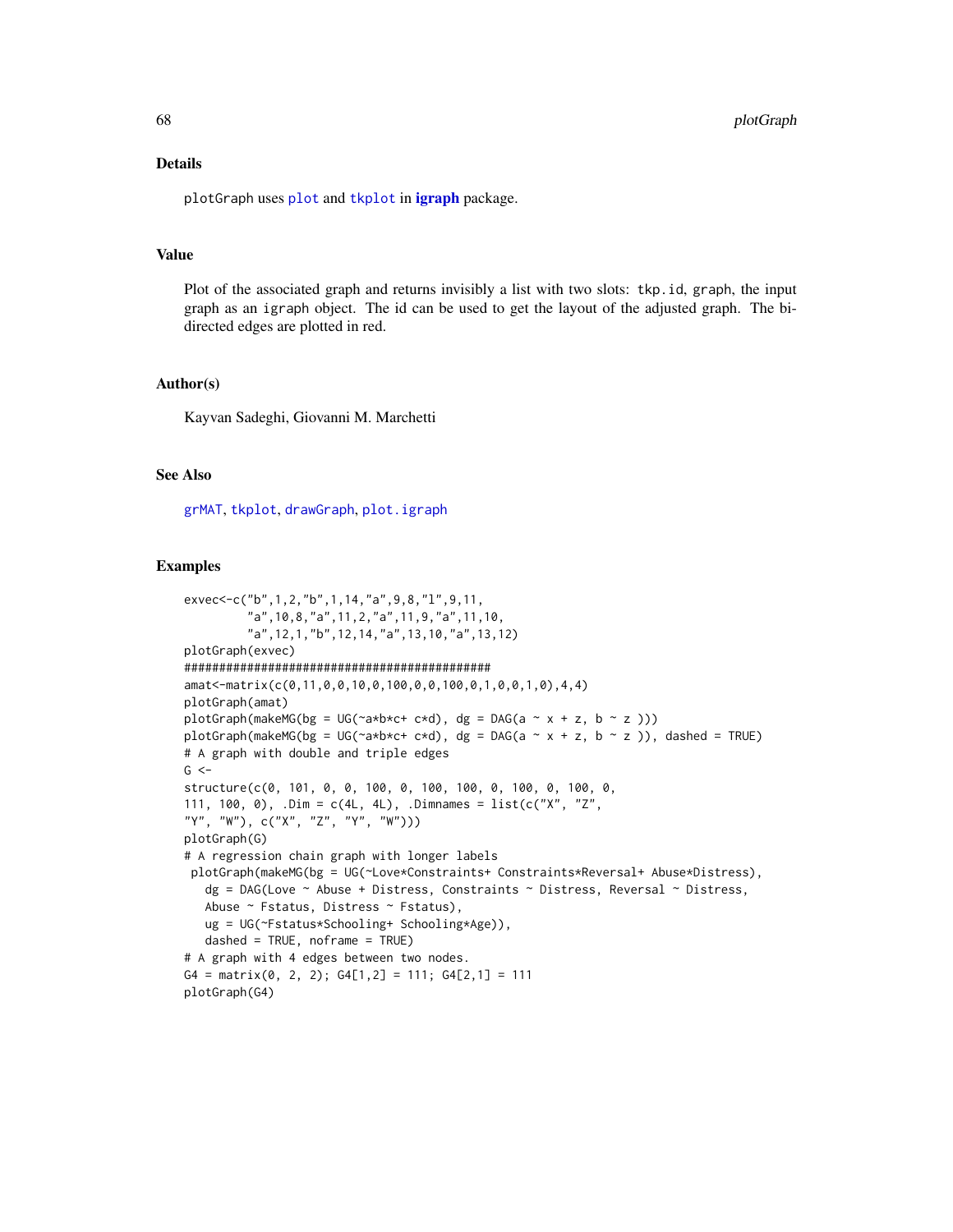## Details

[plot](#page-0-0)Graph uses plot and [tkplot](#page-0-0) in [igraph](#page-0-0) package.

## Value

Plot of the associated graph and returns invisibly a list with two slots: tkp.id, graph, the input graph as an igraph object. The id can be used to get the layout of the adjusted graph. The bidirected edges are plotted in red.

## Author(s)

Kayvan Sadeghi, Giovanni M. Marchetti

# See Also

[grMAT](#page-40-0), [tkplot](#page-0-0), [drawGraph](#page-21-0), [plot.igraph](#page-0-0)

#### Examples

```
exvec<-c("b",1,2,"b",1,14,"a",9,8,"l",9,11,
         "a",10,8,"a",11,2,"a",11,9,"a",11,10,
         "a",12,1,"b",12,14,"a",13,10,"a",13,12)
plotGraph(exvec)
############################################
amat<-matrix(c(0,11,0,0,10,0,100,0,0,100,0,1,0,0,1,0),4,4)
plotGraph(amat)
plotGraph(makeMG(bg = UG(\neg a * b * c + c * d), dg = DAG(a \sim x + z, b \sim z)))
plotGraph(makeMG(bg = UG(~a*b*c+ c*d), dg = DAG(a ~ x + z, b ~ z )), dashed = TRUE)
# A graph with double and triple edges
G < -structure(c(0, 101, 0, 0, 100, 0, 100, 100, 0, 100, 0, 100, 0,
111, 100, 0), \DeltaDim = c(4L, 4L), \DeltaDimnames = list(c("X", "Z",
"Y", "W"), c("X", "Z", "Y", "W")))
plotGraph(G)
# A regression chain graph with longer labels
 plotGraph(makeMG(bg = UG(~Love*Constraints+ Constraints*Reversal+ Abuse*Distress),
   dg = DAG(Love \sim Abuse + Distress, Constraints \sim Distress, Reversal \sim Distress,
   Abuse ~ Fstatus, Distress ~ Fstatus),
   ug = UG(~Fstatus*Schooling+ Schooling*Age)),
   dashed = TRUE, noframe = TRUE)
# A graph with 4 edges between two nodes.
G4 = matrix(0, 2, 2); G4[1,2] = 111; G4[2,1] = 111plotGraph(G4)
```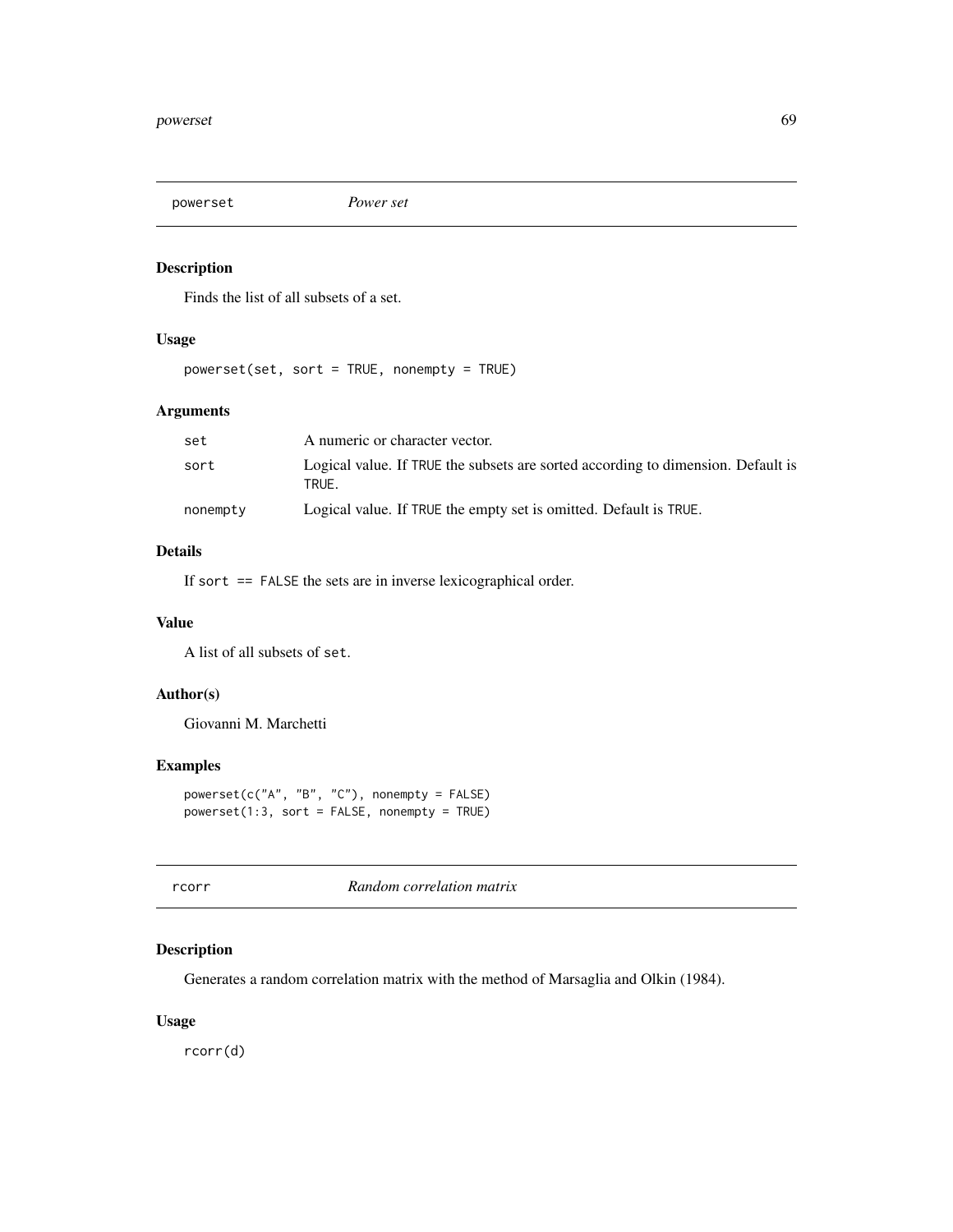# Description

Finds the list of all subsets of a set.

# Usage

powerset(set, sort = TRUE, nonempty = TRUE)

## Arguments

| set      | A numeric or character vector.                                                            |
|----------|-------------------------------------------------------------------------------------------|
| sort     | Logical value. If TRUE the subsets are sorted according to dimension. Default is<br>TRUE. |
| nonempty | Logical value. If TRUE the empty set is omitted. Default is TRUE.                         |

## Details

If sort == FALSE the sets are in inverse lexicographical order.

### Value

A list of all subsets of set.

# Author(s)

Giovanni M. Marchetti

## Examples

```
powerset(c("A", "B", "C"), nonempty = FALSE)
powerset(1:3, sort = FALSE, nonempty = TRUE)
```
rcorr *Random correlation matrix*

# Description

Generates a random correlation matrix with the method of Marsaglia and Olkin (1984).

## Usage

rcorr(d)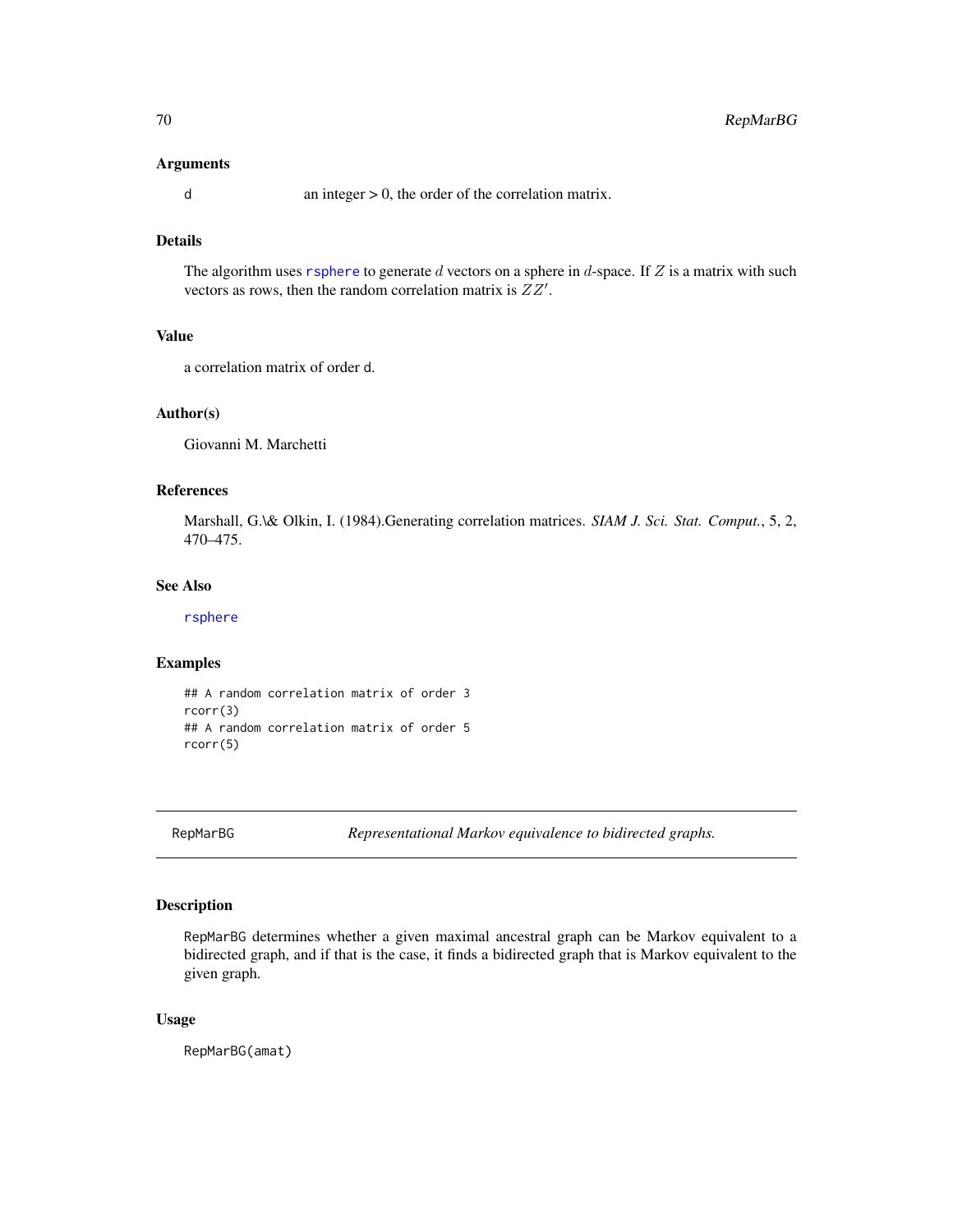### Arguments

 $d$  an integer  $> 0$ , the order of the correlation matrix.

# Details

The algorithm uses [rsphere](#page-76-0) to generate  $d$  vectors on a sphere in  $d$ -space. If  $Z$  is a matrix with such vectors as rows, then the random correlation matrix is  $ZZ'$ .

#### Value

a correlation matrix of order d.

#### Author(s)

Giovanni M. Marchetti

## References

Marshall, G.\& Olkin, I. (1984).Generating correlation matrices. *SIAM J. Sci. Stat. Comput.*, 5, 2, 470–475.

## See Also

[rsphere](#page-76-0)

## Examples

```
## A random correlation matrix of order 3
rcorr(3)
## A random correlation matrix of order 5
rcorr(5)
```
<span id="page-69-0"></span>

RepMarBG *Representational Markov equivalence to bidirected graphs.*

### Description

RepMarBG determines whether a given maximal ancestral graph can be Markov equivalent to a bidirected graph, and if that is the case, it finds a bidirected graph that is Markov equivalent to the given graph.

## Usage

RepMarBG(amat)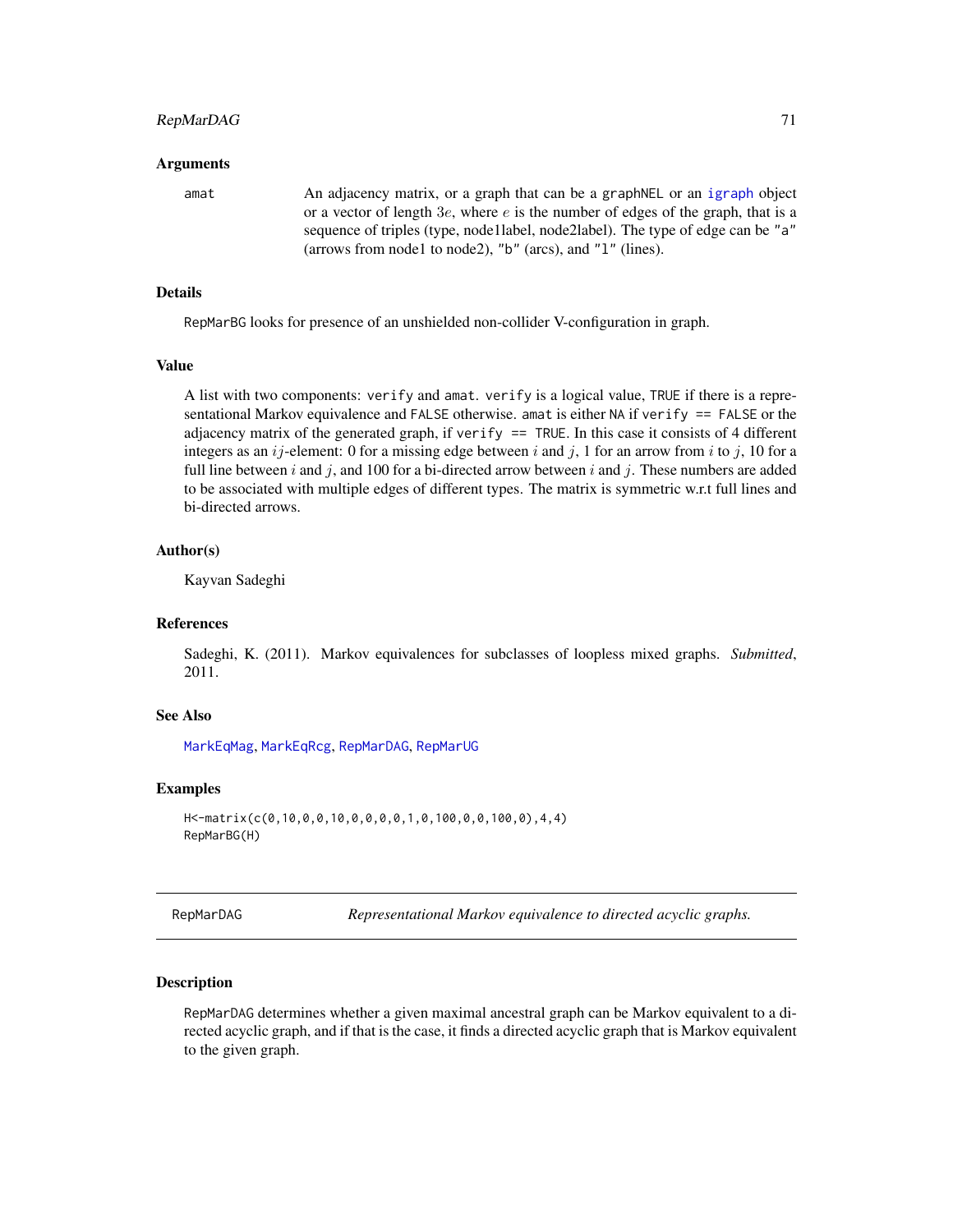#### RepMarDAG 71

#### Arguments

amat An adjacency matrix, or a graph that can be a graphNEL or an [igraph](#page-0-0) object or a vector of length  $3e$ , where  $e$  is the number of edges of the graph, that is a sequence of triples (type, node1label, node2label). The type of edge can be "a" (arrows from node1 to node2), "b" (arcs), and "l" (lines).

## Details

RepMarBG looks for presence of an unshielded non-collider V-configuration in graph.

#### Value

A list with two components: verify and amat. verify is a logical value, TRUE if there is a representational Markov equivalence and FALSE otherwise. amat is either NA if verify == FALSE or the adjacency matrix of the generated graph, if verify  $==$  TRUE. In this case it consists of 4 different integers as an  $ij$ -element: 0 for a missing edge between i and j, 1 for an arrow from i to j, 10 for a full line between i and j, and 100 for a bi-directed arrow between i and j. These numbers are added to be associated with multiple edges of different types. The matrix is symmetric w.r.t full lines and bi-directed arrows.

### Author(s)

Kayvan Sadeghi

### References

Sadeghi, K. (2011). Markov equivalences for subclasses of loopless mixed graphs. *Submitted*, 2011.

#### See Also

[MarkEqMag](#page-53-0), [MarkEqRcg](#page-54-0), [RepMarDAG](#page-70-0), [RepMarUG](#page-72-0)

### Examples

```
H<-matrix(c(0,10,0,0,10,0,0,0,0,1,0,100,0,0,100,0),4,4)
RepMarBG(H)
```
<span id="page-70-0"></span>

RepMarDAG *Representational Markov equivalence to directed acyclic graphs.*

#### **Description**

RepMarDAG determines whether a given maximal ancestral graph can be Markov equivalent to a directed acyclic graph, and if that is the case, it finds a directed acyclic graph that is Markov equivalent to the given graph.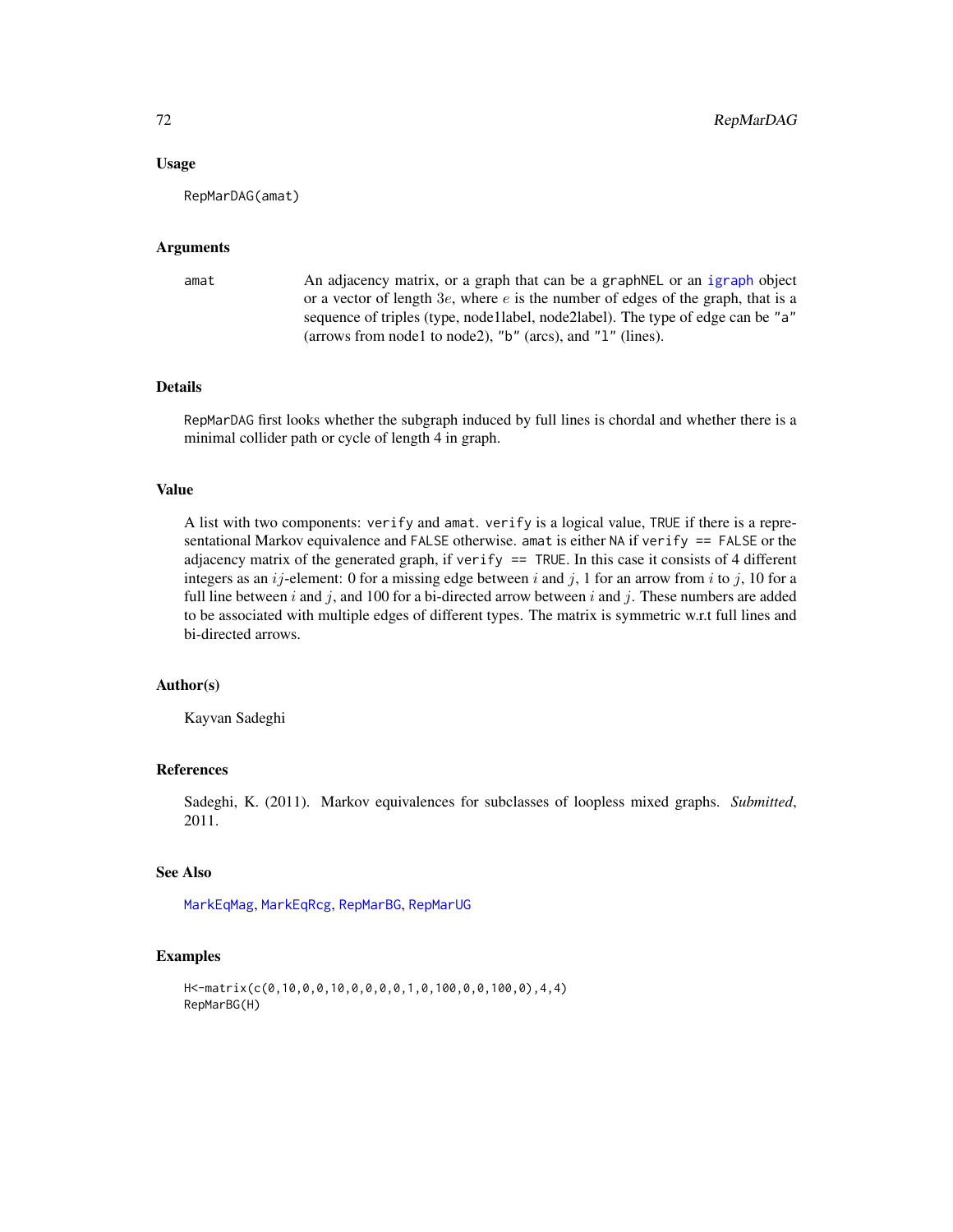### Usage

RepMarDAG(amat)

### Arguments

```
amat An adjacency matrix, or a graph that can be a graphNEL or an igraph object
                  or a vector of length 3e, where e is the number of edges of the graph, that is a
                  sequence of triples (type, node1label, node2label). The type of edge can be "a"
                  (arrows from node1 to node2), "b" (arcs), and "l" (lines).
```
## Details

RepMarDAG first looks whether the subgraph induced by full lines is chordal and whether there is a minimal collider path or cycle of length 4 in graph.

### Value

A list with two components: verify and amat. verify is a logical value, TRUE if there is a representational Markov equivalence and FALSE otherwise. amat is either NA if verify == FALSE or the adjacency matrix of the generated graph, if verify == TRUE. In this case it consists of 4 different integers as an ij-element: 0 for a missing edge between i and j, 1 for an arrow from i to j, 10 for a full line between i and j, and 100 for a bi-directed arrow between i and j. These numbers are added to be associated with multiple edges of different types. The matrix is symmetric w.r.t full lines and bi-directed arrows.

### Author(s)

Kayvan Sadeghi

# References

Sadeghi, K. (2011). Markov equivalences for subclasses of loopless mixed graphs. *Submitted*, 2011.

# See Also

[MarkEqMag](#page-53-0), [MarkEqRcg](#page-54-0), [RepMarBG](#page-69-0), [RepMarUG](#page-72-0)

### Examples

```
H<-matrix(c(0,10,0,0,10,0,0,0,0,1,0,100,0,0,100,0),4,4)
RepMarBG(H)
```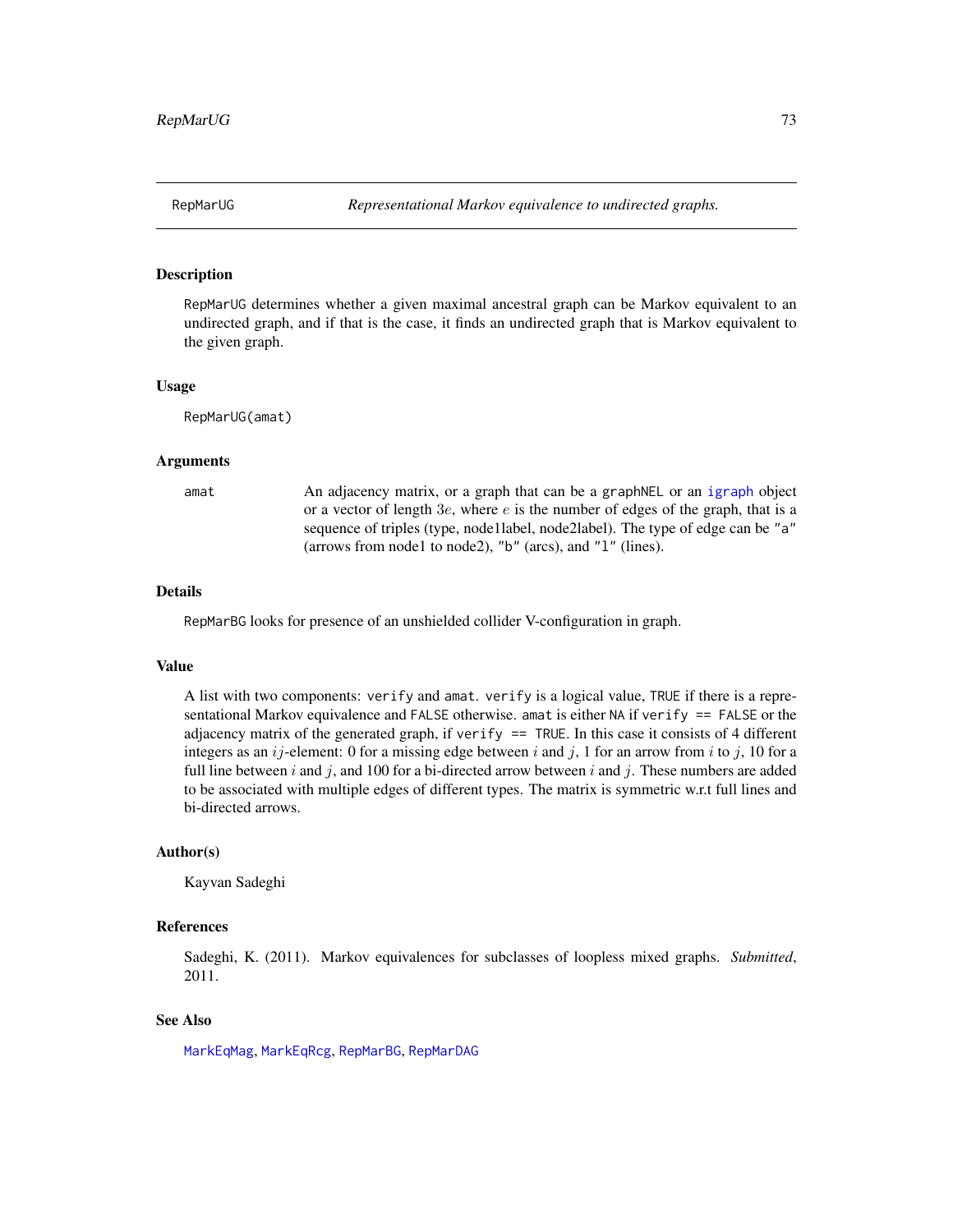<span id="page-72-0"></span>

#### Description

RepMarUG determines whether a given maximal ancestral graph can be Markov equivalent to an undirected graph, and if that is the case, it finds an undirected graph that is Markov equivalent to the given graph.

#### Usage

RepMarUG(amat)

# Arguments

amat An adjacency matrix, or a graph that can be a graphNEL or an [igraph](#page-0-0) object or a vector of length  $3e$ , where  $e$  is the number of edges of the graph, that is a sequence of triples (type, node1label, node2label). The type of edge can be "a" (arrows from node1 to node2), "b" (arcs), and "l" (lines).

#### Details

RepMarBG looks for presence of an unshielded collider V-configuration in graph.

#### Value

A list with two components: verify and amat. verify is a logical value, TRUE if there is a representational Markov equivalence and FALSE otherwise. amat is either NA if verify == FALSE or the adjacency matrix of the generated graph, if verify  $==$  TRUE. In this case it consists of 4 different integers as an  $ij$ -element: 0 for a missing edge between i and j, 1 for an arrow from i to j, 10 for a full line between i and j, and 100 for a bi-directed arrow between i and j. These numbers are added to be associated with multiple edges of different types. The matrix is symmetric w.r.t full lines and bi-directed arrows.

#### Author(s)

Kayvan Sadeghi

# References

Sadeghi, K. (2011). Markov equivalences for subclasses of loopless mixed graphs. *Submitted*, 2011.

# See Also

[MarkEqMag](#page-53-0), [MarkEqRcg](#page-54-0), [RepMarBG](#page-69-0), [RepMarDAG](#page-70-0)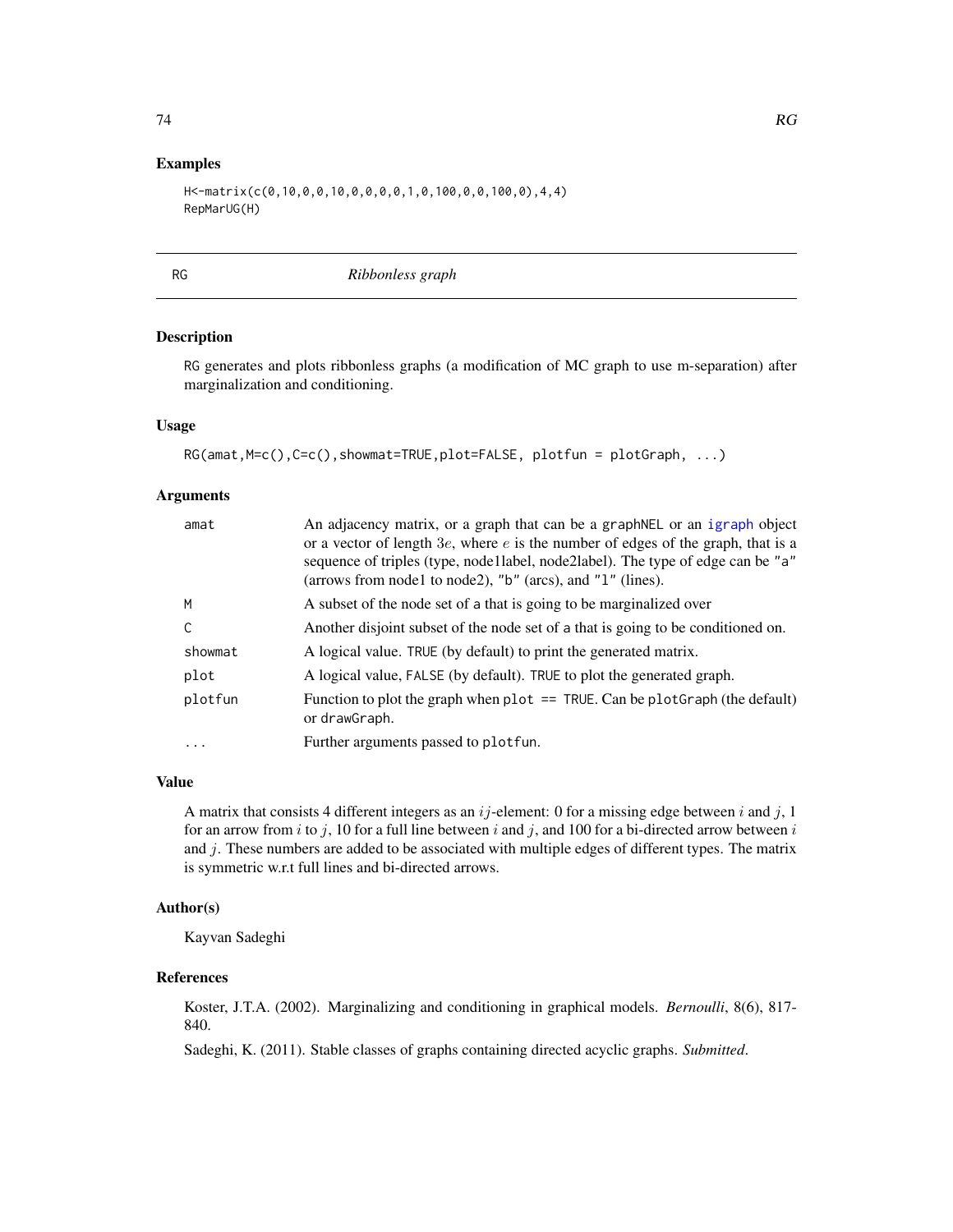# <span id="page-73-1"></span>Examples

```
H<-matrix(c(0,10,0,0,10,0,0,0,0,1,0,100,0,0,100,0),4,4)
RepMarUG(H)
```
<span id="page-73-0"></span>

RG *Ribbonless graph*

#### Description

RG generates and plots ribbonless graphs (a modification of MC graph to use m-separation) after marginalization and conditioning.

# Usage

```
RG(amat, M=c(), C=c(), showmat=TRUE, plot=FALSE, plotfun = plotGraph, ...)
```
#### Arguments

| amat    | An adjacency matrix, or a graph that can be a graphNEL or an igraph object<br>or a vector of length $3e$ , where e is the number of edges of the graph, that is a<br>sequence of triples (type, nodellabel, node2label). The type of edge can be "a"<br>(arrows from node1 to node2), "b" (arcs), and "1" (lines). |
|---------|--------------------------------------------------------------------------------------------------------------------------------------------------------------------------------------------------------------------------------------------------------------------------------------------------------------------|
| M       | A subset of the node set of a that is going to be marginalized over                                                                                                                                                                                                                                                |
| C       | Another disjoint subset of the node set of a that is going to be conditioned on.                                                                                                                                                                                                                                   |
| showmat | A logical value. TRUE (by default) to print the generated matrix.                                                                                                                                                                                                                                                  |
| plot    | A logical value, FALSE (by default). TRUE to plot the generated graph.                                                                                                                                                                                                                                             |
| plotfun | Function to plot the graph when $plot = = TRUE$ . Can be $plotGraph$ (the default)<br>or drawGraph.                                                                                                                                                                                                                |
| .       | Further arguments passed to plotfun.                                                                                                                                                                                                                                                                               |

# Value

A matrix that consists 4 different integers as an  $ij$ -element: 0 for a missing edge between i and j, 1 for an arrow from i to j, 10 for a full line between i and j, and 100 for a bi-directed arrow between i and j. These numbers are added to be associated with multiple edges of different types. The matrix is symmetric w.r.t full lines and bi-directed arrows.

# Author(s)

Kayvan Sadeghi

#### References

Koster, J.T.A. (2002). Marginalizing and conditioning in graphical models. *Bernoulli*, 8(6), 817- 840.

Sadeghi, K. (2011). Stable classes of graphs containing directed acyclic graphs. *Submitted*.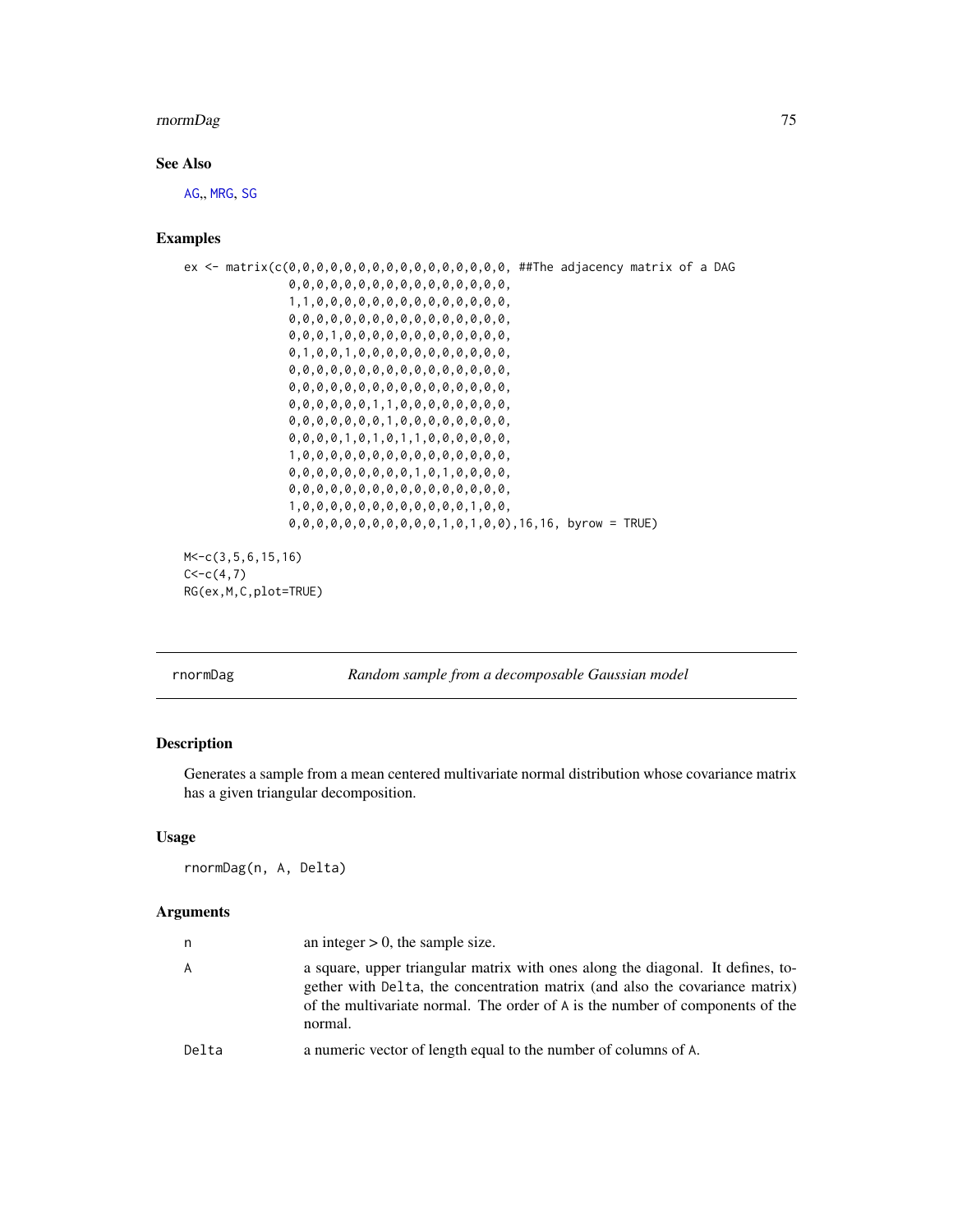#### <span id="page-74-0"></span>rnormDag 75

# See Also

[AG](#page-3-0)., [MRG](#page-58-0), [SG](#page-77-0)

### Examples

```
ex <- matrix(c(0,0,0,0,0,0,0,0,0,0,0,0,0,0,0,0, ##The adjacency matrix of a DAG
               0,0,0,0,0,0,0,0,0,0,0,0,0,0,0,0,
               1,1,0,0,0,0,0,0,0,0,0,0,0,0,0,0,
               0,0,0,0,0,0,0,0,0,0,0,0,0,0,0,0,
               0,0,0,1,0,0,0,0,0,0,0,0,0,0,0,0,
               0,1,0,0,1,0,0,0,0,0,0,0,0,0,0,0,
               0,0,0,0,0,0,0,0,0,0,0,0,0,0,0,0,
               0,0,0,0,0,0,0,0,0,0,0,0,0,0,0,0,
               0,0,0,0,0,0,1,1,0,0,0,0,0,0,0,0,
               0,0,0,0,0,0,0,1,0,0,0,0,0,0,0,0,
               0,0,0,0,1,0,1,0,1,1,0,0,0,0,0,0,
               1,0,0,0,0,0,0,0,0,0,0,0,0,0,0,0,
               0,0,0,0,0,0,0,0,0,1,0,1,0,0,0,0,
               0,0,0,0,0,0,0,0,0,0,0,0,0,0,0,0,
               1,0,0,0,0,0,0,0,0,0,0,0,0,1,0,0,
               0,0,0,0,0,0,0,0,0,0,0,1,0,1,0,0),16,16, byrow = TRUE)
M<-c(3,5,6,15,16)
C < -c(4,7)
```
RG(ex,M,C,plot=TRUE)

rnormDag *Random sample from a decomposable Gaussian model*

# Description

Generates a sample from a mean centered multivariate normal distribution whose covariance matrix has a given triangular decomposition.

# Usage

rnormDag(n, A, Delta)

#### Arguments

| n     | an integer $> 0$ , the sample size.                                                                                                                                                                                                                         |
|-------|-------------------------------------------------------------------------------------------------------------------------------------------------------------------------------------------------------------------------------------------------------------|
| A     | a square, upper triangular matrix with ones along the diagonal. It defines, to-<br>gether with Delta, the concentration matrix (and also the covariance matrix)<br>of the multivariate normal. The order of A is the number of components of the<br>normal. |
| Delta | a numeric vector of length equal to the number of columns of A.                                                                                                                                                                                             |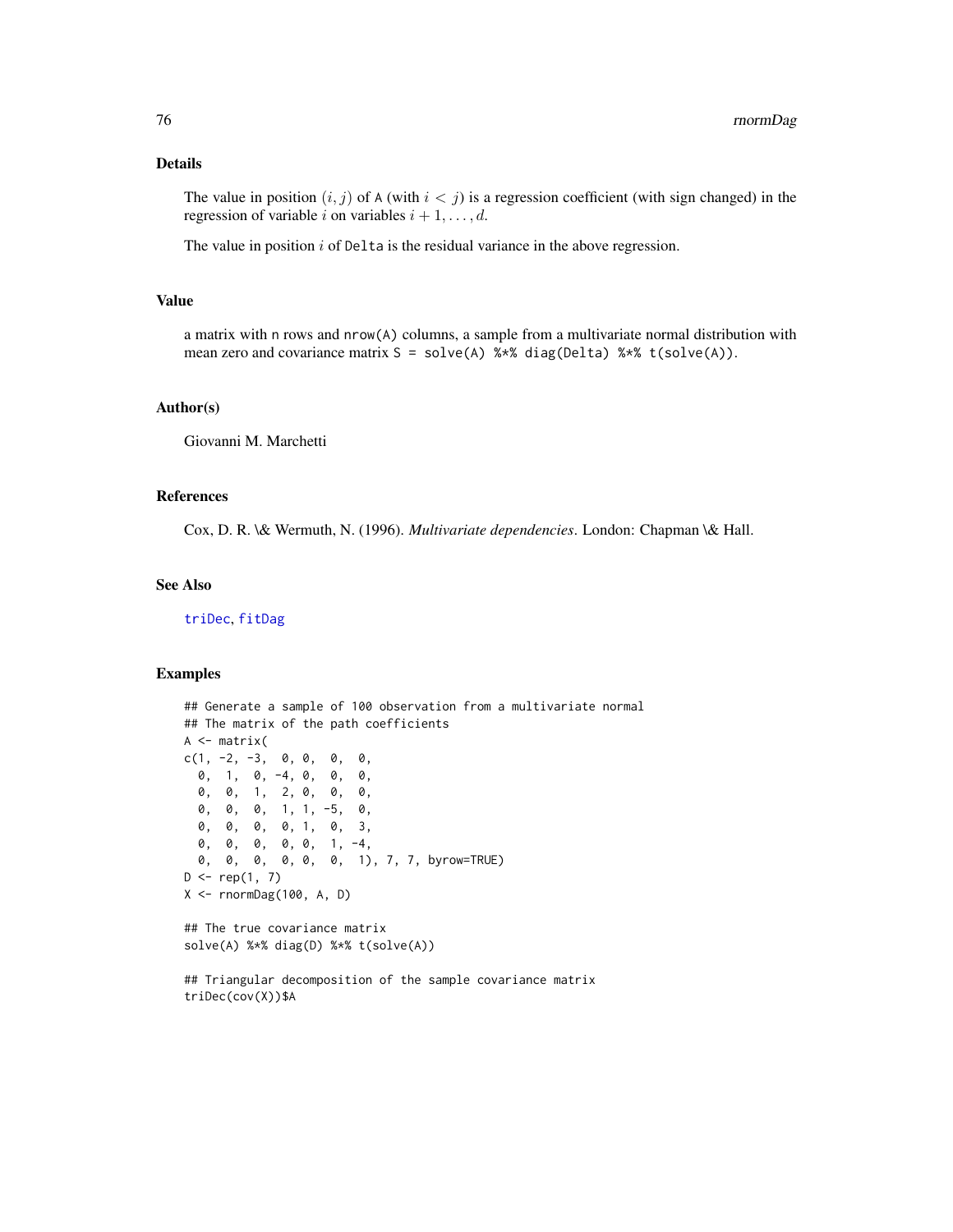# Details

The value in position  $(i, j)$  of A (with  $i < j$ ) is a regression coefficient (with sign changed) in the regression of variable i on variables  $i + 1, \ldots, d$ .

The value in position  $i$  of Delta is the residual variance in the above regression.

# Value

a matrix with n rows and nrow(A) columns, a sample from a multivariate normal distribution with mean zero and covariance matrix  $S = solve(A)$  %\*% diag(Delta) %\*% t(solve(A)).

#### Author(s)

Giovanni M. Marchetti

#### References

Cox, D. R. \& Wermuth, N. (1996). *Multivariate dependencies*. London: Chapman \& Hall.

# See Also

[triDec](#page-85-0), [fitDag](#page-33-0)

```
## Generate a sample of 100 observation from a multivariate normal
## The matrix of the path coefficients
A \leftarrow matrix(c(1, -2, -3, 0, 0, 0, 0, 0,0, 1, 0, -4, 0, 0, 0,
 0, 0, 1, 2, 0, 0, 0,
 0, 0, 0, 1, 1, -5, 0,
 0, 0, 0, 0, 1, 0, 3,
 0, 0, 0, 0, 0, 1, -4,
 0, 0, 0, 0, 0, 0, 1), 7, 7, byrow=TRUE)
D \leq -rep(1, 7)X \leq -rnormDeg(100, A, D)## The true covariance matrix
solve(A) %*% diag(D) %*% t(solve(A))
## Triangular decomposition of the sample covariance matrix
triDec(cov(X))$A
```
<span id="page-75-0"></span>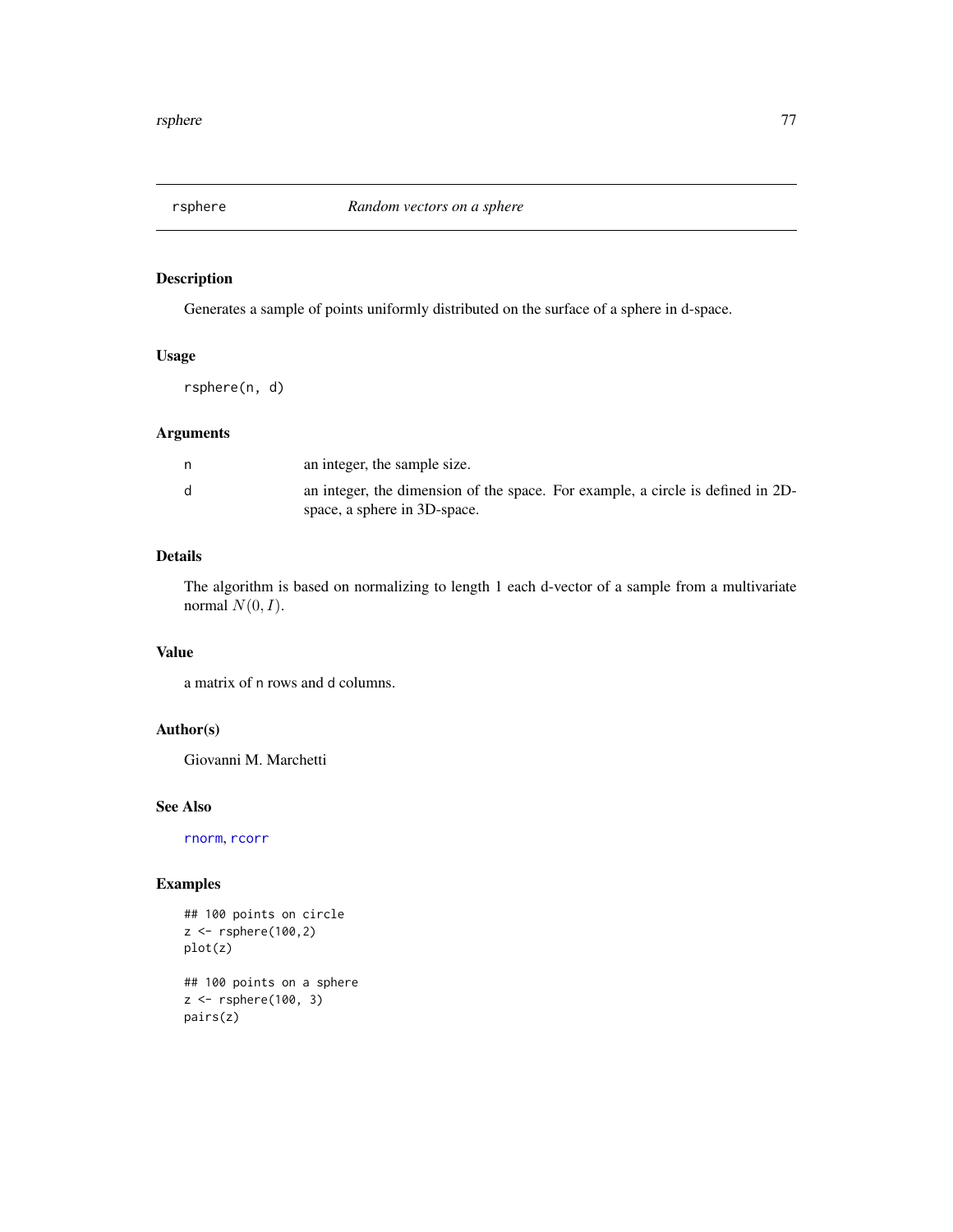<span id="page-76-0"></span>

# Description

Generates a sample of points uniformly distributed on the surface of a sphere in d-space.

# Usage

rsphere(n, d)

# Arguments

|   | an integer, the sample size.                                                                                    |
|---|-----------------------------------------------------------------------------------------------------------------|
| d | an integer, the dimension of the space. For example, a circle is defined in 2D-<br>space, a sphere in 3D-space. |

# Details

The algorithm is based on normalizing to length 1 each d-vector of a sample from a multivariate normal  $N(0, I)$ .

# Value

a matrix of n rows and d columns.

# Author(s)

Giovanni M. Marchetti

#### See Also

[rnorm](#page-0-0), [rcorr](#page-68-0)

```
## 100 points on circle
z <- rsphere(100,2)
plot(z)
## 100 points on a sphere
z <- rsphere(100, 3)
pairs(z)
```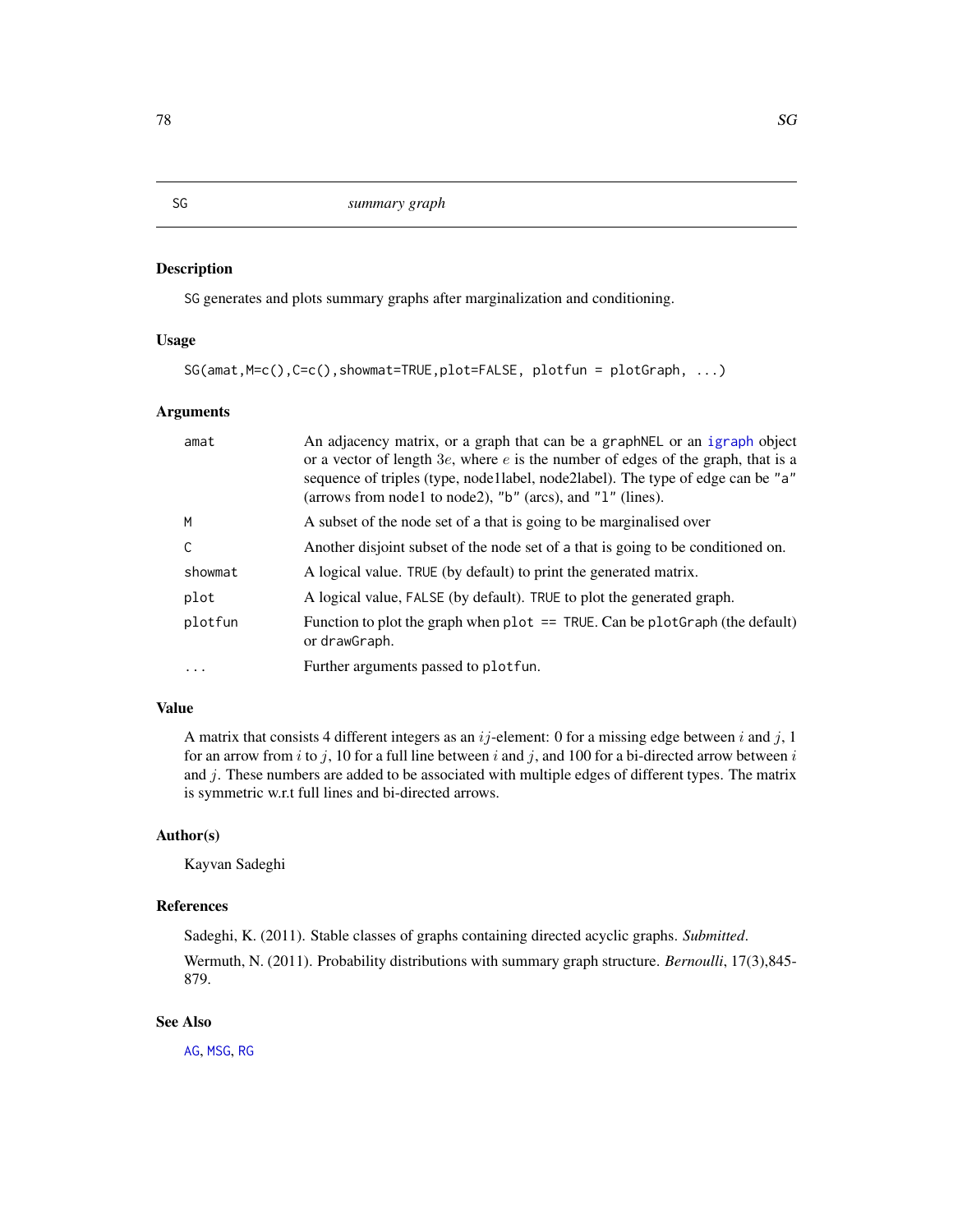# Description

SG generates and plots summary graphs after marginalization and conditioning.

# Usage

```
SG(amat,M=c(),C=c(),showmat=TRUE,plot=FALSE, plotfun = plotGraph, ...)
```
# Arguments

| amat     | An adjacency matrix, or a graph that can be a graphNEL or an igraph object<br>or a vector of length $3e$ , where e is the number of edges of the graph, that is a<br>sequence of triples (type, node1label, node2label). The type of edge can be "a"<br>(arrows from node1 to node2), "b" (arcs), and "1" (lines). |
|----------|--------------------------------------------------------------------------------------------------------------------------------------------------------------------------------------------------------------------------------------------------------------------------------------------------------------------|
| M        | A subset of the node set of a that is going to be marginalised over                                                                                                                                                                                                                                                |
| C        | Another disjoint subset of the node set of a that is going to be conditioned on.                                                                                                                                                                                                                                   |
| showmat  | A logical value. TRUE (by default) to print the generated matrix.                                                                                                                                                                                                                                                  |
| plot     | A logical value, FALSE (by default). TRUE to plot the generated graph.                                                                                                                                                                                                                                             |
| plotfun  | Function to plot the graph when plot $==$ TRUE. Can be plot Graph (the default)<br>or drawGraph.                                                                                                                                                                                                                   |
| $\cdots$ | Further arguments passed to plot fun.                                                                                                                                                                                                                                                                              |

# Value

A matrix that consists 4 different integers as an  $ij$ -element: 0 for a missing edge between i and j, 1 for an arrow from i to j, 10 for a full line between i and j, and 100 for a bi-directed arrow between i and  $j$ . These numbers are added to be associated with multiple edges of different types. The matrix is symmetric w.r.t full lines and bi-directed arrows.

# Author(s)

Kayvan Sadeghi

# References

Sadeghi, K. (2011). Stable classes of graphs containing directed acyclic graphs. *Submitted*. Wermuth, N. (2011). Probability distributions with summary graph structure. *Bernoulli*, 17(3),845- 879.

# See Also

[AG](#page-3-0), [MSG](#page-61-0), [RG](#page-73-0)

<span id="page-77-1"></span><span id="page-77-0"></span>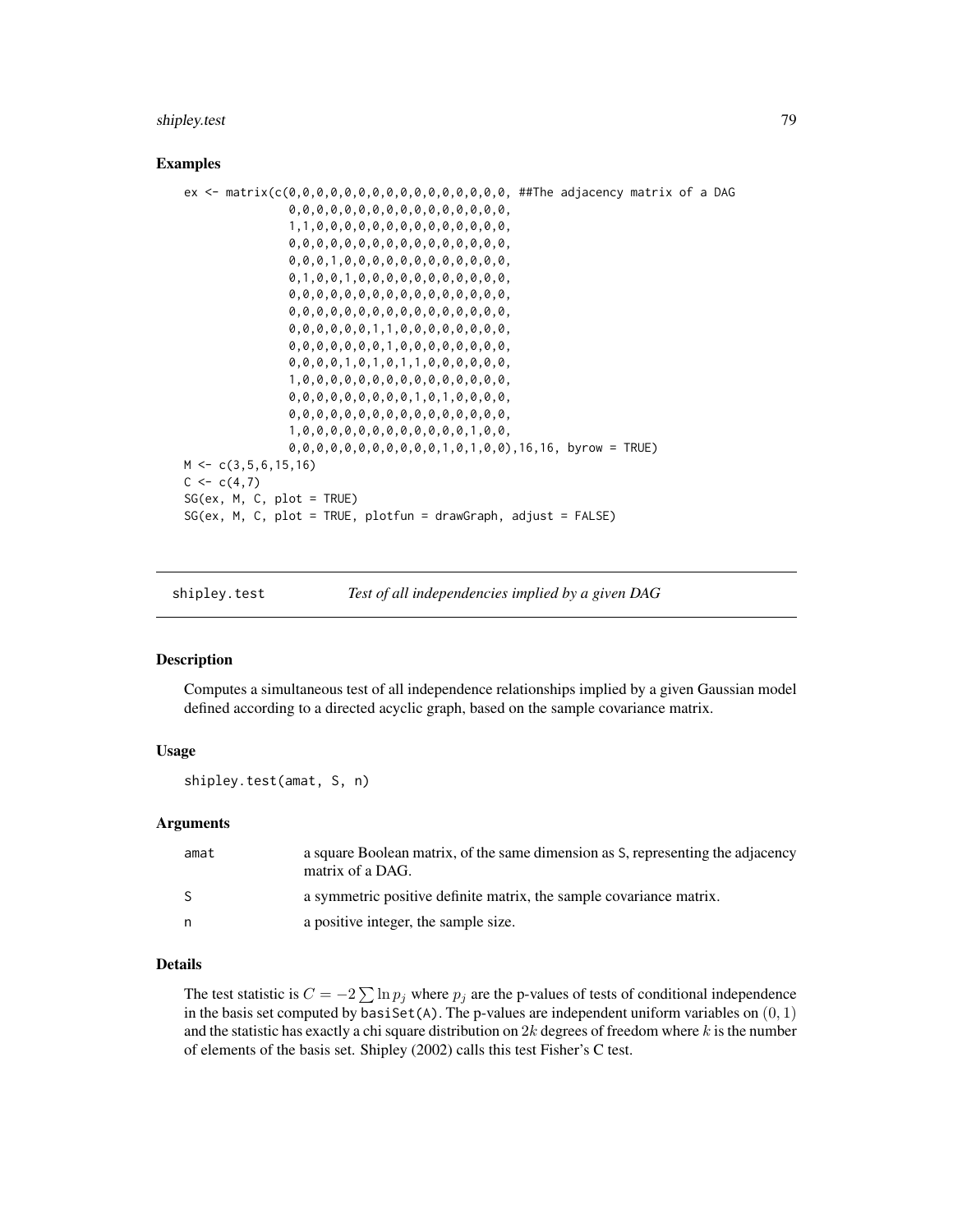#### <span id="page-78-0"></span>shipley.test 79

#### Examples

```
ex <- matrix(c(0,0,0,0,0,0,0,0,0,0,0,0,0,0,0,0, ##The adjacency matrix of a DAG
               0,0,0,0,0,0,0,0,0,0,0,0,0,0,0,0,
               1,1,0,0,0,0,0,0,0,0,0,0,0,0,0,0,
               0,0,0,0,0,0,0,0,0,0,0,0,0,0,0,0,
               0,0,0,1,0,0,0,0,0,0,0,0,0,0,0,0,
               0,1,0,0,1,0,0,0,0,0,0,0,0,0,0,0,
               0,0,0,0,0,0,0,0,0,0,0,0,0,0,0,0,
               0,0,0,0,0,0,0,0,0,0,0,0,0,0,0,0,
               0,0,0,0,0,0,1,1,0,0,0,0,0,0,0,0,
               0,0,0,0,0,0,0,1,0,0,0,0,0,0,0,0,
               0,0,0,0,1,0,1,0,1,1,0,0,0,0,0,0,
               1,0,0,0,0,0,0,0,0,0,0,0,0,0,0,0,
               0,0,0,0,0,0,0,0,0,1,0,1,0,0,0,0,
               0,0,0,0,0,0,0,0,0,0,0,0,0,0,0,0,
               1,0,0,0,0,0,0,0,0,0,0,0,0,1,0,0,
               0,0,0,0,0,0,0,0,0,0,0,1,0,1,0,0),16,16, byrow = TRUE)
M \leftarrow c(3, 5, 6, 15, 16)C \leq -c(4,7)SG(ex, M, C, plot = TRUE)SG(ex, M, C, plot = TRUE, plotfun = drawGraph, adjust = FALSE)
```

|  | shipley.test | Test of all independencies implied by a given DAG |  |
|--|--------------|---------------------------------------------------|--|
|--|--------------|---------------------------------------------------|--|

#### **Description**

Computes a simultaneous test of all independence relationships implied by a given Gaussian model defined according to a directed acyclic graph, based on the sample covariance matrix.

### Usage

shipley.test(amat, S, n)

#### Arguments

| amat | a square Boolean matrix, of the same dimension as S, representing the adjacency<br>matrix of a DAG. |
|------|-----------------------------------------------------------------------------------------------------|
| -S   | a symmetric positive definite matrix, the sample covariance matrix.                                 |
| n    | a positive integer, the sample size.                                                                |

#### Details

The test statistic is  $C = -2 \sum \ln p_j$  where  $p_j$  are the p-values of tests of conditional independence in the basis set computed by basiSet(A). The p-values are independent uniform variables on  $(0, 1)$ and the statistic has exactly a chi square distribution on  $2k$  degrees of freedom where k is the number of elements of the basis set. Shipley (2002) calls this test Fisher's C test.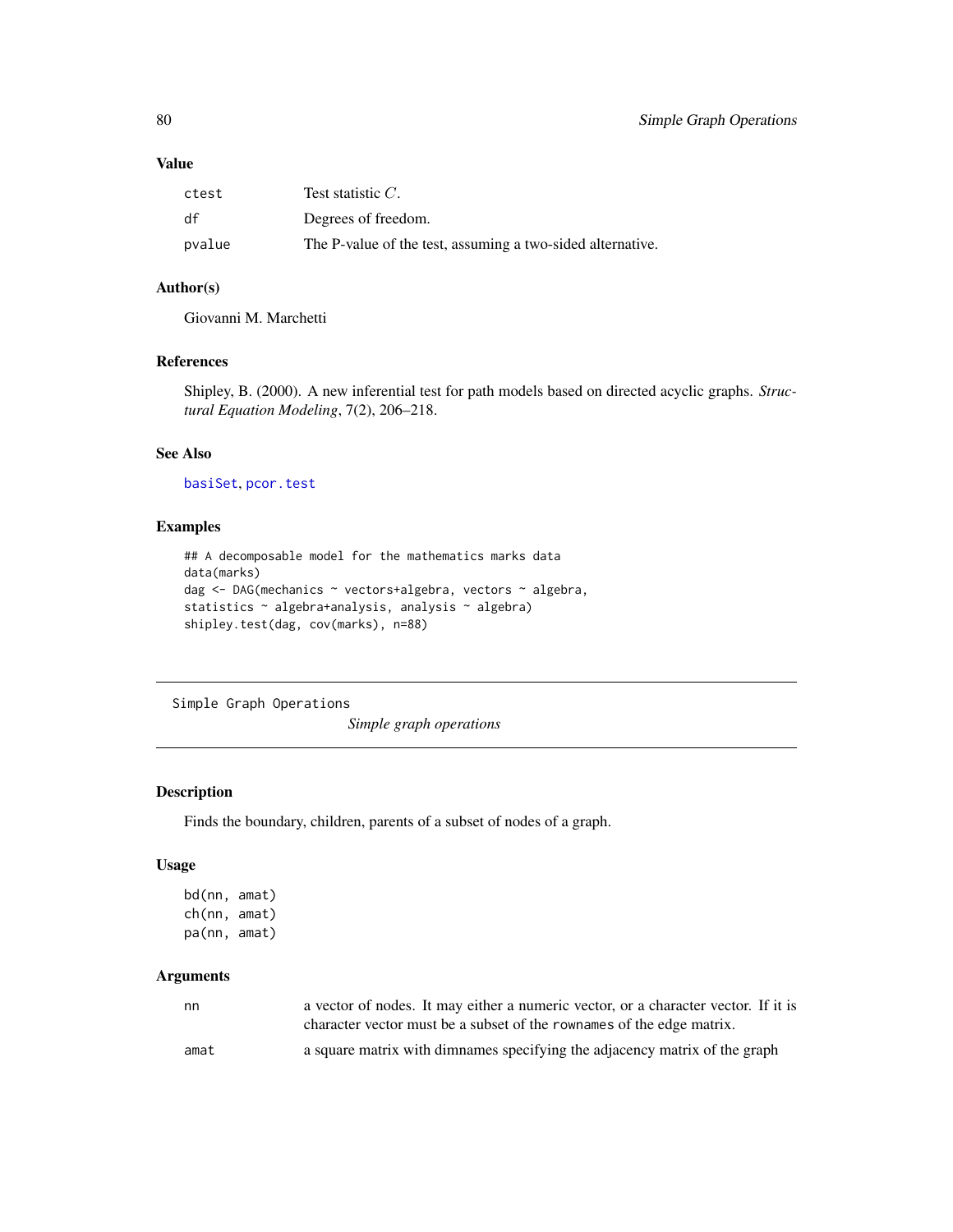#### <span id="page-79-0"></span>Value

| ctest  | Test statistic $C$ .                                       |
|--------|------------------------------------------------------------|
| df     | Degrees of freedom.                                        |
| pvalue | The P-value of the test, assuming a two-sided alternative. |

#### Author(s)

Giovanni M. Marchetti

# References

Shipley, B. (2000). A new inferential test for path models based on directed acyclic graphs. *Structural Equation Modeling*, 7(2), 206–218.

# See Also

```
basiSet, pcor.test
```
# Examples

```
## A decomposable model for the mathematics marks data
data(marks)
dag <- DAG(mechanics ~ vectors+algebra, vectors ~ algebra,
statistics ~ algebra+analysis, analysis ~ algebra)
shipley.test(dag, cov(marks), n=88)
```
Simple Graph Operations

*Simple graph operations*

# Description

Finds the boundary, children, parents of a subset of nodes of a graph.

# Usage

```
bd(nn, amat)
ch(nn, amat)
pa(nn, amat)
```
# Arguments

| nn   | a vector of nodes. It may either a numeric vector, or a character vector. If it is |
|------|------------------------------------------------------------------------------------|
|      | character vector must be a subset of the rownames of the edge matrix.              |
| amat | a square matrix with dimnames specifying the adjacency matrix of the graph         |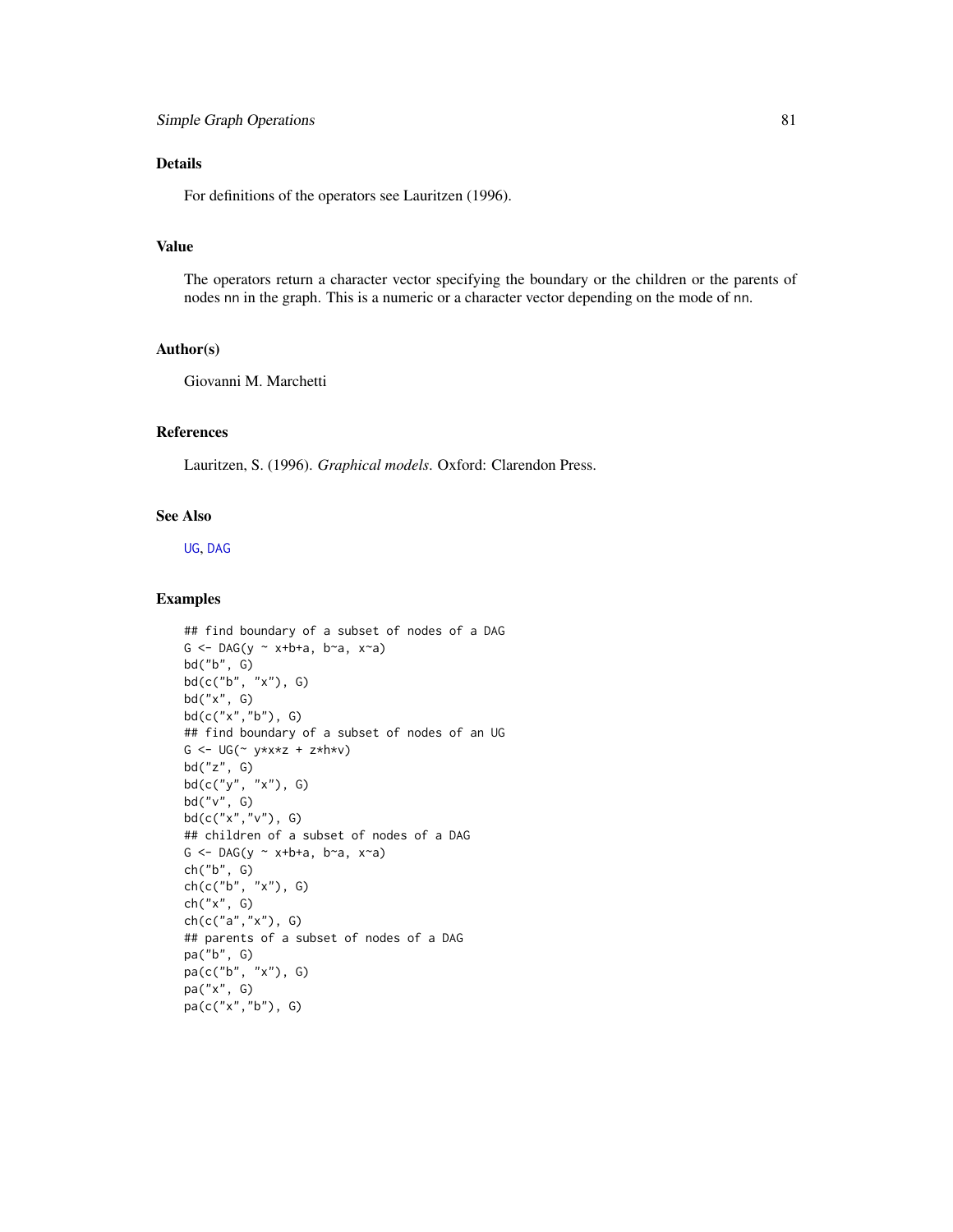# <span id="page-80-0"></span>Details

For definitions of the operators see Lauritzen (1996).

# Value

The operators return a character vector specifying the boundary or the children or the parents of nodes nn in the graph. This is a numeric or a character vector depending on the mode of nn.

#### Author(s)

Giovanni M. Marchetti

# References

Lauritzen, S. (1996). *Graphical models*. Oxford: Clarendon Press.

# See Also

[UG](#page-86-0), [DAG](#page-16-0)

```
## find boundary of a subset of nodes of a DAG
G \leq DAG(y \sim x+b+a, b\sima, x\sima)
bd("b", G)
bd(c("b", "x"), G)bd("x", G)
bd(c("x","b"), G)
## find boundary of a subset of nodes of an UG
G <- UG(\sim y \star x \star z + z \star h \star v)bd("z", G)
bd(c("y", "x"), G)
bd("v", G)
bd(c("x","v"), G)
## children of a subset of nodes of a DAG
G \leq DAG(y \sim x+b+a, b\sima, x\sima)
ch("b", G)
ch(c("b", "x"), G)
ch("x", G)
ch(c("a","x"), G)
## parents of a subset of nodes of a DAG
pa("b", G)
pa(c("b", "x"), G)
pa("x", G)
pa(c("x","b"), G)
```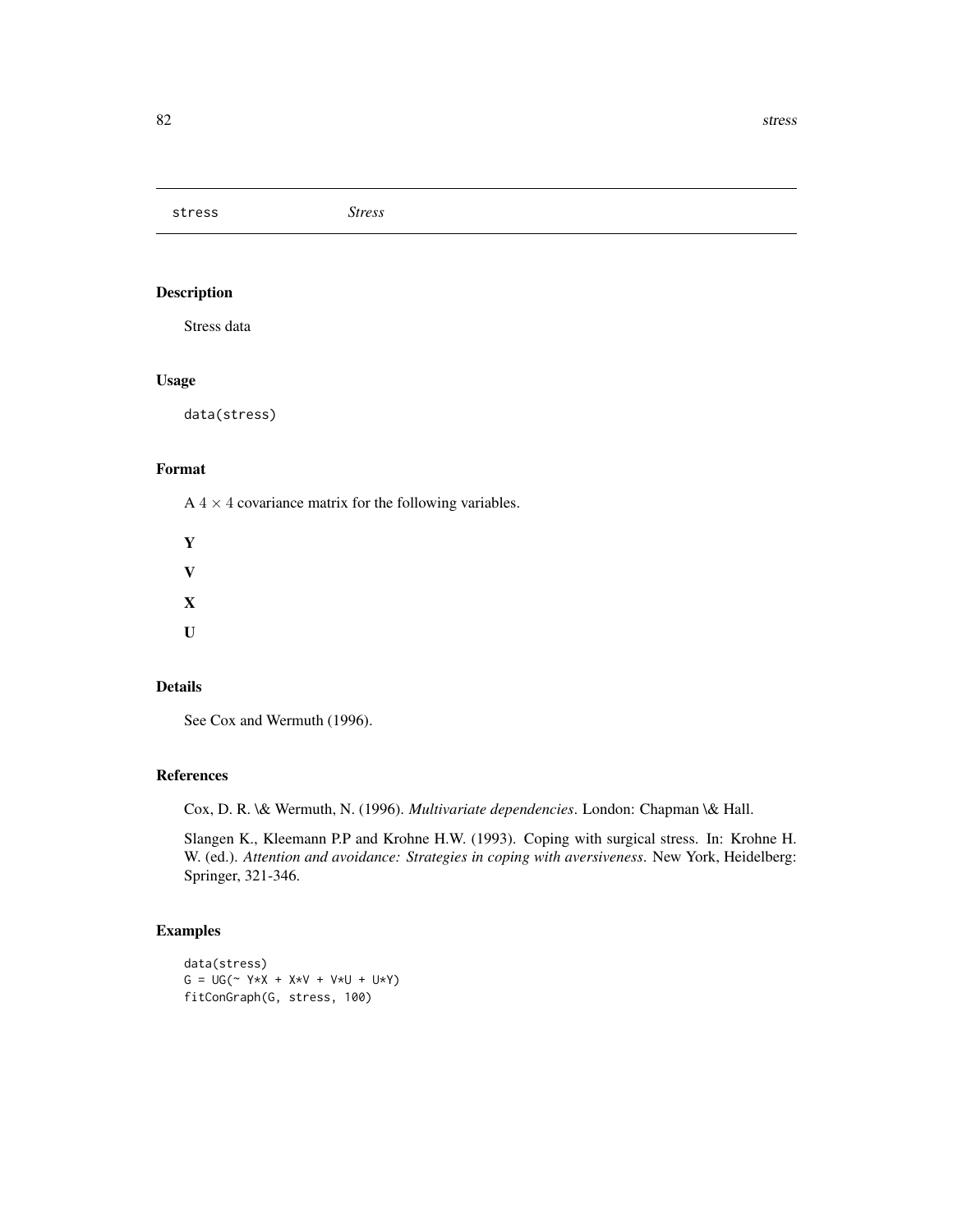<span id="page-81-0"></span>stress *Stress*

# Description

Stress data

#### Usage

data(stress)

# Format

 $A$  4  $\times$  4 covariance matrix for the following variables.

Y V X  $\mathbf{U}$ 

#### Details

See Cox and Wermuth (1996).

#### References

Cox, D. R. \& Wermuth, N. (1996). *Multivariate dependencies*. London: Chapman \& Hall.

Slangen K., Kleemann P.P and Krohne H.W. (1993). Coping with surgical stress. In: Krohne H. W. (ed.). *Attention and avoidance: Strategies in coping with aversiveness*. New York, Heidelberg: Springer, 321-346.

```
data(stress)
G = UG(- Y * X + X * V + V * U + U * Y)fitConGraph(G, stress, 100)
```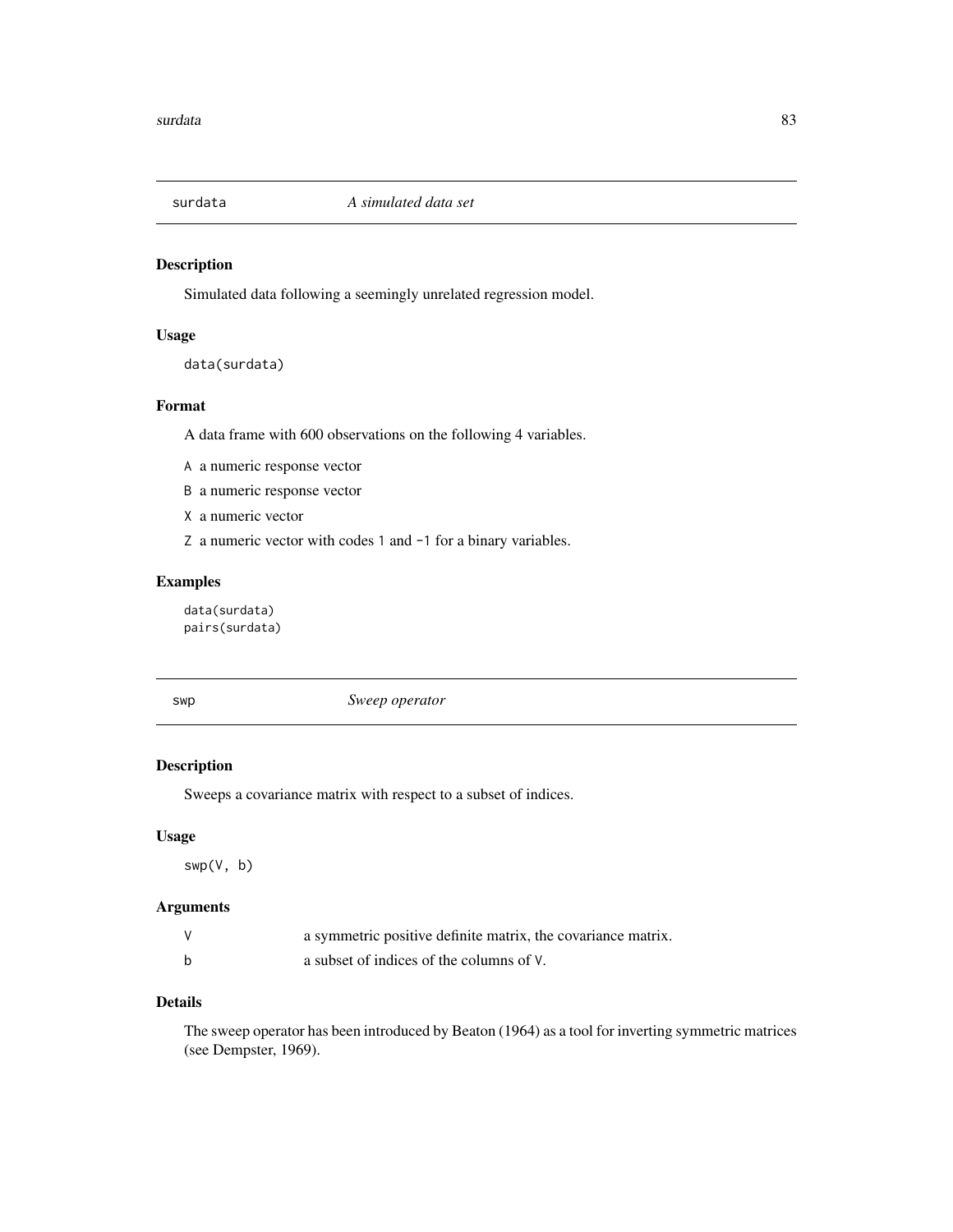<span id="page-82-0"></span>

# Description

Simulated data following a seemingly unrelated regression model.

# Usage

```
data(surdata)
```
# Format

A data frame with 600 observations on the following 4 variables.

A a numeric response vector

B a numeric response vector

X a numeric vector

Z a numeric vector with codes 1 and -1 for a binary variables.

# Examples

data(surdata) pairs(surdata)

swp *Sweep operator*

# Description

Sweeps a covariance matrix with respect to a subset of indices.

#### Usage

swp(V, b)

# Arguments

| a symmetric positive definite matrix, the covariance matrix. |
|--------------------------------------------------------------|
| a subset of indices of the columns of V.                     |

# Details

The sweep operator has been introduced by Beaton (1964) as a tool for inverting symmetric matrices (see Dempster, 1969).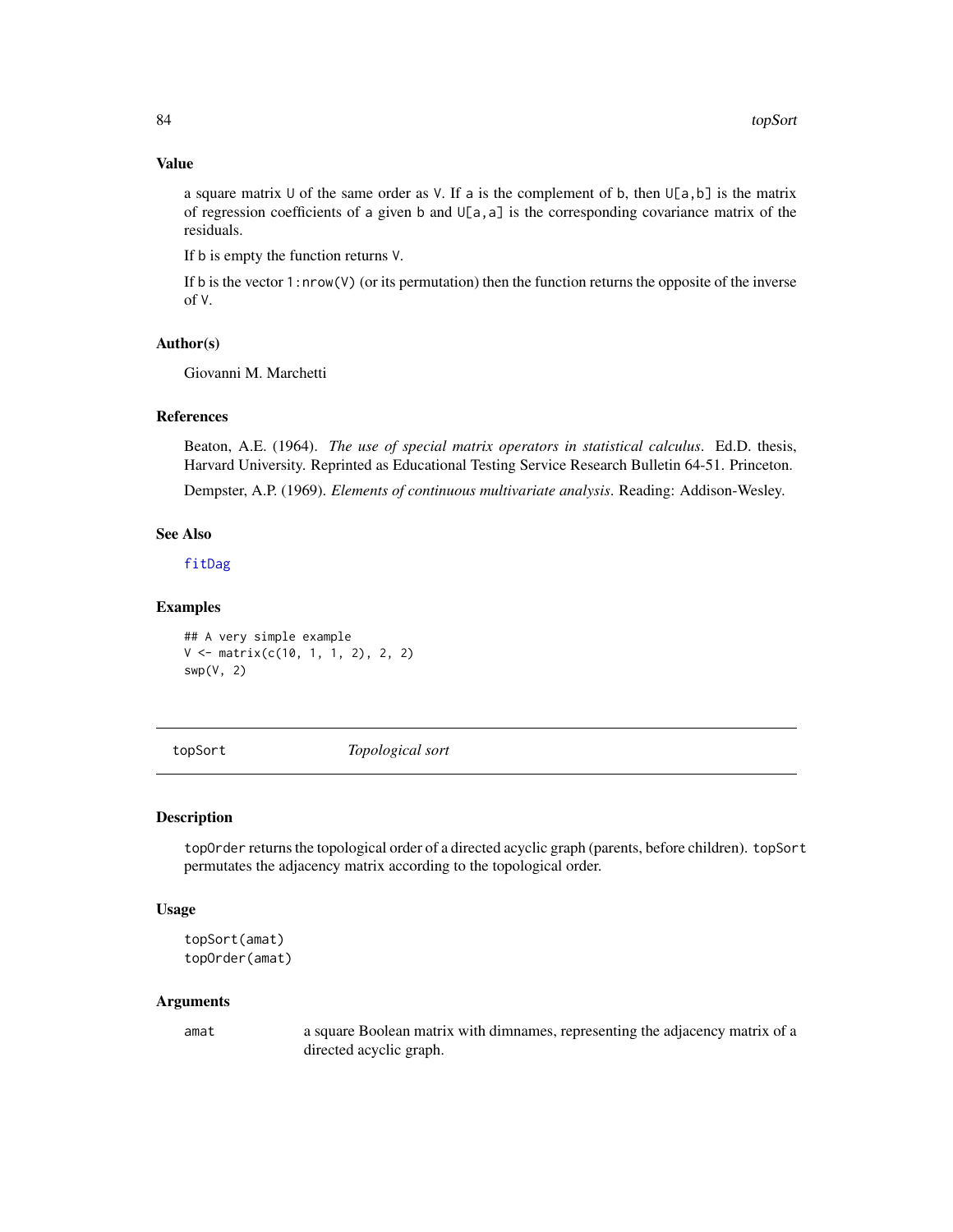# Value

a square matrix U of the same order as V. If a is the complement of b, then  $U[a, b]$  is the matrix of regression coefficients of a given b and  $U[a, a]$  is the corresponding covariance matrix of the residuals.

If b is empty the function returns V.

If b is the vector 1:nrow(V) (or its permutation) then the function returns the opposite of the inverse of V.

#### Author(s)

Giovanni M. Marchetti

#### References

Beaton, A.E. (1964). *The use of special matrix operators in statistical calculus*. Ed.D. thesis, Harvard University. Reprinted as Educational Testing Service Research Bulletin 64-51. Princeton.

Dempster, A.P. (1969). *Elements of continuous multivariate analysis*. Reading: Addison-Wesley.

#### See Also

[fitDag](#page-33-0)

# Examples

```
## A very simple example
V <- matrix(c(10, 1, 1, 2), 2, 2)
swp(V, 2)
```
topSort *Topological sort*

#### Description

topOrder returns the topological order of a directed acyclic graph (parents, before children). topSort permutates the adjacency matrix according to the topological order.

#### Usage

```
topSort(amat)
topOrder(amat)
```
#### Arguments

amat a square Boolean matrix with dimnames, representing the adjacency matrix of a directed acyclic graph.

<span id="page-83-0"></span>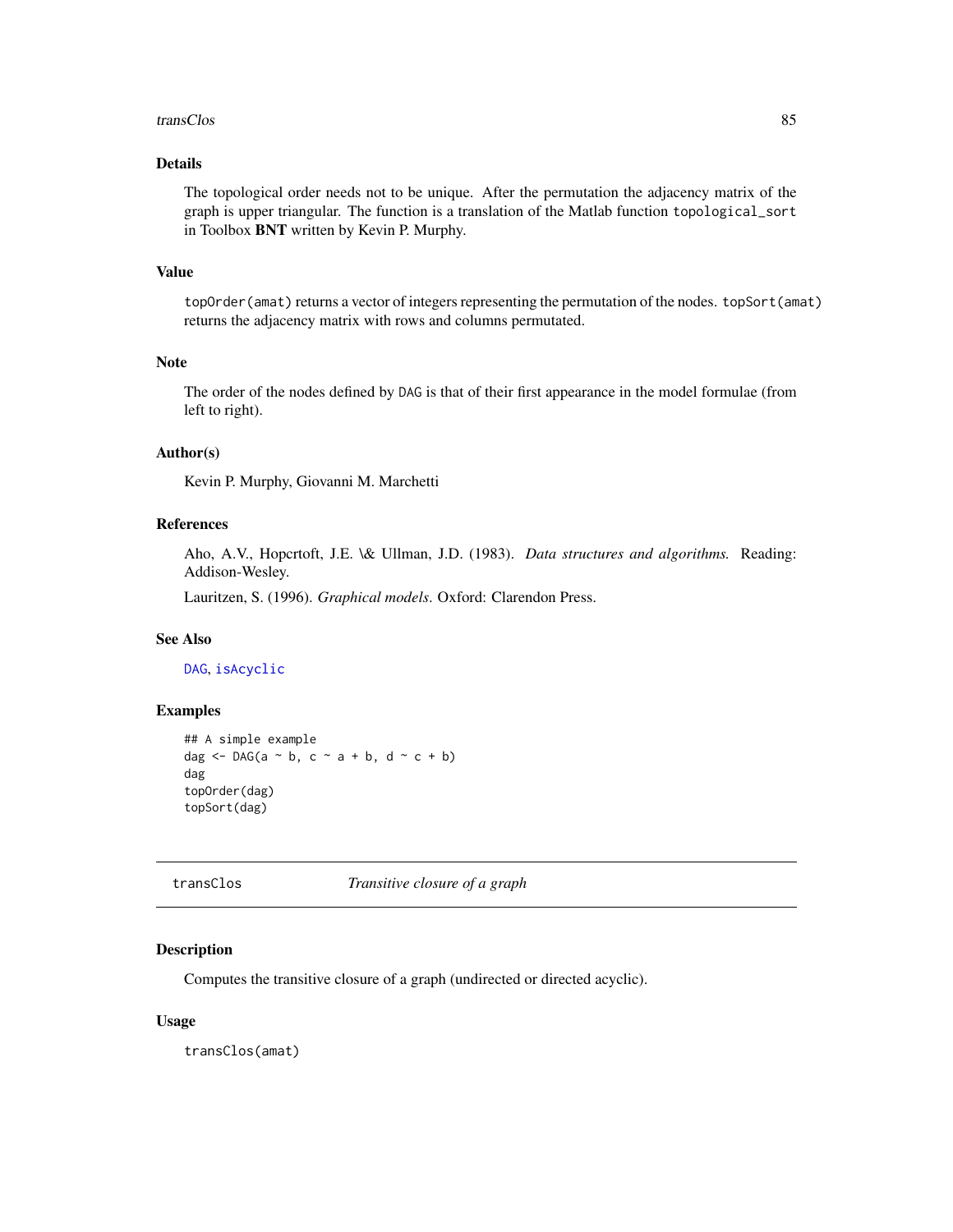#### <span id="page-84-0"></span>transClos 85

# Details

The topological order needs not to be unique. After the permutation the adjacency matrix of the graph is upper triangular. The function is a translation of the Matlab function topological\_sort in Toolbox BNT written by Kevin P. Murphy.

#### Value

topOrder(amat) returns a vector of integers representing the permutation of the nodes. topSort(amat) returns the adjacency matrix with rows and columns permutated.

# Note

The order of the nodes defined by DAG is that of their first appearance in the model formulae (from left to right).

# Author(s)

Kevin P. Murphy, Giovanni M. Marchetti

#### References

Aho, A.V., Hopcrtoft, J.E. \& Ullman, J.D. (1983). *Data structures and algorithms.* Reading: Addison-Wesley.

Lauritzen, S. (1996). *Graphical models*. Oxford: Clarendon Press.

# See Also

[DAG](#page-16-0), [isAcyclic](#page-45-0)

#### Examples

```
## A simple example
dag \leq DAG(a \sim b, c \sim a + b, d \sim c + b)
dag
topOrder(dag)
topSort(dag)
```
transClos *Transitive closure of a graph*

# Description

Computes the transitive closure of a graph (undirected or directed acyclic).

#### Usage

transClos(amat)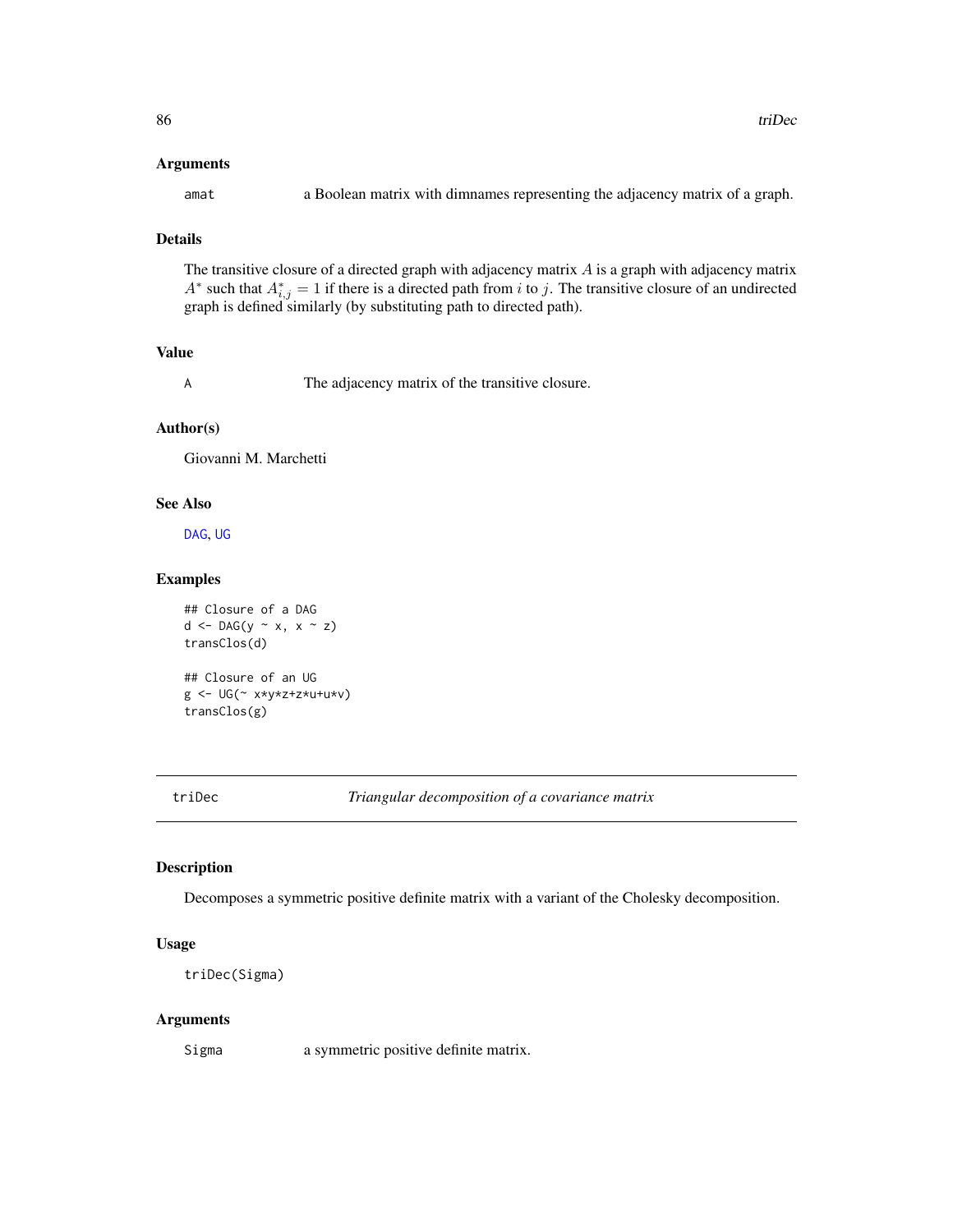#### <span id="page-85-1"></span>Arguments

amat a Boolean matrix with dimnames representing the adjacency matrix of a graph.

# Details

The transitive closure of a directed graph with adjacency matrix  $A$  is a graph with adjacency matrix A<sup>\*</sup> such that  $A_{i,j}^* = 1$  if there is a directed path from i to j. The transitive closure of an undirected graph is defined similarly (by substituting path to directed path).

# Value

A The adjacency matrix of the transitive closure.

# Author(s)

Giovanni M. Marchetti

# See Also

[DAG](#page-16-0), [UG](#page-86-0)

#### Examples

```
## Closure of a DAG
d \leq DAG(y \sim x, x \sim z)transClos(d)
## Closure of an UG
g <- UG(~ x*y*z+z*u+u*v)
transClos(g)
```
<span id="page-85-0"></span>

triDec *Triangular decomposition of a covariance matrix*

#### Description

Decomposes a symmetric positive definite matrix with a variant of the Cholesky decomposition.

#### Usage

```
triDec(Sigma)
```
#### Arguments

Sigma a symmetric positive definite matrix.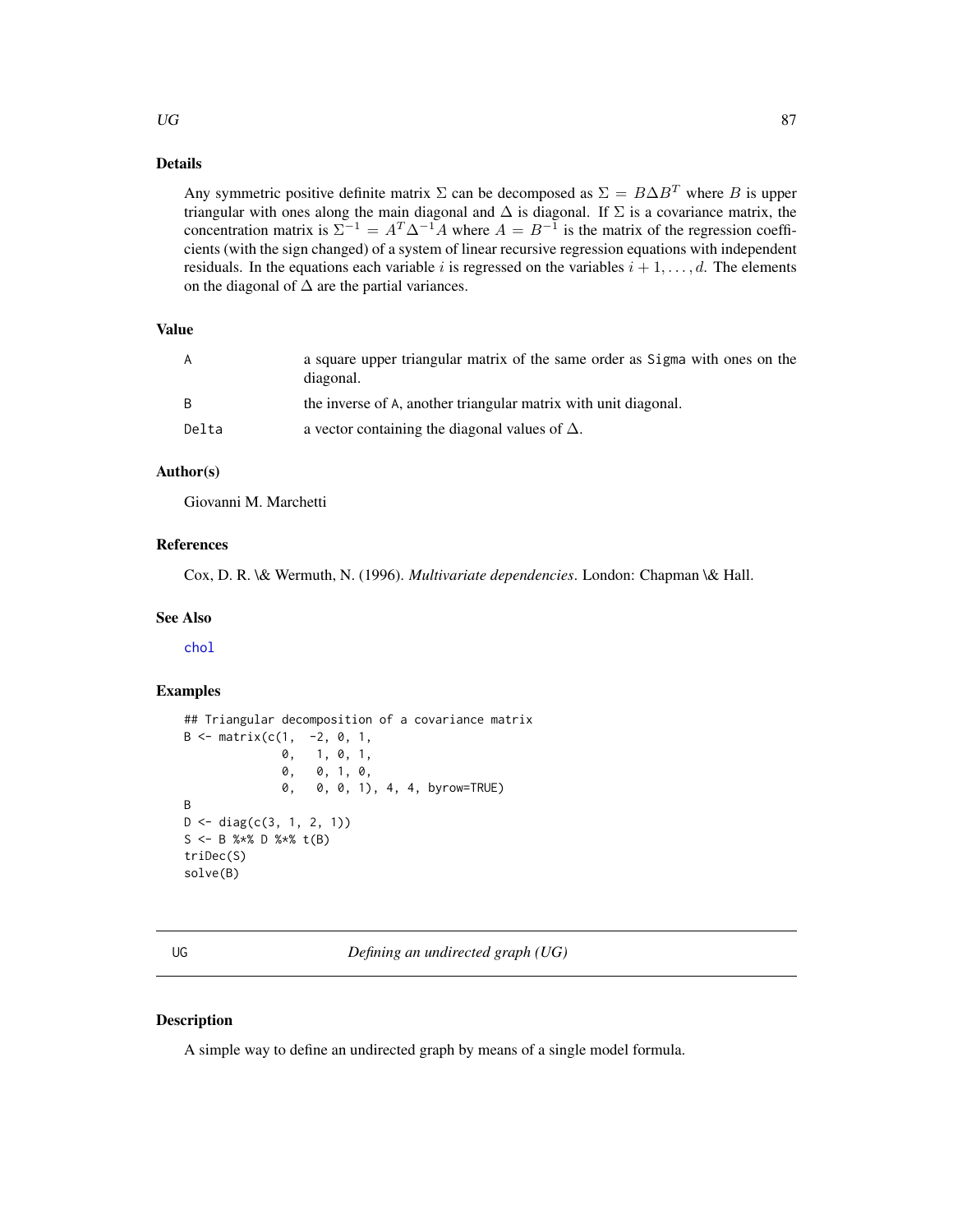#### <span id="page-86-1"></span> $\overline{U}$  87

# Details

Any symmetric positive definite matrix  $\Sigma$  can be decomposed as  $\Sigma = B \Delta B^{T}$  where B is upper triangular with ones along the main diagonal and  $\Delta$  is diagonal. If  $\Sigma$  is a covariance matrix, the concentration matrix is  $\Sigma^{-1} = A^T \Delta^{-1} A$  where  $A = B^{-1}$  is the matrix of the regression coefficients (with the sign changed) of a system of linear recursive regression equations with independent residuals. In the equations each variable i is regressed on the variables  $i + 1, \ldots, d$ . The elements on the diagonal of  $\Delta$  are the partial variances.

# Value

| A     | a square upper triangular matrix of the same order as Sigma with ones on the<br>diagonal. |
|-------|-------------------------------------------------------------------------------------------|
| B.    | the inverse of A, another triangular matrix with unit diagonal.                           |
| Delta | a vector containing the diagonal values of $\Delta$ .                                     |

# Author(s)

Giovanni M. Marchetti

#### References

Cox, D. R. \& Wermuth, N. (1996). *Multivariate dependencies*. London: Chapman \& Hall.

#### See Also

[chol](#page-0-0)

# Examples

```
## Triangular decomposition of a covariance matrix
B \le - matrix(c(1, -2, 0, 1,
              0, 1, 0, 1,
              0, 0, 1, 0,
              0, 0, 0, 1), 4, 4, byrow=TRUE)
B
D \leftarrow diag(c(3, 1, 2, 1))S <- B % *% D % *% t(B)
triDec(S)
solve(B)
```
<span id="page-86-0"></span>

UG *Defining an undirected graph (UG)*

#### Description

A simple way to define an undirected graph by means of a single model formula.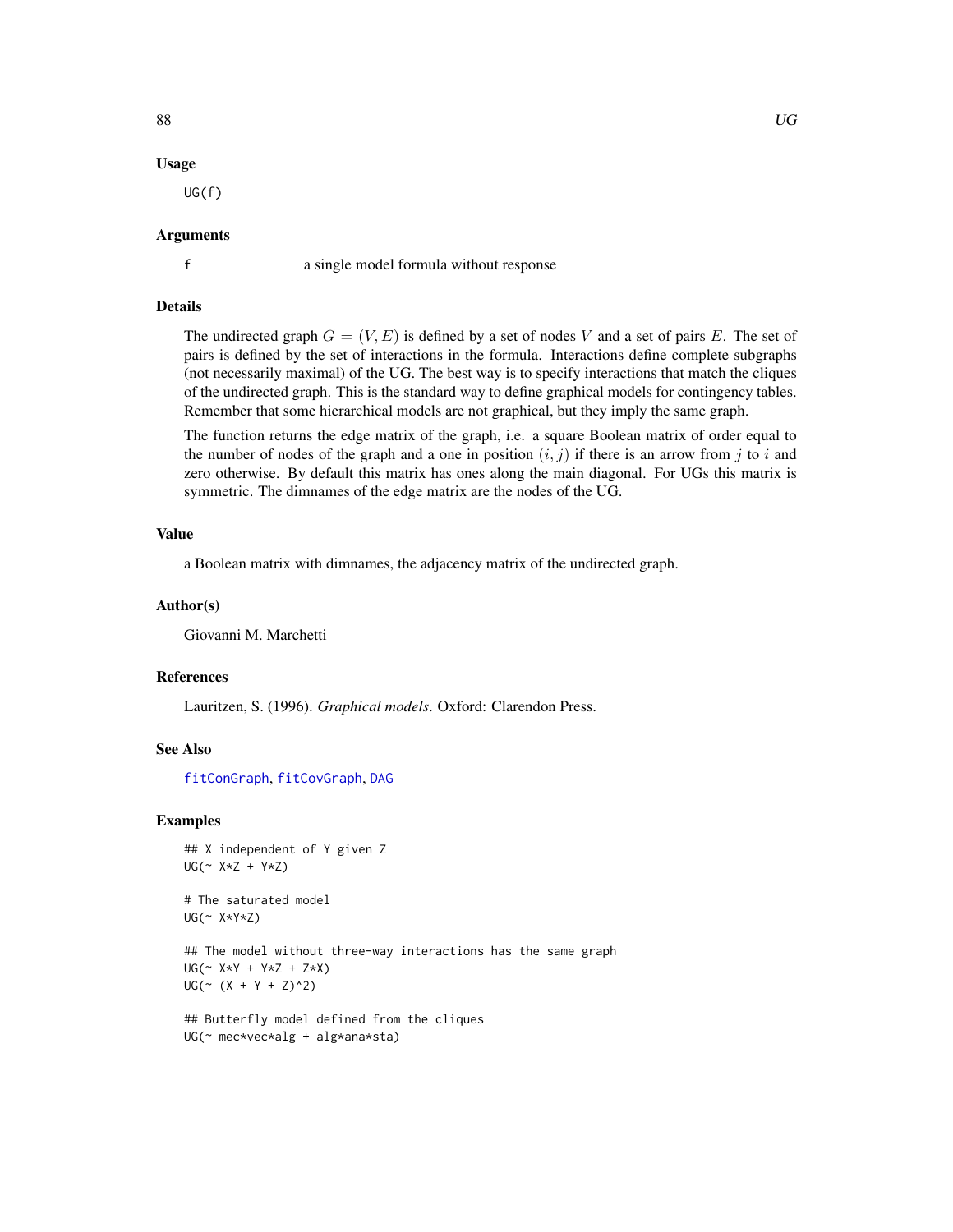#### Usage

UG(f)

# Arguments

f a single model formula without response

# Details

The undirected graph  $G = (V, E)$  is defined by a set of nodes V and a set of pairs E. The set of pairs is defined by the set of interactions in the formula. Interactions define complete subgraphs (not necessarily maximal) of the UG. The best way is to specify interactions that match the cliques of the undirected graph. This is the standard way to define graphical models for contingency tables. Remember that some hierarchical models are not graphical, but they imply the same graph.

The function returns the edge matrix of the graph, i.e. a square Boolean matrix of order equal to the number of nodes of the graph and a one in position  $(i, j)$  if there is an arrow from j to i and zero otherwise. By default this matrix has ones along the main diagonal. For UGs this matrix is symmetric. The dimnames of the edge matrix are the nodes of the UG.

#### Value

a Boolean matrix with dimnames, the adjacency matrix of the undirected graph.

#### Author(s)

Giovanni M. Marchetti

#### References

Lauritzen, S. (1996). *Graphical models*. Oxford: Clarendon Press.

#### See Also

[fitConGraph](#page-30-0), [fitCovGraph](#page-31-0), [DAG](#page-16-0)

#### Examples

```
## X independent of Y given Z
UG(~ X*Z + Y*Z)
```
# The saturated model UG(~ X\*Y\*Z)

## The model without three-way interactions has the same graph UG(~ X\*Y + Y\*Z + Z\*X)  $UG(\sim (X + Y + Z)^{2})$ 

## Butterfly model defined from the cliques UG(~ mec\*vec\*alg + alg\*ana\*sta)

<span id="page-87-0"></span>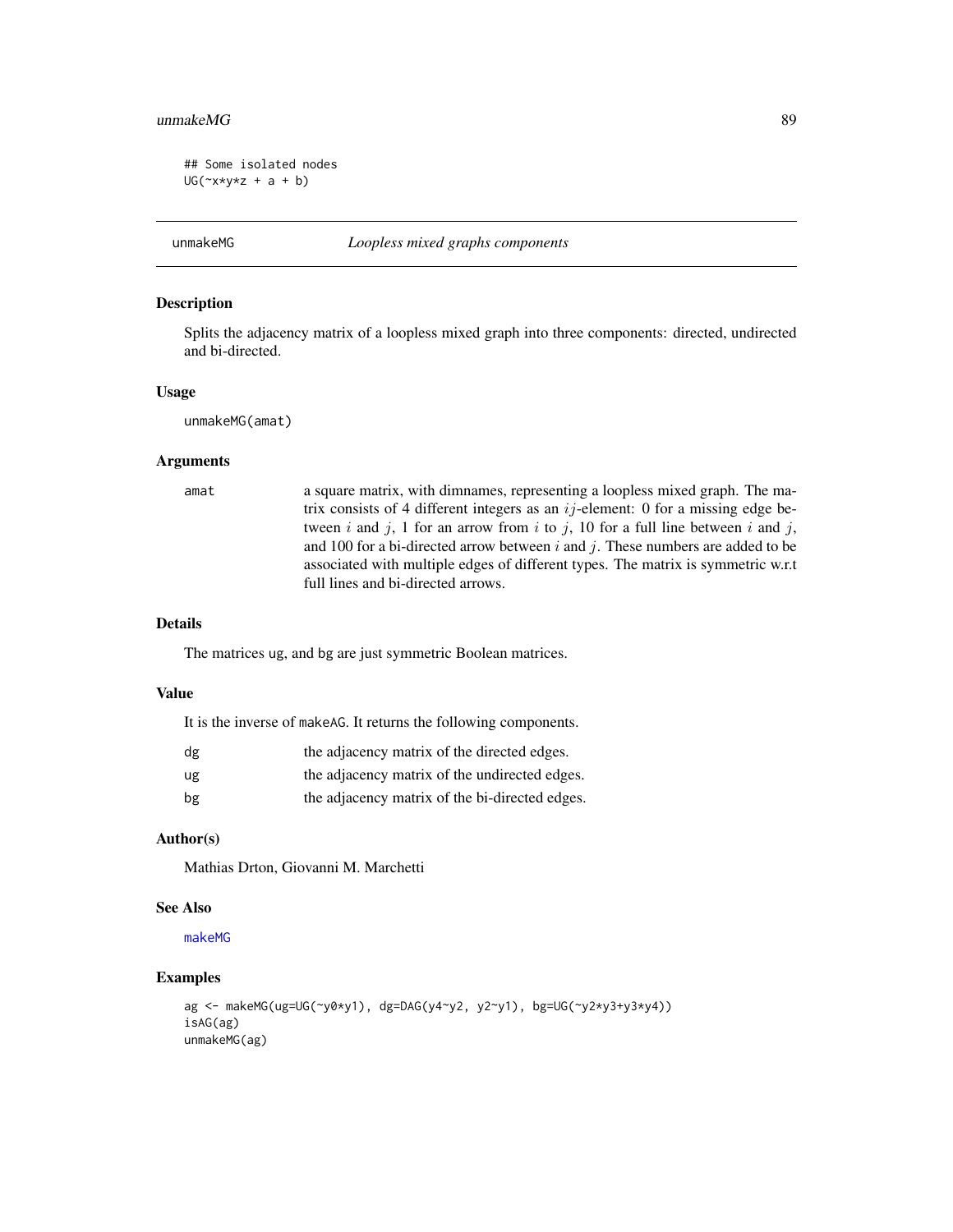#### <span id="page-88-0"></span> $unmakeMG$  89

```
## Some isolated nodes
UG(\neg x \star y \star z + a + b)
```
unmakeMG *Loopless mixed graphs components*

#### Description

Splits the adjacency matrix of a loopless mixed graph into three components: directed, undirected and bi-directed.

#### Usage

unmakeMG(amat)

# Arguments

amat a square matrix, with dimnames, representing a loopless mixed graph. The matrix consists of 4 different integers as an  $ij$ -element: 0 for a missing edge between i and j, 1 for an arrow from i to j, 10 for a full line between i and j, and 100 for a bi-directed arrow between  $i$  and  $j$ . These numbers are added to be associated with multiple edges of different types. The matrix is symmetric w.r.t full lines and bi-directed arrows.

# Details

The matrices ug, and bg are just symmetric Boolean matrices.

#### Value

It is the inverse of makeAG. It returns the following components.

| dg | the adjacency matrix of the directed edges.    |
|----|------------------------------------------------|
| ug | the adjacency matrix of the undirected edges.  |
| bg | the adjacency matrix of the bi-directed edges. |

# Author(s)

Mathias Drton, Giovanni M. Marchetti

# See Also

[makeMG](#page-51-0)

```
ag <- makeMG(ug=UG(~y0*y1), dg=DAG(y4~y2, y2~y1), bg=UG(~y2*y3+y3*y4))
isAG(ag)
unmakeMG(ag)
```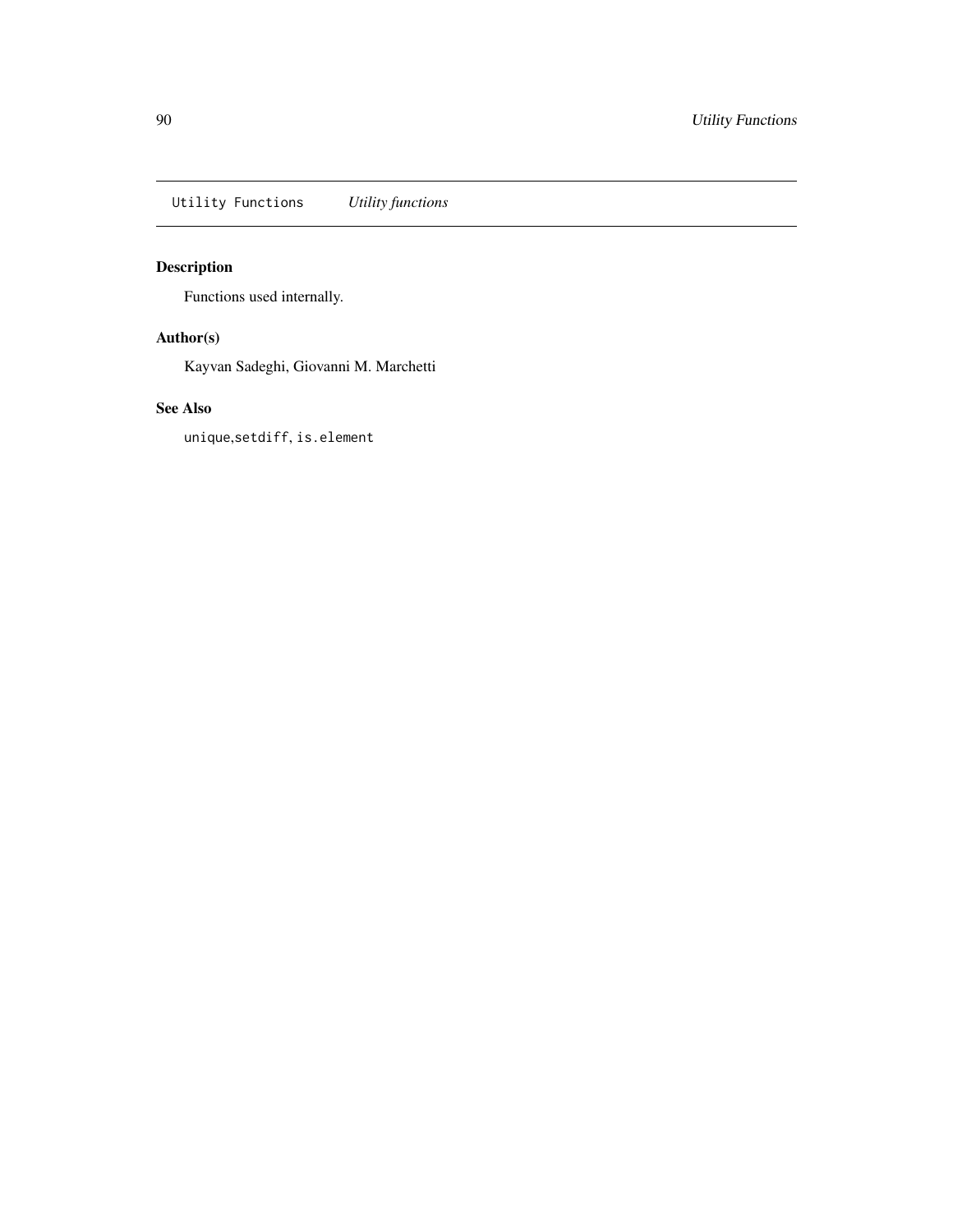<span id="page-89-0"></span>Utility Functions *Utility functions*

# Description

Functions used internally.

# Author(s)

Kayvan Sadeghi, Giovanni M. Marchetti

# See Also

unique,setdiff, is.element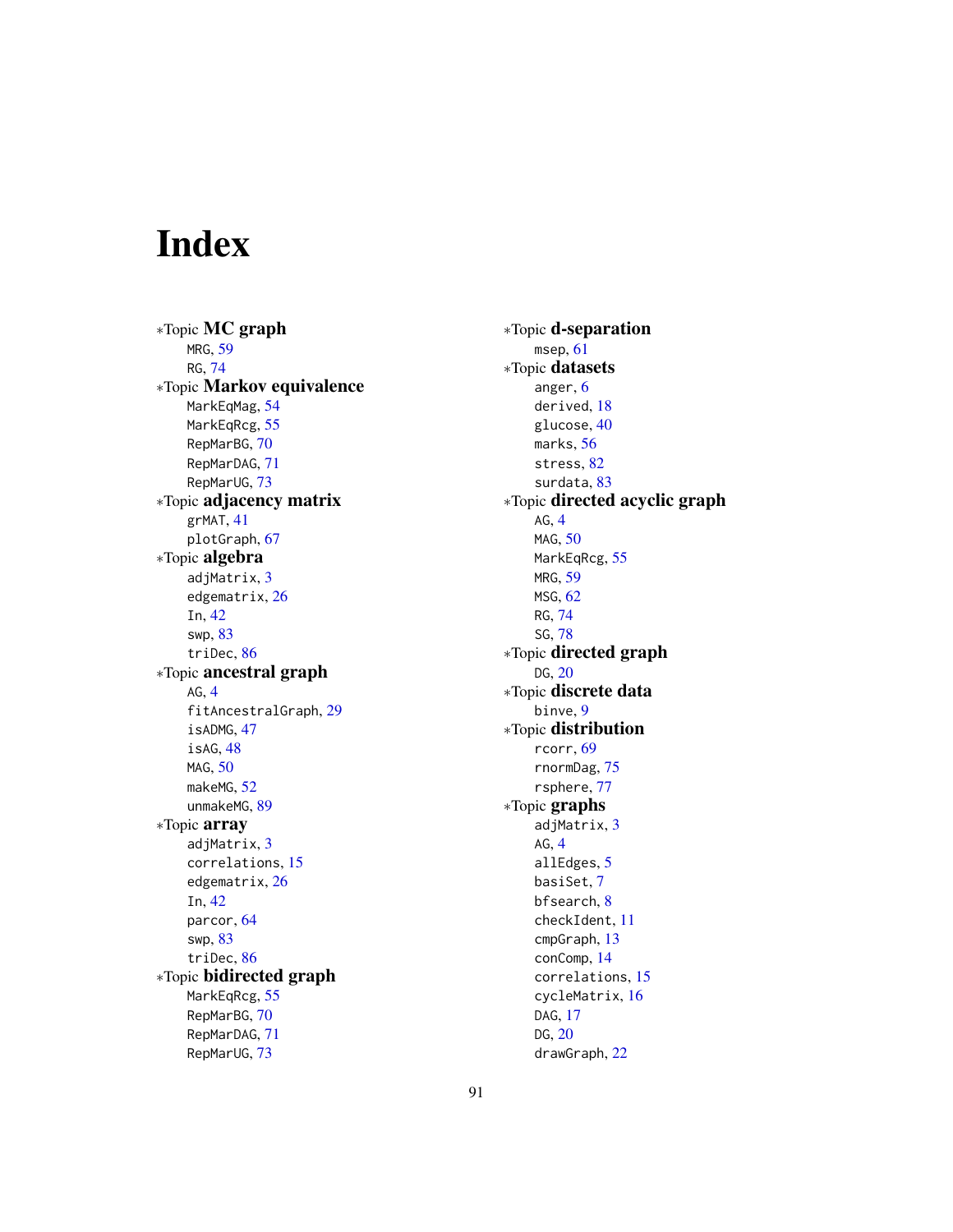# Index

∗Topic MC graph MRG, [59](#page-58-1) RG, [74](#page-73-1) ∗Topic Markov equivalence MarkEqMag, [54](#page-53-1) MarkEqRcg, [55](#page-54-1) RepMarBG, [70](#page-69-1) RepMarDAG, [71](#page-70-1) RepMarUG, [73](#page-72-0) ∗Topic adjacency matrix grMAT, [41](#page-40-0) plotGraph, [67](#page-66-0) ∗Topic algebra adjMatrix, [3](#page-2-0) edgematrix, [26](#page-25-0) In, [42](#page-41-0) swp, [83](#page-82-0) triDec, [86](#page-85-1) ∗Topic ancestral graph AG, [4](#page-3-1) fitAncestralGraph, [29](#page-28-0) isADMG, [47](#page-46-0) isAG, [48](#page-47-0) MAG, [50](#page-49-0) makeMG, [52](#page-51-1) unmakeMG, [89](#page-88-0) ∗Topic array adjMatrix, [3](#page-2-0) correlations, [15](#page-14-0) edgematrix, [26](#page-25-0) In, [42](#page-41-0) parcor, [64](#page-63-0) swp, [83](#page-82-0) triDec, [86](#page-85-1) ∗Topic bidirected graph MarkEqRcg, [55](#page-54-1) RepMarBG, [70](#page-69-1) RepMarDAG, [71](#page-70-1) RepMarUG, [73](#page-72-0)

∗Topic d-separation msep, [61](#page-60-0) ∗Topic datasets anger, [6](#page-5-0) derived, [18](#page-17-0) glucose, [40](#page-39-0) marks, [56](#page-55-0) stress, [82](#page-81-0) surdata, [83](#page-82-0) ∗Topic directed acyclic graph AG, [4](#page-3-1) MAG, [50](#page-49-0) MarkEqRcg, [55](#page-54-1) MRG, [59](#page-58-1) MSG, [62](#page-61-1) RG, [74](#page-73-1) SG, [78](#page-77-1) ∗Topic directed graph DG, [20](#page-19-0) ∗Topic discrete data binve, [9](#page-8-0) ∗Topic distribution rcorr, [69](#page-68-1) rnormDag, [75](#page-74-0) rsphere, [77](#page-76-0) ∗Topic graphs adjMatrix, [3](#page-2-0) AG, [4](#page-3-1) allEdges, [5](#page-4-0) basiSet, [7](#page-6-1) bfsearch, [8](#page-7-0) checkIdent, [11](#page-10-0) cmpGraph, [13](#page-12-0) conComp, [14](#page-13-0) correlations, [15](#page-14-0) cycleMatrix, [16](#page-15-0) DAG, [17](#page-16-1) DG, [20](#page-19-0) drawGraph, [22](#page-21-0)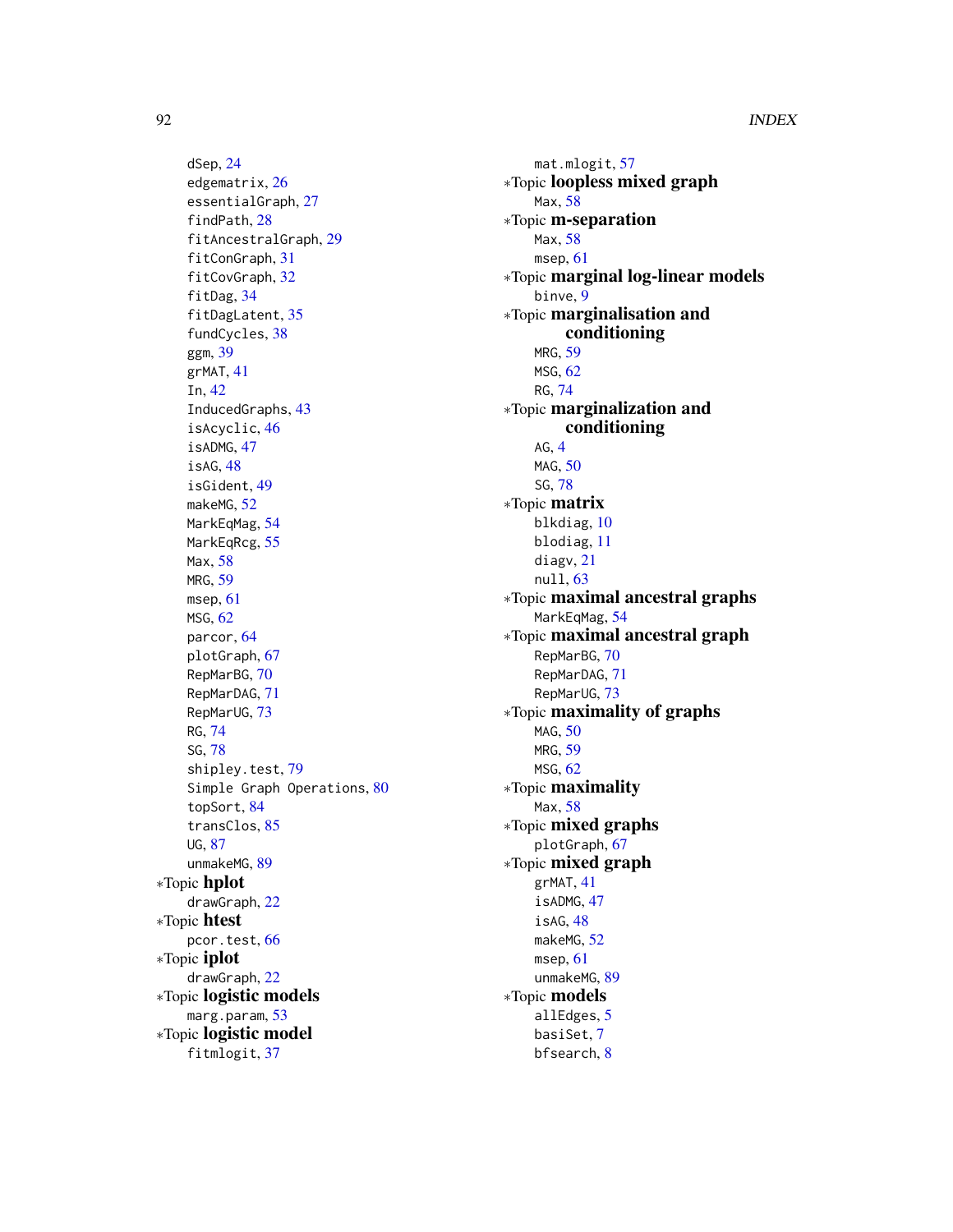dSep, [24](#page-23-0) edgematrix, [26](#page-25-0) essentialGraph, [27](#page-26-0) findPath, [28](#page-27-0) fitAncestralGraph, [29](#page-28-0) fitConGraph, [31](#page-30-1) fitCovGraph, [32](#page-31-1) fitDag, [34](#page-33-1) fitDagLatent, [35](#page-34-0) fundCycles, [38](#page-37-0) ggm, [39](#page-38-0) grMAT, [41](#page-40-0) In, [42](#page-41-0) InducedGraphs, [43](#page-42-0) isAcyclic, [46](#page-45-1) isADMG, [47](#page-46-0) isAG, [48](#page-47-0) isGident, [49](#page-48-0) makeMG, [52](#page-51-1) MarkEqMag, [54](#page-53-1) MarkEqRcg, [55](#page-54-1) Max, [58](#page-57-0) MRG, [59](#page-58-1) msep, [61](#page-60-0) MSG, [62](#page-61-1) parcor, [64](#page-63-0) plotGraph, [67](#page-66-0) RepMarBG, [70](#page-69-1) RepMarDAG, [71](#page-70-1) RepMarUG, [73](#page-72-0) RG, [74](#page-73-1) SG, [78](#page-77-1) shipley.test, [79](#page-78-0) Simple Graph Operations, [80](#page-79-0) topSort, [84](#page-83-0) transClos, [85](#page-84-0) UG, [87](#page-86-1) unmakeMG, [89](#page-88-0) ∗Topic hplot drawGraph, [22](#page-21-0) ∗Topic htest pcor.test, [66](#page-65-1) ∗Topic iplot drawGraph, [22](#page-21-0) ∗Topic logistic models marg.param, [53](#page-52-0) ∗Topic logistic model fitmlogit, [37](#page-36-0)

mat.mlogit, [57](#page-56-0) ∗Topic loopless mixed graph Max, [58](#page-57-0) ∗Topic m-separation Max, [58](#page-57-0) msep, [61](#page-60-0) ∗Topic marginal log-linear models binve, [9](#page-8-0) ∗Topic marginalisation and conditioning MRG, [59](#page-58-1) MSG, [62](#page-61-1) RG, [74](#page-73-1) ∗Topic marginalization and conditioning AG, [4](#page-3-1) MAG, [50](#page-49-0) SG, [78](#page-77-1) ∗Topic matrix blkdiag, [10](#page-9-0) blodiag, [11](#page-10-0) diagv, [21](#page-20-0) null, [63](#page-62-0) ∗Topic maximal ancestral graphs MarkEqMag, [54](#page-53-1) ∗Topic maximal ancestral graph RepMarBG, [70](#page-69-1) RepMarDAG, [71](#page-70-1) RepMarUG, [73](#page-72-0) ∗Topic maximality of graphs MAG, [50](#page-49-0) MRG, [59](#page-58-1) MSG, [62](#page-61-1) ∗Topic maximality Max, [58](#page-57-0) ∗Topic mixed graphs plotGraph, [67](#page-66-0) ∗Topic mixed graph grMAT, [41](#page-40-0) isADMG, [47](#page-46-0) isAG, [48](#page-47-0) makeMG, [52](#page-51-1) msep, [61](#page-60-0) unmakeMG, [89](#page-88-0) ∗Topic models allEdges, [5](#page-4-0) basiSet, [7](#page-6-1) bfsearch, [8](#page-7-0)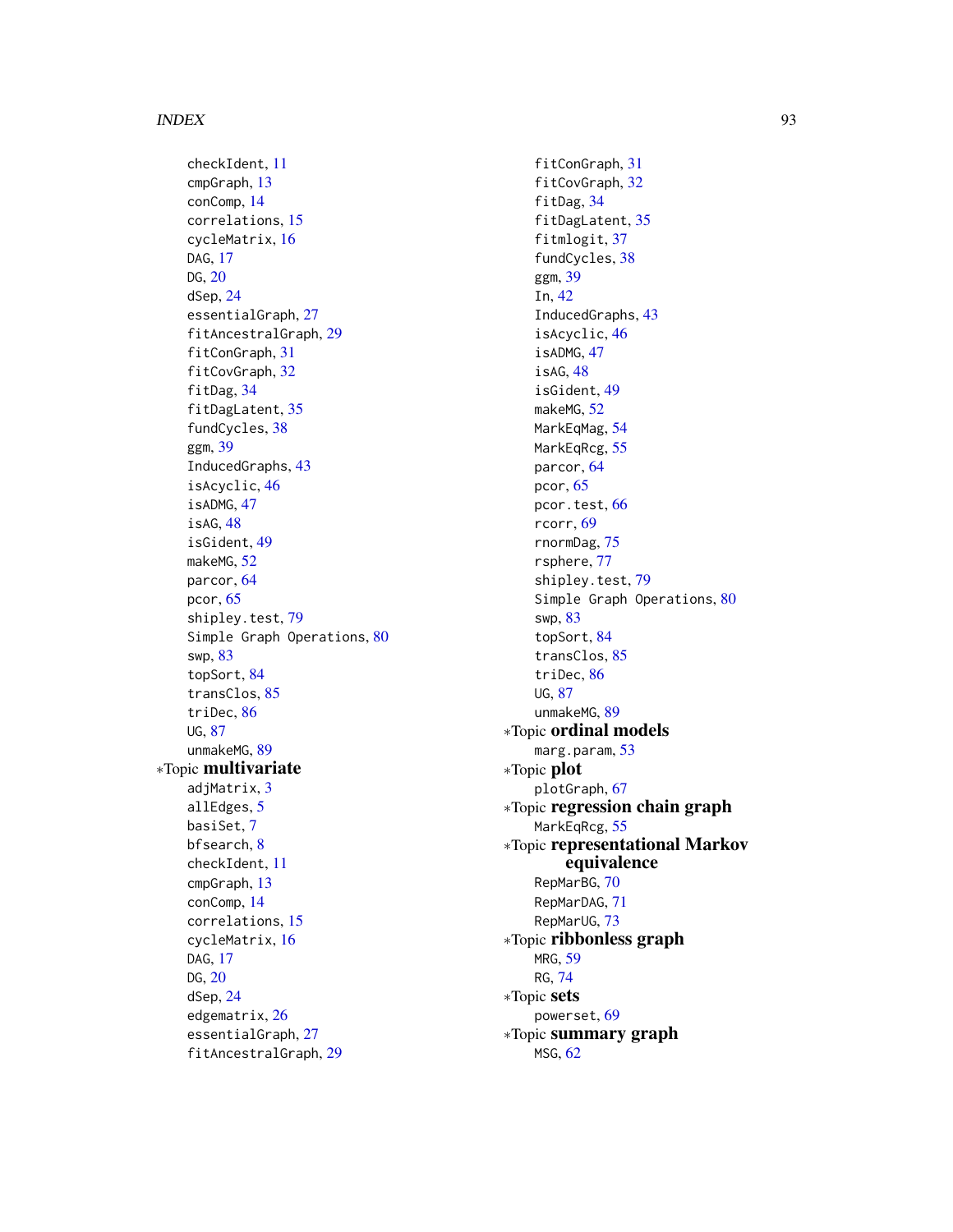#### INDEX  $\sim$  93

checkIdent, [11](#page-10-0) cmpGraph, [13](#page-12-0) conComp, [14](#page-13-0) correlations, [15](#page-14-0) cycleMatrix, [16](#page-15-0) DAG, [17](#page-16-1) DG, [20](#page-19-0) dSep, [24](#page-23-0) essentialGraph, [27](#page-26-0) fitAncestralGraph, [29](#page-28-0) fitConGraph, [31](#page-30-1) fitCovGraph, [32](#page-31-1) fitDag, [34](#page-33-1) fitDagLatent, [35](#page-34-0) fundCycles, [38](#page-37-0) ggm, [39](#page-38-0) InducedGraphs, [43](#page-42-0) isAcyclic, [46](#page-45-1) isADMG, [47](#page-46-0) isAG, [48](#page-47-0) isGident, [49](#page-48-0) makeMG, [52](#page-51-1) parcor, [64](#page-63-0) pcor, [65](#page-64-0) shipley.test, [79](#page-78-0) Simple Graph Operations, [80](#page-79-0) swp, [83](#page-82-0) topSort, [84](#page-83-0) transClos, [85](#page-84-0) triDec, [86](#page-85-1) UG, [87](#page-86-1) unmakeMG, [89](#page-88-0) ∗Topic multivariate adjMatrix, [3](#page-2-0) allEdges, [5](#page-4-0) basiSet, [7](#page-6-1) bfsearch, [8](#page-7-0) checkIdent, [11](#page-10-0) cmpGraph, [13](#page-12-0) conComp, [14](#page-13-0) correlations, [15](#page-14-0) cycleMatrix, [16](#page-15-0) DAG, [17](#page-16-1) DG, [20](#page-19-0) dSep, [24](#page-23-0) edgematrix, [26](#page-25-0) essentialGraph, [27](#page-26-0) fitAncestralGraph, [29](#page-28-0)

fitConGraph, [31](#page-30-1) fitCovGraph, [32](#page-31-1) fitDag, [34](#page-33-1) fitDagLatent, [35](#page-34-0) fitmlogit, [37](#page-36-0) fundCycles, [38](#page-37-0) ggm, [39](#page-38-0) In, [42](#page-41-0) InducedGraphs, [43](#page-42-0) isAcyclic, [46](#page-45-1) isADMG, [47](#page-46-0) isAG, [48](#page-47-0) isGident, [49](#page-48-0) makeMG, [52](#page-51-1) MarkEqMag, [54](#page-53-1) MarkEqRcg, [55](#page-54-1) parcor, [64](#page-63-0) pcor, [65](#page-64-0) pcor.test, [66](#page-65-1) rcorr, [69](#page-68-1) rnormDag, [75](#page-74-0) rsphere, [77](#page-76-0) shipley.test, [79](#page-78-0) Simple Graph Operations, [80](#page-79-0) swp, [83](#page-82-0) topSort, [84](#page-83-0) transClos, [85](#page-84-0) triDec, [86](#page-85-1) UG, [87](#page-86-1) unmakeMG, [89](#page-88-0) ∗Topic ordinal models marg.param, [53](#page-52-0) ∗Topic plot plotGraph, [67](#page-66-0) ∗Topic regression chain graph MarkEqRcg, [55](#page-54-1) ∗Topic representational Markov equivalence RepMarBG, [70](#page-69-1) RepMarDAG, [71](#page-70-1) RepMarUG, [73](#page-72-0) ∗Topic ribbonless graph MRG, [59](#page-58-1) RG, [74](#page-73-1) ∗Topic sets powerset, [69](#page-68-1) ∗Topic summary graph MSG, [62](#page-61-1)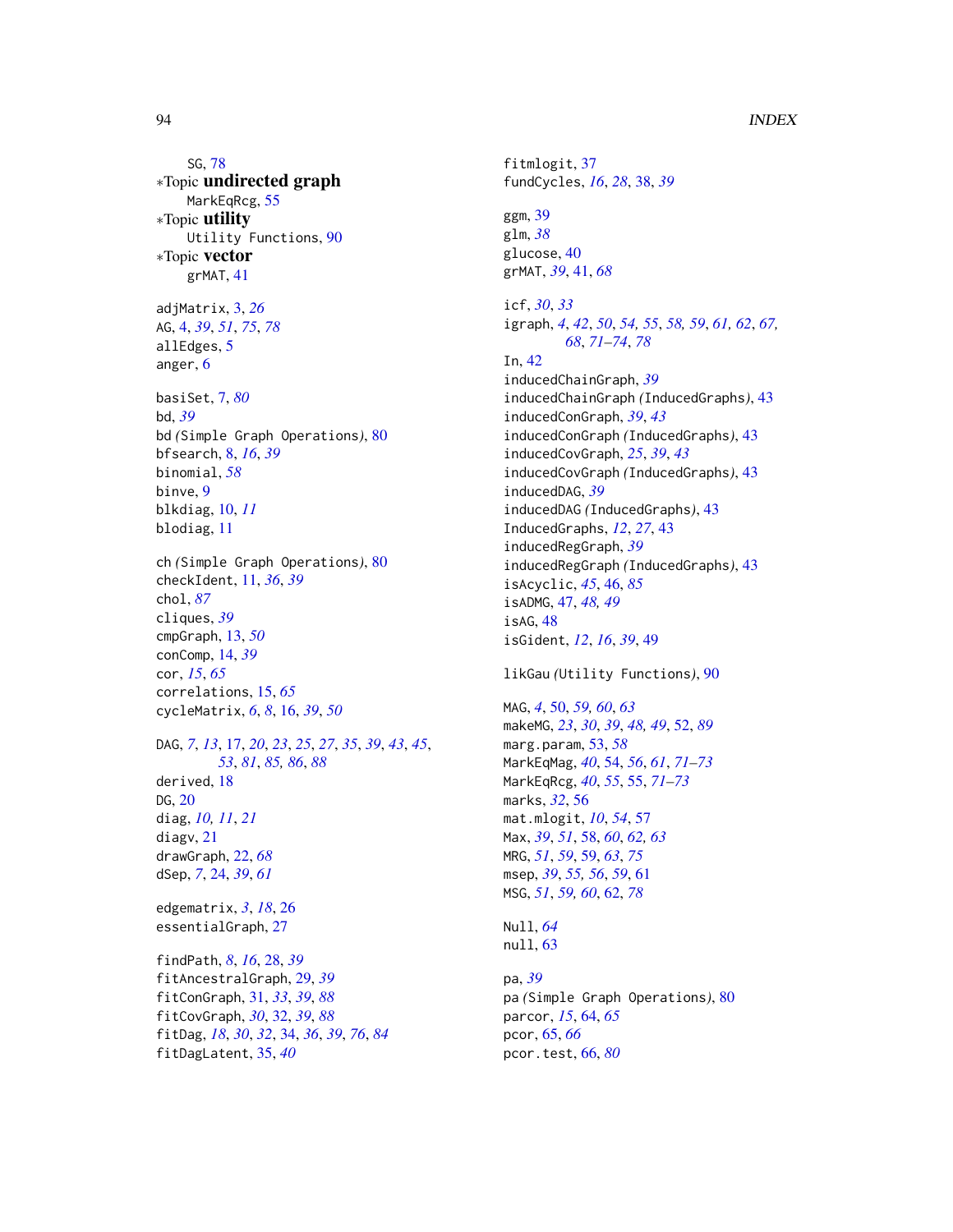SG, [78](#page-77-1) ∗Topic undirected graph MarkEqRcg, [55](#page-54-1) ∗Topic utility Utility Functions, [90](#page-89-0) ∗Topic vector grMAT, [41](#page-40-0) adjMatrix, [3,](#page-2-0) *[26](#page-25-0)* AG, [4,](#page-3-1) *[39](#page-38-0)*, *[51](#page-50-0)*, *[75](#page-74-0)*, *[78](#page-77-1)* allEdges, [5](#page-4-0) anger, [6](#page-5-0) basiSet, [7,](#page-6-1) *[80](#page-79-0)* bd, *[39](#page-38-0)* bd *(*Simple Graph Operations*)*, [80](#page-79-0) bfsearch, [8,](#page-7-0) *[16](#page-15-0)*, *[39](#page-38-0)* binomial, *[58](#page-57-0)* binve, [9](#page-8-0) blkdiag, [10,](#page-9-0) *[11](#page-10-0)* blodiag, [11](#page-10-0) ch *(*Simple Graph Operations*)*, [80](#page-79-0) checkIdent, [11,](#page-10-0) *[36](#page-35-0)*, *[39](#page-38-0)* chol, *[87](#page-86-1)* cliques, *[39](#page-38-0)* cmpGraph, [13,](#page-12-0) *[50](#page-49-0)* conComp, [14,](#page-13-0) *[39](#page-38-0)* cor, *[15](#page-14-0)*, *[65](#page-64-0)* correlations, [15,](#page-14-0) *[65](#page-64-0)* cycleMatrix, *[6](#page-5-0)*, *[8](#page-7-0)*, [16,](#page-15-0) *[39](#page-38-0)*, *[50](#page-49-0)* DAG, *[7](#page-6-1)*, *[13](#page-12-0)*, [17,](#page-16-1) *[20](#page-19-0)*, *[23](#page-22-0)*, *[25](#page-24-0)*, *[27](#page-26-0)*, *[35](#page-34-0)*, *[39](#page-38-0)*, *[43](#page-42-0)*, *[45](#page-44-0)*, *[53](#page-52-0)*, *[81](#page-80-0)*, *[85,](#page-84-0) [86](#page-85-1)*, *[88](#page-87-0)* derived, [18](#page-17-0) DG, [20](#page-19-0) diag, *[10,](#page-9-0) [11](#page-10-0)*, *[21](#page-20-0)* diagv, [21](#page-20-0) drawGraph, [22,](#page-21-0) *[68](#page-67-0)* dSep, *[7](#page-6-1)*, [24,](#page-23-0) *[39](#page-38-0)*, *[61](#page-60-0)* edgematrix, *[3](#page-2-0)*, *[18](#page-17-0)*, [26](#page-25-0) essentialGraph, [27](#page-26-0) findPath, *[8](#page-7-0)*, *[16](#page-15-0)*, [28,](#page-27-0) *[39](#page-38-0)* fitAncestralGraph, [29,](#page-28-0) *[39](#page-38-0)* fitConGraph, [31,](#page-30-1) *[33](#page-32-0)*, *[39](#page-38-0)*, *[88](#page-87-0)* fitCovGraph, *[30](#page-29-0)*, [32,](#page-31-1) *[39](#page-38-0)*, *[88](#page-87-0)* fitDag, *[18](#page-17-0)*, *[30](#page-29-0)*, *[32](#page-31-1)*, [34,](#page-33-1) *[36](#page-35-0)*, *[39](#page-38-0)*, *[76](#page-75-0)*, *[84](#page-83-0)* fitDagLatent, [35,](#page-34-0) *[40](#page-39-0)*

fitmlogit, [37](#page-36-0) fundCycles, *[16](#page-15-0)*, *[28](#page-27-0)*, [38,](#page-37-0) *[39](#page-38-0)* ggm, [39](#page-38-0) glm, *[38](#page-37-0)* glucose, [40](#page-39-0) grMAT, *[39](#page-38-0)*, [41,](#page-40-0) *[68](#page-67-0)* icf, *[30](#page-29-0)*, *[33](#page-32-0)* igraph, *[4](#page-3-1)*, *[42](#page-41-0)*, *[50](#page-49-0)*, *[54,](#page-53-1) [55](#page-54-1)*, *[58,](#page-57-0) [59](#page-58-1)*, *[61,](#page-60-0) [62](#page-61-1)*, *[67,](#page-66-0) [68](#page-67-0)*, *[71](#page-70-1)[–74](#page-73-1)*, *[78](#page-77-1)* In, [42](#page-41-0) inducedChainGraph, *[39](#page-38-0)* inducedChainGraph *(*InducedGraphs*)*, [43](#page-42-0) inducedConGraph, *[39](#page-38-0)*, *[43](#page-42-0)* inducedConGraph *(*InducedGraphs*)*, [43](#page-42-0) inducedCovGraph, *[25](#page-24-0)*, *[39](#page-38-0)*, *[43](#page-42-0)* inducedCovGraph *(*InducedGraphs*)*, [43](#page-42-0) inducedDAG, *[39](#page-38-0)* inducedDAG *(*InducedGraphs*)*, [43](#page-42-0) InducedGraphs, *[12](#page-11-0)*, *[27](#page-26-0)*, [43](#page-42-0) inducedRegGraph, *[39](#page-38-0)* inducedRegGraph *(*InducedGraphs*)*, [43](#page-42-0) isAcyclic, *[45](#page-44-0)*, [46,](#page-45-1) *[85](#page-84-0)* isADMG, [47,](#page-46-0) *[48,](#page-47-0) [49](#page-48-0)* isAG, [48](#page-47-0) isGident, *[12](#page-11-0)*, *[16](#page-15-0)*, *[39](#page-38-0)*, [49](#page-48-0) likGau *(*Utility Functions*)*, [90](#page-89-0) MAG, *[4](#page-3-1)*, [50,](#page-49-0) *[59,](#page-58-1) [60](#page-59-0)*, *[63](#page-62-0)* makeMG, *[23](#page-22-0)*, *[30](#page-29-0)*, *[39](#page-38-0)*, *[48,](#page-47-0) [49](#page-48-0)*, [52,](#page-51-1) *[89](#page-88-0)* marg.param, [53,](#page-52-0) *[58](#page-57-0)* MarkEqMag, *[40](#page-39-0)*, [54,](#page-53-1) *[56](#page-55-0)*, *[61](#page-60-0)*, *[71](#page-70-1)[–73](#page-72-0)* MarkEqRcg, *[40](#page-39-0)*, *[55](#page-54-1)*, [55,](#page-54-1) *[71](#page-70-1)[–73](#page-72-0)* marks, *[32](#page-31-1)*, [56](#page-55-0) mat.mlogit, *[10](#page-9-0)*, *[54](#page-53-1)*, [57](#page-56-0) Max, *[39](#page-38-0)*, *[51](#page-50-0)*, [58,](#page-57-0) *[60](#page-59-0)*, *[62,](#page-61-1) [63](#page-62-0)* MRG, *[51](#page-50-0)*, *[59](#page-58-1)*, [59,](#page-58-1) *[63](#page-62-0)*, *[75](#page-74-0)* msep, *[39](#page-38-0)*, *[55,](#page-54-1) [56](#page-55-0)*, *[59](#page-58-1)*, [61](#page-60-0) MSG, *[51](#page-50-0)*, *[59,](#page-58-1) [60](#page-59-0)*, [62,](#page-61-1) *[78](#page-77-1)* Null, *[64](#page-63-0)* null, [63](#page-62-0)

pa, *[39](#page-38-0)* pa *(*Simple Graph Operations*)*, [80](#page-79-0) parcor, *[15](#page-14-0)*, [64,](#page-63-0) *[65](#page-64-0)* pcor, [65,](#page-64-0) *[66](#page-65-1)* pcor.test, [66,](#page-65-1) *[80](#page-79-0)*